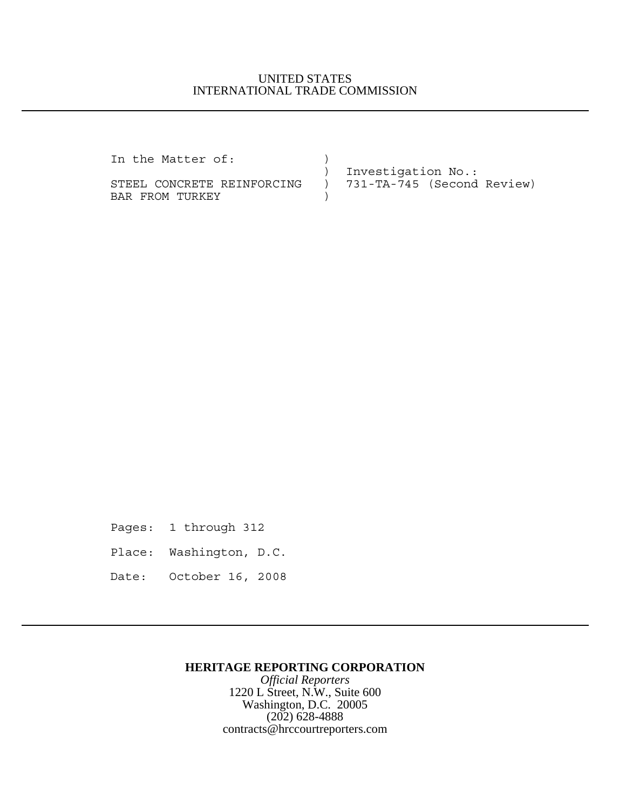## UNITED STATES INTERNATIONAL TRADE COMMISSION

In the Matter of:  $)$ 

BAR FROM TURKEY  $)$ 

 ) Investigation No.: STEEL CONCRETE REINFORCING ) 731-TA-745 (Second Review)

Pages: 1 through 312

Place: Washington, D.C.

Date: October 16, 2008

## **HERITAGE REPORTING CORPORATION**

*Official Reporters* 1220 L Street, N.W., Suite 600 Washington, D.C. 20005 (202) 628-4888 contracts@hrccourtreporters.com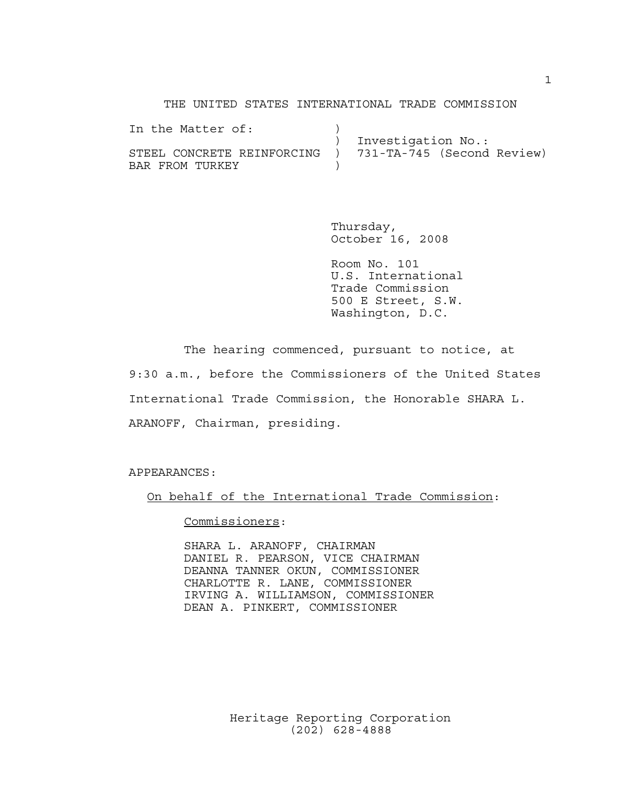THE UNITED STATES INTERNATIONAL TRADE COMMISSION

| In the Matter of:                                       |                    |
|---------------------------------------------------------|--------------------|
|                                                         | Investigation No.: |
| STEEL CONCRETE REINFORCING ) 731-TA-745 (Second Review) |                    |
| BAR FROM TURKEY                                         |                    |

Thursday, October 16, 2008

Room No. 101 U.S. International Trade Commission 500 E Street, S.W. Washington, D.C.

The hearing commenced, pursuant to notice, at 9:30 a.m., before the Commissioners of the United States International Trade Commission, the Honorable SHARA L. ARANOFF, Chairman, presiding.

APPEARANCES:

On behalf of the International Trade Commission:

Commissioners:

SHARA L. ARANOFF, CHAIRMAN DANIEL R. PEARSON, VICE CHAIRMAN DEANNA TANNER OKUN, COMMISSIONER CHARLOTTE R. LANE, COMMISSIONER IRVING A. WILLIAMSON, COMMISSIONER DEAN A. PINKERT, COMMISSIONER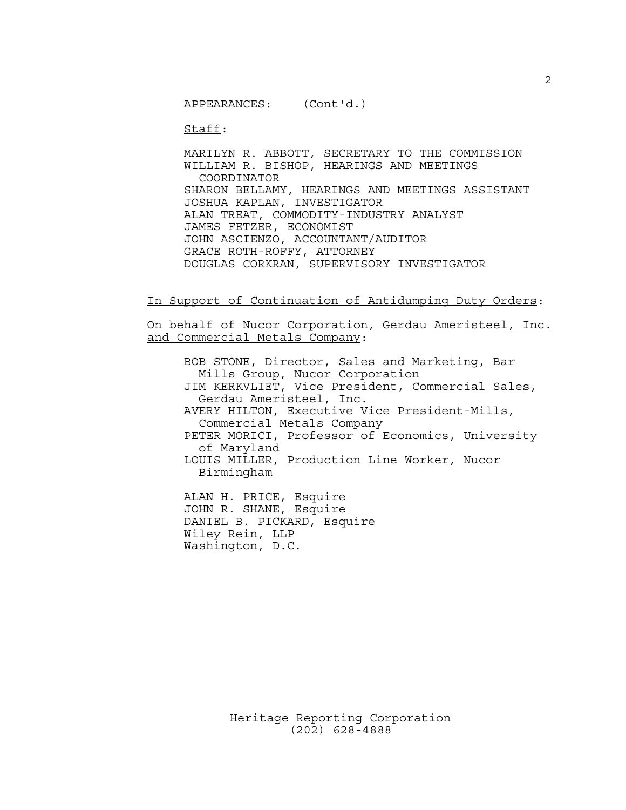APPEARANCES: (Cont'd.)

Staff:

MARILYN R. ABBOTT, SECRETARY TO THE COMMISSION WILLIAM R. BISHOP, HEARINGS AND MEETINGS COORDINATOR SHARON BELLAMY, HEARINGS AND MEETINGS ASSISTANT JOSHUA KAPLAN, INVESTIGATOR ALAN TREAT, COMMODITY-INDUSTRY ANALYST JAMES FETZER, ECONOMIST JOHN ASCIENZO, ACCOUNTANT/AUDITOR GRACE ROTH-ROFFY, ATTORNEY DOUGLAS CORKRAN, SUPERVISORY INVESTIGATOR

In Support of Continuation of Antidumping Duty Orders:

On behalf of Nucor Corporation, Gerdau Ameristeel, Inc. and Commercial Metals Company:

BOB STONE, Director, Sales and Marketing, Bar Mills Group, Nucor Corporation JIM KERKVLIET, Vice President, Commercial Sales, Gerdau Ameristeel, Inc. AVERY HILTON, Executive Vice President-Mills, Commercial Metals Company PETER MORICI, Professor of Economics, University of Maryland LOUIS MILLER, Production Line Worker, Nucor Birmingham ALAN H. PRICE, Esquire

JOHN R. SHANE, Esquire DANIEL B. PICKARD, Esquire Wiley Rein, LLP Washington, D.C.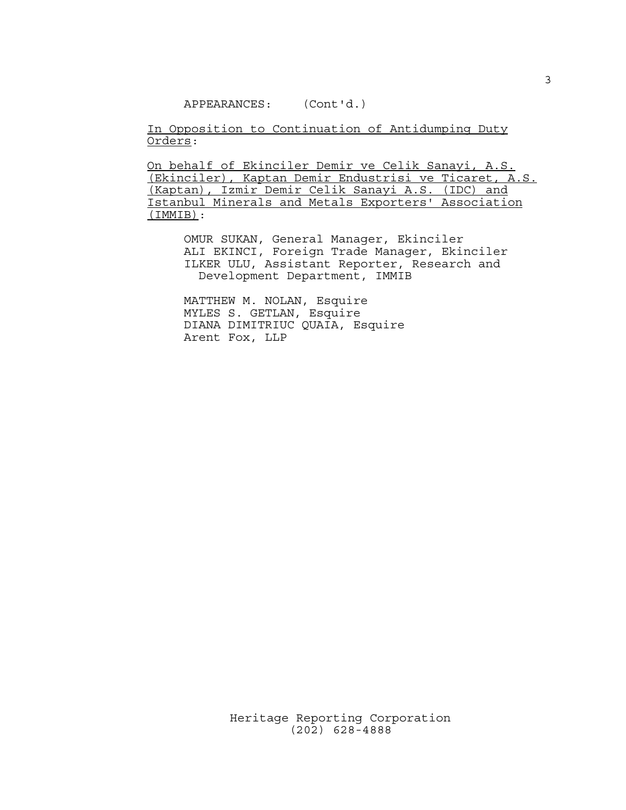APPEARANCES: (Cont'd.)

In Opposition to Continuation of Antidumping Duty Orders:

On behalf of Ekinciler Demir ve Celik Sanayi, A.S. (Ekinciler), Kaptan Demir Endustrisi ve Ticaret, A.S. (Kaptan), Izmir Demir Celik Sanayi A.S. (IDC) and Istanbul Minerals and Metals Exporters' Association (IMMIB):

OMUR SUKAN, General Manager, Ekinciler ALI EKINCI, Foreign Trade Manager, Ekinciler ILKER ULU, Assistant Reporter, Research and Development Department, IMMIB

MATTHEW M. NOLAN, Esquire MYLES S. GETLAN, Esquire DIANA DIMITRIUC QUAIA, Esquire Arent Fox, LLP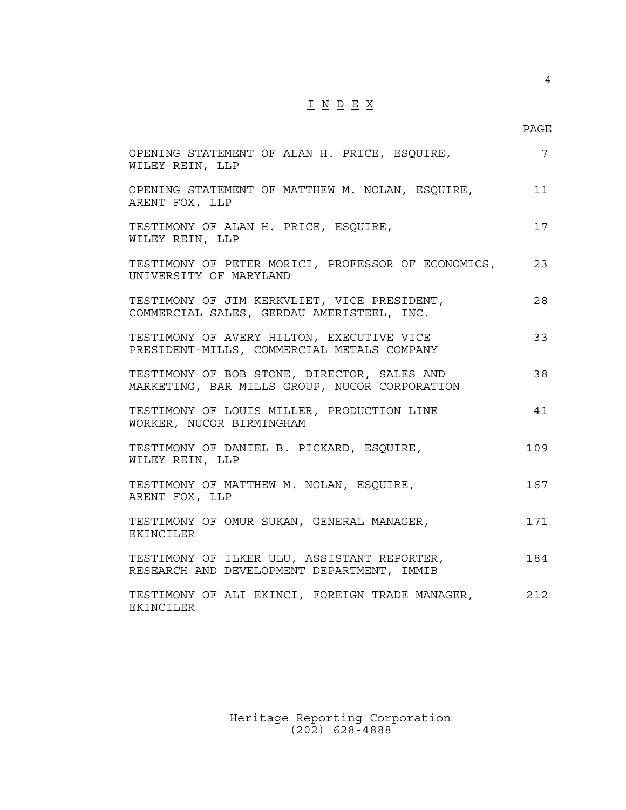## $\underline{\texttt{I}} \underline{\texttt{N}} \underline{\texttt{D}} \underline{\texttt{E}} \underline{\texttt{X}}$

4

| OPENING STATEMENT OF ALAN H. PRICE, ESQUIRE,<br>WILEY REIN, LLP                              | $\overline{7}$ |
|----------------------------------------------------------------------------------------------|----------------|
| OPENING STATEMENT OF MATTHEW M. NOLAN, ESQUIRE,<br>ARENT FOX, LLP                            | 11             |
| TESTIMONY OF ALAN H. PRICE, ESQUIRE,<br>WILEY REIN, LLP                                      | 17             |
| TESTIMONY OF PETER MORICI, PROFESSOR OF ECONOMICS,<br>UNIVERSITY OF MARYLAND                 | 23             |
| TESTIMONY OF JIM KERKVLIET, VICE PRESIDENT,<br>COMMERCIAL SALES, GERDAU AMERISTEEL, INC.     | 28             |
| TESTIMONY OF AVERY HILTON, EXECUTIVE VICE<br>PRESIDENT-MILLS, COMMERCIAL METALS COMPANY      | 33             |
| TESTIMONY OF BOB STONE, DIRECTOR, SALES AND<br>MARKETING, BAR MILLS GROUP, NUCOR CORPORATION | 38             |
| TESTIMONY OF LOUIS MILLER, PRODUCTION LINE<br>WORKER, NUCOR BIRMINGHAM                       | 41             |
| TESTIMONY OF DANIEL B. PICKARD, ESOUIRE,<br>WILEY REIN, LLP                                  | 109            |
| TESTIMONY OF MATTHEW M. NOLAN, ESQUIRE,<br>ARENT FOX, LLP                                    | 167            |
| TESTIMONY OF OMUR SUKAN, GENERAL MANAGER,<br><b>EKINCILER</b>                                | 171            |
| TESTIMONY OF ILKER ULU, ASSISTANT REPORTER,<br>RESEARCH AND DEVELOPMENT DEPARTMENT, IMMIB    | 184            |
| TESTIMONY OF ALI EKINCI, FOREIGN TRADE MANAGER,<br>EKINCILER                                 | 212            |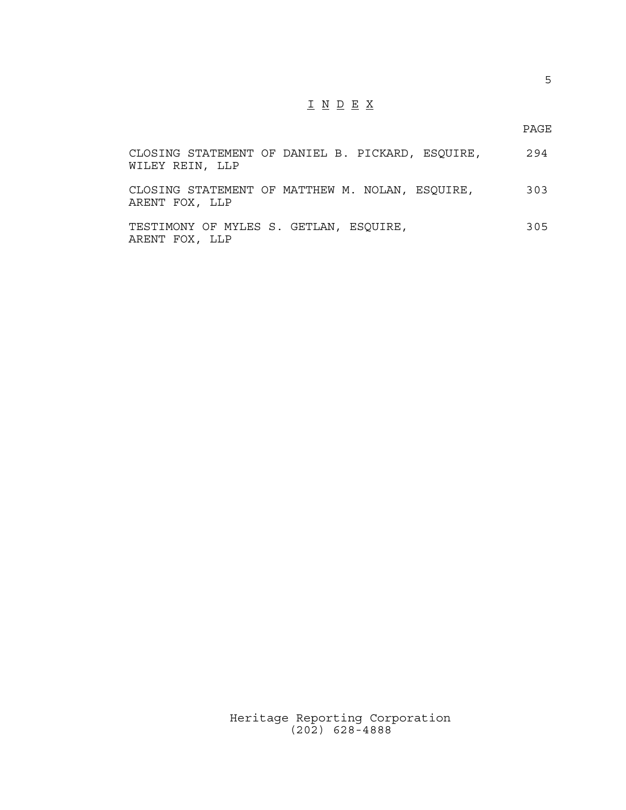## I N D E X

PAGE

| CLOSING STATEMENT OF DANIEL B. PICKARD, ESQUIRE,<br>WILEY REIN, LLP | 294 |
|---------------------------------------------------------------------|-----|
| CLOSING STATEMENT OF MATTHEW M. NOLAN, ESQUIRE,<br>ARENT FOX, LLP   | 303 |
| TESTIMONY OF MYLES S. GETLAN, ESOUIRE,<br>ARENT FOX, LLP            | 305 |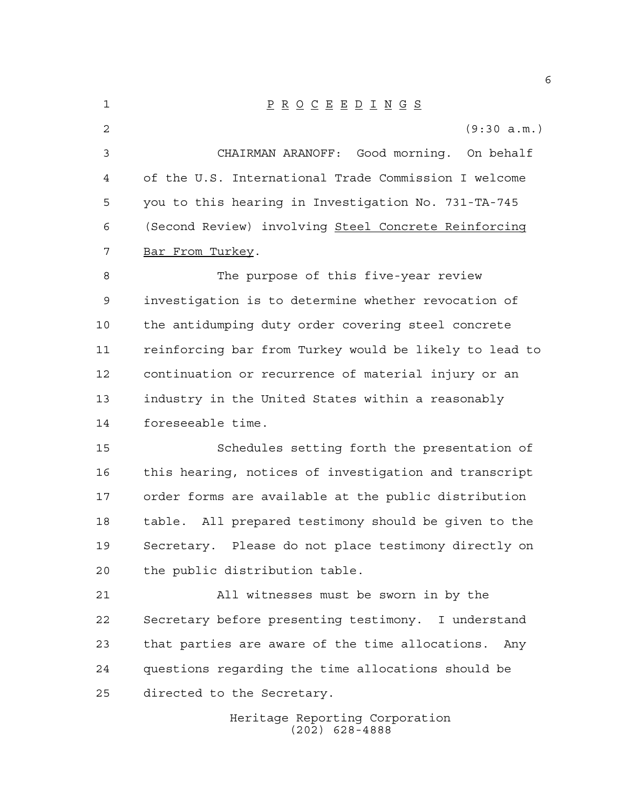| 1  | $\underline{P} \underline{R} \underline{O} \underline{C} \underline{E} \underline{E} \underline{D} \underline{I} \underline{N} \underline{G} \underline{S}$ |
|----|-------------------------------------------------------------------------------------------------------------------------------------------------------------|
| 2  | (9:30 a.m.)                                                                                                                                                 |
| 3  | CHAIRMAN ARANOFF: Good morning. On behalf                                                                                                                   |
| 4  | of the U.S. International Trade Commission I welcome                                                                                                        |
| 5  | you to this hearing in Investigation No. 731-TA-745                                                                                                         |
| 6  | (Second Review) involving Steel Concrete Reinforcing                                                                                                        |
| 7  | Bar From Turkey.                                                                                                                                            |
| 8  | The purpose of this five-year review                                                                                                                        |
| 9  | investigation is to determine whether revocation of                                                                                                         |
| 10 | the antidumping duty order covering steel concrete                                                                                                          |
| 11 | reinforcing bar from Turkey would be likely to lead to                                                                                                      |
| 12 | continuation or recurrence of material injury or an                                                                                                         |
| 13 | industry in the United States within a reasonably                                                                                                           |
| 14 | foreseeable time.                                                                                                                                           |
| 15 | Schedules setting forth the presentation of                                                                                                                 |
| 16 | this hearing, notices of investigation and transcript                                                                                                       |
| 17 | order forms are available at the public distribution                                                                                                        |
| 18 | table. All prepared testimony should be given to the                                                                                                        |
| 19 | Secretary. Please do not place testimony directly on                                                                                                        |
| 20 | the public distribution table.                                                                                                                              |
| 21 | All witnesses must be sworn in by the                                                                                                                       |
| 22 | Secretary before presenting testimony. I understand                                                                                                         |
| 23 | that parties are aware of the time allocations.<br>Any                                                                                                      |
| 24 | questions regarding the time allocations should be                                                                                                          |
| 25 | directed to the Secretary.                                                                                                                                  |
|    |                                                                                                                                                             |

Heritage Reporting Corporation (202) 628-4888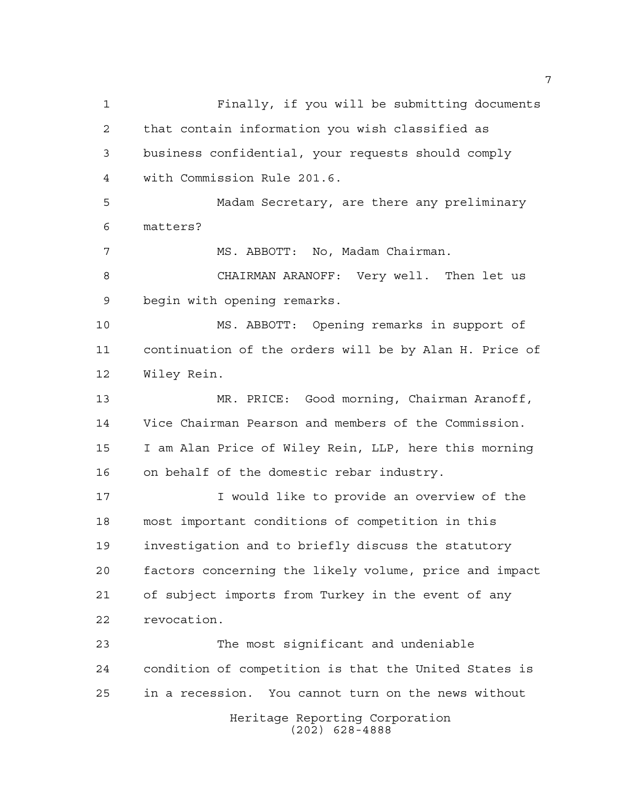Heritage Reporting Corporation (202) 628-4888 Finally, if you will be submitting documents that contain information you wish classified as business confidential, your requests should comply with Commission Rule 201.6. Madam Secretary, are there any preliminary matters? MS. ABBOTT: No, Madam Chairman. CHAIRMAN ARANOFF: Very well. Then let us begin with opening remarks. MS. ABBOTT: Opening remarks in support of continuation of the orders will be by Alan H. Price of Wiley Rein. MR. PRICE: Good morning, Chairman Aranoff, Vice Chairman Pearson and members of the Commission. I am Alan Price of Wiley Rein, LLP, here this morning on behalf of the domestic rebar industry. **I** would like to provide an overview of the most important conditions of competition in this investigation and to briefly discuss the statutory factors concerning the likely volume, price and impact of subject imports from Turkey in the event of any revocation. The most significant and undeniable condition of competition is that the United States is in a recession. You cannot turn on the news without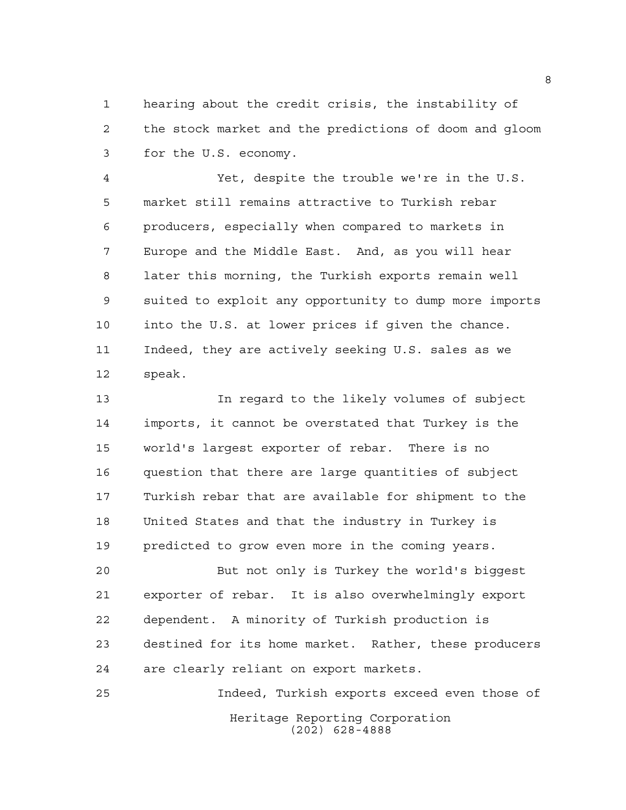hearing about the credit crisis, the instability of the stock market and the predictions of doom and gloom for the U.S. economy.

 Yet, despite the trouble we're in the U.S. market still remains attractive to Turkish rebar producers, especially when compared to markets in Europe and the Middle East. And, as you will hear later this morning, the Turkish exports remain well suited to exploit any opportunity to dump more imports into the U.S. at lower prices if given the chance. Indeed, they are actively seeking U.S. sales as we speak.

 In regard to the likely volumes of subject imports, it cannot be overstated that Turkey is the world's largest exporter of rebar. There is no question that there are large quantities of subject Turkish rebar that are available for shipment to the United States and that the industry in Turkey is predicted to grow even more in the coming years.

 But not only is Turkey the world's biggest exporter of rebar. It is also overwhelmingly export dependent. A minority of Turkish production is destined for its home market. Rather, these producers are clearly reliant on export markets.

Heritage Reporting Corporation (202) 628-4888 Indeed, Turkish exports exceed even those of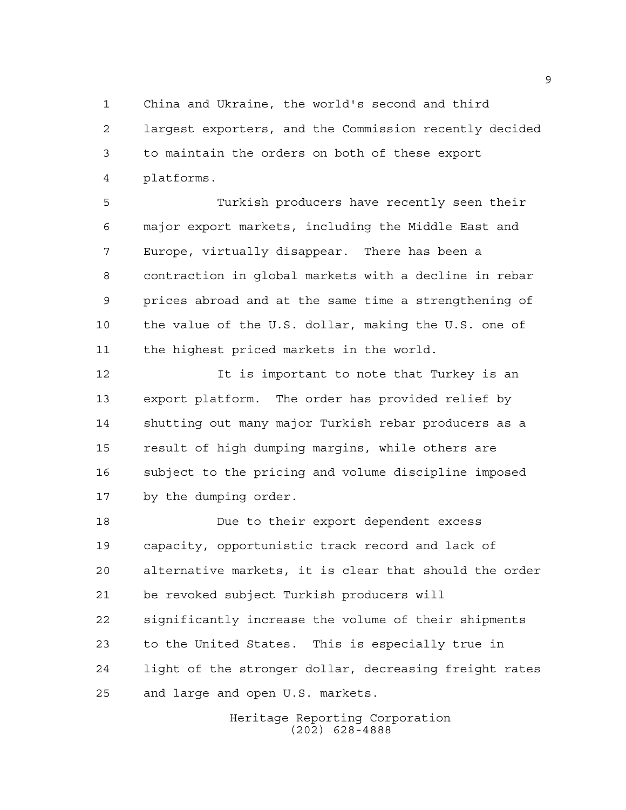China and Ukraine, the world's second and third largest exporters, and the Commission recently decided to maintain the orders on both of these export platforms.

 Turkish producers have recently seen their major export markets, including the Middle East and Europe, virtually disappear. There has been a contraction in global markets with a decline in rebar prices abroad and at the same time a strengthening of the value of the U.S. dollar, making the U.S. one of the highest priced markets in the world.

12 12 It is important to note that Turkey is an export platform. The order has provided relief by shutting out many major Turkish rebar producers as a result of high dumping margins, while others are subject to the pricing and volume discipline imposed by the dumping order.

 Due to their export dependent excess capacity, opportunistic track record and lack of alternative markets, it is clear that should the order be revoked subject Turkish producers will significantly increase the volume of their shipments to the United States. This is especially true in light of the stronger dollar, decreasing freight rates and large and open U.S. markets.

> Heritage Reporting Corporation (202) 628-4888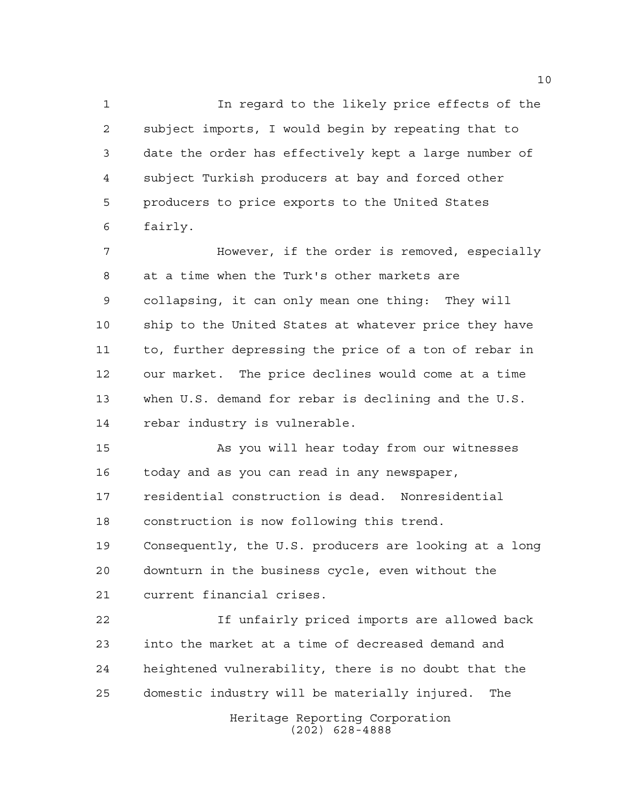In regard to the likely price effects of the subject imports, I would begin by repeating that to date the order has effectively kept a large number of subject Turkish producers at bay and forced other producers to price exports to the United States fairly.

**However, if the order is removed, especially**  at a time when the Turk's other markets are collapsing, it can only mean one thing: They will ship to the United States at whatever price they have to, further depressing the price of a ton of rebar in our market. The price declines would come at a time when U.S. demand for rebar is declining and the U.S. rebar industry is vulnerable.

 As you will hear today from our witnesses today and as you can read in any newspaper, residential construction is dead. Nonresidential construction is now following this trend. Consequently, the U.S. producers are looking at a long downturn in the business cycle, even without the

current financial crises.

 If unfairly priced imports are allowed back into the market at a time of decreased demand and heightened vulnerability, there is no doubt that the domestic industry will be materially injured. The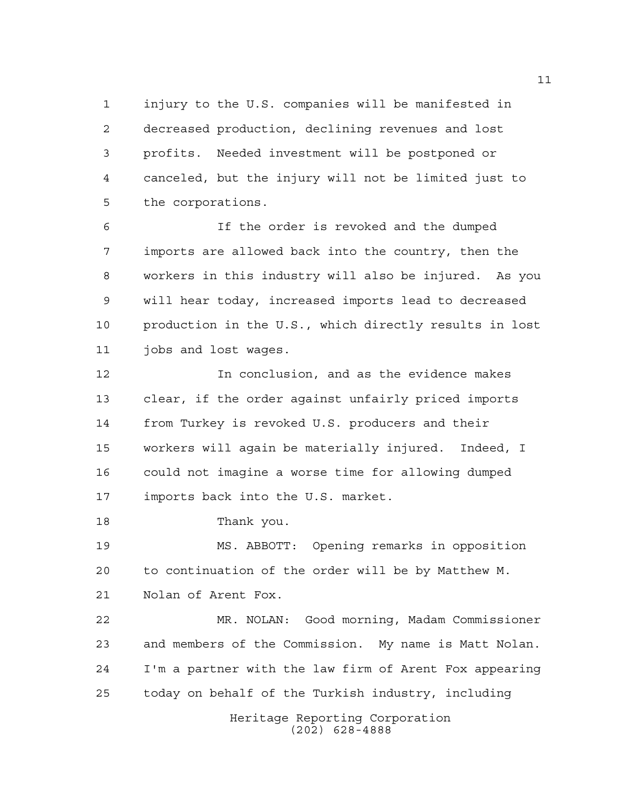injury to the U.S. companies will be manifested in decreased production, declining revenues and lost profits. Needed investment will be postponed or canceled, but the injury will not be limited just to the corporations.

 If the order is revoked and the dumped imports are allowed back into the country, then the workers in this industry will also be injured. As you will hear today, increased imports lead to decreased production in the U.S., which directly results in lost jobs and lost wages.

 In conclusion, and as the evidence makes clear, if the order against unfairly priced imports from Turkey is revoked U.S. producers and their workers will again be materially injured. Indeed, I could not imagine a worse time for allowing dumped imports back into the U.S. market.

Thank you.

 MS. ABBOTT: Opening remarks in opposition to continuation of the order will be by Matthew M. Nolan of Arent Fox.

 MR. NOLAN: Good morning, Madam Commissioner and members of the Commission. My name is Matt Nolan. I'm a partner with the law firm of Arent Fox appearing today on behalf of the Turkish industry, including

> Heritage Reporting Corporation (202) 628-4888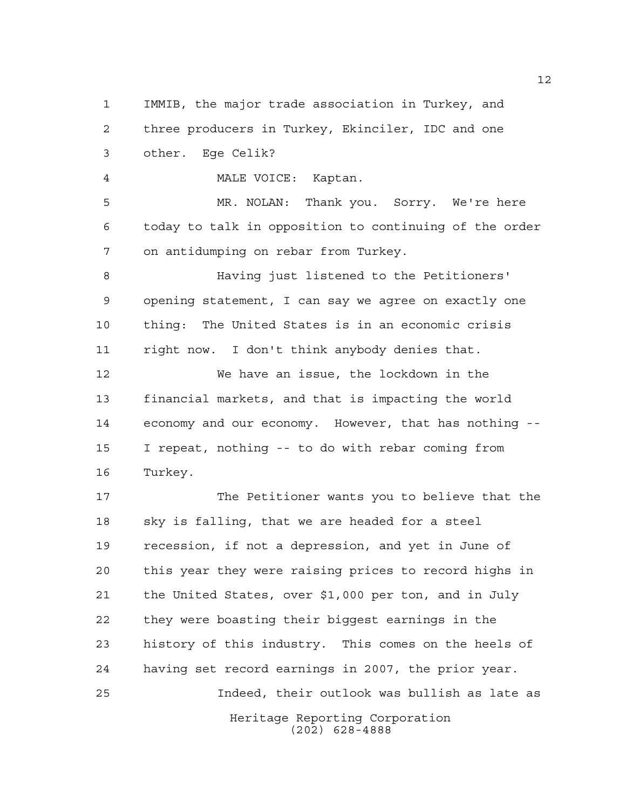IMMIB, the major trade association in Turkey, and three producers in Turkey, Ekinciler, IDC and one other. Ege Celik?

MALE VOICE: Kaptan.

 MR. NOLAN: Thank you. Sorry. We're here today to talk in opposition to continuing of the order on antidumping on rebar from Turkey.

 Having just listened to the Petitioners' opening statement, I can say we agree on exactly one thing: The United States is in an economic crisis right now. I don't think anybody denies that.

 We have an issue, the lockdown in the financial markets, and that is impacting the world economy and our economy. However, that has nothing -- I repeat, nothing -- to do with rebar coming from Turkey.

Heritage Reporting Corporation The Petitioner wants you to believe that the sky is falling, that we are headed for a steel recession, if not a depression, and yet in June of this year they were raising prices to record highs in the United States, over \$1,000 per ton, and in July they were boasting their biggest earnings in the history of this industry. This comes on the heels of having set record earnings in 2007, the prior year. Indeed, their outlook was bullish as late as

(202) 628-4888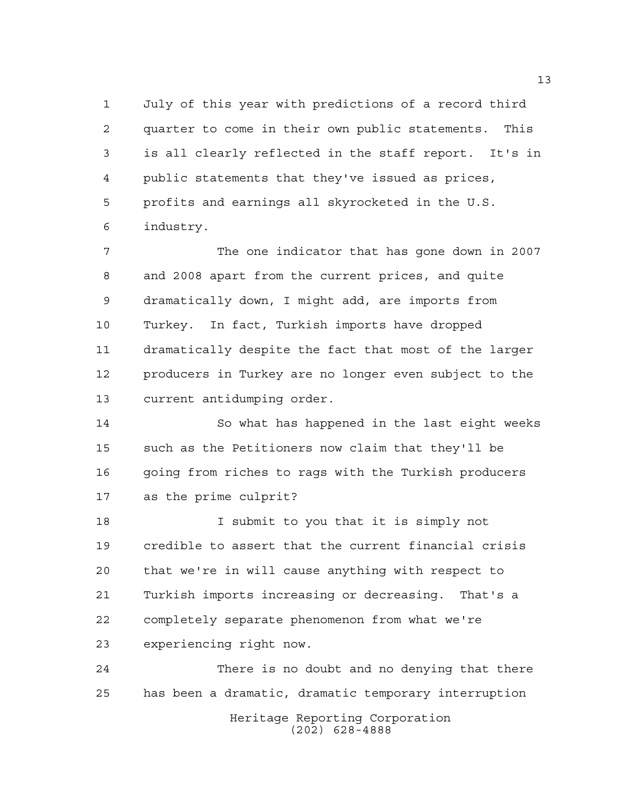July of this year with predictions of a record third quarter to come in their own public statements. This is all clearly reflected in the staff report. It's in public statements that they've issued as prices, profits and earnings all skyrocketed in the U.S. industry.

 The one indicator that has gone down in 2007 and 2008 apart from the current prices, and quite dramatically down, I might add, are imports from Turkey. In fact, Turkish imports have dropped dramatically despite the fact that most of the larger producers in Turkey are no longer even subject to the current antidumping order.

 So what has happened in the last eight weeks such as the Petitioners now claim that they'll be going from riches to rags with the Turkish producers as the prime culprit?

 I submit to you that it is simply not credible to assert that the current financial crisis that we're in will cause anything with respect to Turkish imports increasing or decreasing. That's a completely separate phenomenon from what we're experiencing right now.

Heritage Reporting Corporation (202) 628-4888 There is no doubt and no denying that there has been a dramatic, dramatic temporary interruption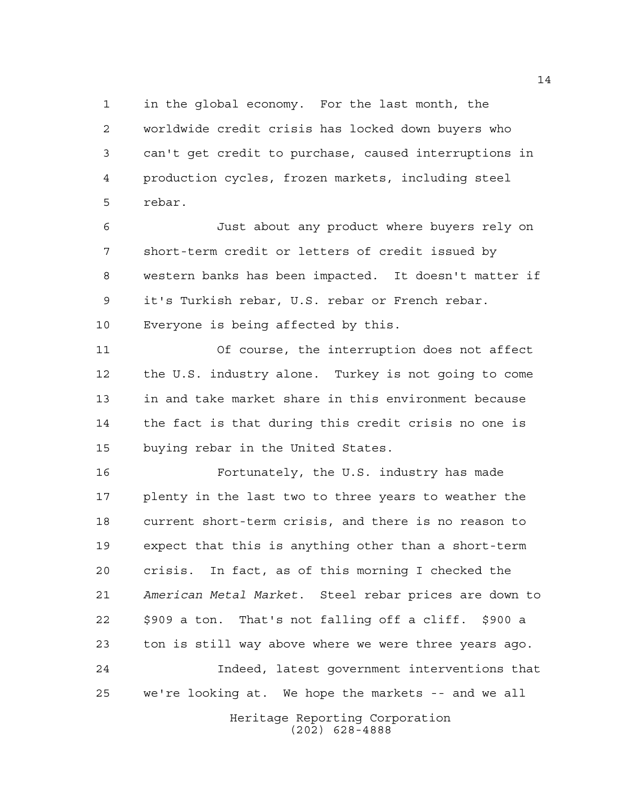in the global economy. For the last month, the worldwide credit crisis has locked down buyers who can't get credit to purchase, caused interruptions in production cycles, frozen markets, including steel rebar.

 Just about any product where buyers rely on short-term credit or letters of credit issued by western banks has been impacted. It doesn't matter if it's Turkish rebar, U.S. rebar or French rebar. Everyone is being affected by this.

 Of course, the interruption does not affect the U.S. industry alone. Turkey is not going to come in and take market share in this environment because the fact is that during this credit crisis no one is buying rebar in the United States.

 Fortunately, the U.S. industry has made plenty in the last two to three years to weather the current short-term crisis, and there is no reason to expect that this is anything other than a short-term crisis. In fact, as of this morning I checked the *American Metal Market*. Steel rebar prices are down to \$909 a ton. That's not falling off a cliff. \$900 a ton is still way above where we were three years ago. Indeed, latest government interventions that

we're looking at. We hope the markets -- and we all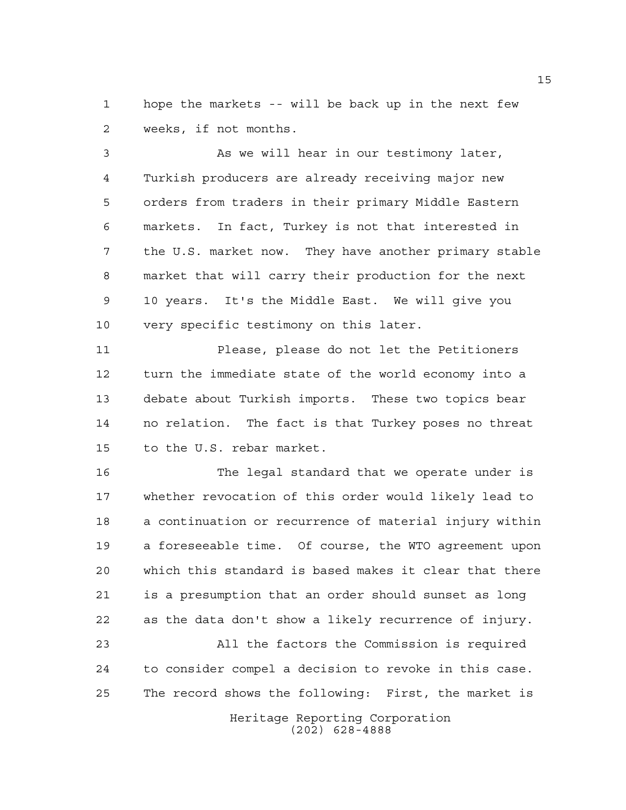hope the markets -- will be back up in the next few weeks, if not months.

 As we will hear in our testimony later, Turkish producers are already receiving major new orders from traders in their primary Middle Eastern markets. In fact, Turkey is not that interested in the U.S. market now. They have another primary stable market that will carry their production for the next 10 years. It's the Middle East. We will give you very specific testimony on this later.

 Please, please do not let the Petitioners turn the immediate state of the world economy into a debate about Turkish imports. These two topics bear no relation. The fact is that Turkey poses no threat to the U.S. rebar market.

 The legal standard that we operate under is whether revocation of this order would likely lead to a continuation or recurrence of material injury within a foreseeable time. Of course, the WTO agreement upon which this standard is based makes it clear that there is a presumption that an order should sunset as long as the data don't show a likely recurrence of injury.

 All the factors the Commission is required to consider compel a decision to revoke in this case. The record shows the following: First, the market is

> Heritage Reporting Corporation (202) 628-4888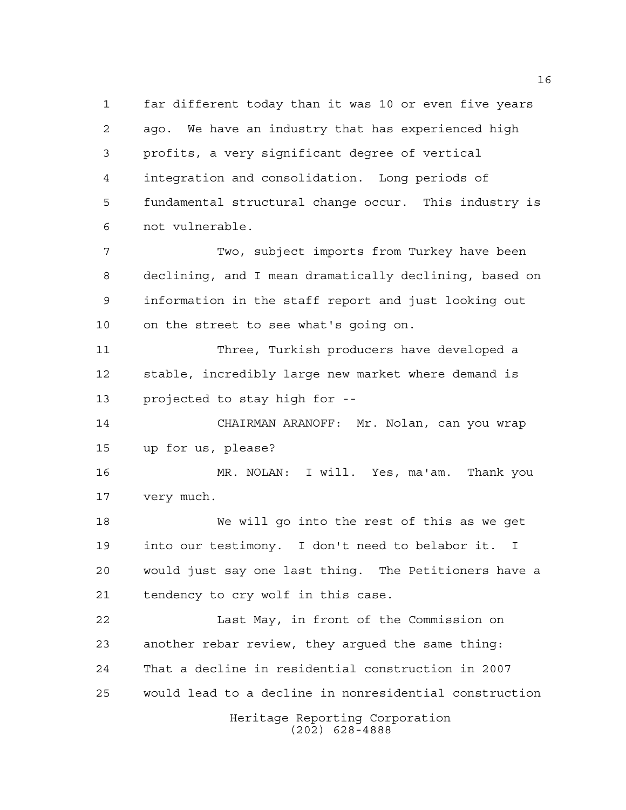far different today than it was 10 or even five years ago. We have an industry that has experienced high profits, a very significant degree of vertical integration and consolidation. Long periods of fundamental structural change occur. This industry is not vulnerable. Two, subject imports from Turkey have been declining, and I mean dramatically declining, based on

 information in the staff report and just looking out on the street to see what's going on.

 Three, Turkish producers have developed a stable, incredibly large new market where demand is projected to stay high for --

 CHAIRMAN ARANOFF: Mr. Nolan, can you wrap up for us, please?

 MR. NOLAN: I will. Yes, ma'am. Thank you very much.

 We will go into the rest of this as we get into our testimony. I don't need to belabor it. I would just say one last thing. The Petitioners have a tendency to cry wolf in this case.

 Last May, in front of the Commission on another rebar review, they argued the same thing: That a decline in residential construction in 2007 would lead to a decline in nonresidential construction

Heritage Reporting Corporation (202) 628-4888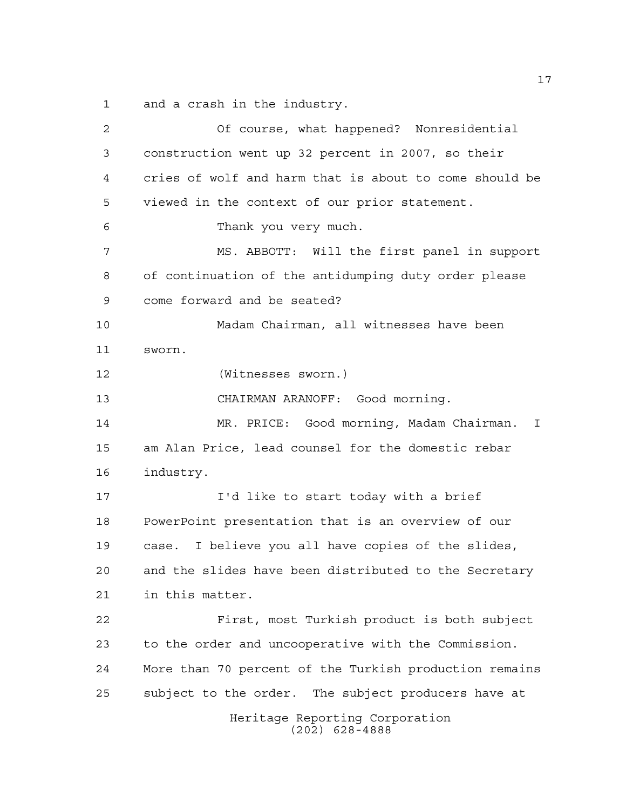and a crash in the industry.

Heritage Reporting Corporation (202) 628-4888 Of course, what happened? Nonresidential construction went up 32 percent in 2007, so their cries of wolf and harm that is about to come should be viewed in the context of our prior statement. Thank you very much. MS. ABBOTT: Will the first panel in support of continuation of the antidumping duty order please come forward and be seated? Madam Chairman, all witnesses have been sworn. (Witnesses sworn.) CHAIRMAN ARANOFF: Good morning. MR. PRICE: Good morning, Madam Chairman. I am Alan Price, lead counsel for the domestic rebar industry. I'd like to start today with a brief PowerPoint presentation that is an overview of our case. I believe you all have copies of the slides, and the slides have been distributed to the Secretary in this matter. First, most Turkish product is both subject to the order and uncooperative with the Commission. More than 70 percent of the Turkish production remains subject to the order. The subject producers have at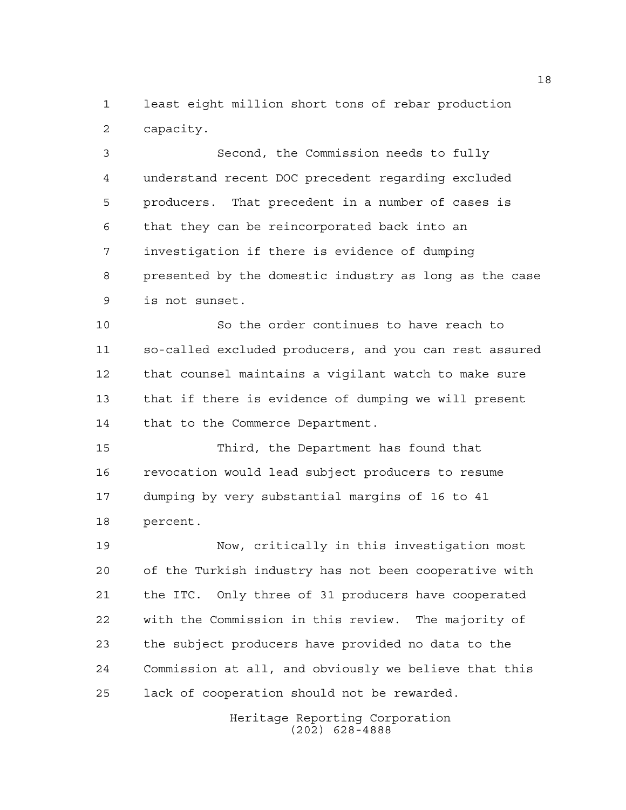least eight million short tons of rebar production capacity.

 Second, the Commission needs to fully understand recent DOC precedent regarding excluded producers. That precedent in a number of cases is that they can be reincorporated back into an investigation if there is evidence of dumping presented by the domestic industry as long as the case is not sunset.

 So the order continues to have reach to so-called excluded producers, and you can rest assured that counsel maintains a vigilant watch to make sure that if there is evidence of dumping we will present that to the Commerce Department.

 Third, the Department has found that revocation would lead subject producers to resume dumping by very substantial margins of 16 to 41 percent.

 Now, critically in this investigation most of the Turkish industry has not been cooperative with the ITC. Only three of 31 producers have cooperated with the Commission in this review. The majority of the subject producers have provided no data to the Commission at all, and obviously we believe that this lack of cooperation should not be rewarded.

> Heritage Reporting Corporation (202) 628-4888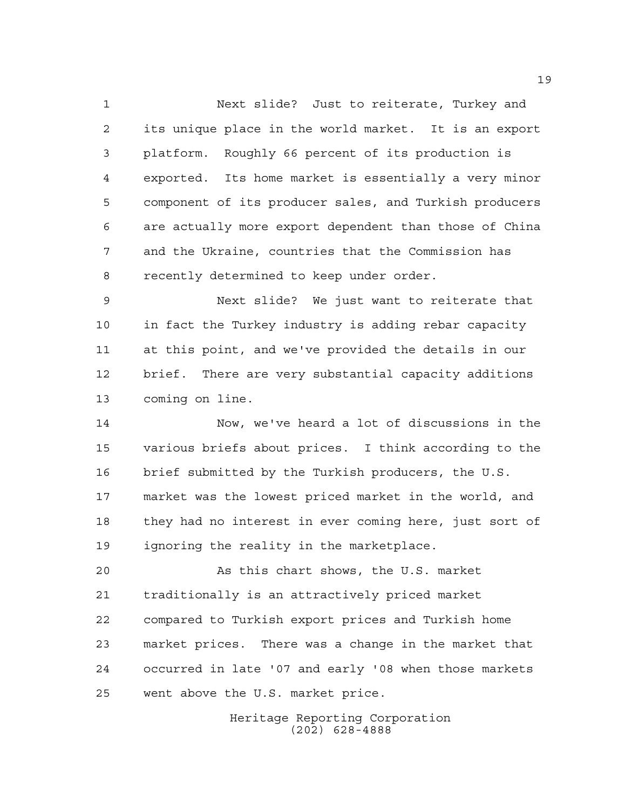Next slide? Just to reiterate, Turkey and its unique place in the world market. It is an export platform. Roughly 66 percent of its production is exported. Its home market is essentially a very minor component of its producer sales, and Turkish producers are actually more export dependent than those of China and the Ukraine, countries that the Commission has recently determined to keep under order.

 Next slide? We just want to reiterate that in fact the Turkey industry is adding rebar capacity at this point, and we've provided the details in our brief. There are very substantial capacity additions coming on line.

 Now, we've heard a lot of discussions in the various briefs about prices. I think according to the brief submitted by the Turkish producers, the U.S. market was the lowest priced market in the world, and they had no interest in ever coming here, just sort of ignoring the reality in the marketplace.

 As this chart shows, the U.S. market traditionally is an attractively priced market compared to Turkish export prices and Turkish home market prices. There was a change in the market that occurred in late '07 and early '08 when those markets went above the U.S. market price.

> Heritage Reporting Corporation (202) 628-4888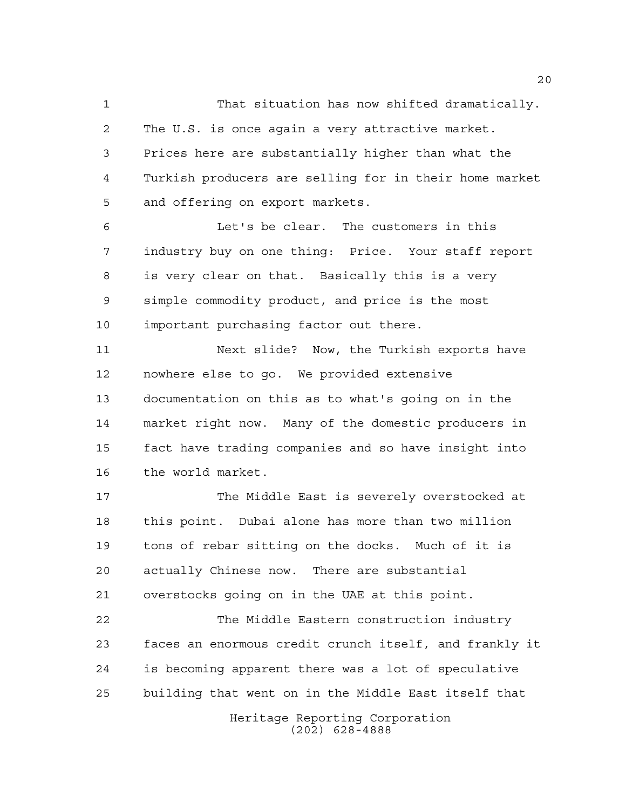That situation has now shifted dramatically. The U.S. is once again a very attractive market. Prices here are substantially higher than what the Turkish producers are selling for in their home market and offering on export markets.

 Let's be clear. The customers in this industry buy on one thing: Price. Your staff report is very clear on that. Basically this is a very simple commodity product, and price is the most important purchasing factor out there.

 Next slide? Now, the Turkish exports have nowhere else to go. We provided extensive documentation on this as to what's going on in the market right now. Many of the domestic producers in fact have trading companies and so have insight into the world market.

 The Middle East is severely overstocked at this point. Dubai alone has more than two million tons of rebar sitting on the docks. Much of it is actually Chinese now. There are substantial overstocks going on in the UAE at this point.

 The Middle Eastern construction industry faces an enormous credit crunch itself, and frankly it is becoming apparent there was a lot of speculative building that went on in the Middle East itself that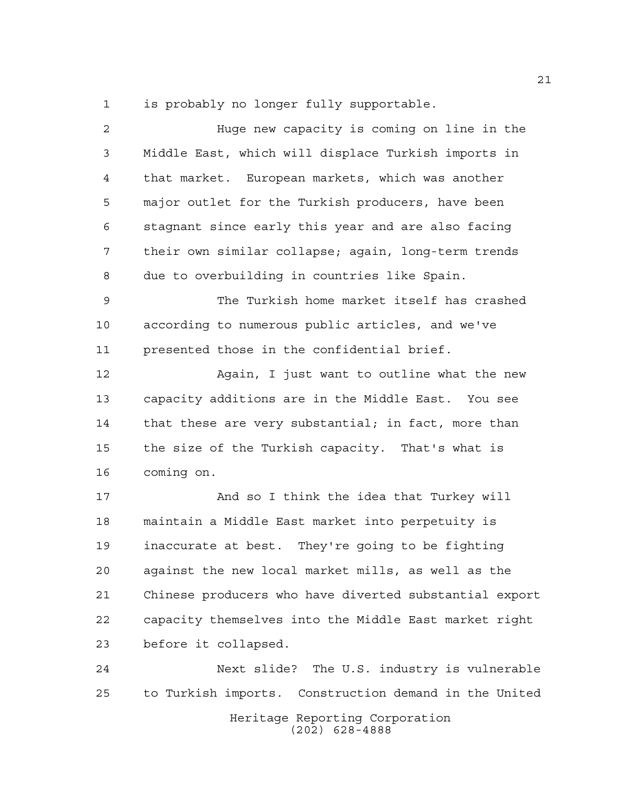is probably no longer fully supportable.

| $\overline{a}$ | Huge new capacity is coming on line in the             |
|----------------|--------------------------------------------------------|
| 3              | Middle East, which will displace Turkish imports in    |
| $\overline{4}$ | that market. European markets, which was another       |
| 5              | major outlet for the Turkish producers, have been      |
| 6              | stagnant since early this year and are also facing     |
| 7              | their own similar collapse; again, long-term trends    |
| 8              | due to overbuilding in countries like Spain.           |
| $\mathsf 9$    | The Turkish home market itself has crashed             |
| 10             | according to numerous public articles, and we've       |
| 11             | presented those in the confidential brief.             |
| 12             | Again, I just want to outline what the new             |
| 13             | capacity additions are in the Middle East. You see     |
| 14             | that these are very substantial; in fact, more than    |
| 15             | the size of the Turkish capacity. That's what is       |
| 16             | coming on.                                             |
| 17             | And so I think the idea that Turkey will               |
| 18             | maintain a Middle East market into perpetuity is       |
| 19             | inaccurate at best. They're going to be fighting       |
| 20             | against the new local market mills, as well as the     |
| 21             | Chinese producers who have diverted substantial export |
| 22             | capacity themselves into the Middle East market right  |
| 23             | before it collapsed.                                   |
| 24             | Next slide? The U.S. industry is vulnerable            |
| 25             | to Turkish imports. Construction demand in the United  |
|                | Heritage Reporting Corporation<br>$(202)$ 628-4888     |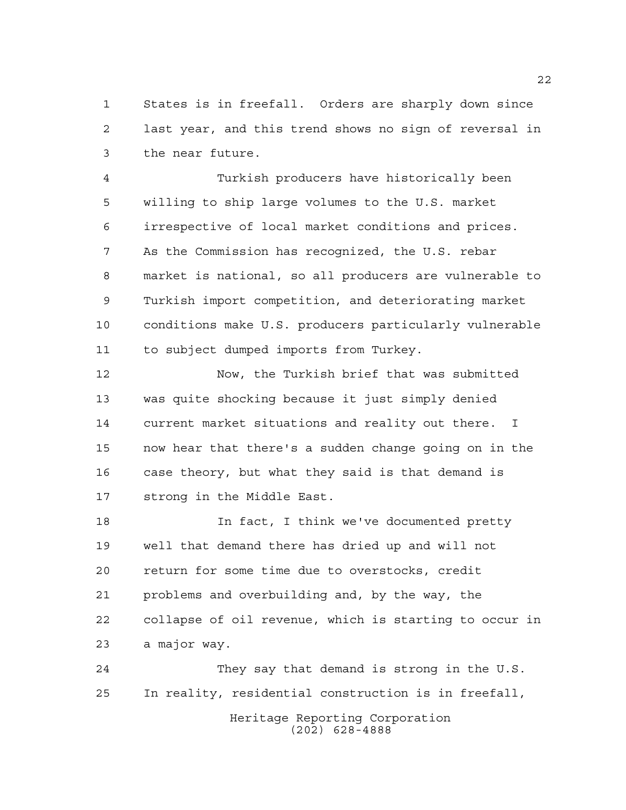States is in freefall. Orders are sharply down since last year, and this trend shows no sign of reversal in the near future.

 Turkish producers have historically been willing to ship large volumes to the U.S. market irrespective of local market conditions and prices. As the Commission has recognized, the U.S. rebar market is national, so all producers are vulnerable to Turkish import competition, and deteriorating market conditions make U.S. producers particularly vulnerable to subject dumped imports from Turkey.

 Now, the Turkish brief that was submitted was quite shocking because it just simply denied current market situations and reality out there. I now hear that there's a sudden change going on in the case theory, but what they said is that demand is strong in the Middle East.

 In fact, I think we've documented pretty well that demand there has dried up and will not return for some time due to overstocks, credit problems and overbuilding and, by the way, the collapse of oil revenue, which is starting to occur in a major way.

Heritage Reporting Corporation (202) 628-4888 They say that demand is strong in the U.S. In reality, residential construction is in freefall,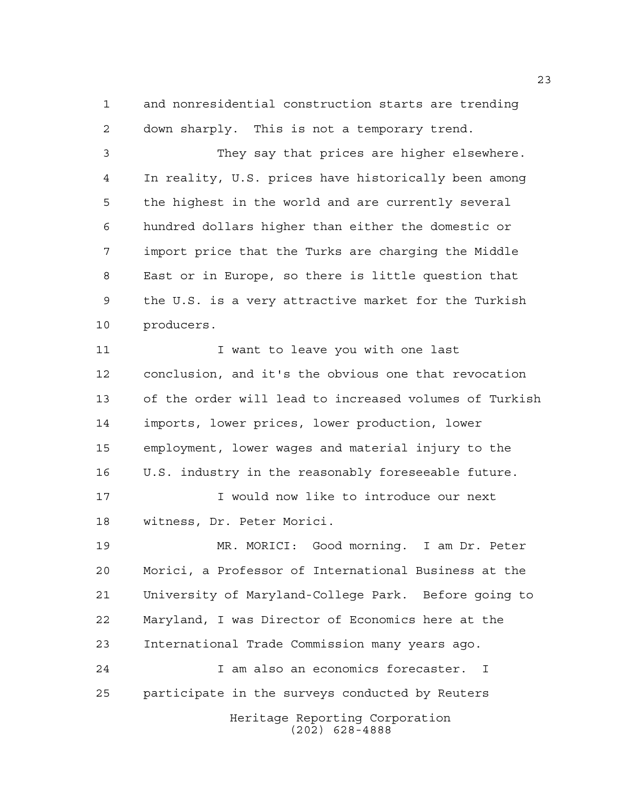and nonresidential construction starts are trending down sharply. This is not a temporary trend.

 They say that prices are higher elsewhere. In reality, U.S. prices have historically been among the highest in the world and are currently several hundred dollars higher than either the domestic or import price that the Turks are charging the Middle East or in Europe, so there is little question that the U.S. is a very attractive market for the Turkish producers.

11 I want to leave you with one last conclusion, and it's the obvious one that revocation of the order will lead to increased volumes of Turkish imports, lower prices, lower production, lower employment, lower wages and material injury to the U.S. industry in the reasonably foreseeable future.

 I would now like to introduce our next witness, Dr. Peter Morici.

 MR. MORICI: Good morning. I am Dr. Peter Morici, a Professor of International Business at the University of Maryland-College Park. Before going to Maryland, I was Director of Economics here at the International Trade Commission many years ago. I am also an economics forecaster. I participate in the surveys conducted by Reuters

> Heritage Reporting Corporation (202) 628-4888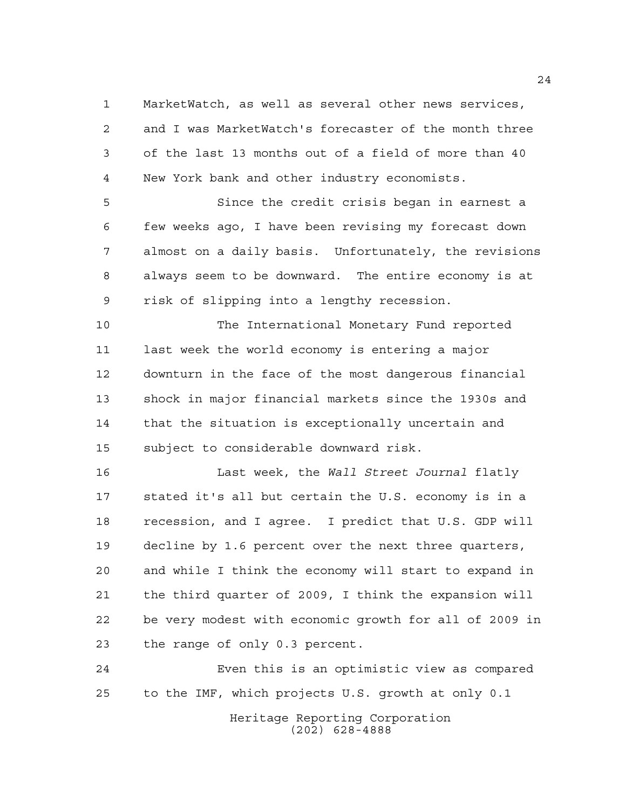MarketWatch, as well as several other news services, and I was MarketWatch's forecaster of the month three of the last 13 months out of a field of more than 40 New York bank and other industry economists.

 Since the credit crisis began in earnest a few weeks ago, I have been revising my forecast down almost on a daily basis. Unfortunately, the revisions always seem to be downward. The entire economy is at risk of slipping into a lengthy recession.

 The International Monetary Fund reported last week the world economy is entering a major downturn in the face of the most dangerous financial shock in major financial markets since the 1930s and that the situation is exceptionally uncertain and subject to considerable downward risk.

 Last week, the *Wall Street Journal* flatly stated it's all but certain the U.S. economy is in a recession, and I agree. I predict that U.S. GDP will decline by 1.6 percent over the next three quarters, and while I think the economy will start to expand in the third quarter of 2009, I think the expansion will be very modest with economic growth for all of 2009 in the range of only 0.3 percent.

 Even this is an optimistic view as compared to the IMF, which projects U.S. growth at only 0.1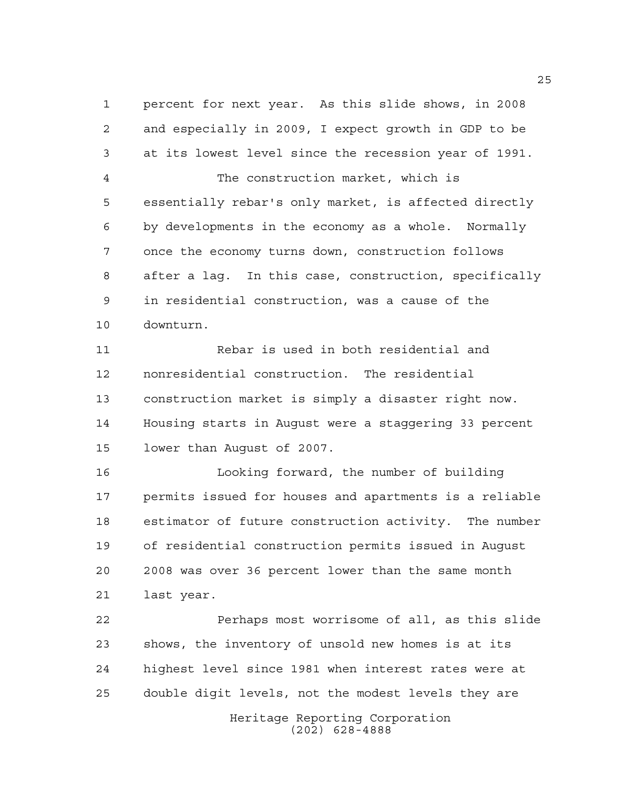percent for next year. As this slide shows, in 2008 and especially in 2009, I expect growth in GDP to be at its lowest level since the recession year of 1991. The construction market, which is essentially rebar's only market, is affected directly by developments in the economy as a whole. Normally once the economy turns down, construction follows after a lag. In this case, construction, specifically in residential construction, was a cause of the downturn. Rebar is used in both residential and nonresidential construction. The residential construction market is simply a disaster right now. Housing starts in August were a staggering 33 percent lower than August of 2007. Looking forward, the number of building permits issued for houses and apartments is a reliable estimator of future construction activity. The number of residential construction permits issued in August 2008 was over 36 percent lower than the same month last year. Perhaps most worrisome of all, as this slide shows, the inventory of unsold new homes is at its highest level since 1981 when interest rates were at double digit levels, not the modest levels they are

> Heritage Reporting Corporation (202) 628-4888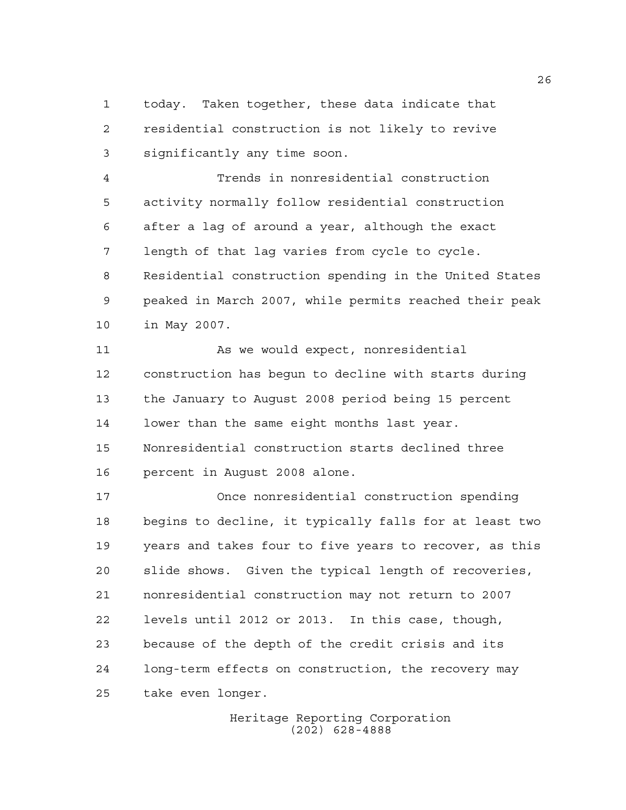today. Taken together, these data indicate that residential construction is not likely to revive significantly any time soon.

 Trends in nonresidential construction activity normally follow residential construction after a lag of around a year, although the exact length of that lag varies from cycle to cycle. Residential construction spending in the United States peaked in March 2007, while permits reached their peak in May 2007.

11 As we would expect, nonresidential construction has begun to decline with starts during the January to August 2008 period being 15 percent lower than the same eight months last year. Nonresidential construction starts declined three percent in August 2008 alone.

 Once nonresidential construction spending begins to decline, it typically falls for at least two years and takes four to five years to recover, as this slide shows. Given the typical length of recoveries, nonresidential construction may not return to 2007 levels until 2012 or 2013. In this case, though, because of the depth of the credit crisis and its long-term effects on construction, the recovery may take even longer.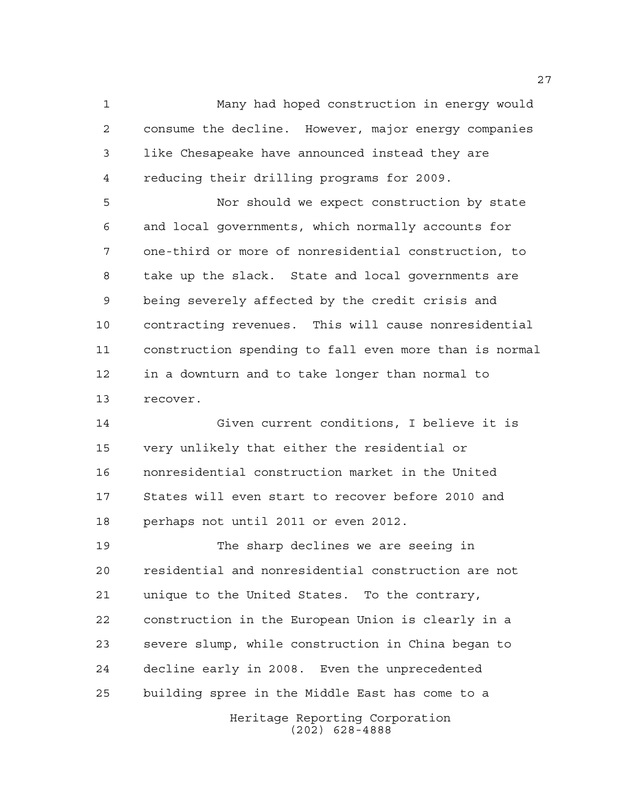Many had hoped construction in energy would consume the decline. However, major energy companies like Chesapeake have announced instead they are reducing their drilling programs for 2009.

 Nor should we expect construction by state and local governments, which normally accounts for one-third or more of nonresidential construction, to take up the slack. State and local governments are being severely affected by the credit crisis and contracting revenues. This will cause nonresidential construction spending to fall even more than is normal in a downturn and to take longer than normal to recover.

 Given current conditions, I believe it is very unlikely that either the residential or nonresidential construction market in the United States will even start to recover before 2010 and perhaps not until 2011 or even 2012.

 The sharp declines we are seeing in residential and nonresidential construction are not unique to the United States. To the contrary, construction in the European Union is clearly in a severe slump, while construction in China began to decline early in 2008. Even the unprecedented building spree in the Middle East has come to a

Heritage Reporting Corporation (202) 628-4888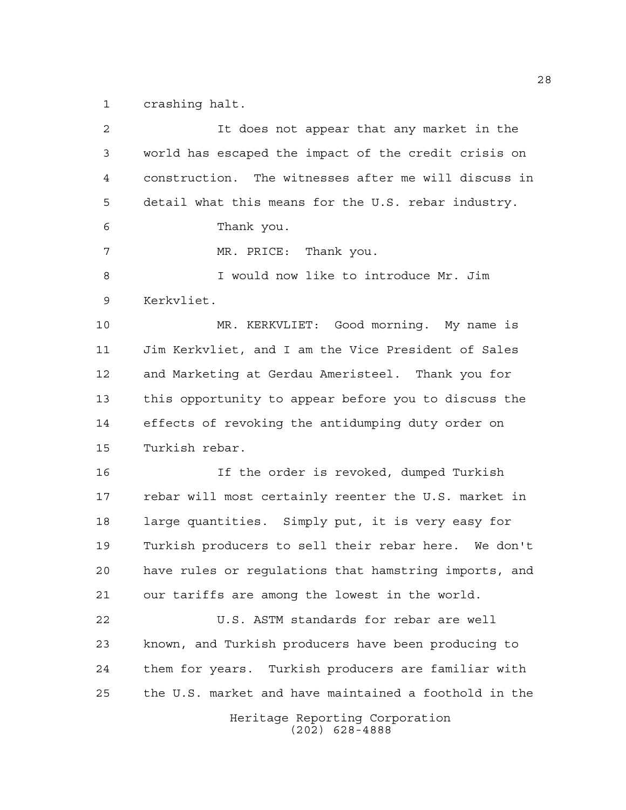crashing halt.

| 2  | It does not appear that any market in the             |
|----|-------------------------------------------------------|
| 3  | world has escaped the impact of the credit crisis on  |
| 4  | construction. The witnesses after me will discuss in  |
| 5  | detail what this means for the U.S. rebar industry.   |
| 6  | Thank you.                                            |
| 7  | MR. PRICE: Thank you.                                 |
| 8  | I would now like to introduce Mr. Jim                 |
| 9  | Kerkvliet.                                            |
| 10 | MR. KERKVLIET: Good morning. My name is               |
| 11 | Jim Kerkvliet, and I am the Vice President of Sales   |
| 12 | and Marketing at Gerdau Ameristeel. Thank you for     |
| 13 | this opportunity to appear before you to discuss the  |
| 14 | effects of revoking the antidumping duty order on     |
| 15 | Turkish rebar.                                        |
| 16 | If the order is revoked, dumped Turkish               |
| 17 | rebar will most certainly reenter the U.S. market in  |
| 18 | large quantities. Simply put, it is very easy for     |
| 19 | Turkish producers to sell their rebar here. We don't  |
| 20 | have rules or regulations that hamstring imports, and |
| 21 | our tariffs are among the lowest in the world.        |
|    |                                                       |
| 22 | U.S. ASTM standards for rebar are well                |
| 23 | known, and Turkish producers have been producing to   |
| 24 | them for years. Turkish producers are familiar with   |
| 25 | the U.S. market and have maintained a foothold in the |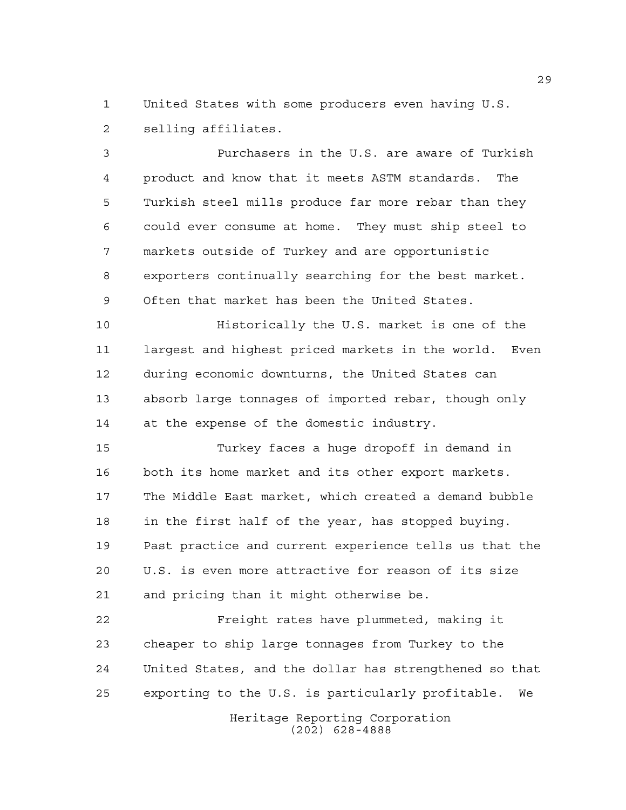United States with some producers even having U.S. selling affiliates.

 Purchasers in the U.S. are aware of Turkish product and know that it meets ASTM standards. The Turkish steel mills produce far more rebar than they could ever consume at home. They must ship steel to markets outside of Turkey and are opportunistic exporters continually searching for the best market. Often that market has been the United States.

 Historically the U.S. market is one of the largest and highest priced markets in the world. Even during economic downturns, the United States can absorb large tonnages of imported rebar, though only 14 at the expense of the domestic industry.

 Turkey faces a huge dropoff in demand in both its home market and its other export markets. The Middle East market, which created a demand bubble in the first half of the year, has stopped buying. Past practice and current experience tells us that the U.S. is even more attractive for reason of its size and pricing than it might otherwise be.

 Freight rates have plummeted, making it cheaper to ship large tonnages from Turkey to the United States, and the dollar has strengthened so that exporting to the U.S. is particularly profitable. We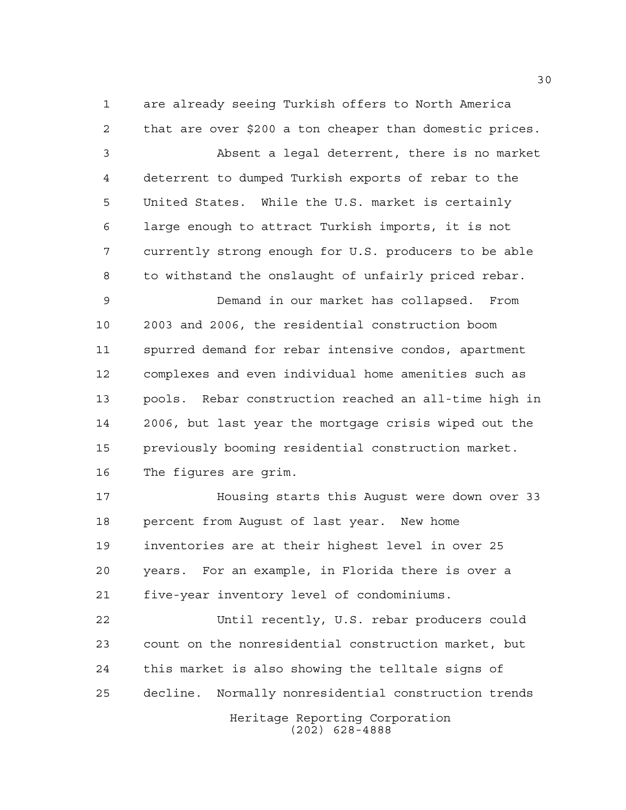are already seeing Turkish offers to North America that are over \$200 a ton cheaper than domestic prices. Absent a legal deterrent, there is no market deterrent to dumped Turkish exports of rebar to the United States. While the U.S. market is certainly large enough to attract Turkish imports, it is not currently strong enough for U.S. producers to be able to withstand the onslaught of unfairly priced rebar.

 Demand in our market has collapsed. From 2003 and 2006, the residential construction boom spurred demand for rebar intensive condos, apartment complexes and even individual home amenities such as pools. Rebar construction reached an all-time high in 2006, but last year the mortgage crisis wiped out the previously booming residential construction market. The figures are grim.

 Housing starts this August were down over 33 percent from August of last year. New home inventories are at their highest level in over 25 years. For an example, in Florida there is over a five-year inventory level of condominiums.

 Until recently, U.S. rebar producers could count on the nonresidential construction market, but this market is also showing the telltale signs of decline. Normally nonresidential construction trends

> Heritage Reporting Corporation (202) 628-4888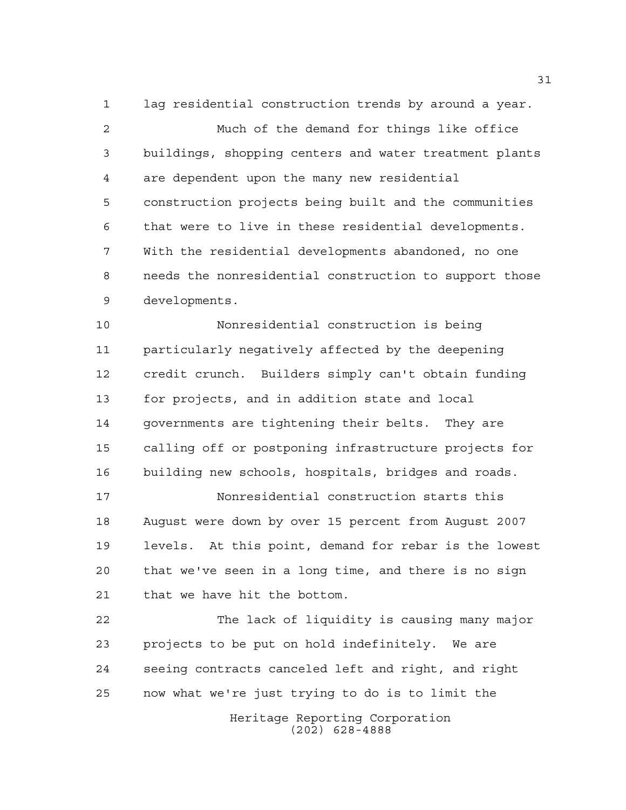lag residential construction trends by around a year. Much of the demand for things like office buildings, shopping centers and water treatment plants are dependent upon the many new residential construction projects being built and the communities that were to live in these residential developments. With the residential developments abandoned, no one needs the nonresidential construction to support those developments.

 Nonresidential construction is being particularly negatively affected by the deepening credit crunch. Builders simply can't obtain funding for projects, and in addition state and local governments are tightening their belts. They are calling off or postponing infrastructure projects for building new schools, hospitals, bridges and roads.

 Nonresidential construction starts this August were down by over 15 percent from August 2007 levels. At this point, demand for rebar is the lowest that we've seen in a long time, and there is no sign that we have hit the bottom.

 The lack of liquidity is causing many major projects to be put on hold indefinitely. We are seeing contracts canceled left and right, and right now what we're just trying to do is to limit the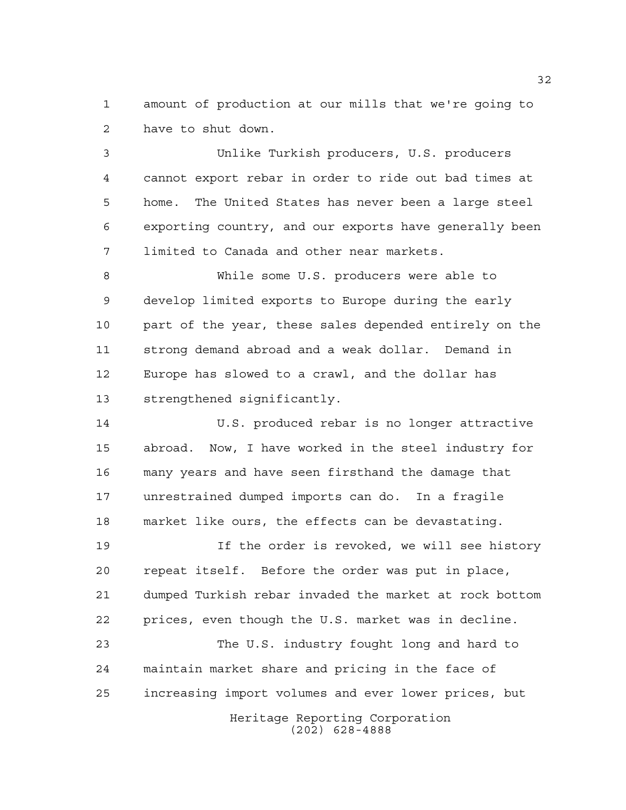amount of production at our mills that we're going to have to shut down.

 Unlike Turkish producers, U.S. producers cannot export rebar in order to ride out bad times at home. The United States has never been a large steel exporting country, and our exports have generally been limited to Canada and other near markets.

 While some U.S. producers were able to develop limited exports to Europe during the early part of the year, these sales depended entirely on the strong demand abroad and a weak dollar. Demand in Europe has slowed to a crawl, and the dollar has strengthened significantly.

 U.S. produced rebar is no longer attractive abroad. Now, I have worked in the steel industry for many years and have seen firsthand the damage that unrestrained dumped imports can do. In a fragile market like ours, the effects can be devastating.

 If the order is revoked, we will see history repeat itself. Before the order was put in place, dumped Turkish rebar invaded the market at rock bottom prices, even though the U.S. market was in decline.

Heritage Reporting Corporation The U.S. industry fought long and hard to maintain market share and pricing in the face of increasing import volumes and ever lower prices, but

(202) 628-4888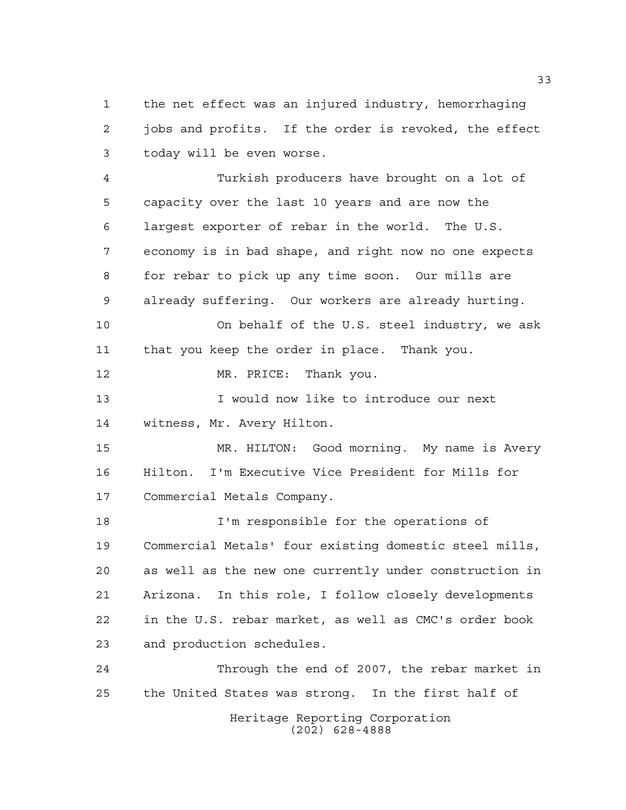the net effect was an injured industry, hemorrhaging jobs and profits. If the order is revoked, the effect today will be even worse.

 Turkish producers have brought on a lot of capacity over the last 10 years and are now the largest exporter of rebar in the world. The U.S. economy is in bad shape, and right now no one expects for rebar to pick up any time soon. Our mills are already suffering. Our workers are already hurting. On behalf of the U.S. steel industry, we ask that you keep the order in place. Thank you. MR. PRICE: Thank you. 13 I would now like to introduce our next witness, Mr. Avery Hilton. MR. HILTON: Good morning. My name is Avery Hilton. I'm Executive Vice President for Mills for Commercial Metals Company. I'm responsible for the operations of Commercial Metals' four existing domestic steel mills, as well as the new one currently under construction in Arizona. In this role, I follow closely developments in the U.S. rebar market, as well as CMC's order book and production schedules.

Heritage Reporting Corporation (202) 628-4888 Through the end of 2007, the rebar market in the United States was strong. In the first half of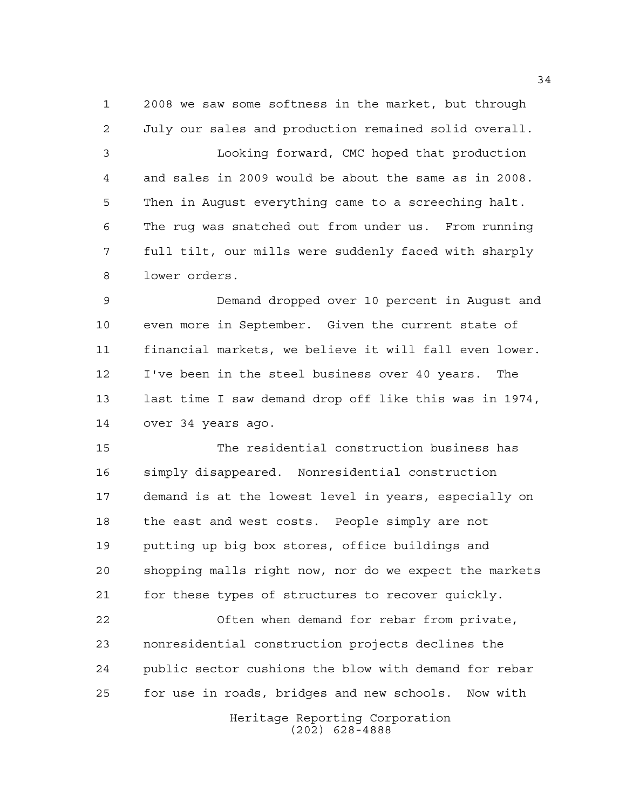2008 we saw some softness in the market, but through July our sales and production remained solid overall. Looking forward, CMC hoped that production and sales in 2009 would be about the same as in 2008. Then in August everything came to a screeching halt. The rug was snatched out from under us. From running full tilt, our mills were suddenly faced with sharply lower orders.

 Demand dropped over 10 percent in August and even more in September. Given the current state of financial markets, we believe it will fall even lower. I've been in the steel business over 40 years. The last time I saw demand drop off like this was in 1974, over 34 years ago.

 The residential construction business has simply disappeared. Nonresidential construction demand is at the lowest level in years, especially on the east and west costs. People simply are not putting up big box stores, office buildings and shopping malls right now, nor do we expect the markets for these types of structures to recover quickly.

 Often when demand for rebar from private, nonresidential construction projects declines the public sector cushions the blow with demand for rebar for use in roads, bridges and new schools. Now with

> Heritage Reporting Corporation (202) 628-4888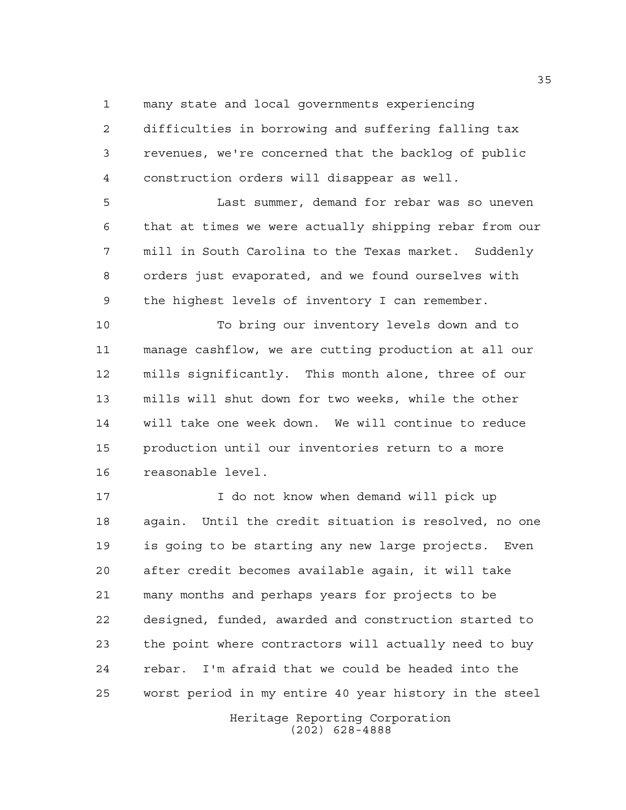many state and local governments experiencing

 difficulties in borrowing and suffering falling tax revenues, we're concerned that the backlog of public construction orders will disappear as well.

 Last summer, demand for rebar was so uneven that at times we were actually shipping rebar from our mill in South Carolina to the Texas market. Suddenly orders just evaporated, and we found ourselves with the highest levels of inventory I can remember.

 To bring our inventory levels down and to manage cashflow, we are cutting production at all our mills significantly. This month alone, three of our mills will shut down for two weeks, while the other will take one week down. We will continue to reduce production until our inventories return to a more reasonable level.

 I do not know when demand will pick up again. Until the credit situation is resolved, no one is going to be starting any new large projects. Even after credit becomes available again, it will take many months and perhaps years for projects to be designed, funded, awarded and construction started to the point where contractors will actually need to buy rebar. I'm afraid that we could be headed into the worst period in my entire 40 year history in the steel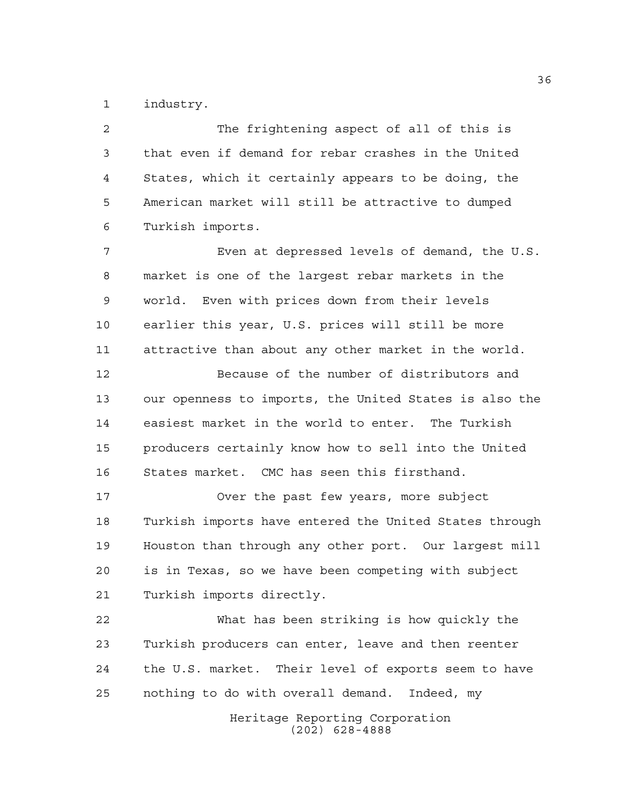industry.

Heritage Reporting Corporation The frightening aspect of all of this is that even if demand for rebar crashes in the United States, which it certainly appears to be doing, the American market will still be attractive to dumped Turkish imports. Even at depressed levels of demand, the U.S. market is one of the largest rebar markets in the world. Even with prices down from their levels earlier this year, U.S. prices will still be more attractive than about any other market in the world. Because of the number of distributors and our openness to imports, the United States is also the easiest market in the world to enter. The Turkish producers certainly know how to sell into the United States market. CMC has seen this firsthand. Over the past few years, more subject Turkish imports have entered the United States through Houston than through any other port. Our largest mill is in Texas, so we have been competing with subject Turkish imports directly. What has been striking is how quickly the Turkish producers can enter, leave and then reenter the U.S. market. Their level of exports seem to have nothing to do with overall demand. Indeed, my

(202) 628-4888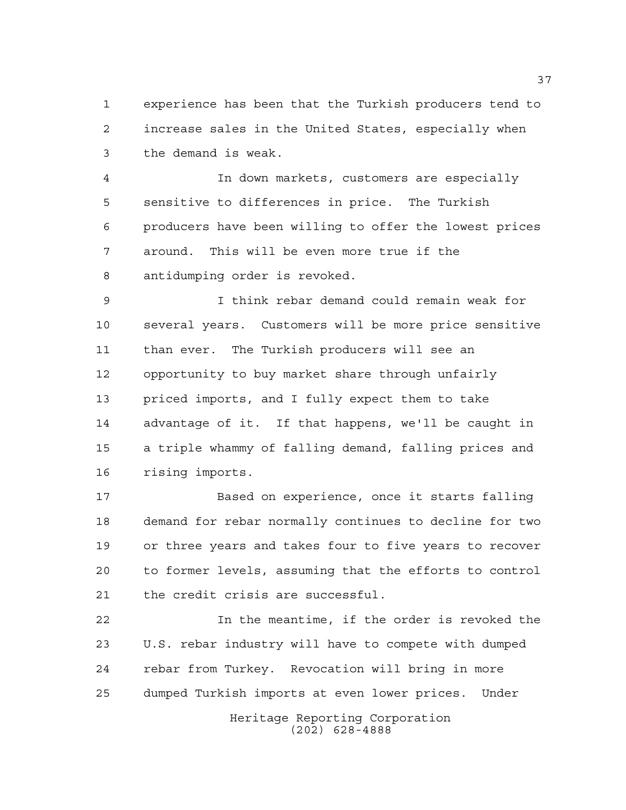experience has been that the Turkish producers tend to increase sales in the United States, especially when the demand is weak.

 In down markets, customers are especially sensitive to differences in price. The Turkish producers have been willing to offer the lowest prices around. This will be even more true if the antidumping order is revoked.

 I think rebar demand could remain weak for several years. Customers will be more price sensitive than ever. The Turkish producers will see an opportunity to buy market share through unfairly priced imports, and I fully expect them to take advantage of it. If that happens, we'll be caught in a triple whammy of falling demand, falling prices and rising imports.

 Based on experience, once it starts falling demand for rebar normally continues to decline for two or three years and takes four to five years to recover to former levels, assuming that the efforts to control the credit crisis are successful.

 In the meantime, if the order is revoked the U.S. rebar industry will have to compete with dumped rebar from Turkey. Revocation will bring in more dumped Turkish imports at even lower prices. Under

> Heritage Reporting Corporation (202) 628-4888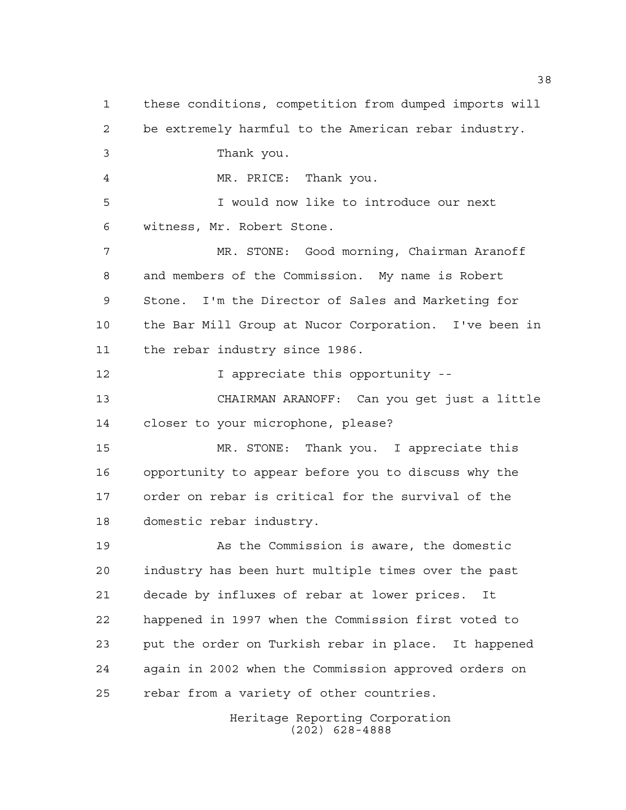these conditions, competition from dumped imports will be extremely harmful to the American rebar industry. Thank you. MR. PRICE: Thank you. I would now like to introduce our next witness, Mr. Robert Stone. MR. STONE: Good morning, Chairman Aranoff and members of the Commission. My name is Robert Stone. I'm the Director of Sales and Marketing for the Bar Mill Group at Nucor Corporation. I've been in the rebar industry since 1986. **I** appreciate this opportunity -- CHAIRMAN ARANOFF: Can you get just a little closer to your microphone, please? MR. STONE: Thank you. I appreciate this opportunity to appear before you to discuss why the order on rebar is critical for the survival of the domestic rebar industry. As the Commission is aware, the domestic industry has been hurt multiple times over the past decade by influxes of rebar at lower prices. It happened in 1997 when the Commission first voted to put the order on Turkish rebar in place. It happened again in 2002 when the Commission approved orders on rebar from a variety of other countries.

Heritage Reporting Corporation (202) 628-4888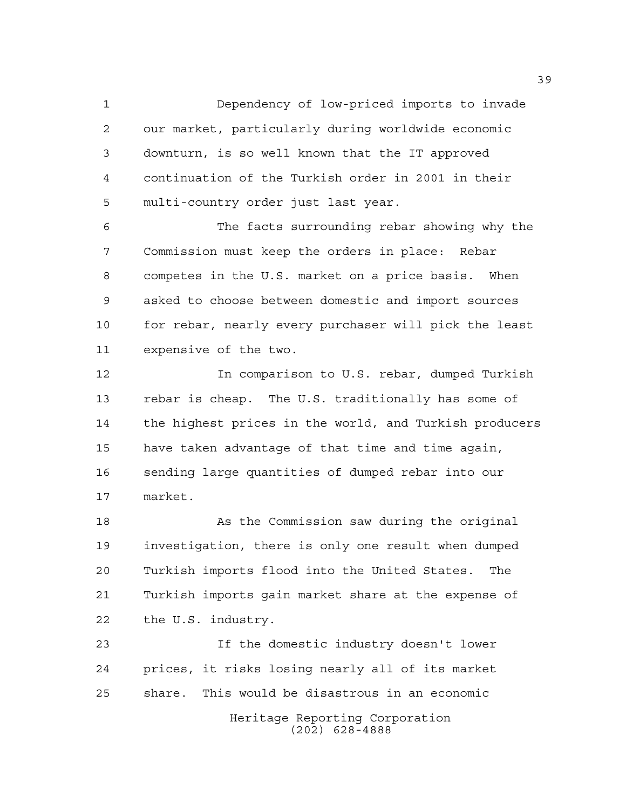Dependency of low-priced imports to invade our market, particularly during worldwide economic downturn, is so well known that the IT approved continuation of the Turkish order in 2001 in their multi-country order just last year.

 The facts surrounding rebar showing why the Commission must keep the orders in place: Rebar competes in the U.S. market on a price basis. When asked to choose between domestic and import sources 10 for rebar, nearly every purchaser will pick the least expensive of the two.

 In comparison to U.S. rebar, dumped Turkish rebar is cheap. The U.S. traditionally has some of the highest prices in the world, and Turkish producers have taken advantage of that time and time again, sending large quantities of dumped rebar into our market.

 As the Commission saw during the original investigation, there is only one result when dumped Turkish imports flood into the United States. The Turkish imports gain market share at the expense of the U.S. industry.

Heritage Reporting Corporation If the domestic industry doesn't lower prices, it risks losing nearly all of its market share. This would be disastrous in an economic

(202) 628-4888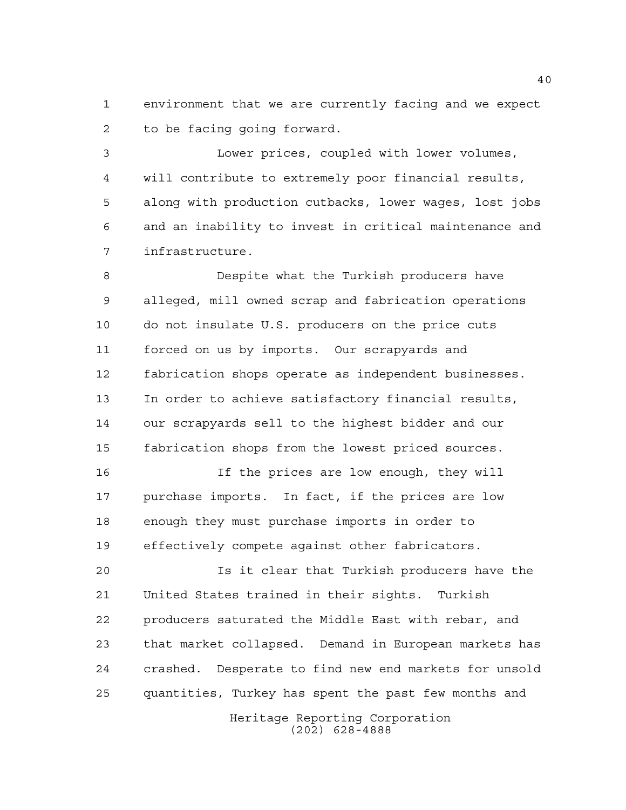environment that we are currently facing and we expect to be facing going forward.

 Lower prices, coupled with lower volumes, will contribute to extremely poor financial results, along with production cutbacks, lower wages, lost jobs and an inability to invest in critical maintenance and infrastructure.

 Despite what the Turkish producers have alleged, mill owned scrap and fabrication operations do not insulate U.S. producers on the price cuts forced on us by imports. Our scrapyards and fabrication shops operate as independent businesses. In order to achieve satisfactory financial results, our scrapyards sell to the highest bidder and our fabrication shops from the lowest priced sources.

16 16 If the prices are low enough, they will purchase imports. In fact, if the prices are low enough they must purchase imports in order to effectively compete against other fabricators.

 Is it clear that Turkish producers have the United States trained in their sights. Turkish producers saturated the Middle East with rebar, and that market collapsed. Demand in European markets has crashed. Desperate to find new end markets for unsold quantities, Turkey has spent the past few months and

> Heritage Reporting Corporation (202) 628-4888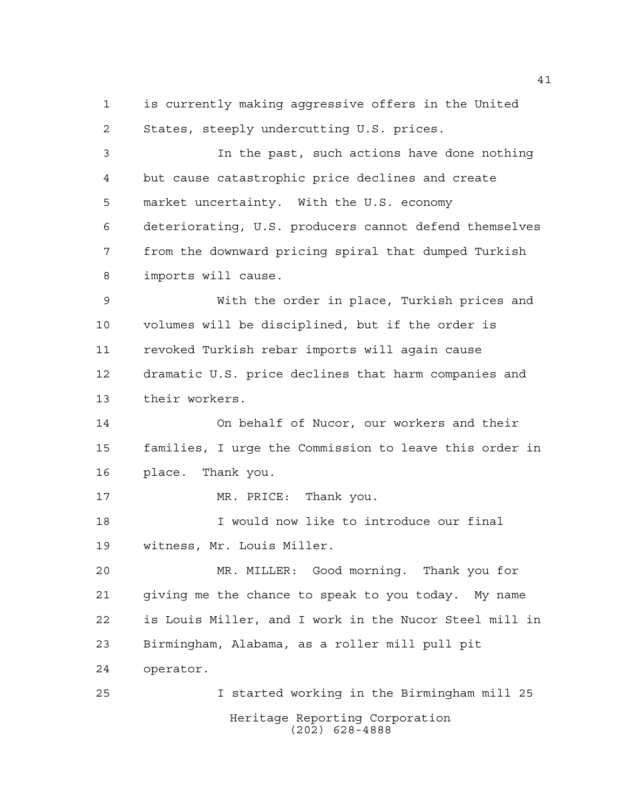is currently making aggressive offers in the United States, steeply undercutting U.S. prices.

 In the past, such actions have done nothing but cause catastrophic price declines and create market uncertainty. With the U.S. economy deteriorating, U.S. producers cannot defend themselves from the downward pricing spiral that dumped Turkish imports will cause.

 With the order in place, Turkish prices and volumes will be disciplined, but if the order is revoked Turkish rebar imports will again cause dramatic U.S. price declines that harm companies and their workers.

 On behalf of Nucor, our workers and their families, I urge the Commission to leave this order in place. Thank you.

17 MR. PRICE: Thank you.

 I would now like to introduce our final witness, Mr. Louis Miller.

 MR. MILLER: Good morning. Thank you for giving me the chance to speak to you today. My name is Louis Miller, and I work in the Nucor Steel mill in Birmingham, Alabama, as a roller mill pull pit operator.

Heritage Reporting Corporation (202) 628-4888 I started working in the Birmingham mill 25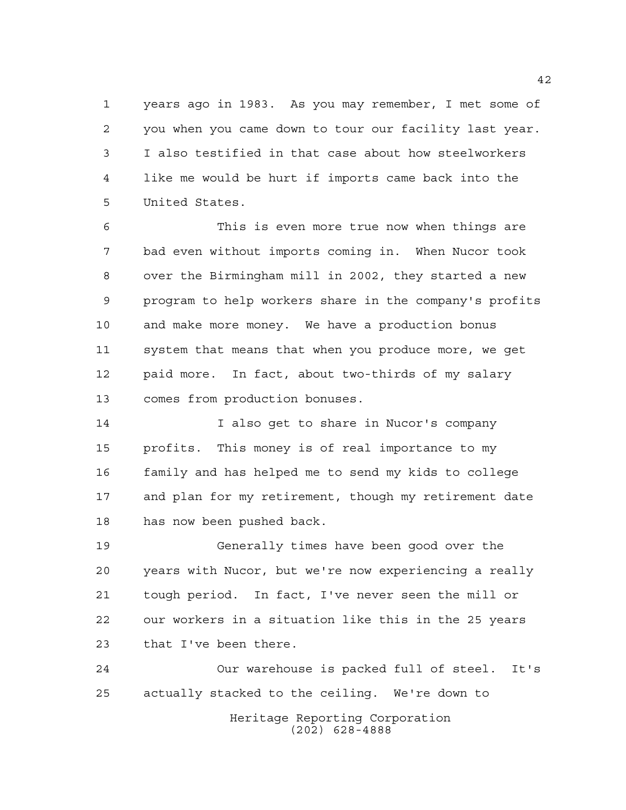years ago in 1983. As you may remember, I met some of you when you came down to tour our facility last year. I also testified in that case about how steelworkers like me would be hurt if imports came back into the United States.

 This is even more true now when things are bad even without imports coming in. When Nucor took over the Birmingham mill in 2002, they started a new program to help workers share in the company's profits and make more money. We have a production bonus system that means that when you produce more, we get paid more. In fact, about two-thirds of my salary comes from production bonuses.

 I also get to share in Nucor's company profits. This money is of real importance to my family and has helped me to send my kids to college and plan for my retirement, though my retirement date has now been pushed back.

 Generally times have been good over the years with Nucor, but we're now experiencing a really tough period. In fact, I've never seen the mill or our workers in a situation like this in the 25 years that I've been there.

Heritage Reporting Corporation (202) 628-4888 Our warehouse is packed full of steel. It's actually stacked to the ceiling. We're down to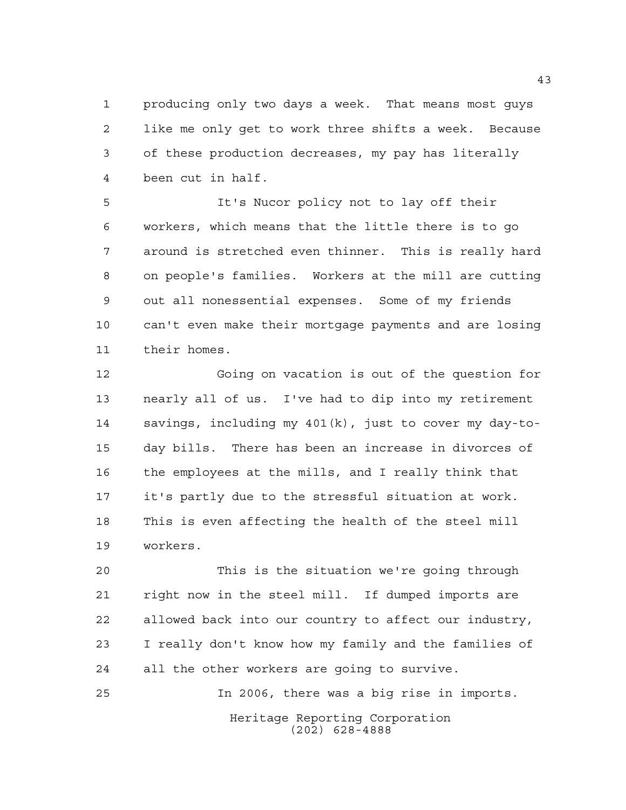producing only two days a week. That means most guys like me only get to work three shifts a week. Because of these production decreases, my pay has literally been cut in half.

 It's Nucor policy not to lay off their workers, which means that the little there is to go around is stretched even thinner. This is really hard on people's families. Workers at the mill are cutting out all nonessential expenses. Some of my friends can't even make their mortgage payments and are losing their homes.

 Going on vacation is out of the question for nearly all of us. I've had to dip into my retirement savings, including my 401(k), just to cover my day-to- day bills. There has been an increase in divorces of the employees at the mills, and I really think that it's partly due to the stressful situation at work. This is even affecting the health of the steel mill workers.

 This is the situation we're going through right now in the steel mill. If dumped imports are allowed back into our country to affect our industry, I really don't know how my family and the families of all the other workers are going to survive.

Heritage Reporting Corporation (202) 628-4888 In 2006, there was a big rise in imports.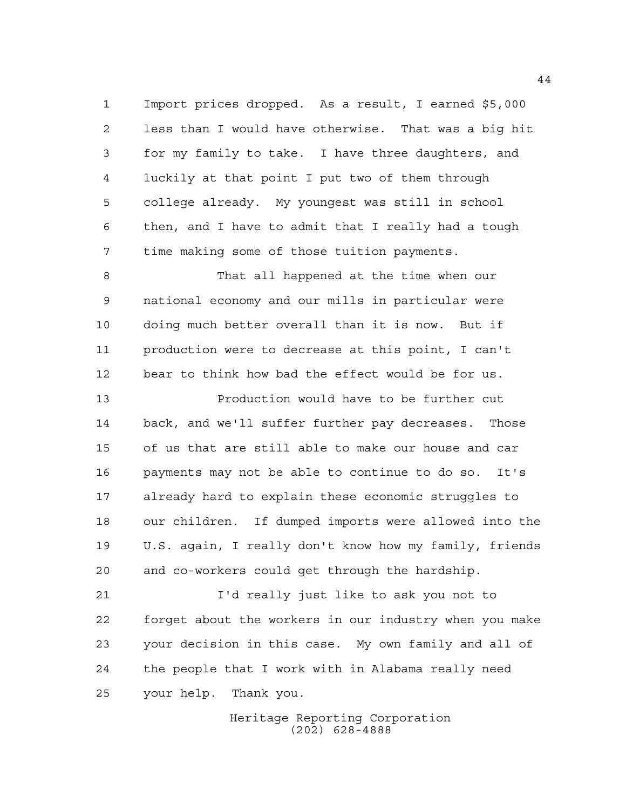Import prices dropped. As a result, I earned \$5,000 less than I would have otherwise. That was a big hit for my family to take. I have three daughters, and luckily at that point I put two of them through college already. My youngest was still in school then, and I have to admit that I really had a tough time making some of those tuition payments.

 That all happened at the time when our national economy and our mills in particular were doing much better overall than it is now. But if production were to decrease at this point, I can't bear to think how bad the effect would be for us.

 Production would have to be further cut back, and we'll suffer further pay decreases. Those of us that are still able to make our house and car payments may not be able to continue to do so. It's already hard to explain these economic struggles to our children. If dumped imports were allowed into the U.S. again, I really don't know how my family, friends and co-workers could get through the hardship.

 I'd really just like to ask you not to forget about the workers in our industry when you make your decision in this case. My own family and all of the people that I work with in Alabama really need your help. Thank you.

> Heritage Reporting Corporation (202) 628-4888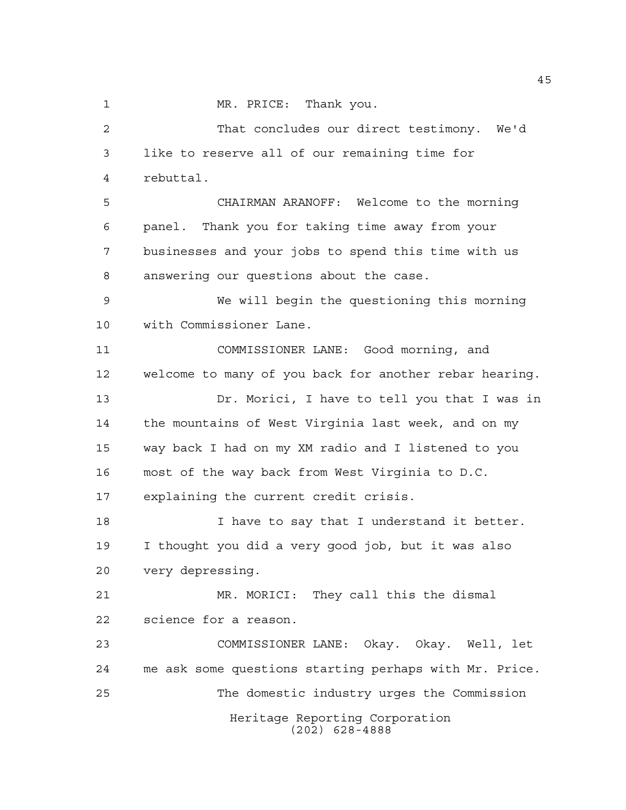1 MR. PRICE: Thank you.

Heritage Reporting Corporation (202) 628-4888 That concludes our direct testimony. We'd like to reserve all of our remaining time for rebuttal. CHAIRMAN ARANOFF: Welcome to the morning panel. Thank you for taking time away from your businesses and your jobs to spend this time with us answering our questions about the case. We will begin the questioning this morning with Commissioner Lane. COMMISSIONER LANE: Good morning, and welcome to many of you back for another rebar hearing. Dr. Morici, I have to tell you that I was in the mountains of West Virginia last week, and on my way back I had on my XM radio and I listened to you most of the way back from West Virginia to D.C. explaining the current credit crisis. **I** have to say that I understand it better. I thought you did a very good job, but it was also very depressing. MR. MORICI: They call this the dismal science for a reason. COMMISSIONER LANE: Okay. Okay. Well, let me ask some questions starting perhaps with Mr. Price. The domestic industry urges the Commission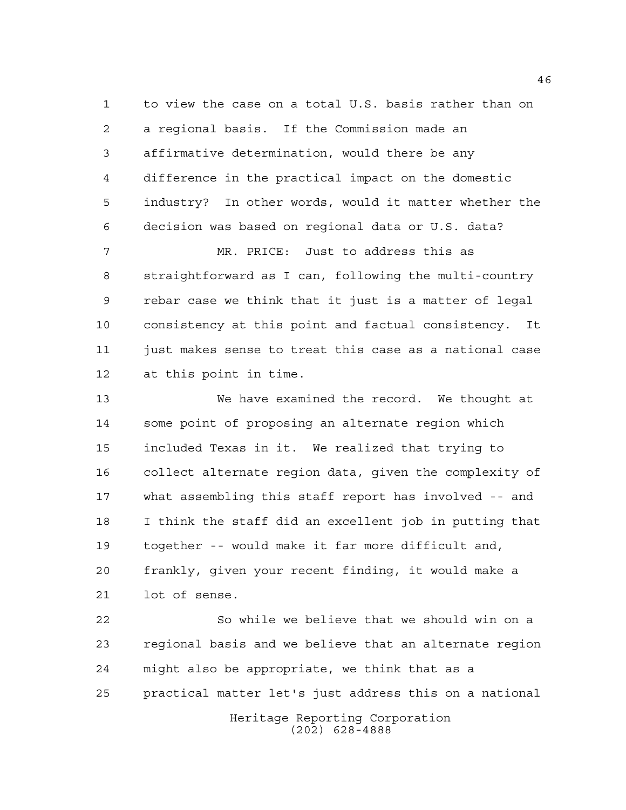to view the case on a total U.S. basis rather than on a regional basis. If the Commission made an affirmative determination, would there be any difference in the practical impact on the domestic industry? In other words, would it matter whether the decision was based on regional data or U.S. data?

 MR. PRICE: Just to address this as straightforward as I can, following the multi-country rebar case we think that it just is a matter of legal consistency at this point and factual consistency. It just makes sense to treat this case as a national case at this point in time.

 We have examined the record. We thought at some point of proposing an alternate region which included Texas in it. We realized that trying to collect alternate region data, given the complexity of what assembling this staff report has involved -- and I think the staff did an excellent job in putting that together -- would make it far more difficult and, frankly, given your recent finding, it would make a lot of sense.

Heritage Reporting Corporation (202) 628-4888 So while we believe that we should win on a regional basis and we believe that an alternate region might also be appropriate, we think that as a practical matter let's just address this on a national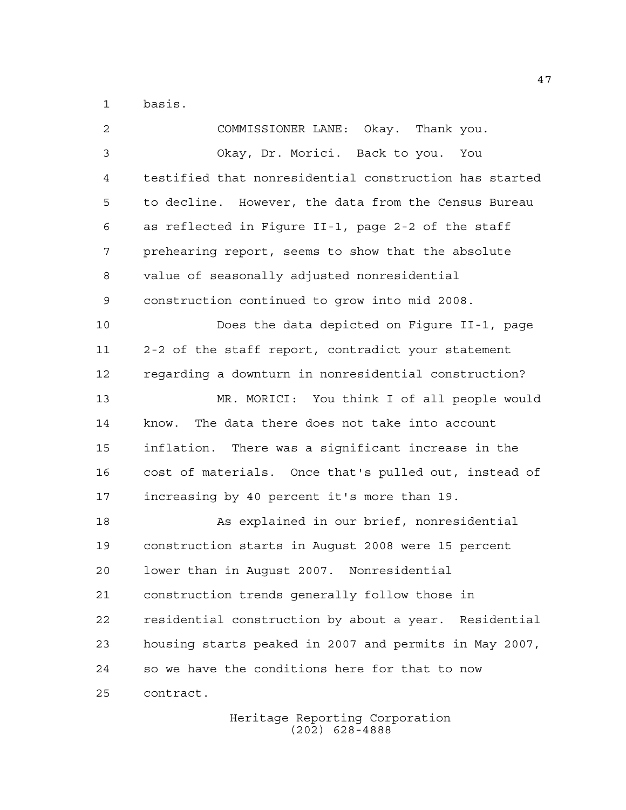basis.

| $\overline{a}$ | COMMISSIONER LANE: Okay. Thank you.                    |
|----------------|--------------------------------------------------------|
| 3              | Okay, Dr. Morici. Back to you. You                     |
| 4              | testified that nonresidential construction has started |
| 5              | to decline. However, the data from the Census Bureau   |
| 6              | as reflected in Figure II-1, page 2-2 of the staff     |
| 7              | prehearing report, seems to show that the absolute     |
| 8              | value of seasonally adjusted nonresidential            |
| 9              | construction continued to grow into mid 2008.          |
| 10             | Does the data depicted on Figure II-1, page            |
| 11             | 2-2 of the staff report, contradict your statement     |
| 12             | regarding a downturn in nonresidential construction?   |
| 13             | MR. MORICI: You think I of all people would            |
| 14             | The data there does not take into account<br>know.     |
| 15             | inflation. There was a significant increase in the     |
| 16             | cost of materials. Once that's pulled out, instead of  |
| 17             | increasing by 40 percent it's more than 19.            |
| 18             | As explained in our brief, nonresidential              |
| 19             | construction starts in August 2008 were 15 percent     |
| 20             | lower than in August 2007. Nonresidential              |
| 21             | construction trends generally follow those in          |
| 22             | residential construction by about a year. Residential  |
| 23             | housing starts peaked in 2007 and permits in May 2007, |
| 24             | so we have the conditions here for that to now         |
| 25             | contract.                                              |
|                |                                                        |

Heritage Reporting Corporation (202) 628-4888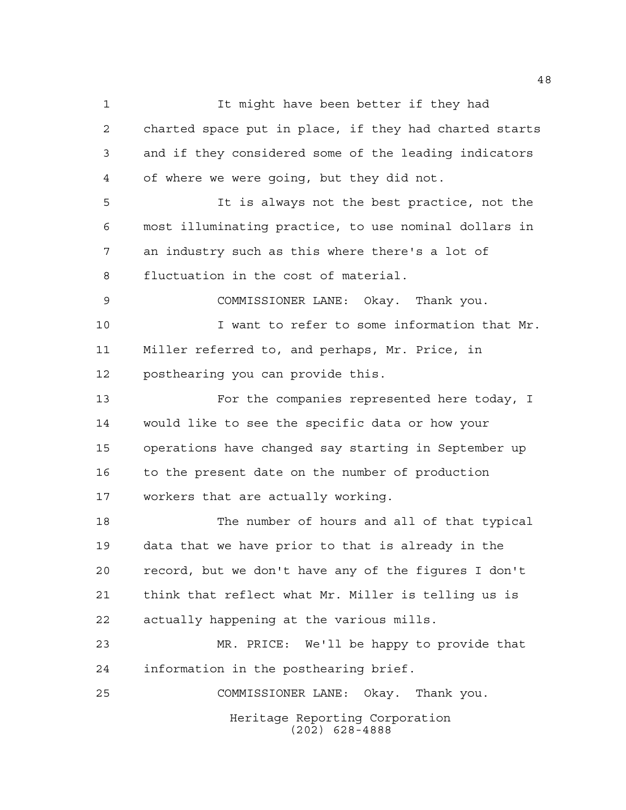Heritage Reporting Corporation (202) 628-4888 It might have been better if they had charted space put in place, if they had charted starts and if they considered some of the leading indicators of where we were going, but they did not. It is always not the best practice, not the most illuminating practice, to use nominal dollars in an industry such as this where there's a lot of fluctuation in the cost of material. COMMISSIONER LANE: Okay. Thank you. I want to refer to some information that Mr. Miller referred to, and perhaps, Mr. Price, in posthearing you can provide this. For the companies represented here today, I would like to see the specific data or how your operations have changed say starting in September up to the present date on the number of production workers that are actually working. The number of hours and all of that typical data that we have prior to that is already in the record, but we don't have any of the figures I don't think that reflect what Mr. Miller is telling us is actually happening at the various mills. MR. PRICE: We'll be happy to provide that information in the posthearing brief. COMMISSIONER LANE: Okay. Thank you.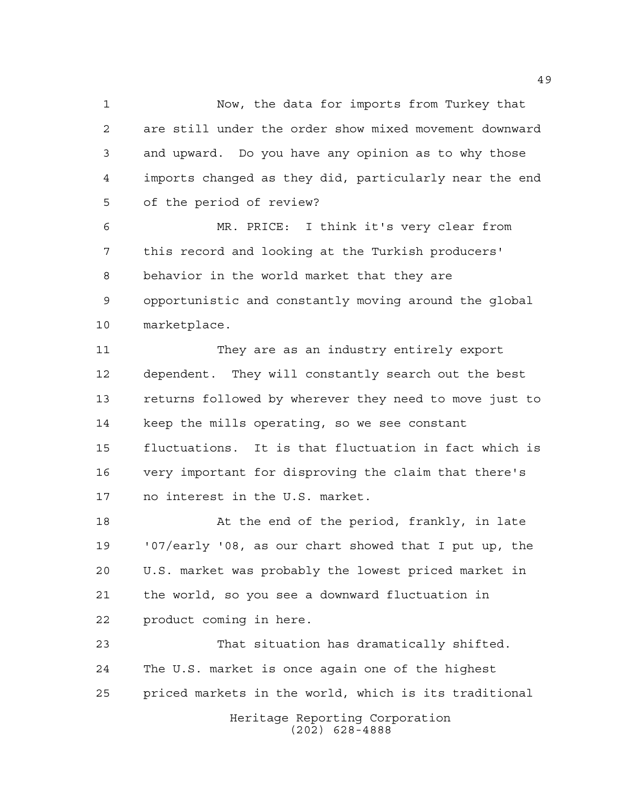Now, the data for imports from Turkey that are still under the order show mixed movement downward and upward. Do you have any opinion as to why those imports changed as they did, particularly near the end of the period of review?

 MR. PRICE: I think it's very clear from this record and looking at the Turkish producers' behavior in the world market that they are opportunistic and constantly moving around the global marketplace.

 They are as an industry entirely export dependent. They will constantly search out the best returns followed by wherever they need to move just to keep the mills operating, so we see constant fluctuations. It is that fluctuation in fact which is very important for disproving the claim that there's no interest in the U.S. market.

18 At the end of the period, frankly, in late '07/early '08, as our chart showed that I put up, the U.S. market was probably the lowest priced market in the world, so you see a downward fluctuation in product coming in here.

Heritage Reporting Corporation (202) 628-4888 That situation has dramatically shifted. The U.S. market is once again one of the highest priced markets in the world, which is its traditional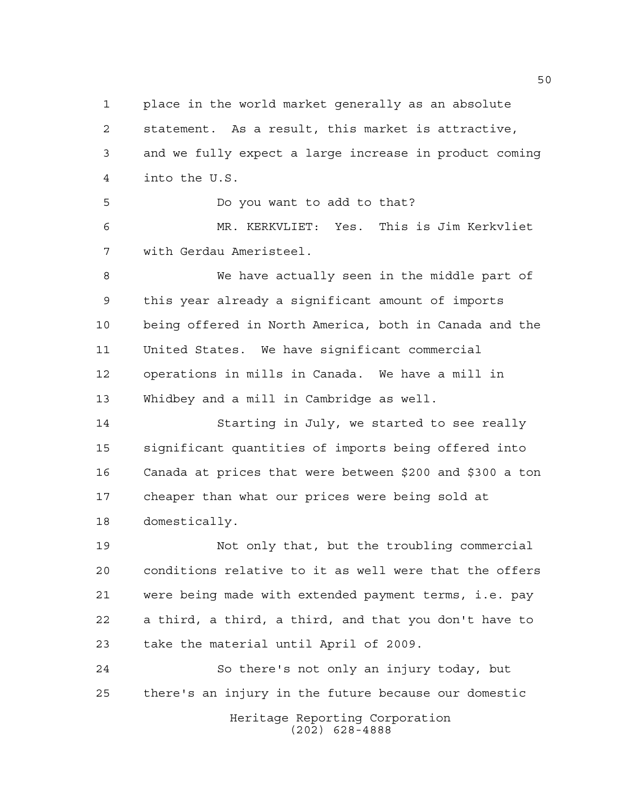place in the world market generally as an absolute statement. As a result, this market is attractive, and we fully expect a large increase in product coming into the U.S.

 Do you want to add to that? MR. KERKVLIET: Yes. This is Jim Kerkvliet with Gerdau Ameristeel.

 We have actually seen in the middle part of this year already a significant amount of imports being offered in North America, both in Canada and the United States. We have significant commercial operations in mills in Canada. We have a mill in Whidbey and a mill in Cambridge as well.

 Starting in July, we started to see really significant quantities of imports being offered into Canada at prices that were between \$200 and \$300 a ton cheaper than what our prices were being sold at domestically.

 Not only that, but the troubling commercial conditions relative to it as well were that the offers were being made with extended payment terms, i.e. pay a third, a third, a third, and that you don't have to take the material until April of 2009.

 So there's not only an injury today, but there's an injury in the future because our domestic

Heritage Reporting Corporation (202) 628-4888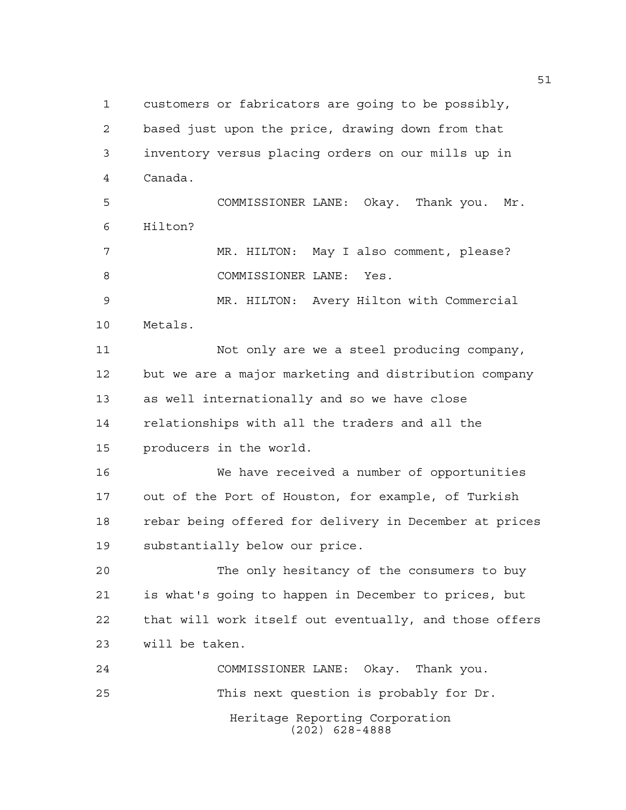customers or fabricators are going to be possibly, based just upon the price, drawing down from that inventory versus placing orders on our mills up in Canada. COMMISSIONER LANE: Okay. Thank you. Mr. Hilton? MR. HILTON: May I also comment, please? 8 COMMISSIONER LANE: Yes. MR. HILTON: Avery Hilton with Commercial Metals. Not only are we a steel producing company, but we are a major marketing and distribution company as well internationally and so we have close relationships with all the traders and all the producers in the world. We have received a number of opportunities out of the Port of Houston, for example, of Turkish rebar being offered for delivery in December at prices substantially below our price. The only hesitancy of the consumers to buy is what's going to happen in December to prices, but that will work itself out eventually, and those offers will be taken. COMMISSIONER LANE: Okay. Thank you. This next question is probably for Dr.

> Heritage Reporting Corporation (202) 628-4888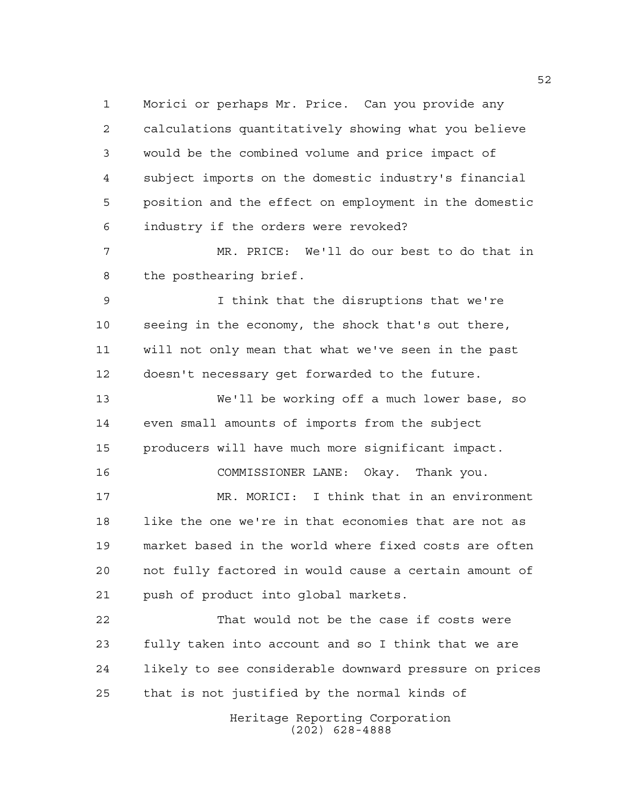Morici or perhaps Mr. Price. Can you provide any calculations quantitatively showing what you believe would be the combined volume and price impact of subject imports on the domestic industry's financial position and the effect on employment in the domestic industry if the orders were revoked?

 MR. PRICE: We'll do our best to do that in the posthearing brief.

 I think that the disruptions that we're seeing in the economy, the shock that's out there, will not only mean that what we've seen in the past doesn't necessary get forwarded to the future.

 We'll be working off a much lower base, so even small amounts of imports from the subject producers will have much more significant impact.

COMMISSIONER LANE: Okay. Thank you.

 MR. MORICI: I think that in an environment like the one we're in that economies that are not as market based in the world where fixed costs are often not fully factored in would cause a certain amount of push of product into global markets.

 That would not be the case if costs were fully taken into account and so I think that we are likely to see considerable downward pressure on prices that is not justified by the normal kinds of

> Heritage Reporting Corporation (202) 628-4888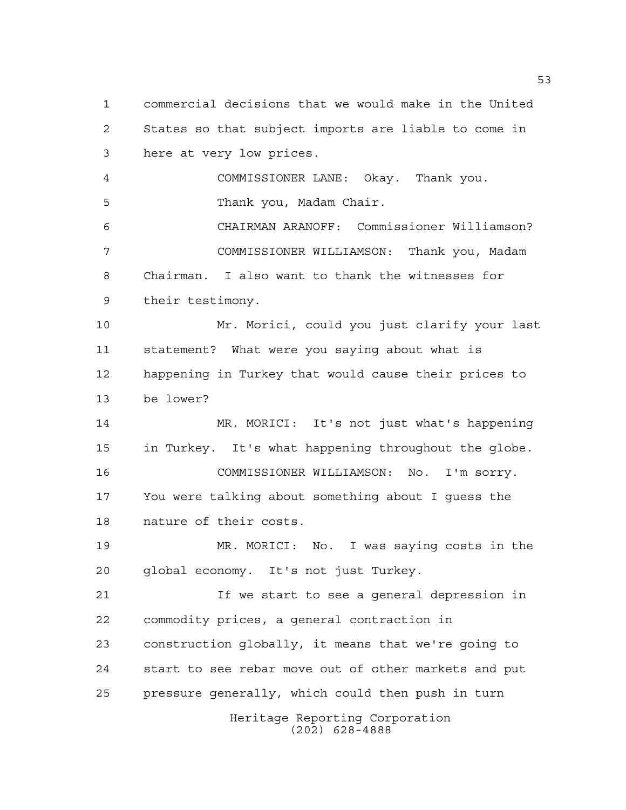Heritage Reporting Corporation (202) 628-4888 commercial decisions that we would make in the United States so that subject imports are liable to come in here at very low prices. COMMISSIONER LANE: Okay. Thank you. Thank you, Madam Chair. CHAIRMAN ARANOFF: Commissioner Williamson? COMMISSIONER WILLIAMSON: Thank you, Madam Chairman. I also want to thank the witnesses for their testimony. Mr. Morici, could you just clarify your last statement? What were you saying about what is happening in Turkey that would cause their prices to be lower? MR. MORICI: It's not just what's happening in Turkey. It's what happening throughout the globe. COMMISSIONER WILLIAMSON: No. I'm sorry. You were talking about something about I guess the nature of their costs. MR. MORICI: No. I was saying costs in the global economy. It's not just Turkey. If we start to see a general depression in commodity prices, a general contraction in construction globally, it means that we're going to start to see rebar move out of other markets and put pressure generally, which could then push in turn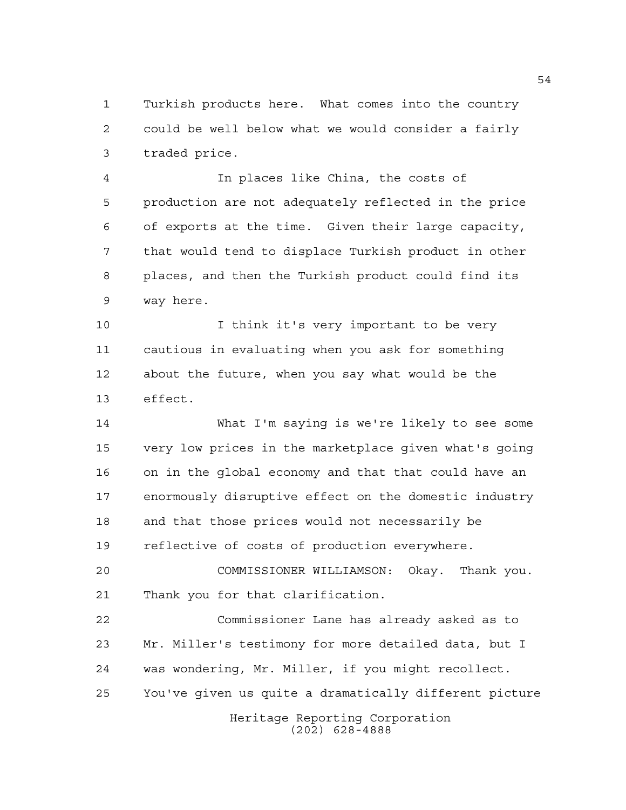Turkish products here. What comes into the country could be well below what we would consider a fairly traded price.

 In places like China, the costs of production are not adequately reflected in the price of exports at the time. Given their large capacity, that would tend to displace Turkish product in other places, and then the Turkish product could find its way here.

 I think it's very important to be very cautious in evaluating when you ask for something about the future, when you say what would be the effect.

 What I'm saying is we're likely to see some very low prices in the marketplace given what's going on in the global economy and that that could have an enormously disruptive effect on the domestic industry and that those prices would not necessarily be reflective of costs of production everywhere.

 COMMISSIONER WILLIAMSON: Okay. Thank you. Thank you for that clarification.

 Commissioner Lane has already asked as to Mr. Miller's testimony for more detailed data, but I was wondering, Mr. Miller, if you might recollect. You've given us quite a dramatically different picture

> Heritage Reporting Corporation (202) 628-4888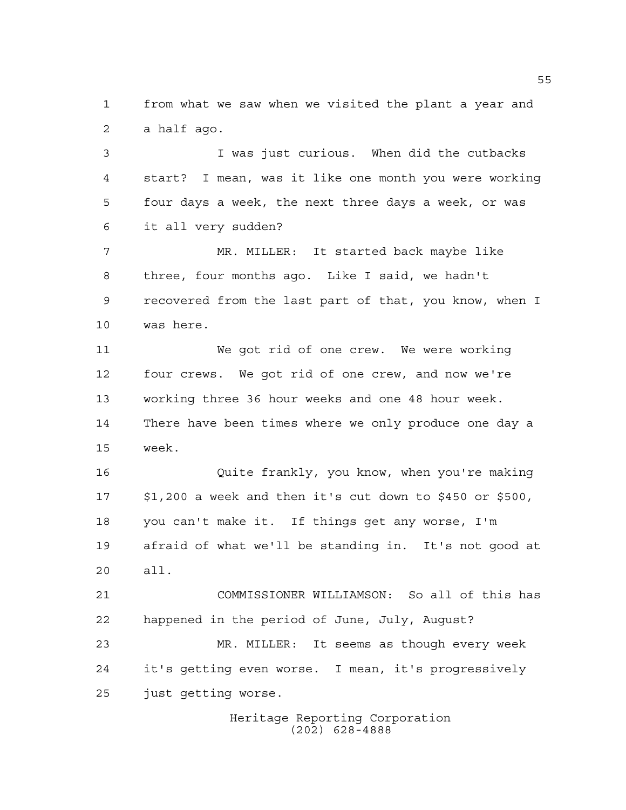from what we saw when we visited the plant a year and a half ago.

 I was just curious. When did the cutbacks start? I mean, was it like one month you were working four days a week, the next three days a week, or was it all very sudden?

 MR. MILLER: It started back maybe like three, four months ago. Like I said, we hadn't recovered from the last part of that, you know, when I was here.

 We got rid of one crew. We were working four crews. We got rid of one crew, and now we're working three 36 hour weeks and one 48 hour week. There have been times where we only produce one day a week.

 Quite frankly, you know, when you're making \$1,200 a week and then it's cut down to \$450 or \$500, you can't make it. If things get any worse, I'm afraid of what we'll be standing in. It's not good at all.

 COMMISSIONER WILLIAMSON: So all of this has happened in the period of June, July, August?

 MR. MILLER: It seems as though every week it's getting even worse. I mean, it's progressively just getting worse.

> Heritage Reporting Corporation (202) 628-4888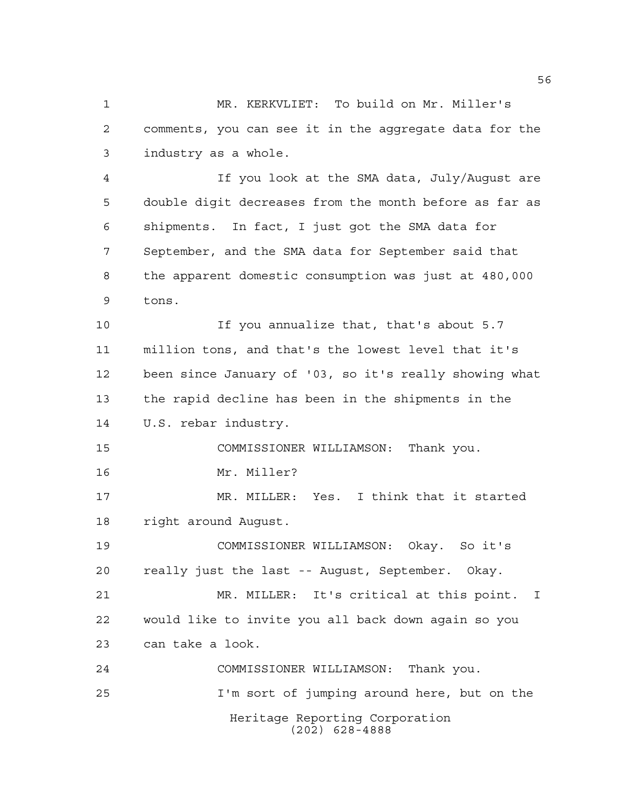MR. KERKVLIET: To build on Mr. Miller's comments, you can see it in the aggregate data for the industry as a whole.

 If you look at the SMA data, July/August are double digit decreases from the month before as far as shipments. In fact, I just got the SMA data for September, and the SMA data for September said that the apparent domestic consumption was just at 480,000 tons.

 If you annualize that, that's about 5.7 million tons, and that's the lowest level that it's been since January of '03, so it's really showing what the rapid decline has been in the shipments in the U.S. rebar industry.

COMMISSIONER WILLIAMSON: Thank you.

Mr. Miller?

 MR. MILLER: Yes. I think that it started right around August.

 COMMISSIONER WILLIAMSON: Okay. So it's really just the last -- August, September. Okay.

 MR. MILLER: It's critical at this point. I would like to invite you all back down again so you can take a look.

Heritage Reporting Corporation (202) 628-4888 COMMISSIONER WILLIAMSON: Thank you. I'm sort of jumping around here, but on the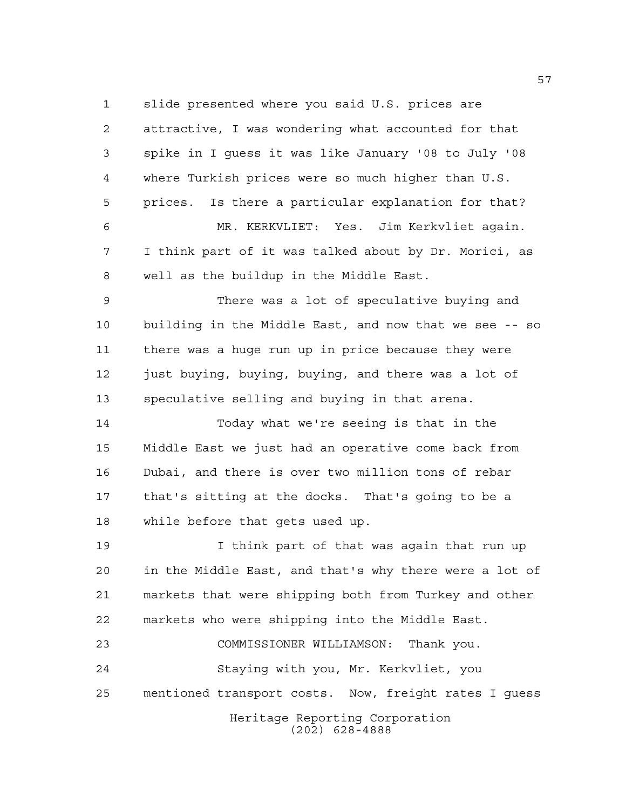slide presented where you said U.S. prices are

 attractive, I was wondering what accounted for that spike in I guess it was like January '08 to July '08 where Turkish prices were so much higher than U.S. prices. Is there a particular explanation for that? MR. KERKVLIET: Yes. Jim Kerkvliet again. I think part of it was talked about by Dr. Morici, as well as the buildup in the Middle East. There was a lot of speculative buying and building in the Middle East, and now that we see -- so there was a huge run up in price because they were 12 just buying, buying, buying, and there was a lot of speculative selling and buying in that arena. Today what we're seeing is that in the Middle East we just had an operative come back from Dubai, and there is over two million tons of rebar that's sitting at the docks. That's going to be a while before that gets used up. I think part of that was again that run up in the Middle East, and that's why there were a lot of markets that were shipping both from Turkey and other markets who were shipping into the Middle East. COMMISSIONER WILLIAMSON: Thank you. Staying with you, Mr. Kerkvliet, you

mentioned transport costs. Now, freight rates I guess

Heritage Reporting Corporation (202) 628-4888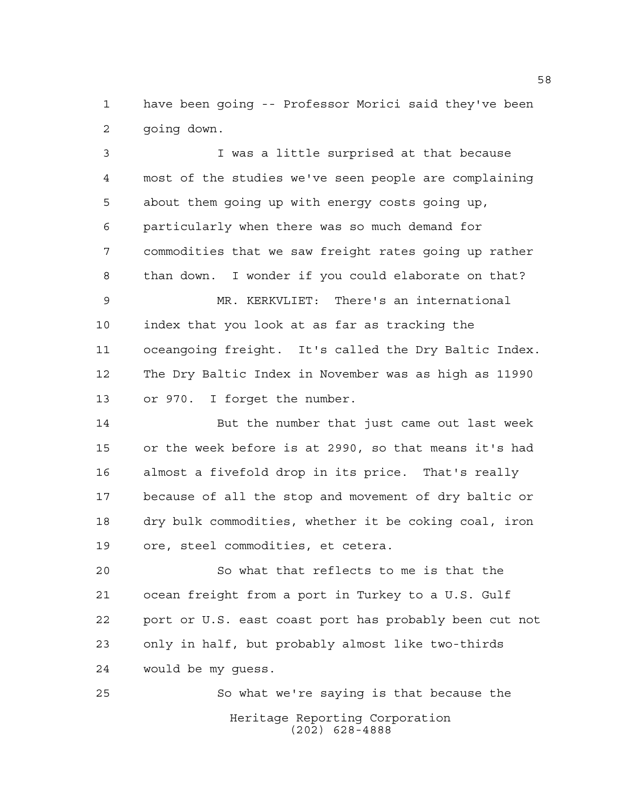have been going -- Professor Morici said they've been going down.

 I was a little surprised at that because most of the studies we've seen people are complaining about them going up with energy costs going up, particularly when there was so much demand for commodities that we saw freight rates going up rather than down. I wonder if you could elaborate on that?

 MR. KERKVLIET: There's an international index that you look at as far as tracking the oceangoing freight. It's called the Dry Baltic Index. The Dry Baltic Index in November was as high as 11990 or 970. I forget the number.

 But the number that just came out last week or the week before is at 2990, so that means it's had almost a fivefold drop in its price. That's really because of all the stop and movement of dry baltic or dry bulk commodities, whether it be coking coal, iron ore, steel commodities, et cetera.

 So what that reflects to me is that the ocean freight from a port in Turkey to a U.S. Gulf port or U.S. east coast port has probably been cut not only in half, but probably almost like two-thirds would be my guess.

Heritage Reporting Corporation (202) 628-4888 So what we're saying is that because the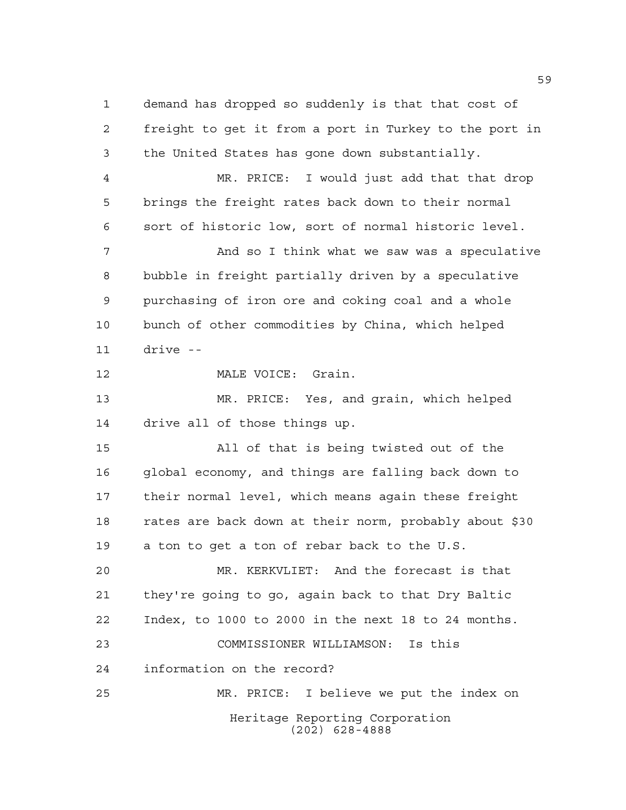Heritage Reporting Corporation (202) 628-4888 demand has dropped so suddenly is that that cost of freight to get it from a port in Turkey to the port in the United States has gone down substantially. MR. PRICE: I would just add that that drop brings the freight rates back down to their normal sort of historic low, sort of normal historic level. **And so I think what we saw was a speculative**  bubble in freight partially driven by a speculative purchasing of iron ore and coking coal and a whole bunch of other commodities by China, which helped drive -- 12 MALE VOICE: Grain. MR. PRICE: Yes, and grain, which helped drive all of those things up. All of that is being twisted out of the global economy, and things are falling back down to their normal level, which means again these freight rates are back down at their norm, probably about \$30 a ton to get a ton of rebar back to the U.S. MR. KERKVLIET: And the forecast is that they're going to go, again back to that Dry Baltic Index, to 1000 to 2000 in the next 18 to 24 months. COMMISSIONER WILLIAMSON: Is this information on the record? MR. PRICE: I believe we put the index on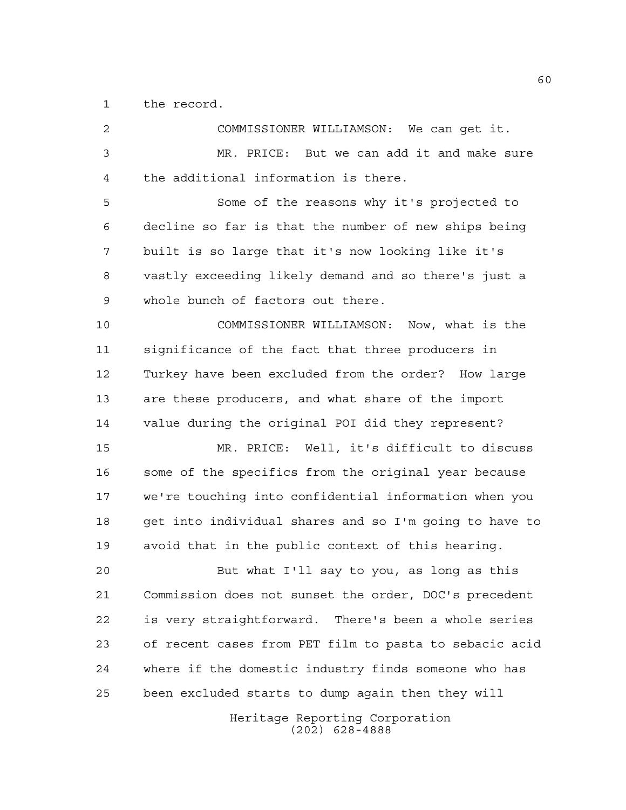the record.

| $\mathbf{2}$ | COMMISSIONER WILLIAMSON: We can get it.                |
|--------------|--------------------------------------------------------|
| 3            | MR. PRICE: But we can add it and make sure             |
| 4            | the additional information is there.                   |
| 5            | Some of the reasons why it's projected to              |
| 6            | decline so far is that the number of new ships being   |
| 7            | built is so large that it's now looking like it's      |
| 8            | vastly exceeding likely demand and so there's just a   |
| 9            | whole bunch of factors out there.                      |
| 10           | COMMISSIONER WILLIAMSON: Now, what is the              |
| 11           | significance of the fact that three producers in       |
| 12           | Turkey have been excluded from the order? How large    |
| 13           | are these producers, and what share of the import      |
| 14           | value during the original POI did they represent?      |
| 15           | MR. PRICE: Well, it's difficult to discuss             |
| 16           | some of the specifics from the original year because   |
| 17           | we're touching into confidential information when you  |
| 18           | get into individual shares and so I'm going to have to |
| 19           | avoid that in the public context of this hearing.      |
| 20           | But what I'll say to you, as long as this              |
| 21           | Commission does not sunset the order, DOC's precedent  |
| 22           | is very straightforward. There's been a whole series   |
| 23           | of recent cases from PET film to pasta to sebacic acid |
| 24           | where if the domestic industry finds someone who has   |
| 25           | been excluded starts to dump again then they will      |
|              | Heritage Reporting Corporation<br>$(202)$ 628-4888     |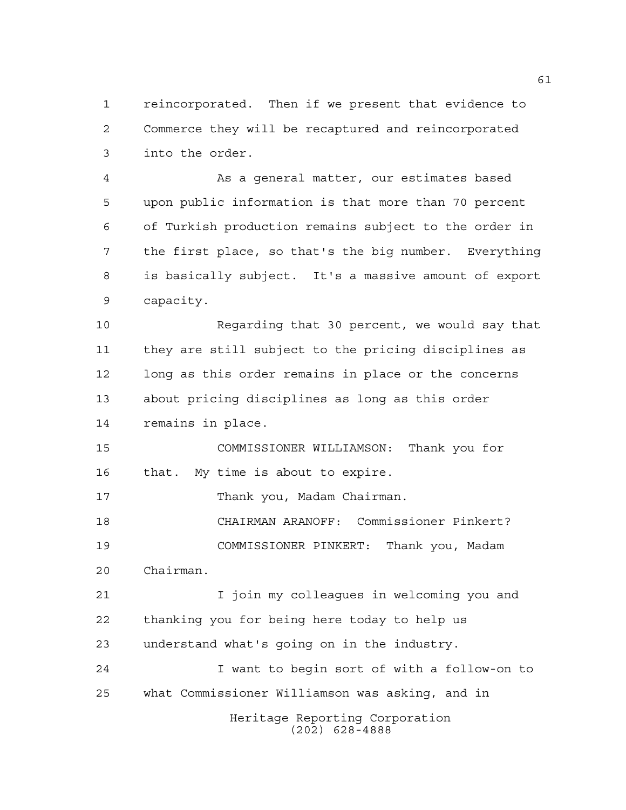reincorporated. Then if we present that evidence to Commerce they will be recaptured and reincorporated into the order.

 As a general matter, our estimates based upon public information is that more than 70 percent of Turkish production remains subject to the order in the first place, so that's the big number. Everything is basically subject. It's a massive amount of export capacity.

 Regarding that 30 percent, we would say that they are still subject to the pricing disciplines as long as this order remains in place or the concerns about pricing disciplines as long as this order remains in place.

 COMMISSIONER WILLIAMSON: Thank you for that. My time is about to expire.

Thank you, Madam Chairman.

 CHAIRMAN ARANOFF: Commissioner Pinkert? COMMISSIONER PINKERT: Thank you, Madam Chairman.

 I join my colleagues in welcoming you and thanking you for being here today to help us understand what's going on in the industry.

Heritage Reporting Corporation (202) 628-4888 I want to begin sort of with a follow-on to what Commissioner Williamson was asking, and in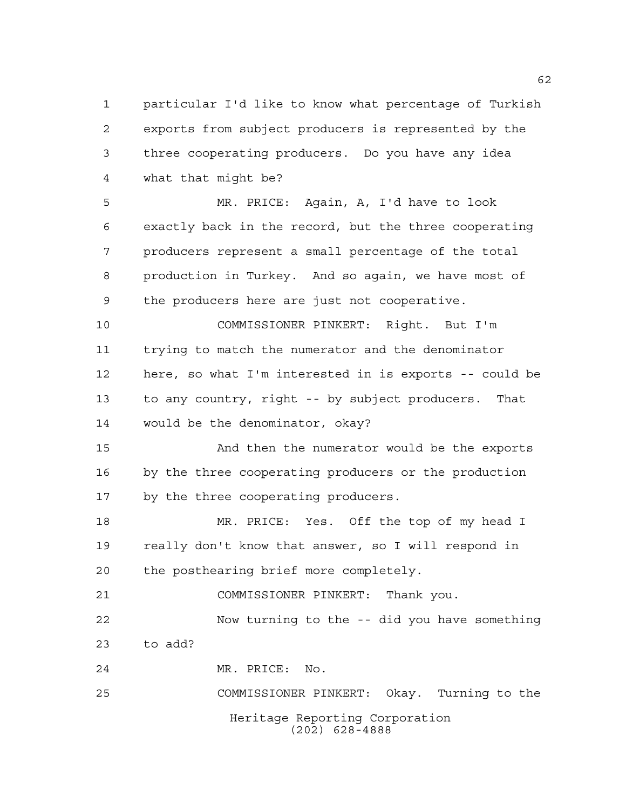particular I'd like to know what percentage of Turkish exports from subject producers is represented by the three cooperating producers. Do you have any idea what that might be?

 MR. PRICE: Again, A, I'd have to look exactly back in the record, but the three cooperating producers represent a small percentage of the total production in Turkey. And so again, we have most of the producers here are just not cooperative.

 COMMISSIONER PINKERT: Right. But I'm trying to match the numerator and the denominator here, so what I'm interested in is exports -- could be to any country, right -- by subject producers. That would be the denominator, okay?

 And then the numerator would be the exports by the three cooperating producers or the production by the three cooperating producers.

 MR. PRICE: Yes. Off the top of my head I really don't know that answer, so I will respond in the posthearing brief more completely.

COMMISSIONER PINKERT: Thank you.

 Now turning to the -- did you have something to add?

MR. PRICE: No.

Heritage Reporting Corporation (202) 628-4888 COMMISSIONER PINKERT: Okay. Turning to the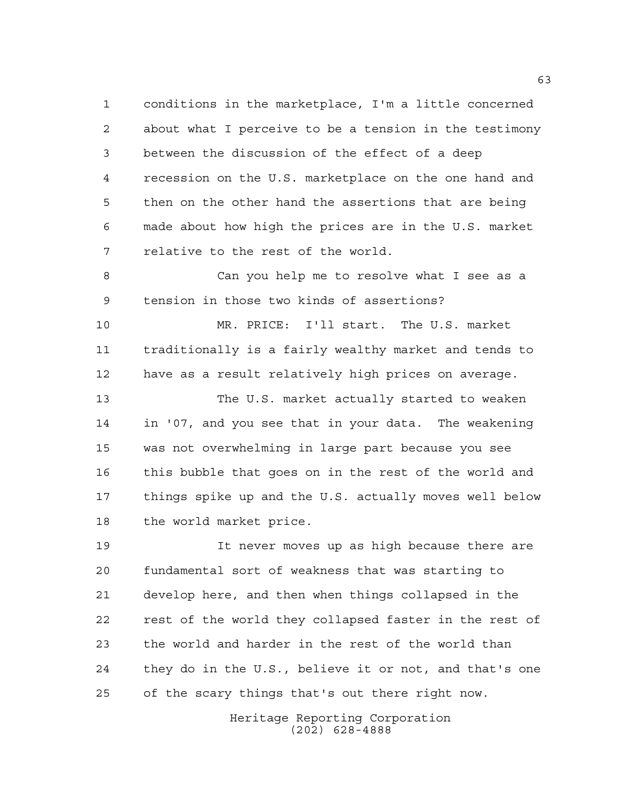conditions in the marketplace, I'm a little concerned about what I perceive to be a tension in the testimony between the discussion of the effect of a deep recession on the U.S. marketplace on the one hand and then on the other hand the assertions that are being made about how high the prices are in the U.S. market relative to the rest of the world.

 Can you help me to resolve what I see as a tension in those two kinds of assertions?

 MR. PRICE: I'll start. The U.S. market traditionally is a fairly wealthy market and tends to have as a result relatively high prices on average.

 The U.S. market actually started to weaken in '07, and you see that in your data. The weakening was not overwhelming in large part because you see this bubble that goes on in the rest of the world and things spike up and the U.S. actually moves well below the world market price.

 It never moves up as high because there are fundamental sort of weakness that was starting to develop here, and then when things collapsed in the rest of the world they collapsed faster in the rest of the world and harder in the rest of the world than they do in the U.S., believe it or not, and that's one of the scary things that's out there right now.

> Heritage Reporting Corporation (202) 628-4888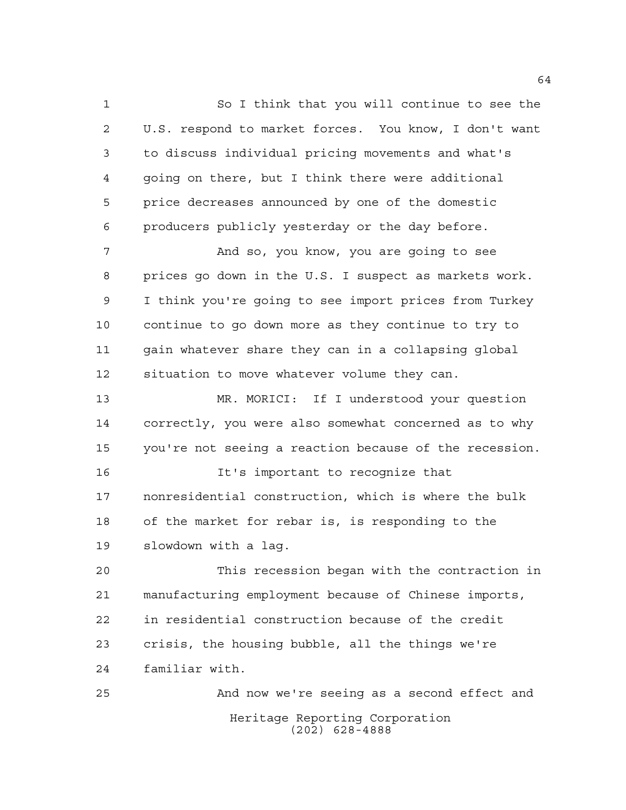So I think that you will continue to see the U.S. respond to market forces. You know, I don't want to discuss individual pricing movements and what's going on there, but I think there were additional price decreases announced by one of the domestic producers publicly yesterday or the day before.

 And so, you know, you are going to see prices go down in the U.S. I suspect as markets work. I think you're going to see import prices from Turkey continue to go down more as they continue to try to gain whatever share they can in a collapsing global situation to move whatever volume they can.

 MR. MORICI: If I understood your question correctly, you were also somewhat concerned as to why you're not seeing a reaction because of the recession.

 It's important to recognize that nonresidential construction, which is where the bulk of the market for rebar is, is responding to the slowdown with a lag.

 This recession began with the contraction in manufacturing employment because of Chinese imports, in residential construction because of the credit crisis, the housing bubble, all the things we're familiar with.

Heritage Reporting Corporation (202) 628-4888 And now we're seeing as a second effect and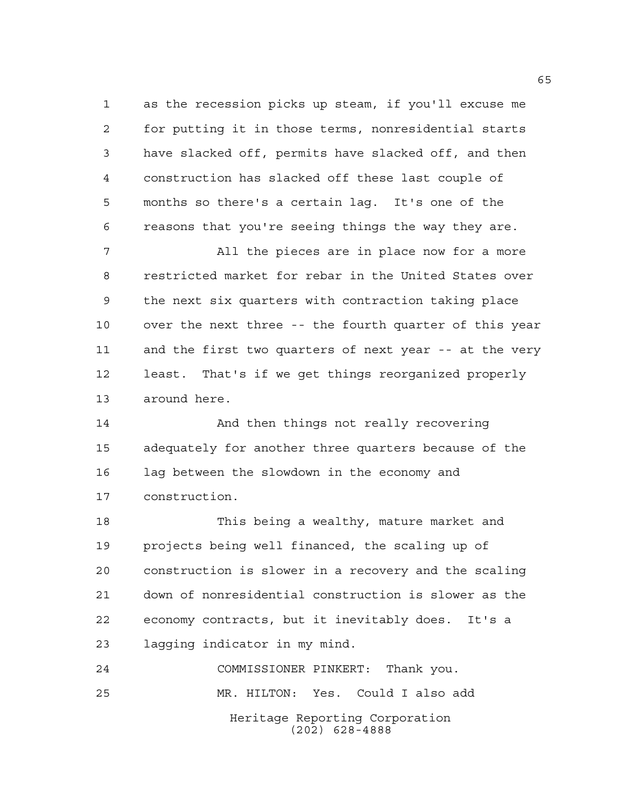as the recession picks up steam, if you'll excuse me for putting it in those terms, nonresidential starts have slacked off, permits have slacked off, and then construction has slacked off these last couple of months so there's a certain lag. It's one of the reasons that you're seeing things the way they are.

 All the pieces are in place now for a more restricted market for rebar in the United States over the next six quarters with contraction taking place over the next three -- the fourth quarter of this year and the first two quarters of next year -- at the very least. That's if we get things reorganized properly around here.

 And then things not really recovering adequately for another three quarters because of the lag between the slowdown in the economy and construction.

 This being a wealthy, mature market and projects being well financed, the scaling up of construction is slower in a recovery and the scaling down of nonresidential construction is slower as the economy contracts, but it inevitably does. It's a lagging indicator in my mind.

Heritage Reporting Corporation (202) 628-4888 COMMISSIONER PINKERT: Thank you. MR. HILTON: Yes. Could I also add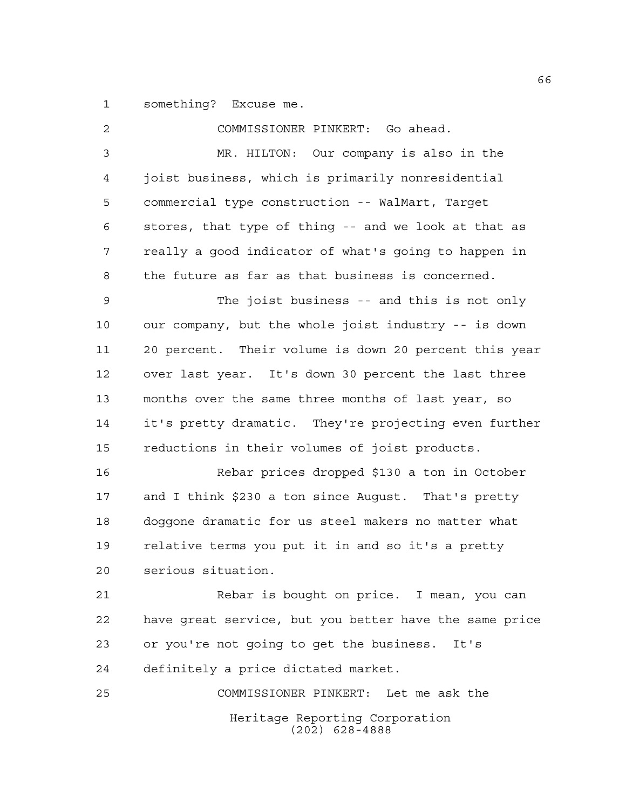something? Excuse me.

| 2  | COMMISSIONER PINKERT: Go ahead.                        |
|----|--------------------------------------------------------|
| 3  | MR. HILTON: Our company is also in the                 |
| 4  | joist business, which is primarily nonresidential      |
| 5  | commercial type construction -- WalMart, Target        |
| 6  | stores, that type of thing -- and we look at that as   |
| 7  | really a good indicator of what's going to happen in   |
| 8  | the future as far as that business is concerned.       |
| 9  | The joist business -- and this is not only             |
| 10 | our company, but the whole joist industry -- is down   |
| 11 | 20 percent. Their volume is down 20 percent this year  |
| 12 | over last year. It's down 30 percent the last three    |
| 13 | months over the same three months of last year, so     |
| 14 | it's pretty dramatic. They're projecting even further  |
| 15 | reductions in their volumes of joist products.         |
| 16 | Rebar prices dropped \$130 a ton in October            |
| 17 | and I think \$230 a ton since August. That's pretty    |
| 18 | doggone dramatic for us steel makers no matter what    |
| 19 | relative terms you put it in and so it's a pretty      |
| 20 | serious situation.                                     |
| 21 | Rebar is bought on price. I mean, you can              |
| 22 | have great service, but you better have the same price |
| 23 | or you're not going to get the business. It's          |
| 24 | definitely a price dictated market.                    |
| 25 | COMMISSIONER PINKERT: Let me ask the                   |
|    | Heritage Reporting Corporation<br>$(202)$ 628-4888     |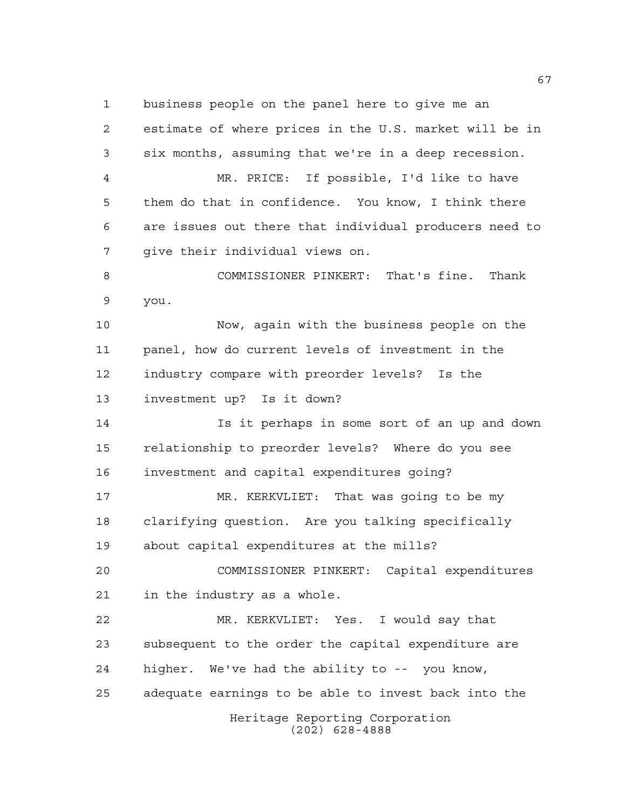business people on the panel here to give me an

Heritage Reporting Corporation (202) 628-4888 estimate of where prices in the U.S. market will be in six months, assuming that we're in a deep recession. MR. PRICE: If possible, I'd like to have them do that in confidence. You know, I think there are issues out there that individual producers need to give their individual views on. COMMISSIONER PINKERT: That's fine. Thank you. Now, again with the business people on the panel, how do current levels of investment in the industry compare with preorder levels? Is the investment up? Is it down? Is it perhaps in some sort of an up and down relationship to preorder levels? Where do you see investment and capital expenditures going? MR. KERKVLIET: That was going to be my clarifying question. Are you talking specifically about capital expenditures at the mills? COMMISSIONER PINKERT: Capital expenditures in the industry as a whole. MR. KERKVLIET: Yes. I would say that subsequent to the order the capital expenditure are higher. We've had the ability to -- you know, adequate earnings to be able to invest back into the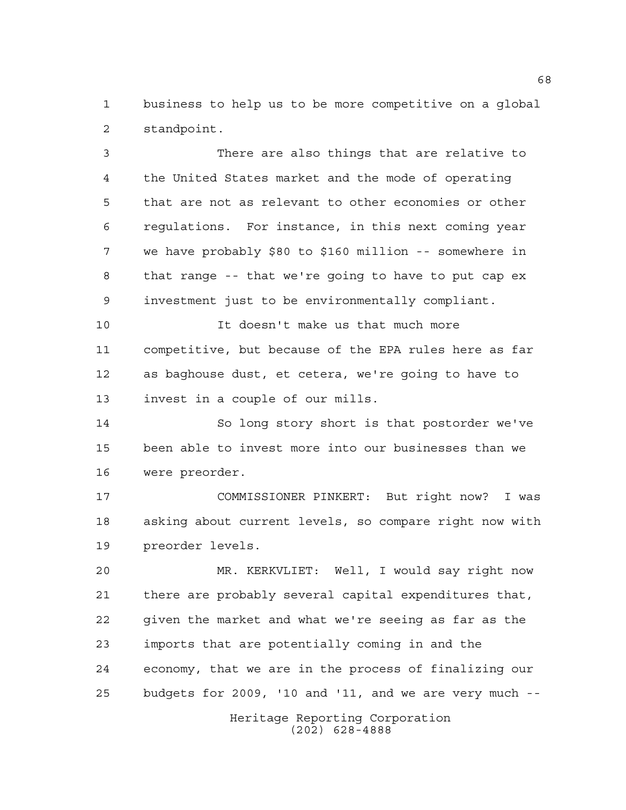business to help us to be more competitive on a global standpoint.

 There are also things that are relative to the United States market and the mode of operating that are not as relevant to other economies or other regulations. For instance, in this next coming year we have probably \$80 to \$160 million -- somewhere in that range -- that we're going to have to put cap ex investment just to be environmentally compliant.

 It doesn't make us that much more competitive, but because of the EPA rules here as far as baghouse dust, et cetera, we're going to have to invest in a couple of our mills.

 So long story short is that postorder we've been able to invest more into our businesses than we were preorder.

 COMMISSIONER PINKERT: But right now? I was asking about current levels, so compare right now with preorder levels.

 MR. KERKVLIET: Well, I would say right now there are probably several capital expenditures that, given the market and what we're seeing as far as the imports that are potentially coming in and the economy, that we are in the process of finalizing our budgets for 2009, '10 and '11, and we are very much --

> Heritage Reporting Corporation (202) 628-4888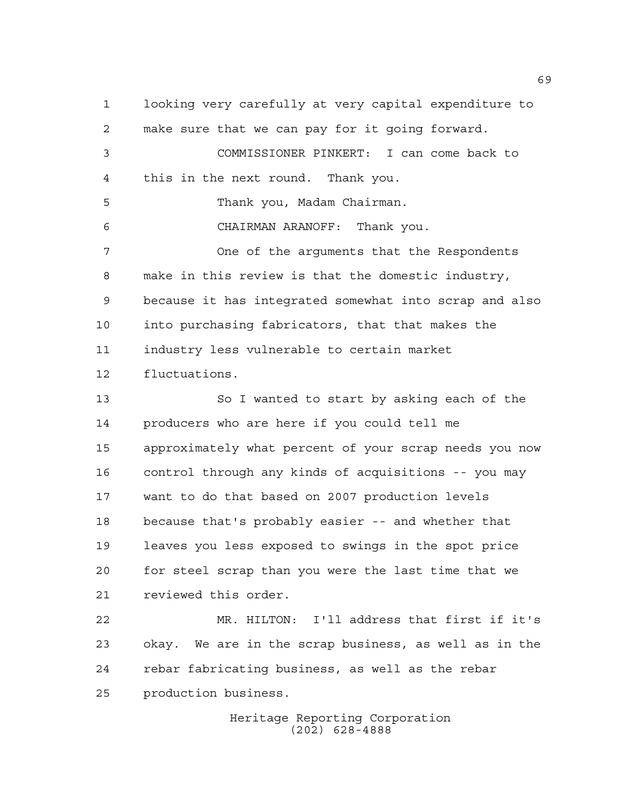looking very carefully at very capital expenditure to make sure that we can pay for it going forward. COMMISSIONER PINKERT: I can come back to this in the next round. Thank you. Thank you, Madam Chairman. CHAIRMAN ARANOFF: Thank you. One of the arguments that the Respondents make in this review is that the domestic industry, because it has integrated somewhat into scrap and also into purchasing fabricators, that that makes the industry less vulnerable to certain market fluctuations. So I wanted to start by asking each of the producers who are here if you could tell me approximately what percent of your scrap needs you now control through any kinds of acquisitions -- you may want to do that based on 2007 production levels because that's probably easier -- and whether that leaves you less exposed to swings in the spot price for steel scrap than you were the last time that we reviewed this order. MR. HILTON: I'll address that first if it's okay. We are in the scrap business, as well as in the rebar fabricating business, as well as the rebar production business.

Heritage Reporting Corporation (202) 628-4888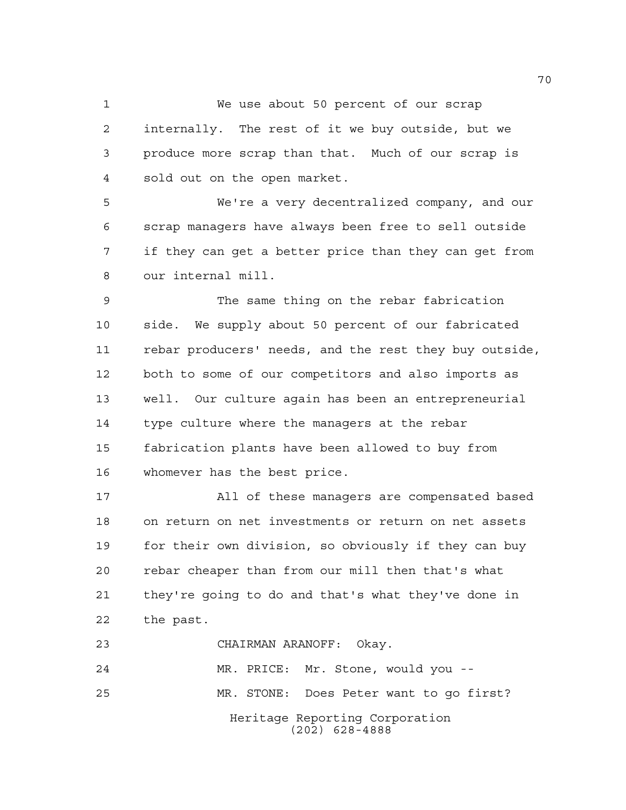We use about 50 percent of our scrap

 internally. The rest of it we buy outside, but we produce more scrap than that. Much of our scrap is sold out on the open market.

 We're a very decentralized company, and our scrap managers have always been free to sell outside if they can get a better price than they can get from our internal mill.

 The same thing on the rebar fabrication side. We supply about 50 percent of our fabricated rebar producers' needs, and the rest they buy outside, both to some of our competitors and also imports as well. Our culture again has been an entrepreneurial type culture where the managers at the rebar fabrication plants have been allowed to buy from whomever has the best price.

 All of these managers are compensated based on return on net investments or return on net assets for their own division, so obviously if they can buy rebar cheaper than from our mill then that's what they're going to do and that's what they've done in the past.

Heritage Reporting Corporation (202) 628-4888 CHAIRMAN ARANOFF: Okay. MR. PRICE: Mr. Stone, would you -- MR. STONE: Does Peter want to go first?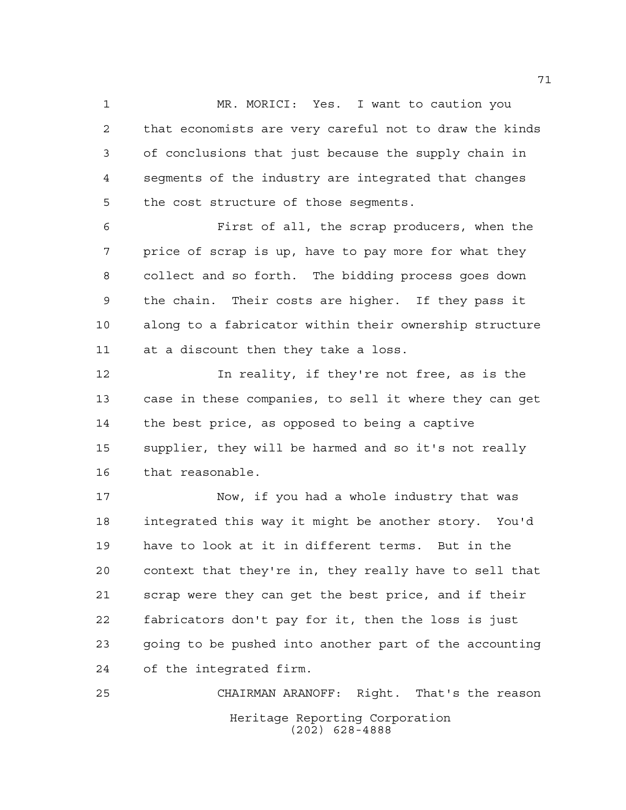1 MR. MORICI: Yes. I want to caution you that economists are very careful not to draw the kinds of conclusions that just because the supply chain in segments of the industry are integrated that changes the cost structure of those segments.

 First of all, the scrap producers, when the price of scrap is up, have to pay more for what they collect and so forth. The bidding process goes down the chain. Their costs are higher. If they pass it along to a fabricator within their ownership structure at a discount then they take a loss.

 In reality, if they're not free, as is the case in these companies, to sell it where they can get the best price, as opposed to being a captive supplier, they will be harmed and so it's not really that reasonable.

 Now, if you had a whole industry that was integrated this way it might be another story. You'd have to look at it in different terms. But in the context that they're in, they really have to sell that scrap were they can get the best price, and if their fabricators don't pay for it, then the loss is just going to be pushed into another part of the accounting of the integrated firm.

Heritage Reporting Corporation (202) 628-4888 CHAIRMAN ARANOFF: Right. That's the reason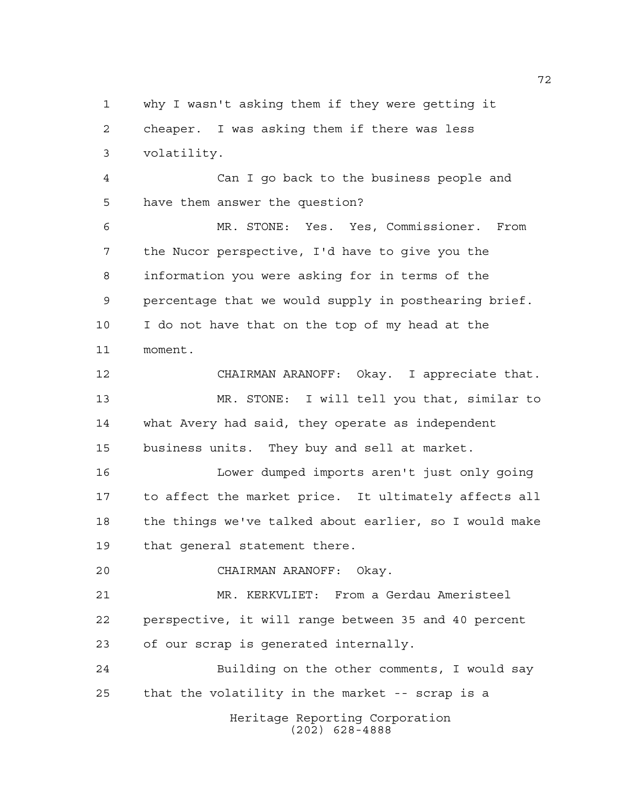why I wasn't asking them if they were getting it cheaper. I was asking them if there was less volatility.

 Can I go back to the business people and have them answer the question?

 MR. STONE: Yes. Yes, Commissioner. From the Nucor perspective, I'd have to give you the information you were asking for in terms of the percentage that we would supply in posthearing brief. I do not have that on the top of my head at the moment.

 CHAIRMAN ARANOFF: Okay. I appreciate that. MR. STONE: I will tell you that, similar to what Avery had said, they operate as independent business units. They buy and sell at market.

 Lower dumped imports aren't just only going to affect the market price. It ultimately affects all the things we've talked about earlier, so I would make that general statement there.

CHAIRMAN ARANOFF: Okay.

 MR. KERKVLIET: From a Gerdau Ameristeel perspective, it will range between 35 and 40 percent of our scrap is generated internally.

Heritage Reporting Corporation (202) 628-4888 Building on the other comments, I would say that the volatility in the market -- scrap is a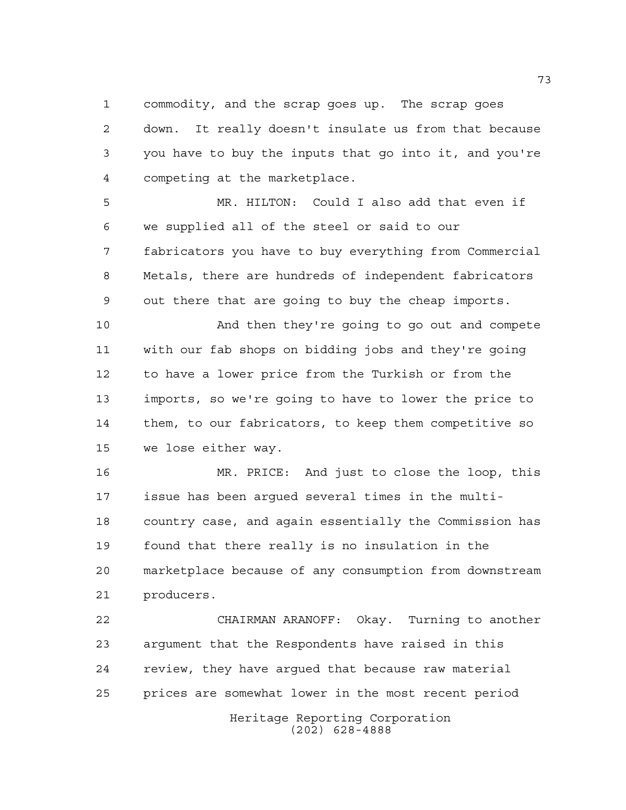commodity, and the scrap goes up. The scrap goes down. It really doesn't insulate us from that because you have to buy the inputs that go into it, and you're competing at the marketplace.

 MR. HILTON: Could I also add that even if we supplied all of the steel or said to our fabricators you have to buy everything from Commercial Metals, there are hundreds of independent fabricators out there that are going to buy the cheap imports.

 And then they're going to go out and compete with our fab shops on bidding jobs and they're going to have a lower price from the Turkish or from the imports, so we're going to have to lower the price to them, to our fabricators, to keep them competitive so we lose either way.

 MR. PRICE: And just to close the loop, this issue has been argued several times in the multi- country case, and again essentially the Commission has found that there really is no insulation in the marketplace because of any consumption from downstream producers.

Heritage Reporting Corporation (202) 628-4888 CHAIRMAN ARANOFF: Okay. Turning to another argument that the Respondents have raised in this review, they have argued that because raw material prices are somewhat lower in the most recent period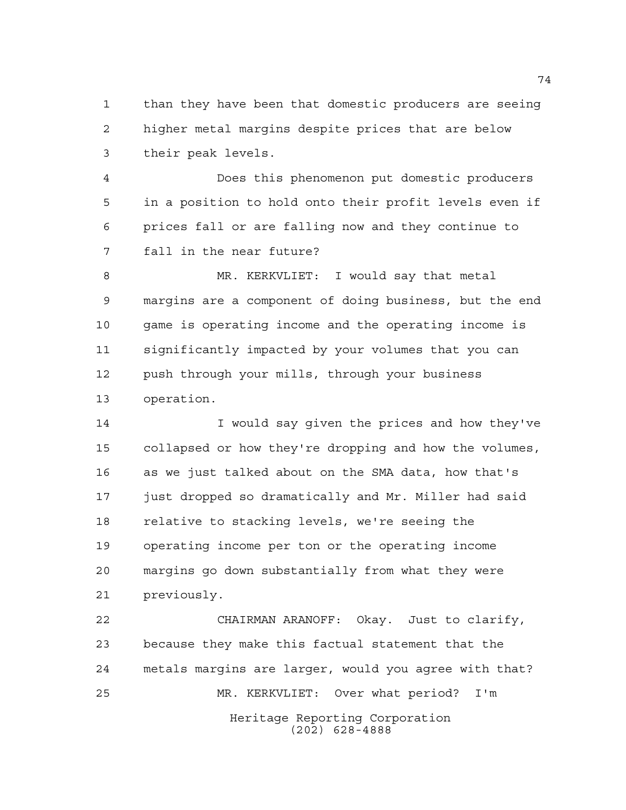than they have been that domestic producers are seeing higher metal margins despite prices that are below their peak levels.

 Does this phenomenon put domestic producers in a position to hold onto their profit levels even if prices fall or are falling now and they continue to fall in the near future?

 MR. KERKVLIET: I would say that metal margins are a component of doing business, but the end game is operating income and the operating income is significantly impacted by your volumes that you can push through your mills, through your business operation.

 I would say given the prices and how they've collapsed or how they're dropping and how the volumes, as we just talked about on the SMA data, how that's just dropped so dramatically and Mr. Miller had said relative to stacking levels, we're seeing the operating income per ton or the operating income margins go down substantially from what they were previously.

Heritage Reporting Corporation (202) 628-4888 CHAIRMAN ARANOFF: Okay. Just to clarify, because they make this factual statement that the metals margins are larger, would you agree with that? MR. KERKVLIET: Over what period? I'm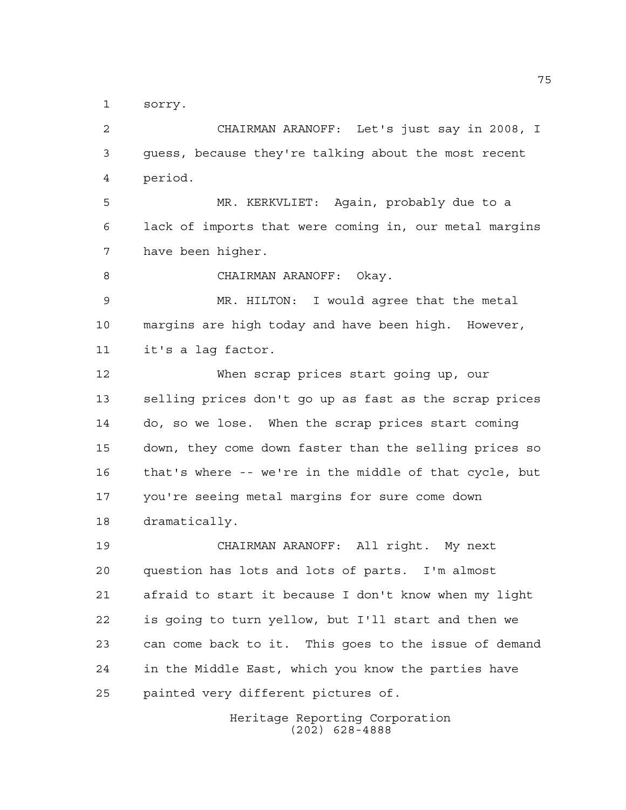sorry.

 CHAIRMAN ARANOFF: Let's just say in 2008, I guess, because they're talking about the most recent period.

 MR. KERKVLIET: Again, probably due to a lack of imports that were coming in, our metal margins have been higher.

8 CHAIRMAN ARANOFF: Okay.

 MR. HILTON: I would agree that the metal margins are high today and have been high. However, it's a lag factor.

 When scrap prices start going up, our selling prices don't go up as fast as the scrap prices do, so we lose. When the scrap prices start coming down, they come down faster than the selling prices so that's where -- we're in the middle of that cycle, but you're seeing metal margins for sure come down dramatically.

 CHAIRMAN ARANOFF: All right. My next question has lots and lots of parts. I'm almost afraid to start it because I don't know when my light is going to turn yellow, but I'll start and then we can come back to it. This goes to the issue of demand in the Middle East, which you know the parties have painted very different pictures of.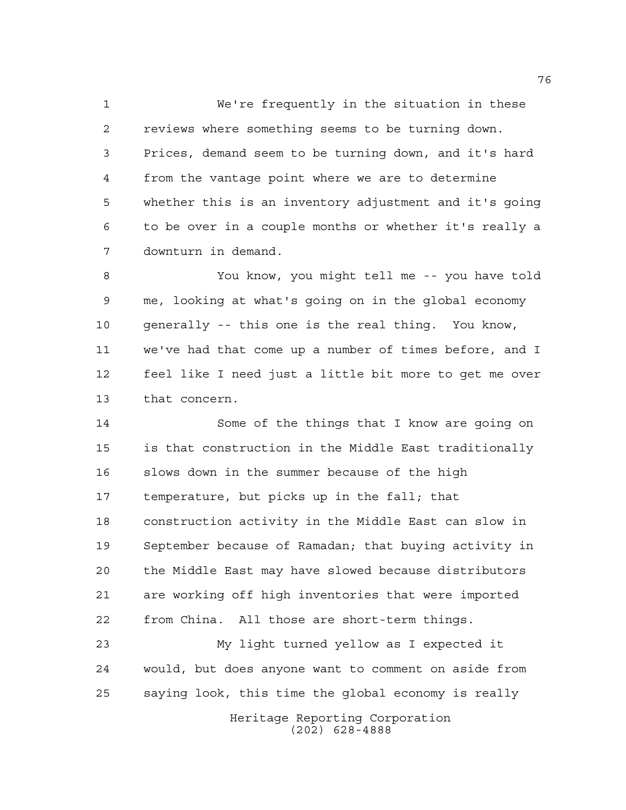We're frequently in the situation in these reviews where something seems to be turning down. Prices, demand seem to be turning down, and it's hard from the vantage point where we are to determine whether this is an inventory adjustment and it's going to be over in a couple months or whether it's really a downturn in demand.

 You know, you might tell me -- you have told me, looking at what's going on in the global economy generally -- this one is the real thing. You know, we've had that come up a number of times before, and I feel like I need just a little bit more to get me over that concern.

 Some of the things that I know are going on is that construction in the Middle East traditionally slows down in the summer because of the high temperature, but picks up in the fall; that construction activity in the Middle East can slow in September because of Ramadan; that buying activity in the Middle East may have slowed because distributors are working off high inventories that were imported from China. All those are short-term things.

 My light turned yellow as I expected it would, but does anyone want to comment on aside from saying look, this time the global economy is really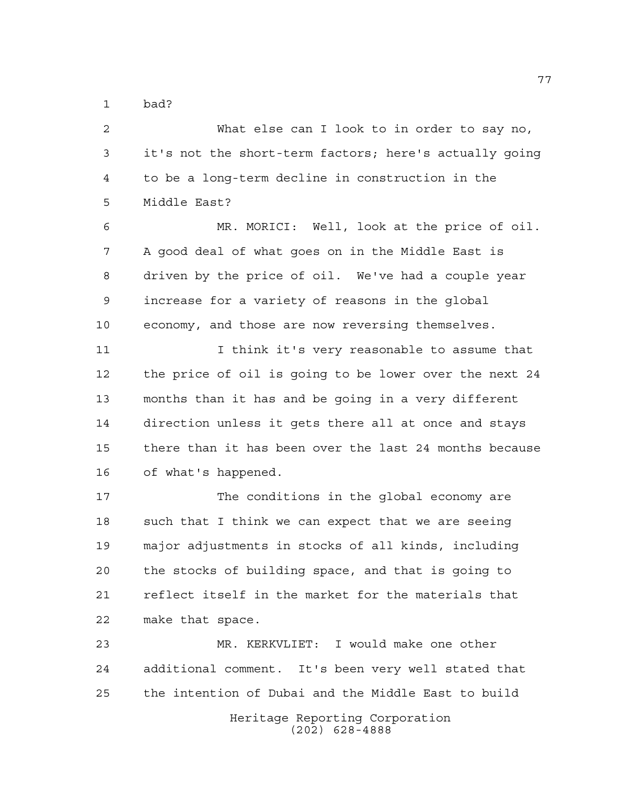bad?

Heritage Reporting Corporation (202) 628-4888 What else can I look to in order to say no, it's not the short-term factors; here's actually going to be a long-term decline in construction in the Middle East? MR. MORICI: Well, look at the price of oil. A good deal of what goes on in the Middle East is driven by the price of oil. We've had a couple year increase for a variety of reasons in the global economy, and those are now reversing themselves. I think it's very reasonable to assume that the price of oil is going to be lower over the next 24 months than it has and be going in a very different direction unless it gets there all at once and stays there than it has been over the last 24 months because of what's happened. The conditions in the global economy are 18 such that I think we can expect that we are seeing major adjustments in stocks of all kinds, including the stocks of building space, and that is going to reflect itself in the market for the materials that make that space. MR. KERKVLIET: I would make one other additional comment. It's been very well stated that the intention of Dubai and the Middle East to build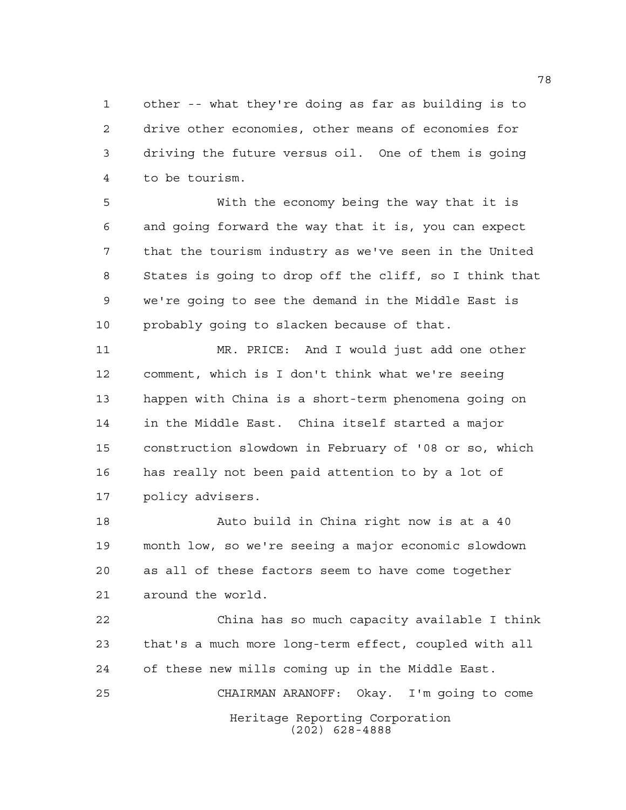other -- what they're doing as far as building is to drive other economies, other means of economies for driving the future versus oil. One of them is going to be tourism.

 With the economy being the way that it is and going forward the way that it is, you can expect that the tourism industry as we've seen in the United States is going to drop off the cliff, so I think that we're going to see the demand in the Middle East is probably going to slacken because of that.

 MR. PRICE: And I would just add one other comment, which is I don't think what we're seeing happen with China is a short-term phenomena going on in the Middle East. China itself started a major construction slowdown in February of '08 or so, which has really not been paid attention to by a lot of policy advisers.

 Auto build in China right now is at a 40 month low, so we're seeing a major economic slowdown as all of these factors seem to have come together around the world.

Heritage Reporting Corporation (202) 628-4888 China has so much capacity available I think that's a much more long-term effect, coupled with all of these new mills coming up in the Middle East. CHAIRMAN ARANOFF: Okay. I'm going to come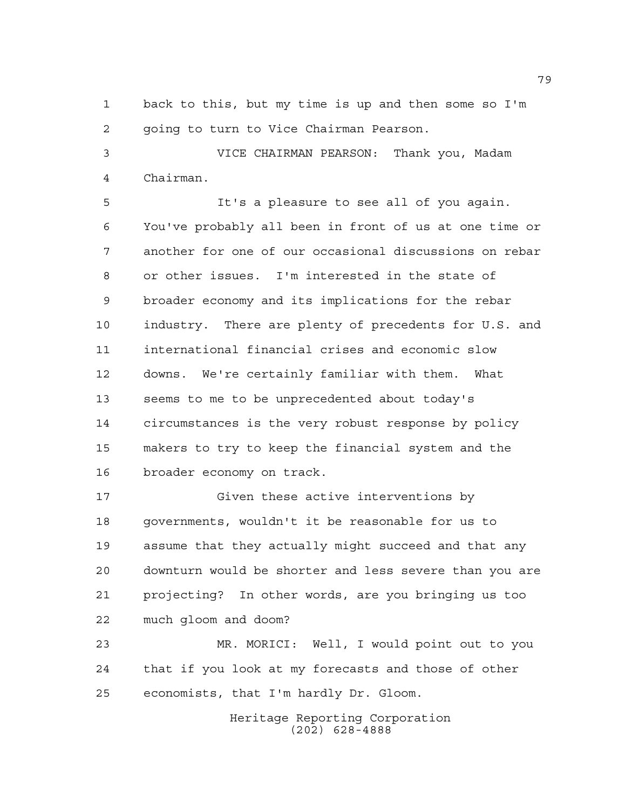back to this, but my time is up and then some so I'm going to turn to Vice Chairman Pearson.

 VICE CHAIRMAN PEARSON: Thank you, Madam Chairman.

 It's a pleasure to see all of you again. You've probably all been in front of us at one time or another for one of our occasional discussions on rebar or other issues. I'm interested in the state of broader economy and its implications for the rebar industry. There are plenty of precedents for U.S. and international financial crises and economic slow downs. We're certainly familiar with them. What seems to me to be unprecedented about today's circumstances is the very robust response by policy makers to try to keep the financial system and the broader economy on track.

 Given these active interventions by governments, wouldn't it be reasonable for us to assume that they actually might succeed and that any downturn would be shorter and less severe than you are projecting? In other words, are you bringing us too much gloom and doom?

 MR. MORICI: Well, I would point out to you that if you look at my forecasts and those of other economists, that I'm hardly Dr. Gloom.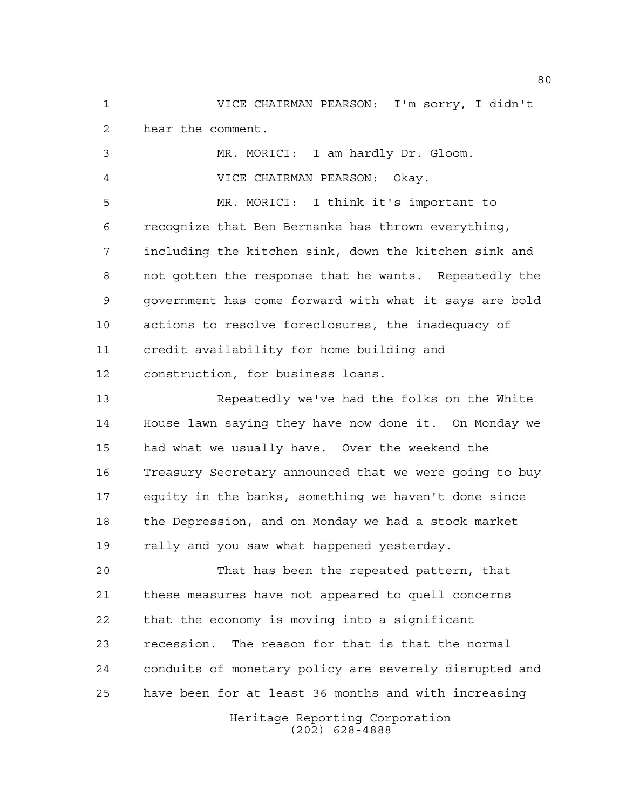VICE CHAIRMAN PEARSON: I'm sorry, I didn't hear the comment.

 MR. MORICI: I am hardly Dr. Gloom. VICE CHAIRMAN PEARSON: Okay.

 MR. MORICI: I think it's important to recognize that Ben Bernanke has thrown everything, including the kitchen sink, down the kitchen sink and not gotten the response that he wants. Repeatedly the government has come forward with what it says are bold actions to resolve foreclosures, the inadequacy of credit availability for home building and construction, for business loans.

 Repeatedly we've had the folks on the White House lawn saying they have now done it. On Monday we had what we usually have. Over the weekend the Treasury Secretary announced that we were going to buy equity in the banks, something we haven't done since the Depression, and on Monday we had a stock market 19 rally and you saw what happened yesterday.

 That has been the repeated pattern, that these measures have not appeared to quell concerns that the economy is moving into a significant recession. The reason for that is that the normal conduits of monetary policy are severely disrupted and have been for at least 36 months and with increasing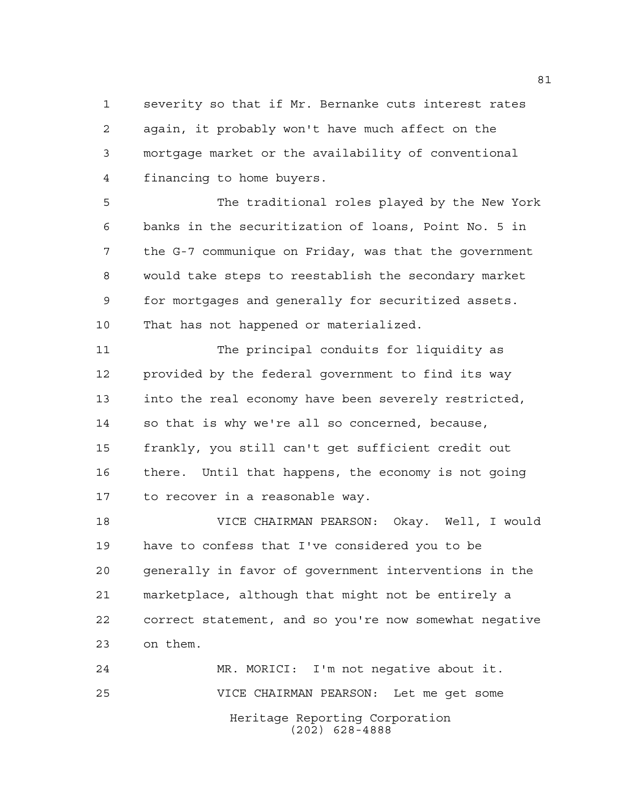severity so that if Mr. Bernanke cuts interest rates again, it probably won't have much affect on the mortgage market or the availability of conventional financing to home buyers.

 The traditional roles played by the New York banks in the securitization of loans, Point No. 5 in the G-7 communique on Friday, was that the government would take steps to reestablish the secondary market for mortgages and generally for securitized assets. That has not happened or materialized.

 The principal conduits for liquidity as provided by the federal government to find its way into the real economy have been severely restricted, so that is why we're all so concerned, because, frankly, you still can't get sufficient credit out there. Until that happens, the economy is not going to recover in a reasonable way.

 VICE CHAIRMAN PEARSON: Okay. Well, I would have to confess that I've considered you to be generally in favor of government interventions in the marketplace, although that might not be entirely a correct statement, and so you're now somewhat negative on them.

Heritage Reporting Corporation (202) 628-4888 MR. MORICI: I'm not negative about it. VICE CHAIRMAN PEARSON: Let me get some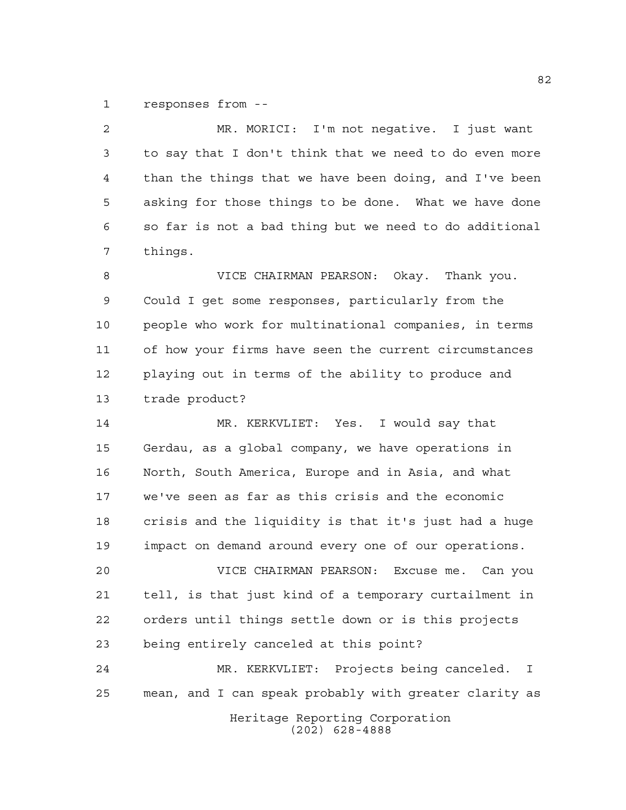responses from --

 MR. MORICI: I'm not negative. I just want to say that I don't think that we need to do even more than the things that we have been doing, and I've been asking for those things to be done. What we have done so far is not a bad thing but we need to do additional things. VICE CHAIRMAN PEARSON: Okay. Thank you. Could I get some responses, particularly from the people who work for multinational companies, in terms of how your firms have seen the current circumstances playing out in terms of the ability to produce and trade product? MR. KERKVLIET: Yes. I would say that Gerdau, as a global company, we have operations in North, South America, Europe and in Asia, and what we've seen as far as this crisis and the economic crisis and the liquidity is that it's just had a huge impact on demand around every one of our operations. VICE CHAIRMAN PEARSON: Excuse me. Can you tell, is that just kind of a temporary curtailment in orders until things settle down or is this projects being entirely canceled at this point?

 MR. KERKVLIET: Projects being canceled. I mean, and I can speak probably with greater clarity as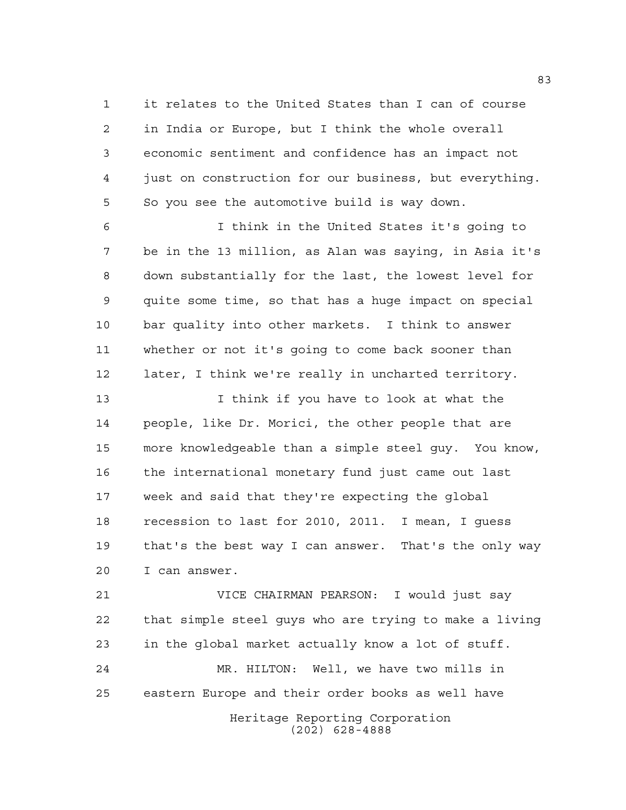it relates to the United States than I can of course in India or Europe, but I think the whole overall economic sentiment and confidence has an impact not just on construction for our business, but everything. So you see the automotive build is way down.

 I think in the United States it's going to be in the 13 million, as Alan was saying, in Asia it's down substantially for the last, the lowest level for quite some time, so that has a huge impact on special bar quality into other markets. I think to answer whether or not it's going to come back sooner than later, I think we're really in uncharted territory.

13 13 I think if you have to look at what the people, like Dr. Morici, the other people that are more knowledgeable than a simple steel guy. You know, the international monetary fund just came out last week and said that they're expecting the global recession to last for 2010, 2011. I mean, I guess that's the best way I can answer. That's the only way I can answer.

Heritage Reporting Corporation VICE CHAIRMAN PEARSON: I would just say that simple steel guys who are trying to make a living in the global market actually know a lot of stuff. MR. HILTON: Well, we have two mills in eastern Europe and their order books as well have

(202) 628-4888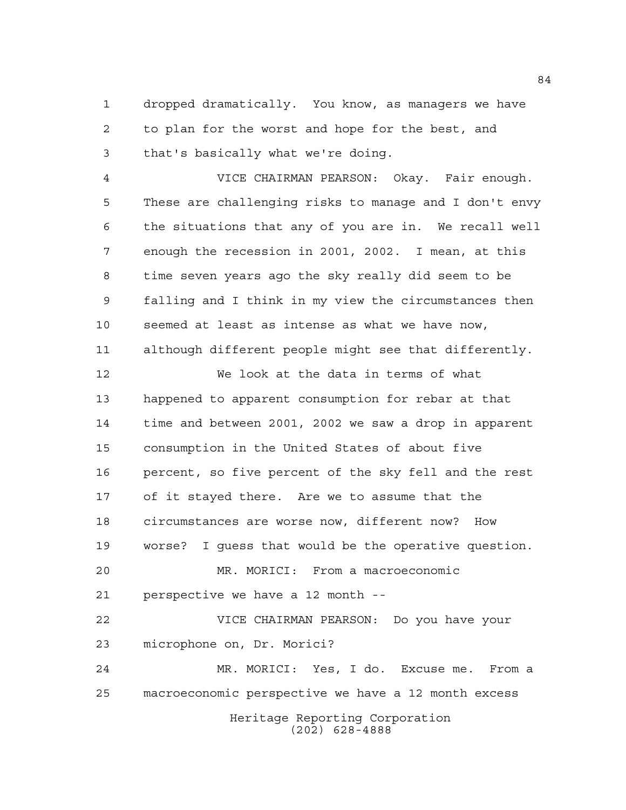dropped dramatically. You know, as managers we have to plan for the worst and hope for the best, and that's basically what we're doing.

 VICE CHAIRMAN PEARSON: Okay. Fair enough. These are challenging risks to manage and I don't envy the situations that any of you are in. We recall well enough the recession in 2001, 2002. I mean, at this time seven years ago the sky really did seem to be falling and I think in my view the circumstances then seemed at least as intense as what we have now, although different people might see that differently.

 We look at the data in terms of what happened to apparent consumption for rebar at that time and between 2001, 2002 we saw a drop in apparent consumption in the United States of about five percent, so five percent of the sky fell and the rest of it stayed there. Are we to assume that the circumstances are worse now, different now? How worse? I guess that would be the operative question. MR. MORICI: From a macroeconomic perspective we have a 12 month -- VICE CHAIRMAN PEARSON: Do you have your

microphone on, Dr. Morici?

Heritage Reporting Corporation (202) 628-4888 MR. MORICI: Yes, I do. Excuse me. From a macroeconomic perspective we have a 12 month excess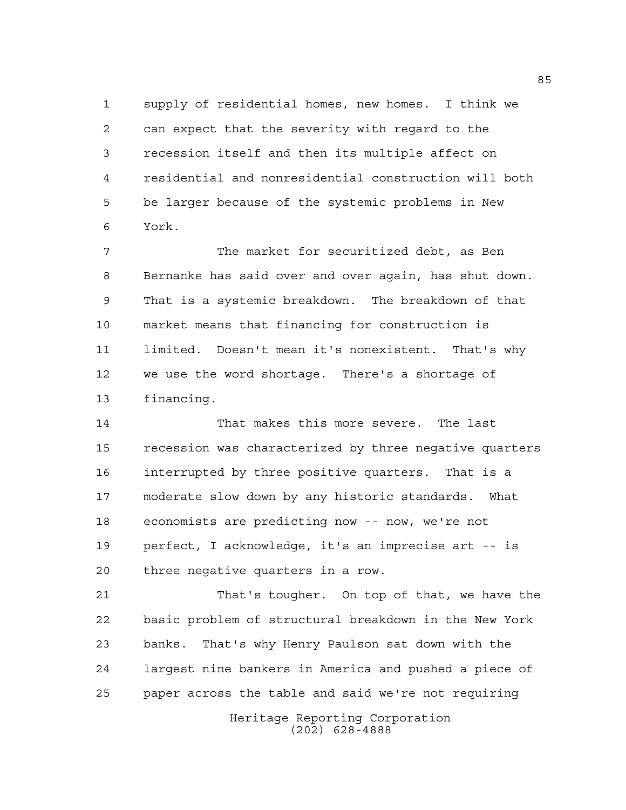supply of residential homes, new homes. I think we can expect that the severity with regard to the recession itself and then its multiple affect on residential and nonresidential construction will both be larger because of the systemic problems in New York.

 The market for securitized debt, as Ben Bernanke has said over and over again, has shut down. That is a systemic breakdown. The breakdown of that market means that financing for construction is limited. Doesn't mean it's nonexistent. That's why we use the word shortage. There's a shortage of financing.

 That makes this more severe. The last recession was characterized by three negative quarters interrupted by three positive quarters. That is a moderate slow down by any historic standards. What economists are predicting now -- now, we're not perfect, I acknowledge, it's an imprecise art -- is three negative quarters in a row.

 That's tougher. On top of that, we have the basic problem of structural breakdown in the New York banks. That's why Henry Paulson sat down with the largest nine bankers in America and pushed a piece of paper across the table and said we're not requiring

> Heritage Reporting Corporation (202) 628-4888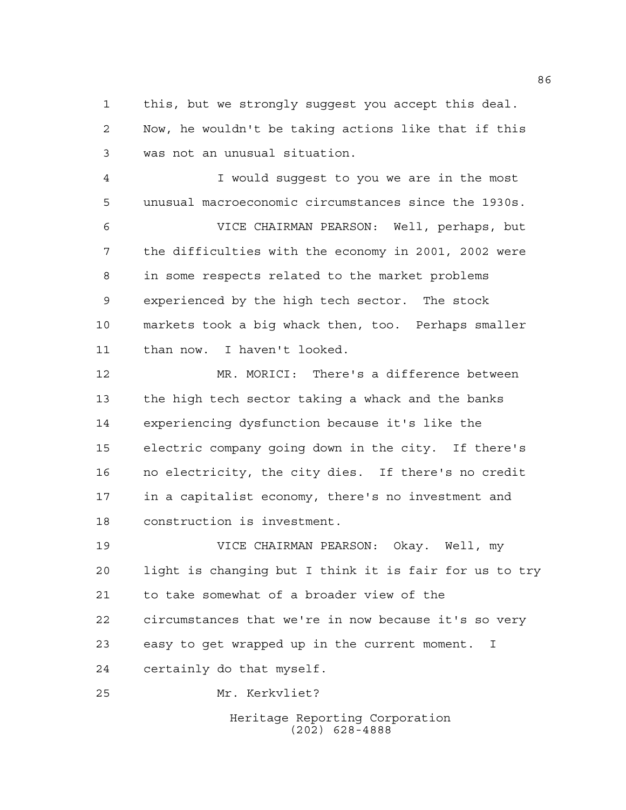this, but we strongly suggest you accept this deal. Now, he wouldn't be taking actions like that if this was not an unusual situation.

 I would suggest to you we are in the most unusual macroeconomic circumstances since the 1930s.

 VICE CHAIRMAN PEARSON: Well, perhaps, but the difficulties with the economy in 2001, 2002 were in some respects related to the market problems experienced by the high tech sector. The stock markets took a big whack then, too. Perhaps smaller than now. I haven't looked.

 MR. MORICI: There's a difference between the high tech sector taking a whack and the banks experiencing dysfunction because it's like the electric company going down in the city. If there's no electricity, the city dies. If there's no credit in a capitalist economy, there's no investment and construction is investment.

 VICE CHAIRMAN PEARSON: Okay. Well, my light is changing but I think it is fair for us to try to take somewhat of a broader view of the circumstances that we're in now because it's so very easy to get wrapped up in the current moment. I certainly do that myself.

Mr. Kerkvliet?

Heritage Reporting Corporation (202) 628-4888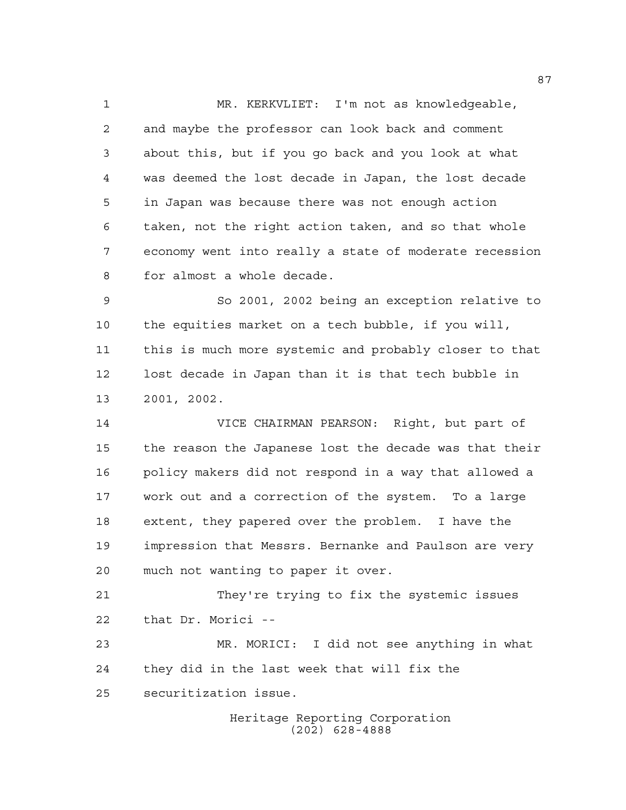MR. KERKVLIET: I'm not as knowledgeable, and maybe the professor can look back and comment about this, but if you go back and you look at what was deemed the lost decade in Japan, the lost decade in Japan was because there was not enough action taken, not the right action taken, and so that whole economy went into really a state of moderate recession for almost a whole decade.

 So 2001, 2002 being an exception relative to the equities market on a tech bubble, if you will, this is much more systemic and probably closer to that lost decade in Japan than it is that tech bubble in 2001, 2002.

 VICE CHAIRMAN PEARSON: Right, but part of the reason the Japanese lost the decade was that their policy makers did not respond in a way that allowed a work out and a correction of the system. To a large extent, they papered over the problem. I have the impression that Messrs. Bernanke and Paulson are very much not wanting to paper it over.

 They're trying to fix the systemic issues that Dr. Morici --

 MR. MORICI: I did not see anything in what they did in the last week that will fix the securitization issue.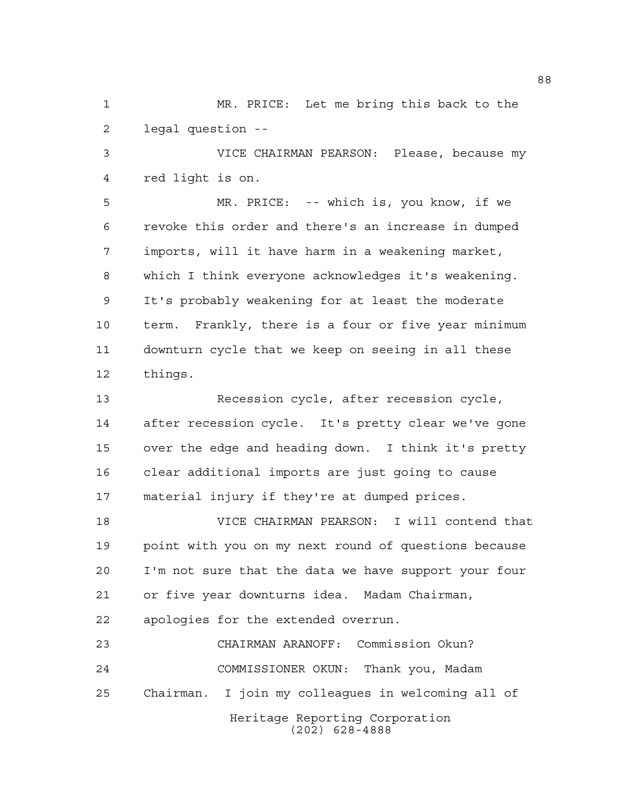MR. PRICE: Let me bring this back to the legal question --

 VICE CHAIRMAN PEARSON: Please, because my red light is on.

 MR. PRICE: -- which is, you know, if we revoke this order and there's an increase in dumped imports, will it have harm in a weakening market, which I think everyone acknowledges it's weakening. It's probably weakening for at least the moderate term. Frankly, there is a four or five year minimum downturn cycle that we keep on seeing in all these things.

 Recession cycle, after recession cycle, after recession cycle. It's pretty clear we've gone over the edge and heading down. I think it's pretty clear additional imports are just going to cause material injury if they're at dumped prices.

 VICE CHAIRMAN PEARSON: I will contend that point with you on my next round of questions because I'm not sure that the data we have support your four or five year downturns idea. Madam Chairman, apologies for the extended overrun.

Heritage Reporting Corporation (202) 628-4888 CHAIRMAN ARANOFF: Commission Okun? COMMISSIONER OKUN: Thank you, Madam Chairman. I join my colleagues in welcoming all of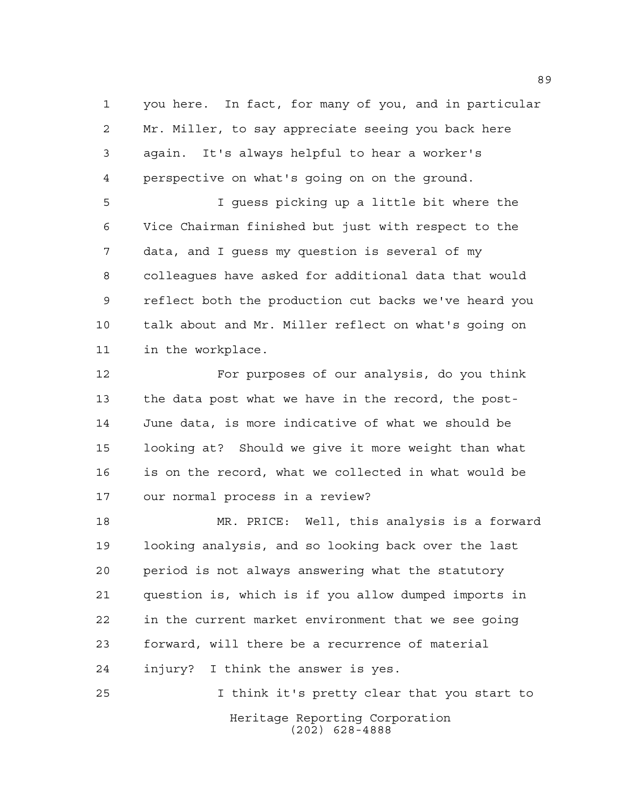you here. In fact, for many of you, and in particular Mr. Miller, to say appreciate seeing you back here again. It's always helpful to hear a worker's perspective on what's going on on the ground.

 I guess picking up a little bit where the Vice Chairman finished but just with respect to the data, and I guess my question is several of my colleagues have asked for additional data that would reflect both the production cut backs we've heard you talk about and Mr. Miller reflect on what's going on in the workplace.

 For purposes of our analysis, do you think the data post what we have in the record, the post- June data, is more indicative of what we should be looking at? Should we give it more weight than what is on the record, what we collected in what would be our normal process in a review?

 MR. PRICE: Well, this analysis is a forward looking analysis, and so looking back over the last period is not always answering what the statutory question is, which is if you allow dumped imports in in the current market environment that we see going forward, will there be a recurrence of material injury? I think the answer is yes.

Heritage Reporting Corporation (202) 628-4888 I think it's pretty clear that you start to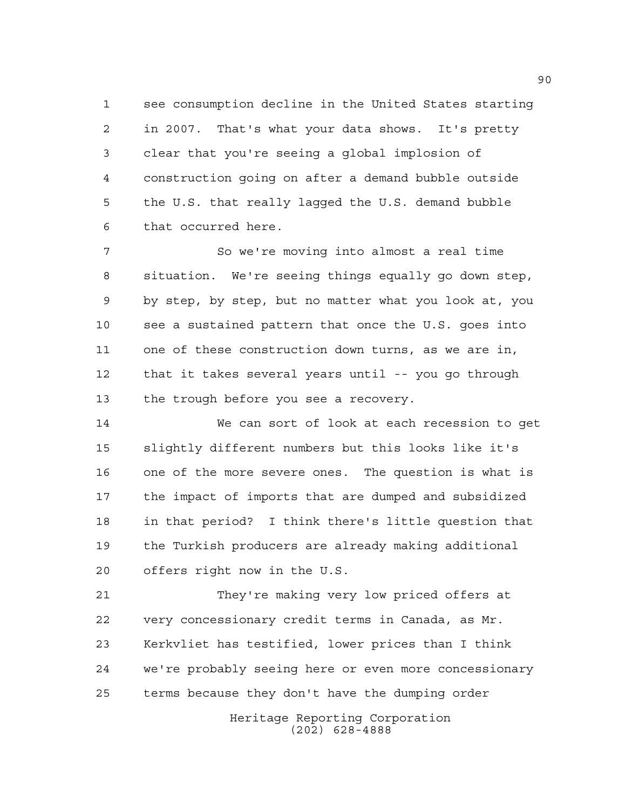see consumption decline in the United States starting in 2007. That's what your data shows. It's pretty clear that you're seeing a global implosion of construction going on after a demand bubble outside the U.S. that really lagged the U.S. demand bubble that occurred here.

 So we're moving into almost a real time situation. We're seeing things equally go down step, by step, by step, but no matter what you look at, you see a sustained pattern that once the U.S. goes into one of these construction down turns, as we are in, that it takes several years until -- you go through the trough before you see a recovery.

 We can sort of look at each recession to get slightly different numbers but this looks like it's one of the more severe ones. The question is what is the impact of imports that are dumped and subsidized in that period? I think there's little question that the Turkish producers are already making additional offers right now in the U.S.

 They're making very low priced offers at very concessionary credit terms in Canada, as Mr. Kerkvliet has testified, lower prices than I think we're probably seeing here or even more concessionary terms because they don't have the dumping order

> Heritage Reporting Corporation (202) 628-4888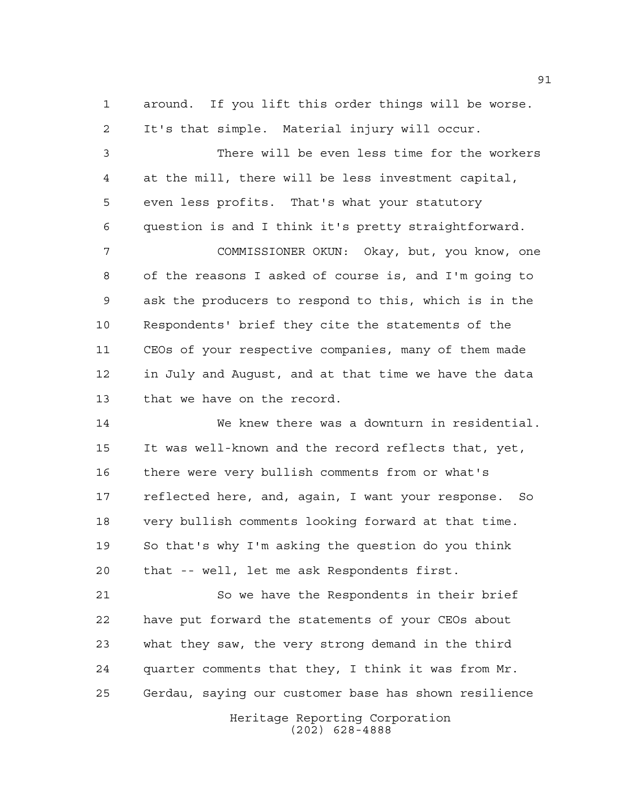around. If you lift this order things will be worse. It's that simple. Material injury will occur.

 There will be even less time for the workers at the mill, there will be less investment capital, even less profits. That's what your statutory question is and I think it's pretty straightforward.

 COMMISSIONER OKUN: Okay, but, you know, one of the reasons I asked of course is, and I'm going to ask the producers to respond to this, which is in the Respondents' brief they cite the statements of the CEOs of your respective companies, many of them made in July and August, and at that time we have the data that we have on the record.

 We knew there was a downturn in residential. It was well-known and the record reflects that, yet, there were very bullish comments from or what's reflected here, and, again, I want your response. So very bullish comments looking forward at that time. So that's why I'm asking the question do you think that -- well, let me ask Respondents first.

 So we have the Respondents in their brief have put forward the statements of your CEOs about what they saw, the very strong demand in the third quarter comments that they, I think it was from Mr. Gerdau, saying our customer base has shown resilience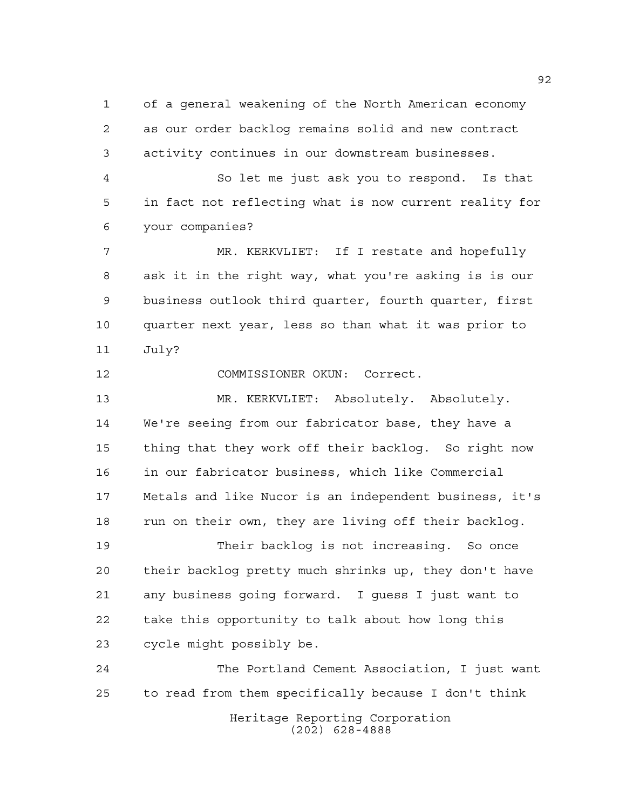of a general weakening of the North American economy as our order backlog remains solid and new contract activity continues in our downstream businesses.

 So let me just ask you to respond. Is that in fact not reflecting what is now current reality for your companies?

 MR. KERKVLIET: If I restate and hopefully ask it in the right way, what you're asking is is our business outlook third quarter, fourth quarter, first quarter next year, less so than what it was prior to July?

COMMISSIONER OKUN: Correct.

 MR. KERKVLIET: Absolutely. Absolutely. We're seeing from our fabricator base, they have a thing that they work off their backlog. So right now in our fabricator business, which like Commercial Metals and like Nucor is an independent business, it's 18 run on their own, they are living off their backlog.

 Their backlog is not increasing. So once their backlog pretty much shrinks up, they don't have any business going forward. I guess I just want to take this opportunity to talk about how long this cycle might possibly be.

Heritage Reporting Corporation (202) 628-4888 The Portland Cement Association, I just want to read from them specifically because I don't think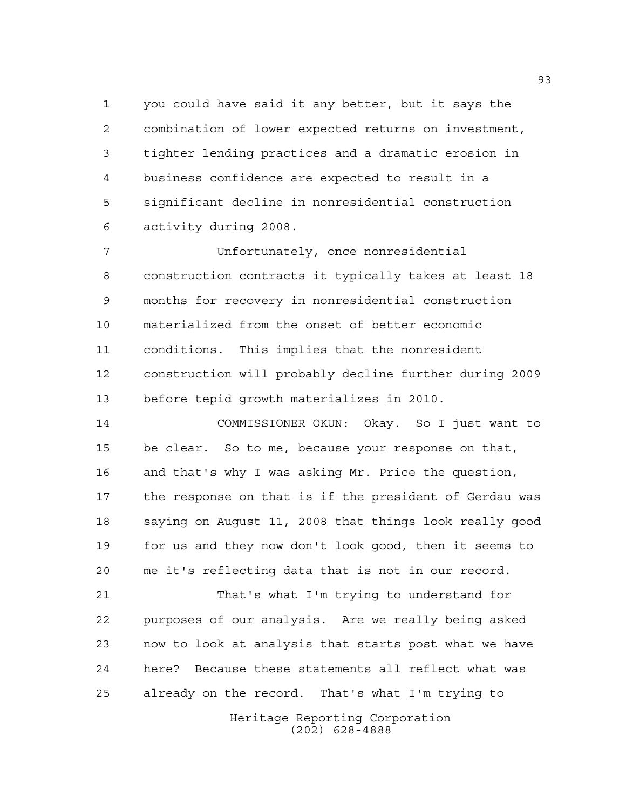you could have said it any better, but it says the combination of lower expected returns on investment, tighter lending practices and a dramatic erosion in business confidence are expected to result in a significant decline in nonresidential construction activity during 2008.

 Unfortunately, once nonresidential construction contracts it typically takes at least 18 months for recovery in nonresidential construction materialized from the onset of better economic conditions. This implies that the nonresident construction will probably decline further during 2009 before tepid growth materializes in 2010.

 COMMISSIONER OKUN: Okay. So I just want to be clear. So to me, because your response on that, and that's why I was asking Mr. Price the question, the response on that is if the president of Gerdau was saying on August 11, 2008 that things look really good for us and they now don't look good, then it seems to me it's reflecting data that is not in our record.

 That's what I'm trying to understand for purposes of our analysis. Are we really being asked now to look at analysis that starts post what we have here? Because these statements all reflect what was already on the record. That's what I'm trying to

> Heritage Reporting Corporation (202) 628-4888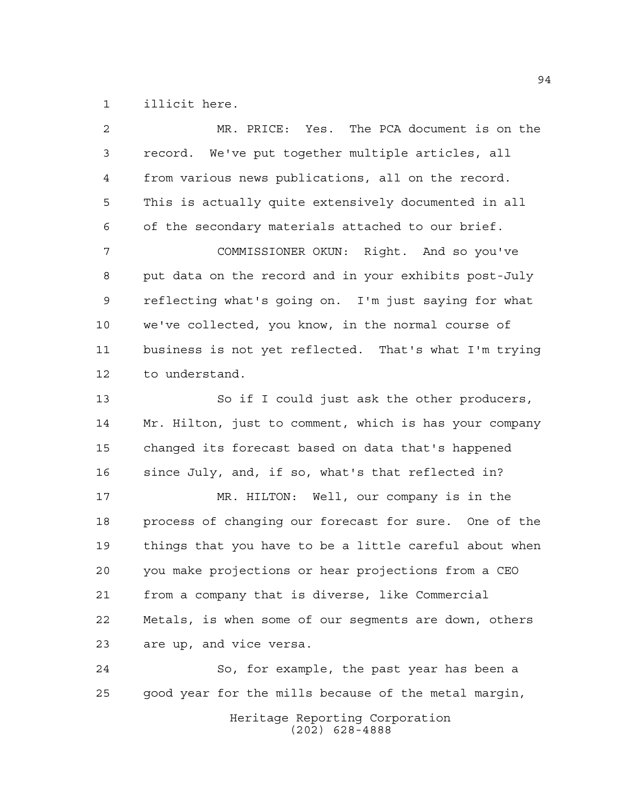illicit here.

 MR. PRICE: Yes. The PCA document is on the record. We've put together multiple articles, all from various news publications, all on the record. This is actually quite extensively documented in all of the secondary materials attached to our brief. COMMISSIONER OKUN: Right. And so you've put data on the record and in your exhibits post-July reflecting what's going on. I'm just saying for what we've collected, you know, in the normal course of business is not yet reflected. That's what I'm trying to understand. So if I could just ask the other producers, Mr. Hilton, just to comment, which is has your company changed its forecast based on data that's happened since July, and, if so, what's that reflected in? MR. HILTON: Well, our company is in the process of changing our forecast for sure. One of the things that you have to be a little careful about when you make projections or hear projections from a CEO from a company that is diverse, like Commercial Metals, is when some of our segments are down, others are up, and vice versa. So, for example, the past year has been a good year for the mills because of the metal margin,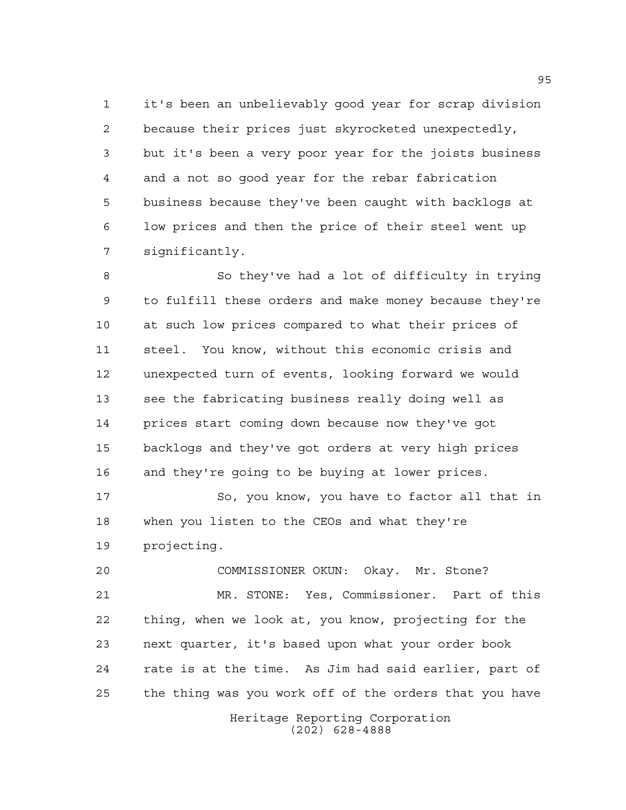it's been an unbelievably good year for scrap division because their prices just skyrocketed unexpectedly, but it's been a very poor year for the joists business and a not so good year for the rebar fabrication business because they've been caught with backlogs at low prices and then the price of their steel went up significantly.

 So they've had a lot of difficulty in trying to fulfill these orders and make money because they're at such low prices compared to what their prices of steel. You know, without this economic crisis and unexpected turn of events, looking forward we would see the fabricating business really doing well as prices start coming down because now they've got backlogs and they've got orders at very high prices and they're going to be buying at lower prices.

 So, you know, you have to factor all that in when you listen to the CEOs and what they're projecting.

 COMMISSIONER OKUN: Okay. Mr. Stone? MR. STONE: Yes, Commissioner. Part of this thing, when we look at, you know, projecting for the next quarter, it's based upon what your order book rate is at the time. As Jim had said earlier, part of the thing was you work off of the orders that you have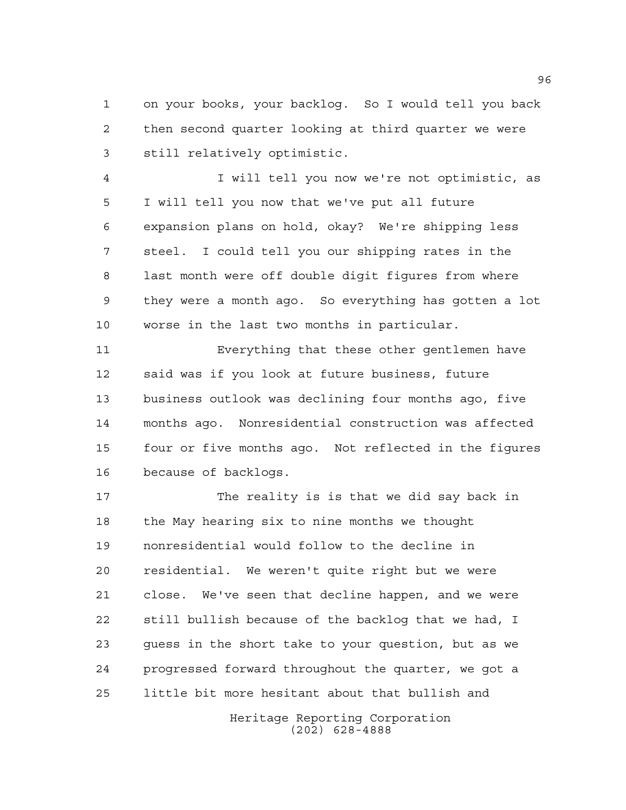on your books, your backlog. So I would tell you back then second quarter looking at third quarter we were still relatively optimistic.

 I will tell you now we're not optimistic, as I will tell you now that we've put all future expansion plans on hold, okay? We're shipping less steel. I could tell you our shipping rates in the last month were off double digit figures from where they were a month ago. So everything has gotten a lot worse in the last two months in particular.

 Everything that these other gentlemen have said was if you look at future business, future business outlook was declining four months ago, five months ago. Nonresidential construction was affected four or five months ago. Not reflected in the figures because of backlogs.

 The reality is is that we did say back in the May hearing six to nine months we thought nonresidential would follow to the decline in residential. We weren't quite right but we were close. We've seen that decline happen, and we were still bullish because of the backlog that we had, I guess in the short take to your question, but as we progressed forward throughout the quarter, we got a little bit more hesitant about that bullish and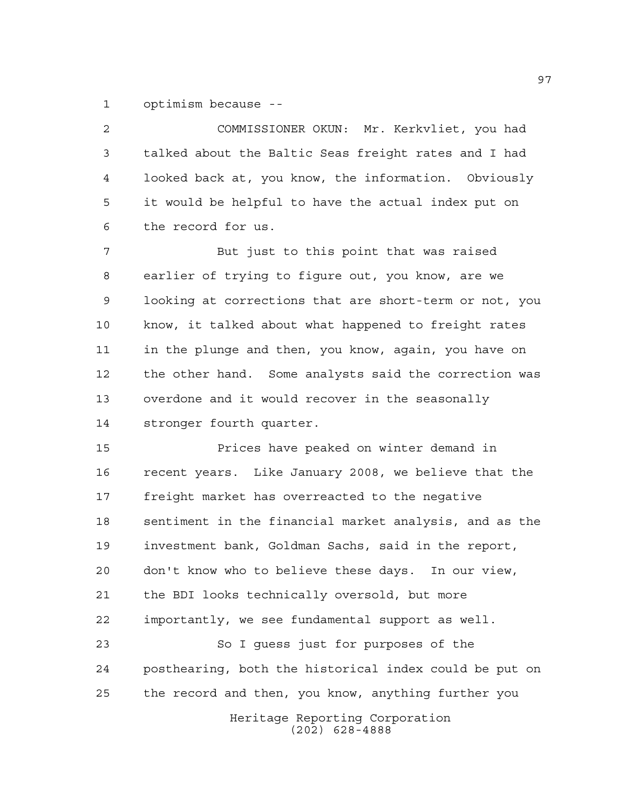optimism because --

Heritage Reporting Corporation (202) 628-4888 COMMISSIONER OKUN: Mr. Kerkvliet, you had talked about the Baltic Seas freight rates and I had looked back at, you know, the information. Obviously it would be helpful to have the actual index put on the record for us. But just to this point that was raised earlier of trying to figure out, you know, are we looking at corrections that are short-term or not, you know, it talked about what happened to freight rates in the plunge and then, you know, again, you have on the other hand. Some analysts said the correction was overdone and it would recover in the seasonally stronger fourth quarter. Prices have peaked on winter demand in recent years. Like January 2008, we believe that the freight market has overreacted to the negative sentiment in the financial market analysis, and as the investment bank, Goldman Sachs, said in the report, don't know who to believe these days. In our view, the BDI looks technically oversold, but more importantly, we see fundamental support as well. So I guess just for purposes of the posthearing, both the historical index could be put on the record and then, you know, anything further you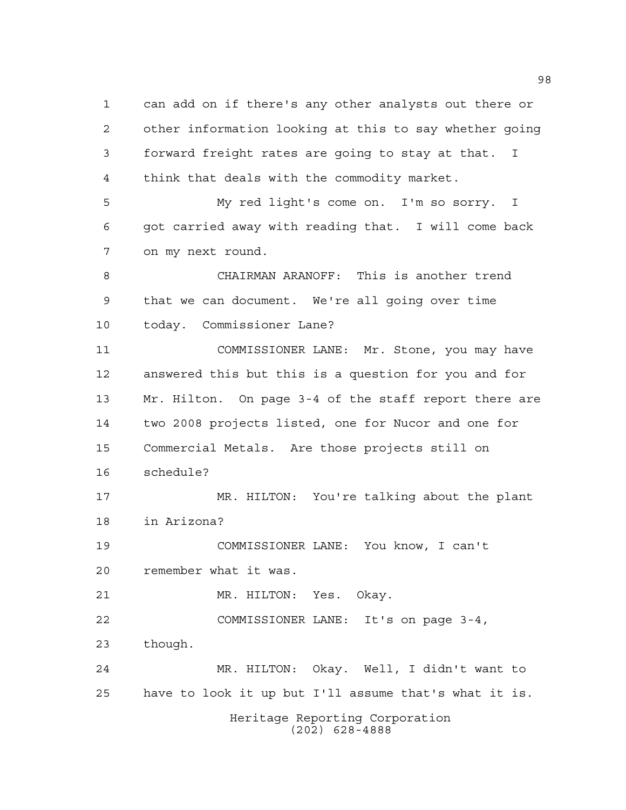Heritage Reporting Corporation (202) 628-4888 can add on if there's any other analysts out there or other information looking at this to say whether going forward freight rates are going to stay at that. I think that deals with the commodity market. My red light's come on. I'm so sorry. I got carried away with reading that. I will come back on my next round. CHAIRMAN ARANOFF: This is another trend that we can document. We're all going over time today. Commissioner Lane? COMMISSIONER LANE: Mr. Stone, you may have answered this but this is a question for you and for Mr. Hilton. On page 3-4 of the staff report there are two 2008 projects listed, one for Nucor and one for Commercial Metals. Are those projects still on schedule? MR. HILTON: You're talking about the plant in Arizona? COMMISSIONER LANE: You know, I can't remember what it was. MR. HILTON: Yes. Okay. COMMISSIONER LANE: It's on page 3-4, though. MR. HILTON: Okay. Well, I didn't want to have to look it up but I'll assume that's what it is.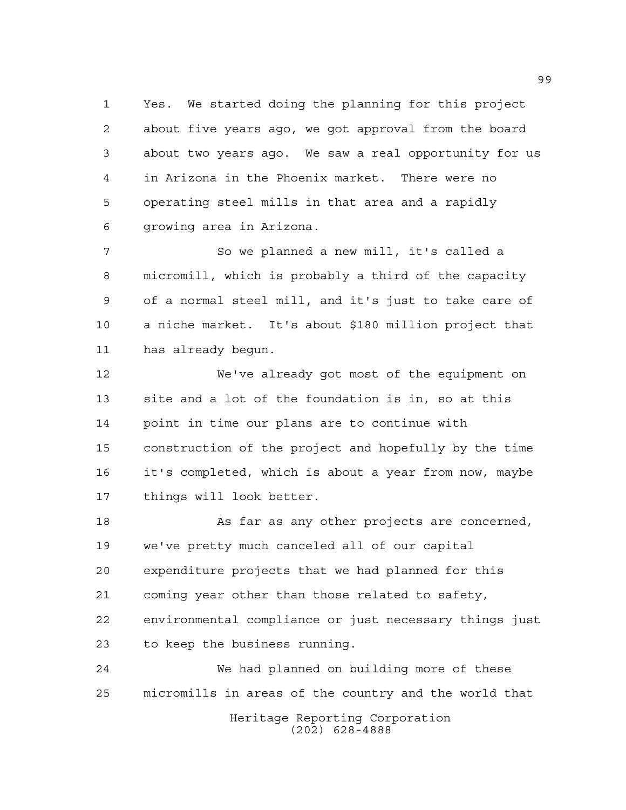Yes. We started doing the planning for this project about five years ago, we got approval from the board about two years ago. We saw a real opportunity for us in Arizona in the Phoenix market. There were no operating steel mills in that area and a rapidly growing area in Arizona.

 So we planned a new mill, it's called a micromill, which is probably a third of the capacity of a normal steel mill, and it's just to take care of a niche market. It's about \$180 million project that has already begun.

 We've already got most of the equipment on site and a lot of the foundation is in, so at this point in time our plans are to continue with construction of the project and hopefully by the time it's completed, which is about a year from now, maybe things will look better.

 As far as any other projects are concerned, we've pretty much canceled all of our capital expenditure projects that we had planned for this coming year other than those related to safety, environmental compliance or just necessary things just to keep the business running.

 We had planned on building more of these micromills in areas of the country and the world that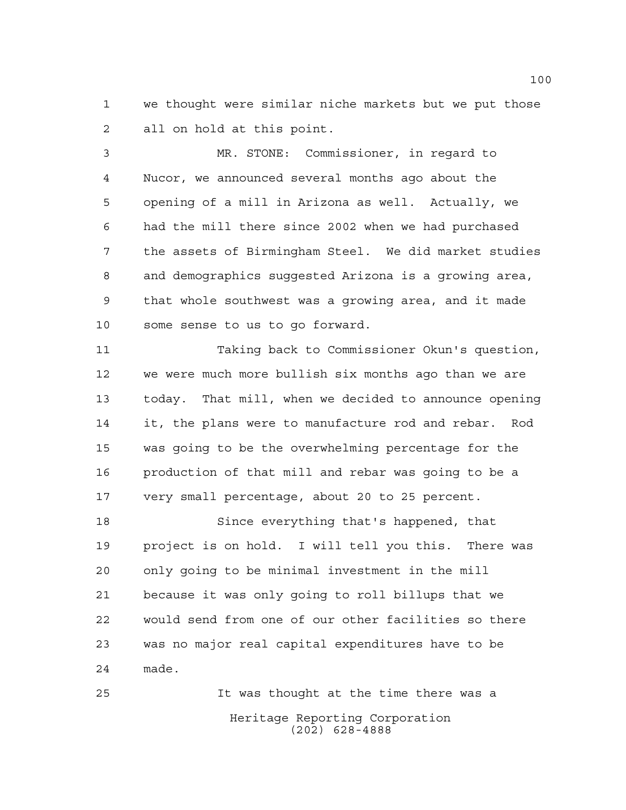we thought were similar niche markets but we put those all on hold at this point.

 MR. STONE: Commissioner, in regard to Nucor, we announced several months ago about the opening of a mill in Arizona as well. Actually, we had the mill there since 2002 when we had purchased the assets of Birmingham Steel. We did market studies and demographics suggested Arizona is a growing area, that whole southwest was a growing area, and it made some sense to us to go forward.

 Taking back to Commissioner Okun's question, we were much more bullish six months ago than we are today. That mill, when we decided to announce opening it, the plans were to manufacture rod and rebar. Rod was going to be the overwhelming percentage for the production of that mill and rebar was going to be a very small percentage, about 20 to 25 percent.

 Since everything that's happened, that project is on hold. I will tell you this. There was only going to be minimal investment in the mill because it was only going to roll billups that we would send from one of our other facilities so there was no major real capital expenditures have to be made.

Heritage Reporting Corporation (202) 628-4888 It was thought at the time there was a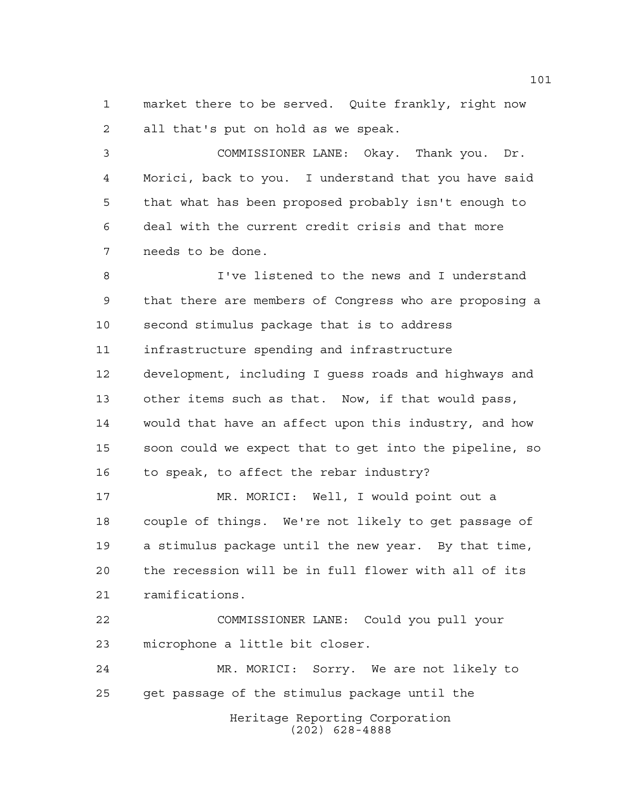market there to be served. Quite frankly, right now all that's put on hold as we speak.

 COMMISSIONER LANE: Okay. Thank you. Dr. Morici, back to you. I understand that you have said that what has been proposed probably isn't enough to deal with the current credit crisis and that more needs to be done.

 I've listened to the news and I understand that there are members of Congress who are proposing a second stimulus package that is to address infrastructure spending and infrastructure development, including I guess roads and highways and other items such as that. Now, if that would pass, would that have an affect upon this industry, and how soon could we expect that to get into the pipeline, so to speak, to affect the rebar industry? MR. MORICI: Well, I would point out a

 couple of things. We're not likely to get passage of a stimulus package until the new year. By that time, the recession will be in full flower with all of its ramifications.

 COMMISSIONER LANE: Could you pull your microphone a little bit closer.

Heritage Reporting Corporation MR. MORICI: Sorry. We are not likely to get passage of the stimulus package until the

(202) 628-4888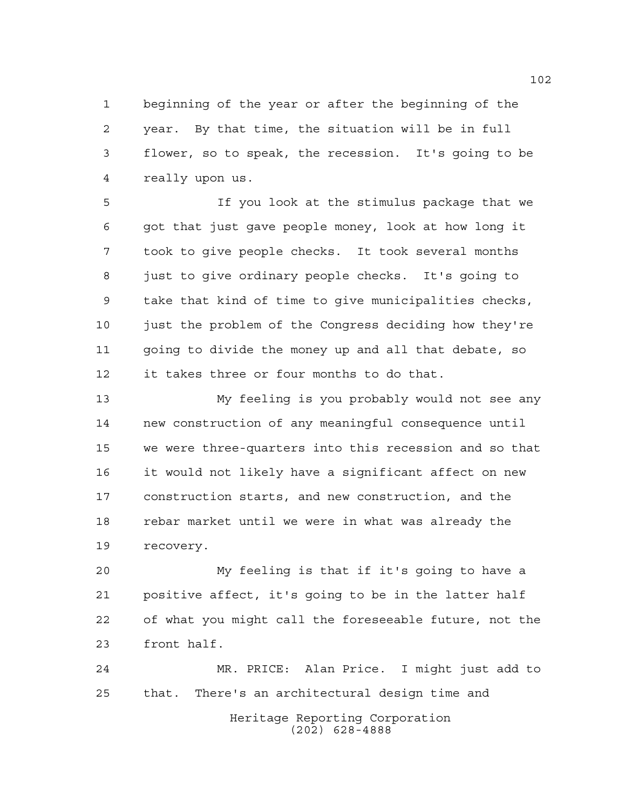beginning of the year or after the beginning of the year. By that time, the situation will be in full flower, so to speak, the recession. It's going to be really upon us.

 If you look at the stimulus package that we got that just gave people money, look at how long it took to give people checks. It took several months just to give ordinary people checks. It's going to take that kind of time to give municipalities checks, just the problem of the Congress deciding how they're going to divide the money up and all that debate, so it takes three or four months to do that.

 My feeling is you probably would not see any new construction of any meaningful consequence until we were three-quarters into this recession and so that it would not likely have a significant affect on new construction starts, and new construction, and the rebar market until we were in what was already the recovery.

 My feeling is that if it's going to have a positive affect, it's going to be in the latter half of what you might call the foreseeable future, not the front half.

Heritage Reporting Corporation MR. PRICE: Alan Price. I might just add to that. There's an architectural design time and

(202) 628-4888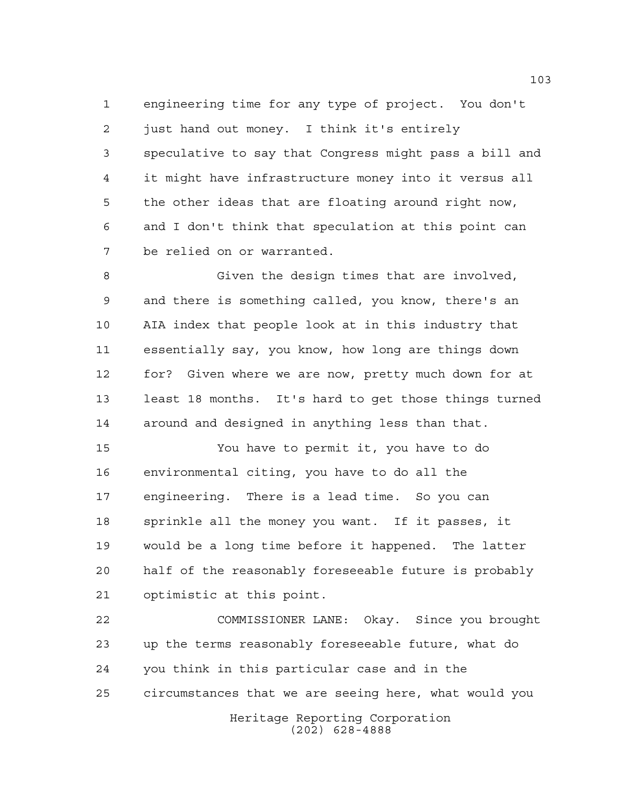engineering time for any type of project. You don't just hand out money. I think it's entirely speculative to say that Congress might pass a bill and it might have infrastructure money into it versus all the other ideas that are floating around right now, and I don't think that speculation at this point can be relied on or warranted.

 Given the design times that are involved, and there is something called, you know, there's an AIA index that people look at in this industry that essentially say, you know, how long are things down for? Given where we are now, pretty much down for at least 18 months. It's hard to get those things turned around and designed in anything less than that.

 You have to permit it, you have to do environmental citing, you have to do all the engineering. There is a lead time. So you can sprinkle all the money you want. If it passes, it would be a long time before it happened. The latter half of the reasonably foreseeable future is probably optimistic at this point.

Heritage Reporting Corporation (202) 628-4888 COMMISSIONER LANE: Okay. Since you brought up the terms reasonably foreseeable future, what do you think in this particular case and in the circumstances that we are seeing here, what would you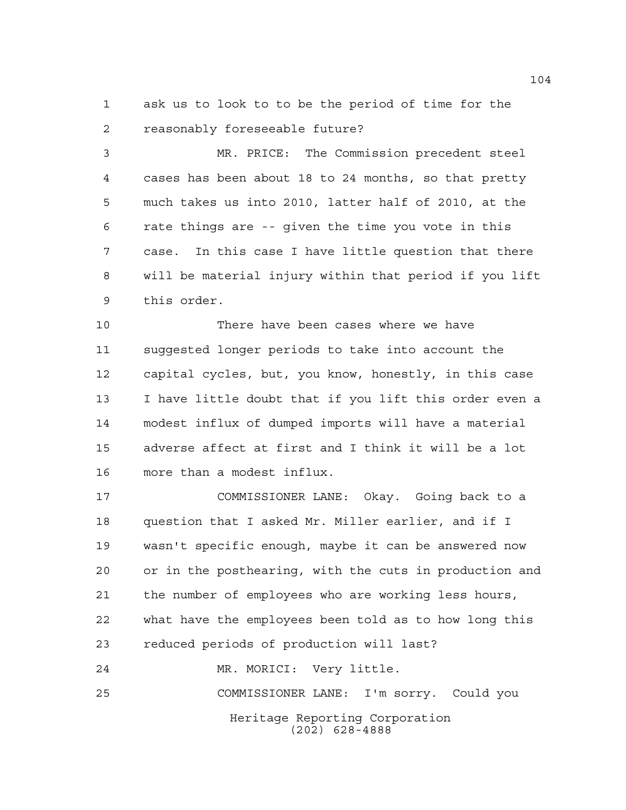ask us to look to to be the period of time for the reasonably foreseeable future?

 MR. PRICE: The Commission precedent steel cases has been about 18 to 24 months, so that pretty much takes us into 2010, latter half of 2010, at the rate things are -- given the time you vote in this case. In this case I have little question that there will be material injury within that period if you lift this order.

 There have been cases where we have suggested longer periods to take into account the capital cycles, but, you know, honestly, in this case I have little doubt that if you lift this order even a modest influx of dumped imports will have a material adverse affect at first and I think it will be a lot more than a modest influx.

 COMMISSIONER LANE: Okay. Going back to a question that I asked Mr. Miller earlier, and if I wasn't specific enough, maybe it can be answered now or in the posthearing, with the cuts in production and the number of employees who are working less hours, what have the employees been told as to how long this reduced periods of production will last?

Heritage Reporting Corporation (202) 628-4888 MR. MORICI: Very little. COMMISSIONER LANE: I'm sorry. Could you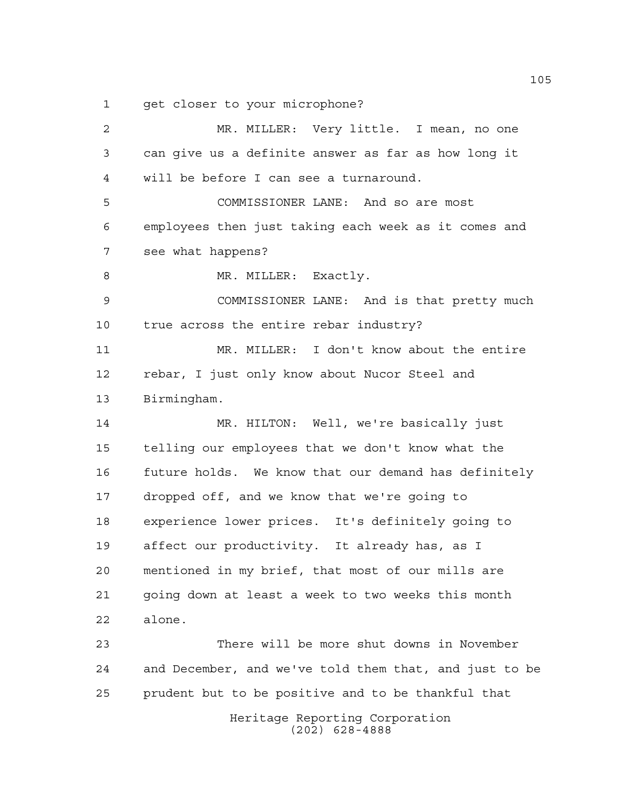1 get closer to your microphone?

Heritage Reporting Corporation (202) 628-4888 MR. MILLER: Very little. I mean, no one can give us a definite answer as far as how long it will be before I can see a turnaround. COMMISSIONER LANE: And so are most employees then just taking each week as it comes and see what happens? 8 MR. MILLER: Exactly. COMMISSIONER LANE: And is that pretty much true across the entire rebar industry? MR. MILLER: I don't know about the entire rebar, I just only know about Nucor Steel and Birmingham. MR. HILTON: Well, we're basically just telling our employees that we don't know what the future holds. We know that our demand has definitely dropped off, and we know that we're going to experience lower prices. It's definitely going to affect our productivity. It already has, as I mentioned in my brief, that most of our mills are going down at least a week to two weeks this month alone. There will be more shut downs in November and December, and we've told them that, and just to be prudent but to be positive and to be thankful that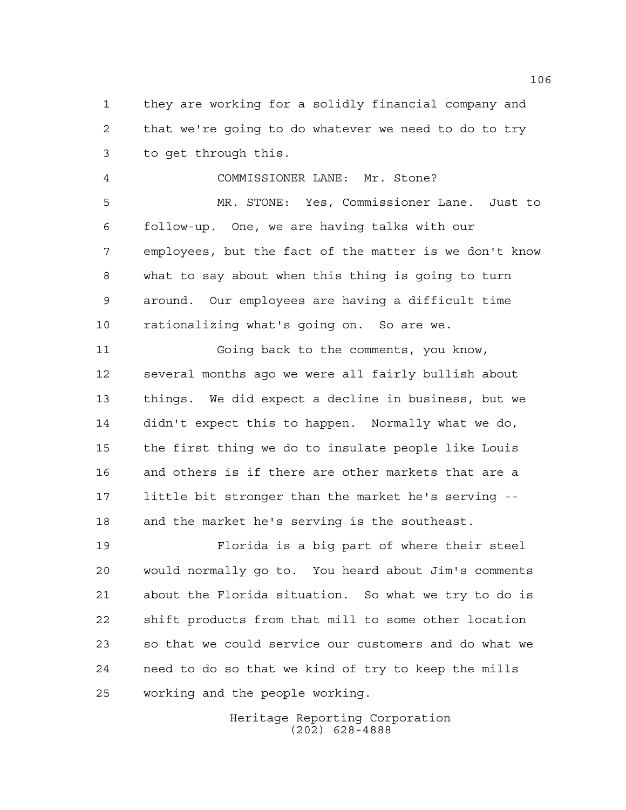they are working for a solidly financial company and that we're going to do whatever we need to do to try to get through this.

 COMMISSIONER LANE: Mr. Stone? MR. STONE: Yes, Commissioner Lane. Just to follow-up. One, we are having talks with our employees, but the fact of the matter is we don't know what to say about when this thing is going to turn around. Our employees are having a difficult time rationalizing what's going on. So are we.

 Going back to the comments, you know, several months ago we were all fairly bullish about things. We did expect a decline in business, but we didn't expect this to happen. Normally what we do, the first thing we do to insulate people like Louis and others is if there are other markets that are a little bit stronger than the market he's serving -- and the market he's serving is the southeast.

 Florida is a big part of where their steel would normally go to. You heard about Jim's comments about the Florida situation. So what we try to do is shift products from that mill to some other location so that we could service our customers and do what we need to do so that we kind of try to keep the mills working and the people working.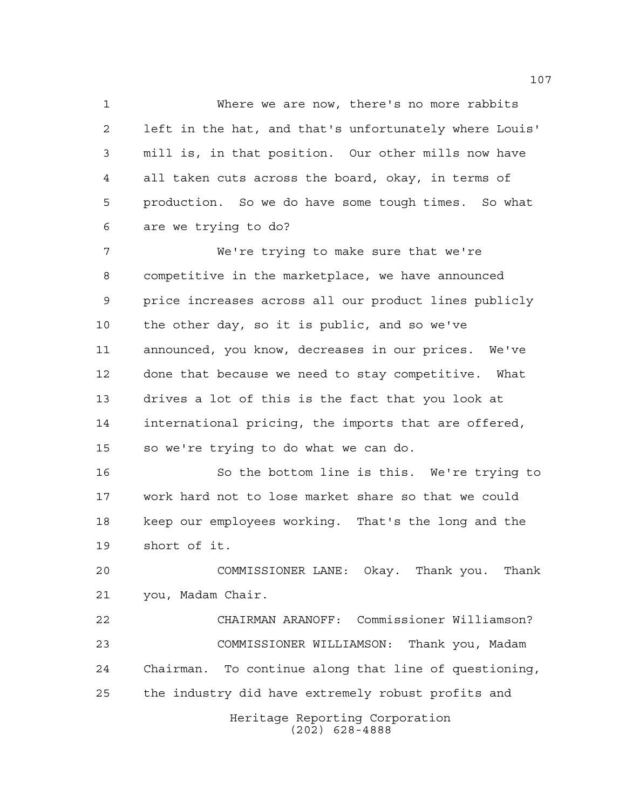Where we are now, there's no more rabbits left in the hat, and that's unfortunately where Louis' mill is, in that position. Our other mills now have all taken cuts across the board, okay, in terms of production. So we do have some tough times. So what are we trying to do?

 We're trying to make sure that we're competitive in the marketplace, we have announced price increases across all our product lines publicly the other day, so it is public, and so we've announced, you know, decreases in our prices. We've done that because we need to stay competitive. What drives a lot of this is the fact that you look at international pricing, the imports that are offered, so we're trying to do what we can do.

 So the bottom line is this. We're trying to work hard not to lose market share so that we could keep our employees working. That's the long and the short of it.

 COMMISSIONER LANE: Okay. Thank you. Thank you, Madam Chair.

 CHAIRMAN ARANOFF: Commissioner Williamson? COMMISSIONER WILLIAMSON: Thank you, Madam Chairman. To continue along that line of questioning, the industry did have extremely robust profits and

Heritage Reporting Corporation (202) 628-4888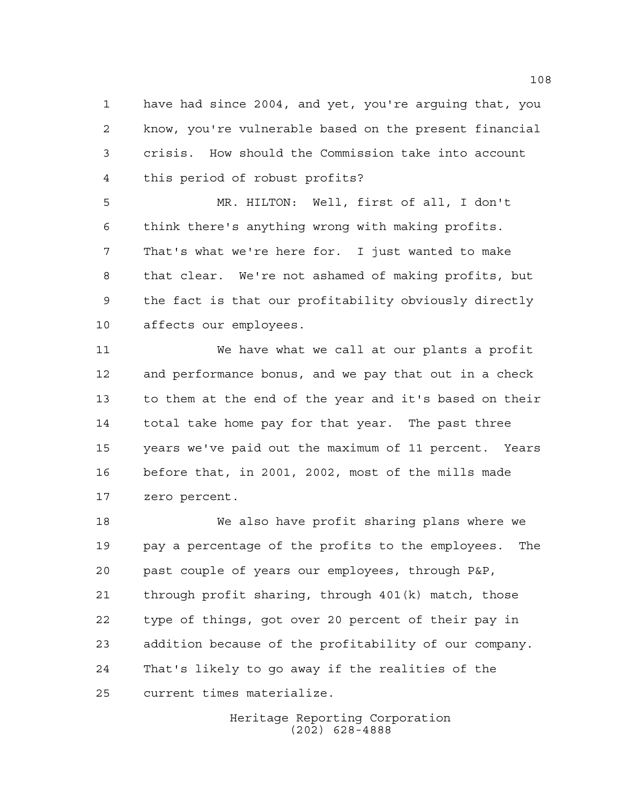have had since 2004, and yet, you're arguing that, you know, you're vulnerable based on the present financial crisis. How should the Commission take into account this period of robust profits?

 MR. HILTON: Well, first of all, I don't think there's anything wrong with making profits. That's what we're here for. I just wanted to make that clear. We're not ashamed of making profits, but the fact is that our profitability obviously directly affects our employees.

 We have what we call at our plants a profit and performance bonus, and we pay that out in a check to them at the end of the year and it's based on their total take home pay for that year. The past three years we've paid out the maximum of 11 percent. Years before that, in 2001, 2002, most of the mills made zero percent.

 We also have profit sharing plans where we pay a percentage of the profits to the employees. The past couple of years our employees, through P&P, through profit sharing, through 401(k) match, those type of things, got over 20 percent of their pay in addition because of the profitability of our company. That's likely to go away if the realities of the current times materialize.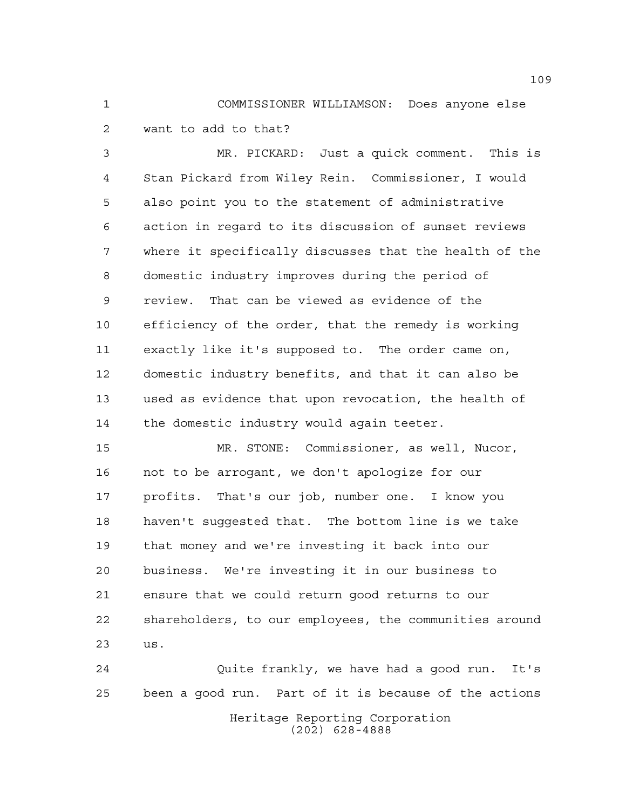COMMISSIONER WILLIAMSON: Does anyone else want to add to that?

 MR. PICKARD: Just a quick comment. This is Stan Pickard from Wiley Rein. Commissioner, I would also point you to the statement of administrative action in regard to its discussion of sunset reviews where it specifically discusses that the health of the domestic industry improves during the period of review. That can be viewed as evidence of the efficiency of the order, that the remedy is working exactly like it's supposed to. The order came on, domestic industry benefits, and that it can also be used as evidence that upon revocation, the health of the domestic industry would again teeter.

 MR. STONE: Commissioner, as well, Nucor, not to be arrogant, we don't apologize for our profits. That's our job, number one. I know you haven't suggested that. The bottom line is we take that money and we're investing it back into our business. We're investing it in our business to ensure that we could return good returns to our shareholders, to our employees, the communities around us.

Heritage Reporting Corporation (202) 628-4888 Quite frankly, we have had a good run. It's been a good run. Part of it is because of the actions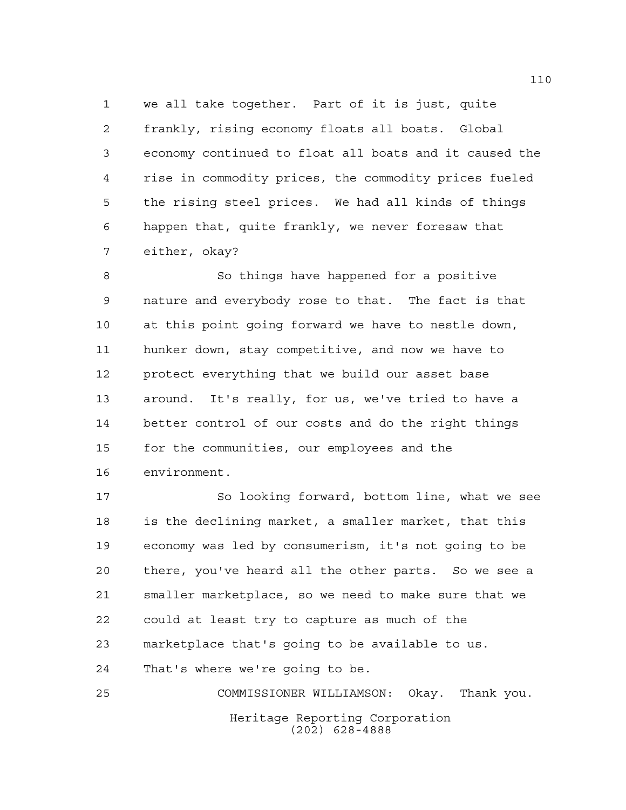we all take together. Part of it is just, quite frankly, rising economy floats all boats. Global economy continued to float all boats and it caused the rise in commodity prices, the commodity prices fueled the rising steel prices. We had all kinds of things happen that, quite frankly, we never foresaw that either, okay?

 So things have happened for a positive nature and everybody rose to that. The fact is that at this point going forward we have to nestle down, hunker down, stay competitive, and now we have to protect everything that we build our asset base around. It's really, for us, we've tried to have a better control of our costs and do the right things for the communities, our employees and the environment.

 So looking forward, bottom line, what we see is the declining market, a smaller market, that this economy was led by consumerism, it's not going to be there, you've heard all the other parts. So we see a smaller marketplace, so we need to make sure that we could at least try to capture as much of the marketplace that's going to be available to us. That's where we're going to be.

Heritage Reporting Corporation (202) 628-4888 COMMISSIONER WILLIAMSON: Okay. Thank you.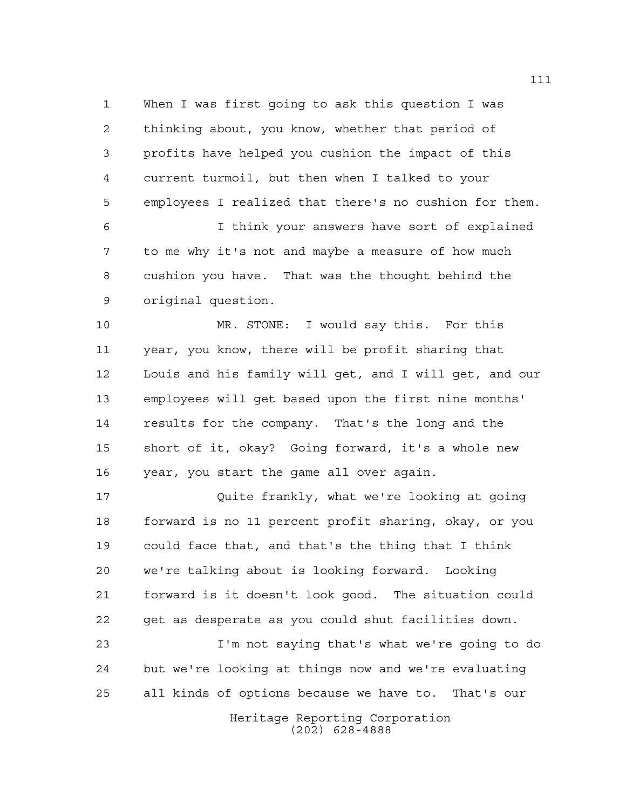When I was first going to ask this question I was thinking about, you know, whether that period of profits have helped you cushion the impact of this current turmoil, but then when I talked to your employees I realized that there's no cushion for them.

 I think your answers have sort of explained to me why it's not and maybe a measure of how much cushion you have. That was the thought behind the original question.

 MR. STONE: I would say this. For this year, you know, there will be profit sharing that Louis and his family will get, and I will get, and our employees will get based upon the first nine months' results for the company. That's the long and the short of it, okay? Going forward, it's a whole new year, you start the game all over again.

 Quite frankly, what we're looking at going forward is no 11 percent profit sharing, okay, or you could face that, and that's the thing that I think we're talking about is looking forward. Looking forward is it doesn't look good. The situation could get as desperate as you could shut facilities down.

 I'm not saying that's what we're going to do but we're looking at things now and we're evaluating all kinds of options because we have to. That's our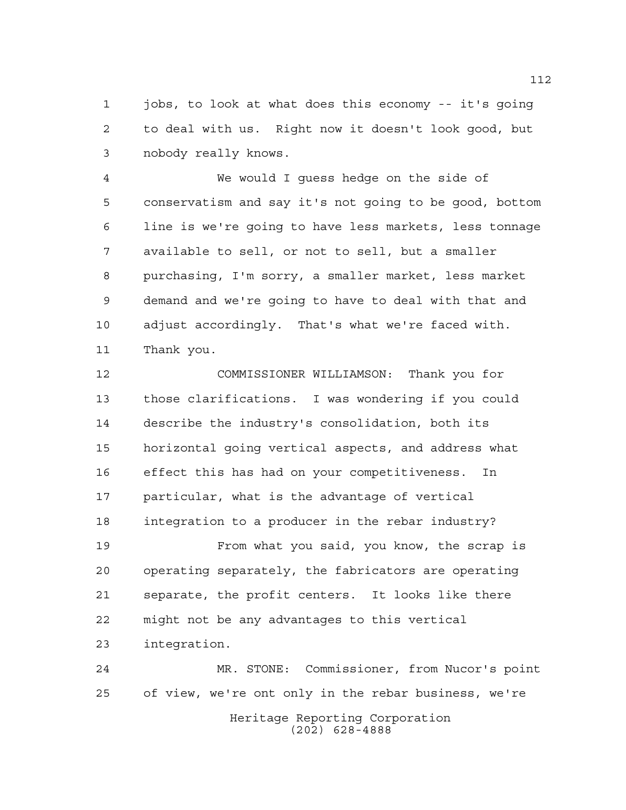jobs, to look at what does this economy -- it's going to deal with us. Right now it doesn't look good, but nobody really knows.

 We would I guess hedge on the side of conservatism and say it's not going to be good, bottom line is we're going to have less markets, less tonnage available to sell, or not to sell, but a smaller purchasing, I'm sorry, a smaller market, less market demand and we're going to have to deal with that and adjust accordingly. That's what we're faced with. Thank you.

 COMMISSIONER WILLIAMSON: Thank you for those clarifications. I was wondering if you could describe the industry's consolidation, both its horizontal going vertical aspects, and address what effect this has had on your competitiveness. In particular, what is the advantage of vertical integration to a producer in the rebar industry?

 From what you said, you know, the scrap is operating separately, the fabricators are operating separate, the profit centers. It looks like there might not be any advantages to this vertical integration.

Heritage Reporting Corporation (202) 628-4888 MR. STONE: Commissioner, from Nucor's point of view, we're ont only in the rebar business, we're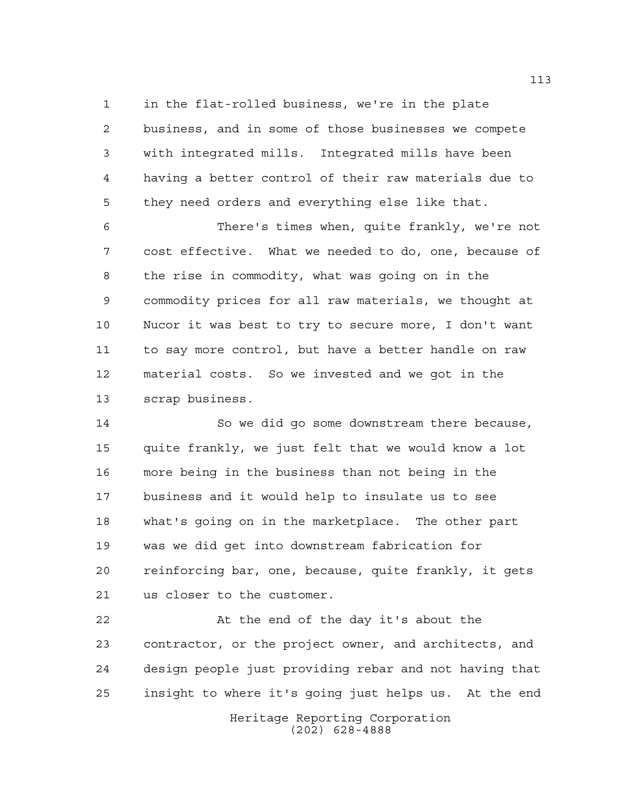in the flat-rolled business, we're in the plate business, and in some of those businesses we compete with integrated mills. Integrated mills have been having a better control of their raw materials due to

 they need orders and everything else like that. There's times when, quite frankly, we're not cost effective. What we needed to do, one, because of the rise in commodity, what was going on in the

 commodity prices for all raw materials, we thought at Nucor it was best to try to secure more, I don't want to say more control, but have a better handle on raw material costs. So we invested and we got in the scrap business.

 So we did go some downstream there because, quite frankly, we just felt that we would know a lot more being in the business than not being in the business and it would help to insulate us to see what's going on in the marketplace. The other part was we did get into downstream fabrication for reinforcing bar, one, because, quite frankly, it gets us closer to the customer.

 At the end of the day it's about the contractor, or the project owner, and architects, and design people just providing rebar and not having that insight to where it's going just helps us. At the end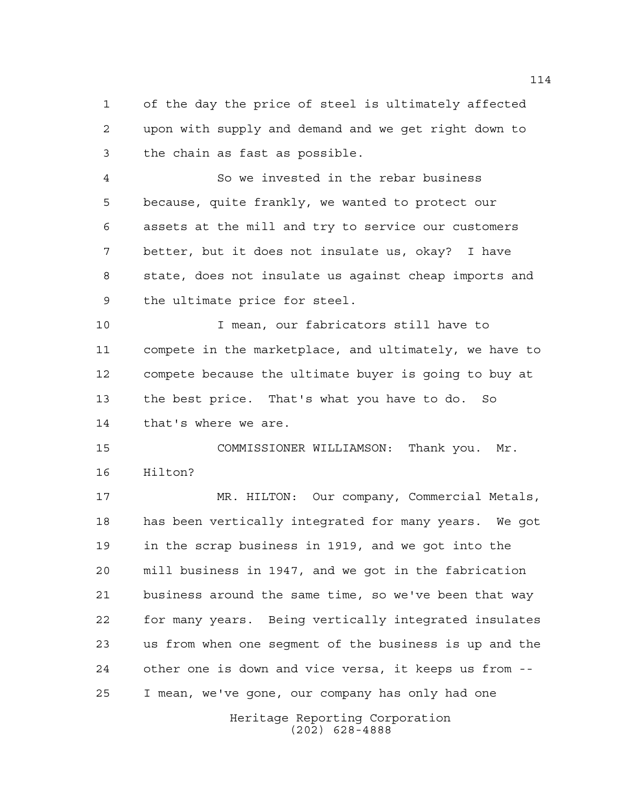of the day the price of steel is ultimately affected upon with supply and demand and we get right down to the chain as fast as possible.

 So we invested in the rebar business because, quite frankly, we wanted to protect our assets at the mill and try to service our customers better, but it does not insulate us, okay? I have state, does not insulate us against cheap imports and the ultimate price for steel.

 I mean, our fabricators still have to compete in the marketplace, and ultimately, we have to compete because the ultimate buyer is going to buy at the best price. That's what you have to do. So that's where we are.

 COMMISSIONER WILLIAMSON: Thank you. Mr. Hilton?

 MR. HILTON: Our company, Commercial Metals, has been vertically integrated for many years. We got in the scrap business in 1919, and we got into the mill business in 1947, and we got in the fabrication business around the same time, so we've been that way for many years. Being vertically integrated insulates us from when one segment of the business is up and the other one is down and vice versa, it keeps us from -- I mean, we've gone, our company has only had one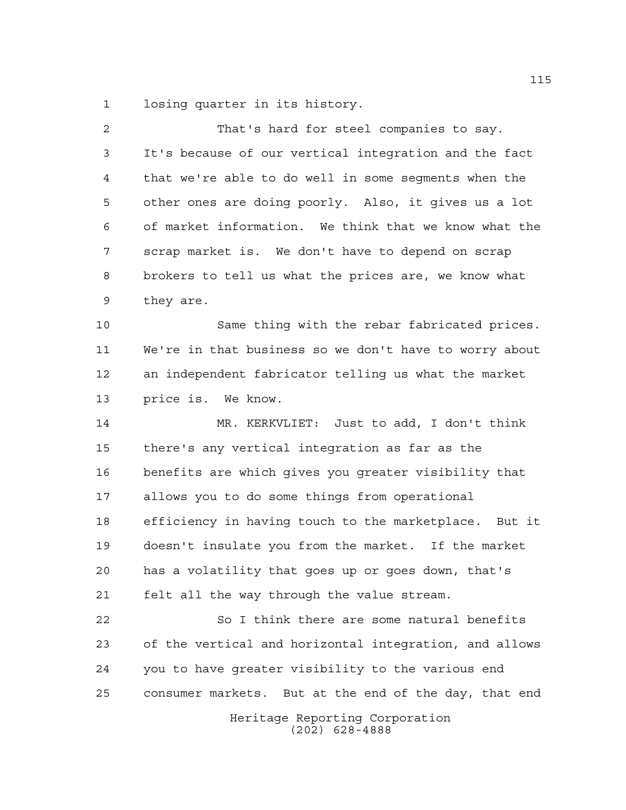losing quarter in its history.

| 2  | That's hard for steel companies to say.                |
|----|--------------------------------------------------------|
| 3  | It's because of our vertical integration and the fact  |
| 4  | that we're able to do well in some segments when the   |
| 5  | other ones are doing poorly. Also, it gives us a lot   |
| 6  | of market information. We think that we know what the  |
| 7  | scrap market is. We don't have to depend on scrap      |
| 8  | brokers to tell us what the prices are, we know what   |
| 9  | they are.                                              |
| 10 | Same thing with the rebar fabricated prices.           |
| 11 | We're in that business so we don't have to worry about |
| 12 | an independent fabricator telling us what the market   |
| 13 | price is. We know.                                     |
| 14 | MR. KERKVLIET: Just to add, I don't think              |
| 15 | there's any vertical integration as far as the         |
| 16 | benefits are which gives you greater visibility that   |
| 17 | allows you to do some things from operational          |
| 18 | efficiency in having touch to the marketplace. But it  |
| 19 | doesn't insulate you from the market. If the market    |
| 20 | has a volatility that goes up or goes down, that's     |
| 21 | felt all the way through the value stream.             |
| 22 | So I think there are some natural benefits             |
| 23 | of the vertical and horizontal integration, and allows |
| 24 | you to have greater visibility to the various end      |
| 25 | consumer markets. But at the end of the day, that end  |
|    | Heritage Reporting Corporation                         |

(202) 628-4888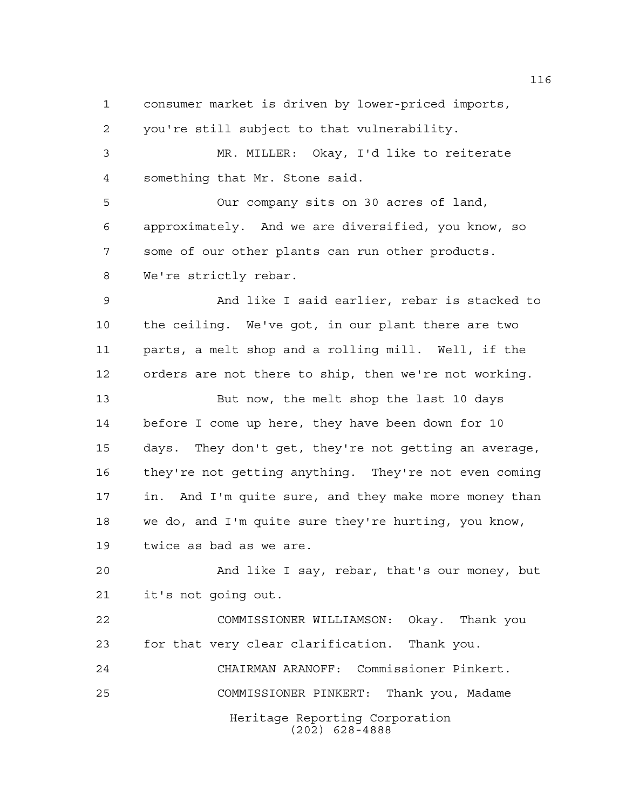consumer market is driven by lower-priced imports,

you're still subject to that vulnerability.

 MR. MILLER: Okay, I'd like to reiterate something that Mr. Stone said.

 Our company sits on 30 acres of land, approximately. And we are diversified, you know, so some of our other plants can run other products. We're strictly rebar.

 And like I said earlier, rebar is stacked to the ceiling. We've got, in our plant there are two parts, a melt shop and a rolling mill. Well, if the orders are not there to ship, then we're not working.

 But now, the melt shop the last 10 days before I come up here, they have been down for 10 days. They don't get, they're not getting an average, they're not getting anything. They're not even coming in. And I'm quite sure, and they make more money than we do, and I'm quite sure they're hurting, you know, twice as bad as we are.

 And like I say, rebar, that's our money, but it's not going out.

 COMMISSIONER WILLIAMSON: Okay. Thank you for that very clear clarification. Thank you.

Heritage Reporting Corporation (202) 628-4888 CHAIRMAN ARANOFF: Commissioner Pinkert. COMMISSIONER PINKERT: Thank you, Madame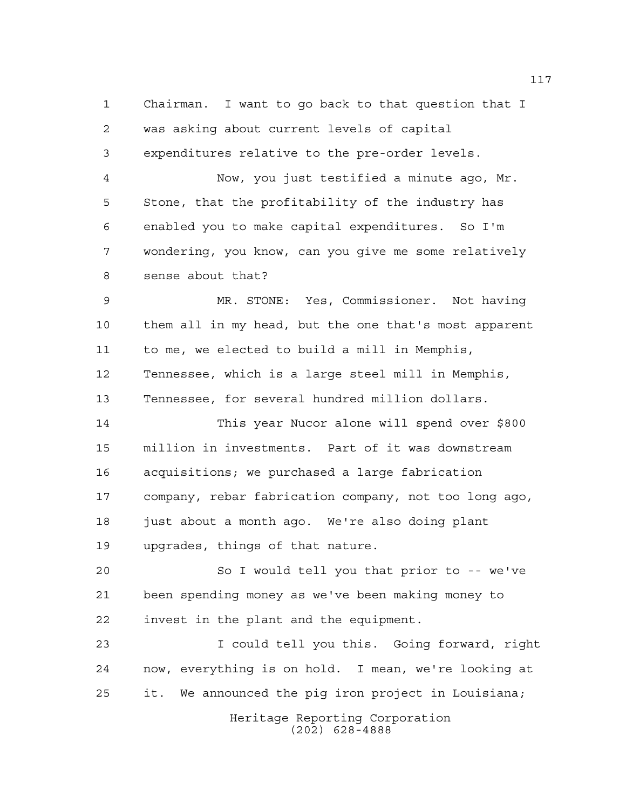Chairman. I want to go back to that question that I was asking about current levels of capital expenditures relative to the pre-order levels. Now, you just testified a minute ago, Mr. Stone, that the profitability of the industry has enabled you to make capital expenditures. So I'm wondering, you know, can you give me some relatively sense about that? MR. STONE: Yes, Commissioner. Not having them all in my head, but the one that's most apparent to me, we elected to build a mill in Memphis, Tennessee, which is a large steel mill in Memphis, Tennessee, for several hundred million dollars. This year Nucor alone will spend over \$800 million in investments. Part of it was downstream acquisitions; we purchased a large fabrication company, rebar fabrication company, not too long ago, just about a month ago. We're also doing plant upgrades, things of that nature. So I would tell you that prior to -- we've been spending money as we've been making money to invest in the plant and the equipment. I could tell you this. Going forward, right now, everything is on hold. I mean, we're looking at it. We announced the pig iron project in Louisiana;

> Heritage Reporting Corporation (202) 628-4888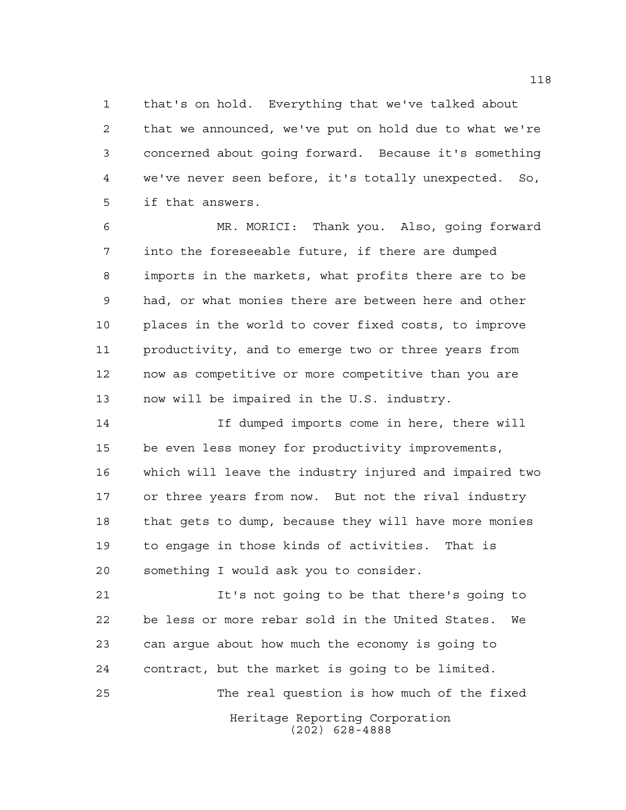that's on hold. Everything that we've talked about that we announced, we've put on hold due to what we're concerned about going forward. Because it's something we've never seen before, it's totally unexpected. So, if that answers.

 MR. MORICI: Thank you. Also, going forward into the foreseeable future, if there are dumped imports in the markets, what profits there are to be had, or what monies there are between here and other places in the world to cover fixed costs, to improve productivity, and to emerge two or three years from now as competitive or more competitive than you are now will be impaired in the U.S. industry.

 If dumped imports come in here, there will be even less money for productivity improvements, which will leave the industry injured and impaired two or three years from now. But not the rival industry that gets to dump, because they will have more monies to engage in those kinds of activities. That is something I would ask you to consider.

Heritage Reporting Corporation (202) 628-4888 It's not going to be that there's going to be less or more rebar sold in the United States. We can argue about how much the economy is going to contract, but the market is going to be limited. The real question is how much of the fixed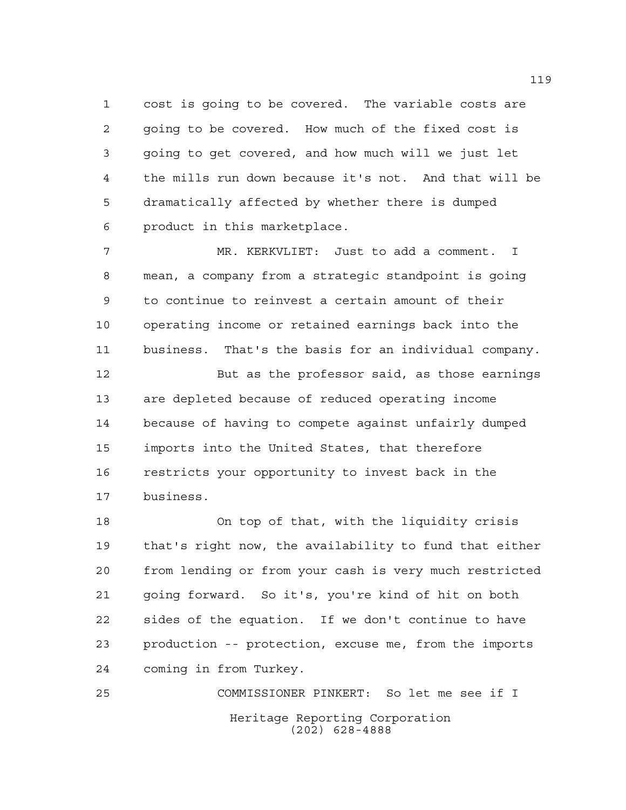cost is going to be covered. The variable costs are going to be covered. How much of the fixed cost is going to get covered, and how much will we just let the mills run down because it's not. And that will be dramatically affected by whether there is dumped product in this marketplace.

 MR. KERKVLIET: Just to add a comment. I mean, a company from a strategic standpoint is going to continue to reinvest a certain amount of their operating income or retained earnings back into the business. That's the basis for an individual company.

 But as the professor said, as those earnings are depleted because of reduced operating income because of having to compete against unfairly dumped imports into the United States, that therefore restricts your opportunity to invest back in the business.

 On top of that, with the liquidity crisis that's right now, the availability to fund that either from lending or from your cash is very much restricted going forward. So it's, you're kind of hit on both sides of the equation. If we don't continue to have production -- protection, excuse me, from the imports coming in from Turkey.

Heritage Reporting Corporation (202) 628-4888 COMMISSIONER PINKERT: So let me see if I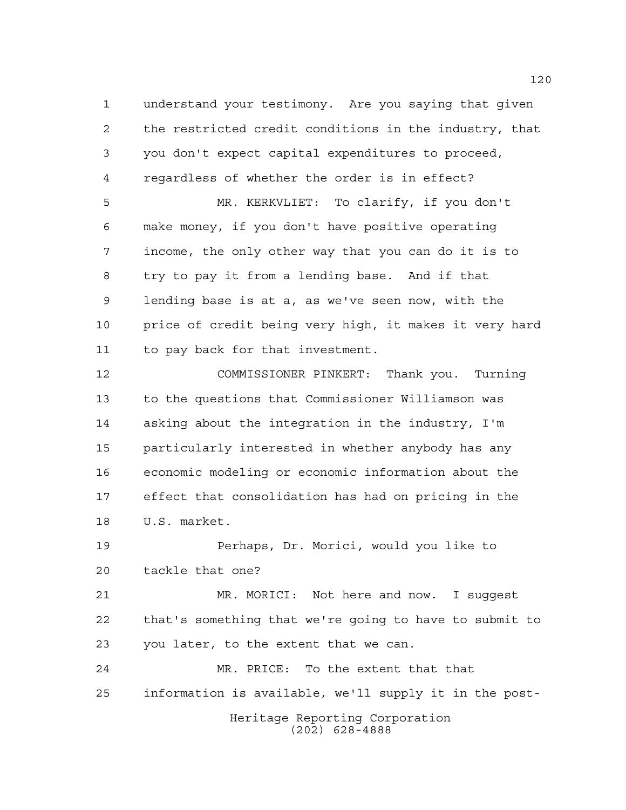understand your testimony. Are you saying that given the restricted credit conditions in the industry, that you don't expect capital expenditures to proceed, regardless of whether the order is in effect? MR. KERKVLIET: To clarify, if you don't make money, if you don't have positive operating income, the only other way that you can do it is to

 try to pay it from a lending base. And if that lending base is at a, as we've seen now, with the 10 price of credit being very high, it makes it very hard to pay back for that investment.

 COMMISSIONER PINKERT: Thank you. Turning to the questions that Commissioner Williamson was asking about the integration in the industry, I'm particularly interested in whether anybody has any economic modeling or economic information about the effect that consolidation has had on pricing in the U.S. market.

 Perhaps, Dr. Morici, would you like to tackle that one?

 MR. MORICI: Not here and now. I suggest that's something that we're going to have to submit to you later, to the extent that we can.

Heritage Reporting Corporation (202) 628-4888 MR. PRICE: To the extent that that information is available, we'll supply it in the post-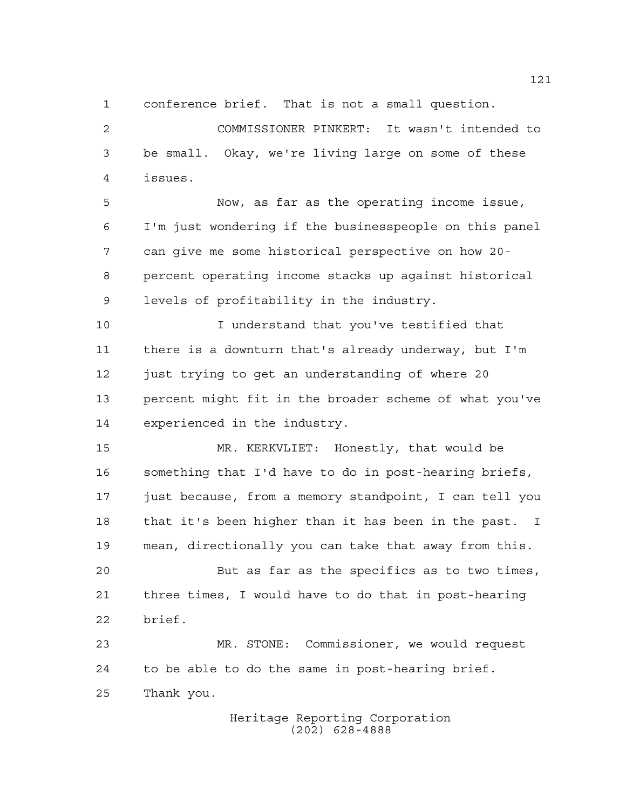conference brief. That is not a small question.

 COMMISSIONER PINKERT: It wasn't intended to be small. Okay, we're living large on some of these issues.

 Now, as far as the operating income issue, I'm just wondering if the businesspeople on this panel can give me some historical perspective on how 20- percent operating income stacks up against historical levels of profitability in the industry.

 I understand that you've testified that there is a downturn that's already underway, but I'm just trying to get an understanding of where 20 percent might fit in the broader scheme of what you've experienced in the industry.

 MR. KERKVLIET: Honestly, that would be something that I'd have to do in post-hearing briefs, just because, from a memory standpoint, I can tell you that it's been higher than it has been in the past. I mean, directionally you can take that away from this.

 But as far as the specifics as to two times, three times, I would have to do that in post-hearing brief.

 MR. STONE: Commissioner, we would request to be able to do the same in post-hearing brief. Thank you.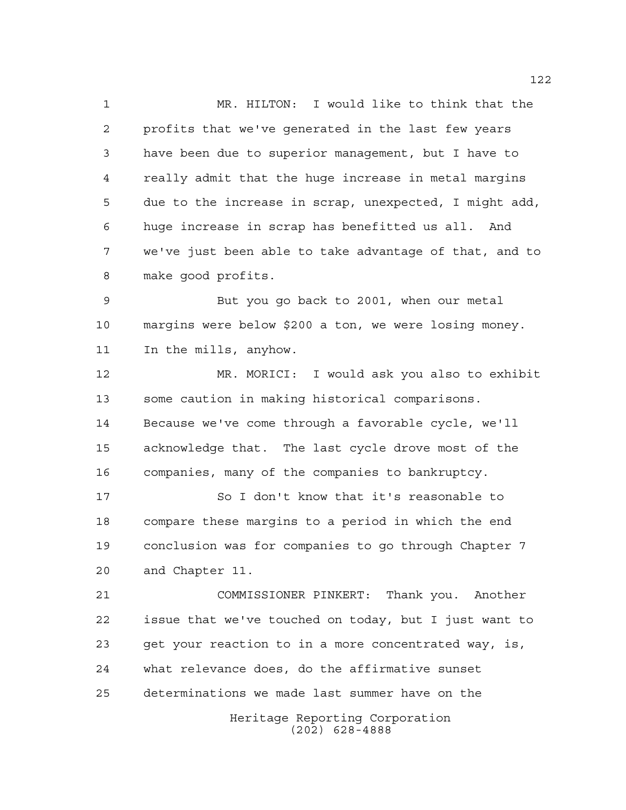MR. HILTON: I would like to think that the profits that we've generated in the last few years have been due to superior management, but I have to really admit that the huge increase in metal margins due to the increase in scrap, unexpected, I might add, huge increase in scrap has benefitted us all. And we've just been able to take advantage of that, and to make good profits.

 But you go back to 2001, when our metal margins were below \$200 a ton, we were losing money. In the mills, anyhow.

 MR. MORICI: I would ask you also to exhibit some caution in making historical comparisons. Because we've come through a favorable cycle, we'll acknowledge that. The last cycle drove most of the companies, many of the companies to bankruptcy.

 So I don't know that it's reasonable to compare these margins to a period in which the end conclusion was for companies to go through Chapter 7 and Chapter 11.

 COMMISSIONER PINKERT: Thank you. Another issue that we've touched on today, but I just want to get your reaction to in a more concentrated way, is, what relevance does, do the affirmative sunset determinations we made last summer have on the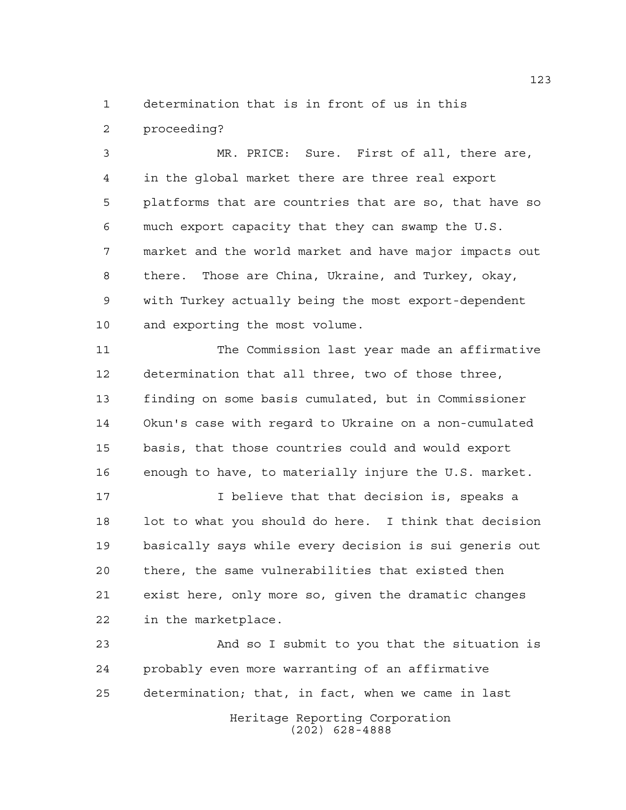determination that is in front of us in this

proceeding?

 MR. PRICE: Sure. First of all, there are, in the global market there are three real export platforms that are countries that are so, that have so much export capacity that they can swamp the U.S. market and the world market and have major impacts out there. Those are China, Ukraine, and Turkey, okay, with Turkey actually being the most export-dependent and exporting the most volume.

 The Commission last year made an affirmative determination that all three, two of those three, finding on some basis cumulated, but in Commissioner Okun's case with regard to Ukraine on a non-cumulated basis, that those countries could and would export enough to have, to materially injure the U.S. market.

 I believe that that decision is, speaks a lot to what you should do here. I think that decision basically says while every decision is sui generis out there, the same vulnerabilities that existed then exist here, only more so, given the dramatic changes in the marketplace.

Heritage Reporting Corporation (202) 628-4888 And so I submit to you that the situation is probably even more warranting of an affirmative determination; that, in fact, when we came in last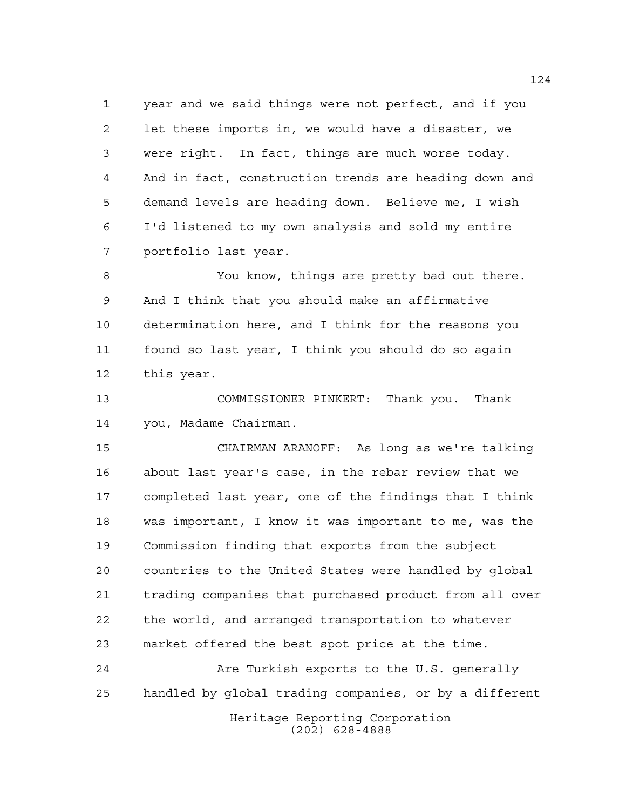year and we said things were not perfect, and if you let these imports in, we would have a disaster, we were right. In fact, things are much worse today. And in fact, construction trends are heading down and demand levels are heading down. Believe me, I wish I'd listened to my own analysis and sold my entire portfolio last year.

 You know, things are pretty bad out there. And I think that you should make an affirmative determination here, and I think for the reasons you found so last year, I think you should do so again this year.

 COMMISSIONER PINKERT: Thank you. Thank you, Madame Chairman.

 CHAIRMAN ARANOFF: As long as we're talking about last year's case, in the rebar review that we completed last year, one of the findings that I think was important, I know it was important to me, was the Commission finding that exports from the subject countries to the United States were handled by global trading companies that purchased product from all over the world, and arranged transportation to whatever market offered the best spot price at the time.

Heritage Reporting Corporation Are Turkish exports to the U.S. generally handled by global trading companies, or by a different

(202) 628-4888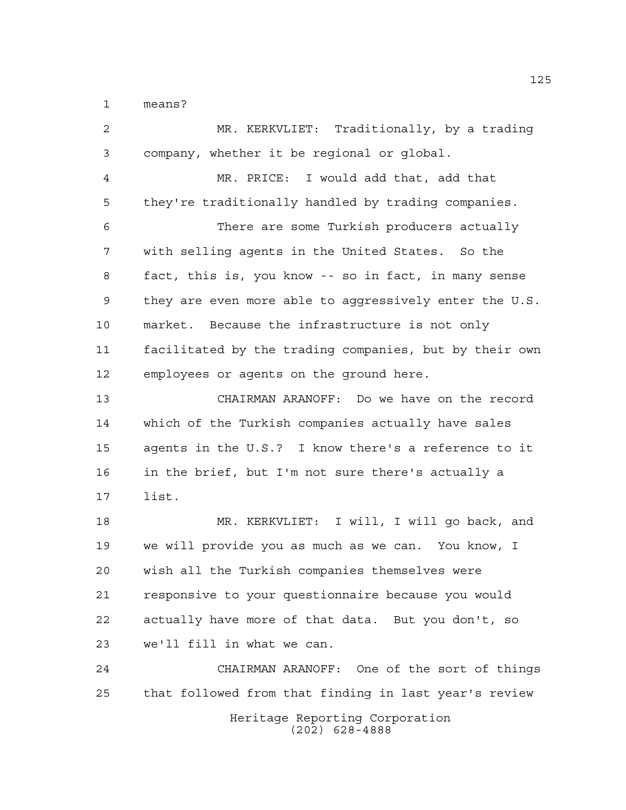means?

 MR. KERKVLIET: Traditionally, by a trading company, whether it be regional or global. MR. PRICE: I would add that, add that they're traditionally handled by trading companies. There are some Turkish producers actually with selling agents in the United States. So the fact, this is, you know -- so in fact, in many sense they are even more able to aggressively enter the U.S. market. Because the infrastructure is not only facilitated by the trading companies, but by their own employees or agents on the ground here. CHAIRMAN ARANOFF: Do we have on the record which of the Turkish companies actually have sales agents in the U.S.? I know there's a reference to it in the brief, but I'm not sure there's actually a list. MR. KERKVLIET: I will, I will go back, and we will provide you as much as we can. You know, I wish all the Turkish companies themselves were responsive to your questionnaire because you would actually have more of that data. But you don't, so we'll fill in what we can. CHAIRMAN ARANOFF: One of the sort of things that followed from that finding in last year's review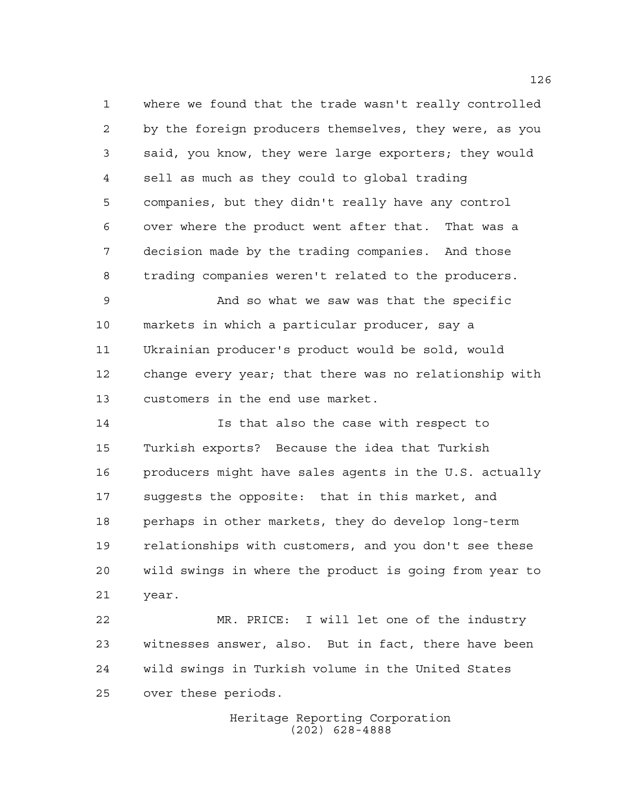where we found that the trade wasn't really controlled by the foreign producers themselves, they were, as you said, you know, they were large exporters; they would sell as much as they could to global trading companies, but they didn't really have any control over where the product went after that. That was a decision made by the trading companies. And those trading companies weren't related to the producers.

 And so what we saw was that the specific markets in which a particular producer, say a Ukrainian producer's product would be sold, would change every year; that there was no relationship with customers in the end use market.

 Is that also the case with respect to Turkish exports? Because the idea that Turkish producers might have sales agents in the U.S. actually suggests the opposite: that in this market, and perhaps in other markets, they do develop long-term relationships with customers, and you don't see these wild swings in where the product is going from year to year.

 MR. PRICE: I will let one of the industry witnesses answer, also. But in fact, there have been wild swings in Turkish volume in the United States over these periods.

> Heritage Reporting Corporation (202) 628-4888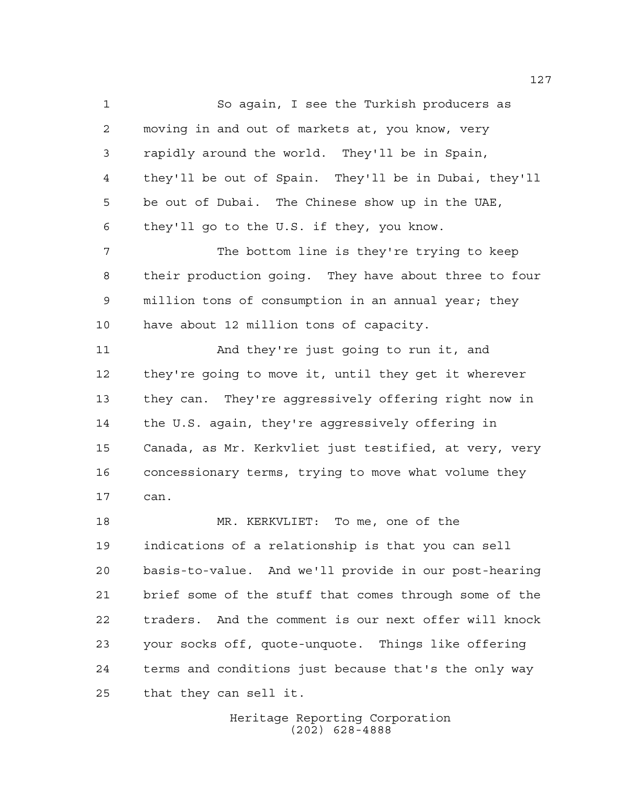So again, I see the Turkish producers as moving in and out of markets at, you know, very rapidly around the world. They'll be in Spain, they'll be out of Spain. They'll be in Dubai, they'll be out of Dubai. The Chinese show up in the UAE, they'll go to the U.S. if they, you know. The bottom line is they're trying to keep their production going. They have about three to four million tons of consumption in an annual year; they have about 12 million tons of capacity. And they're just going to run it, and they're going to move it, until they get it wherever they can. They're aggressively offering right now in the U.S. again, they're aggressively offering in Canada, as Mr. Kerkvliet just testified, at very, very concessionary terms, trying to move what volume they can. MR. KERKVLIET: To me, one of the indications of a relationship is that you can sell basis-to-value. And we'll provide in our post-hearing brief some of the stuff that comes through some of the traders. And the comment is our next offer will knock

 your socks off, quote-unquote. Things like offering terms and conditions just because that's the only way that they can sell it.

> Heritage Reporting Corporation (202) 628-4888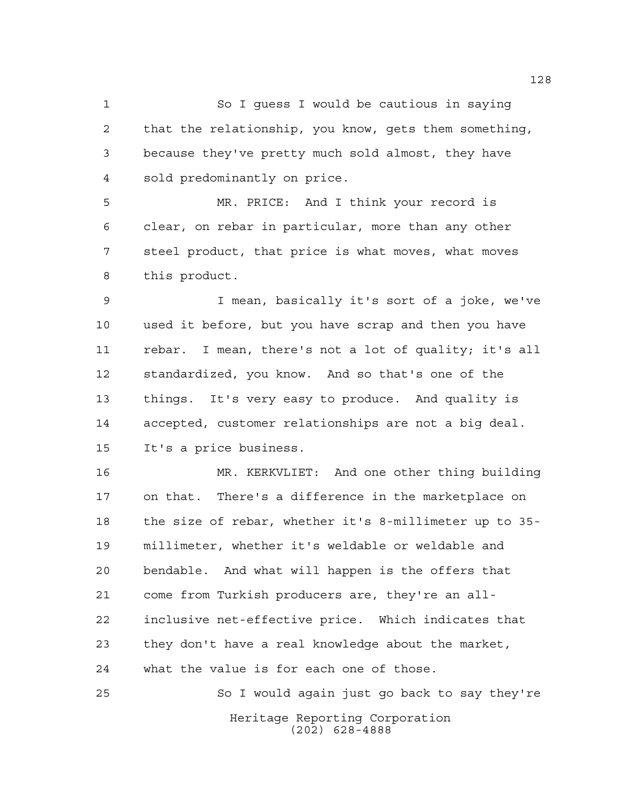So I guess I would be cautious in saying that the relationship, you know, gets them something, because they've pretty much sold almost, they have sold predominantly on price.

 MR. PRICE: And I think your record is clear, on rebar in particular, more than any other steel product, that price is what moves, what moves this product.

 I mean, basically it's sort of a joke, we've used it before, but you have scrap and then you have rebar. I mean, there's not a lot of quality; it's all standardized, you know. And so that's one of the things. It's very easy to produce. And quality is accepted, customer relationships are not a big deal. It's a price business.

 MR. KERKVLIET: And one other thing building on that. There's a difference in the marketplace on the size of rebar, whether it's 8-millimeter up to 35- millimeter, whether it's weldable or weldable and bendable. And what will happen is the offers that come from Turkish producers are, they're an all- inclusive net-effective price. Which indicates that they don't have a real knowledge about the market, what the value is for each one of those.

Heritage Reporting Corporation (202) 628-4888 So I would again just go back to say they're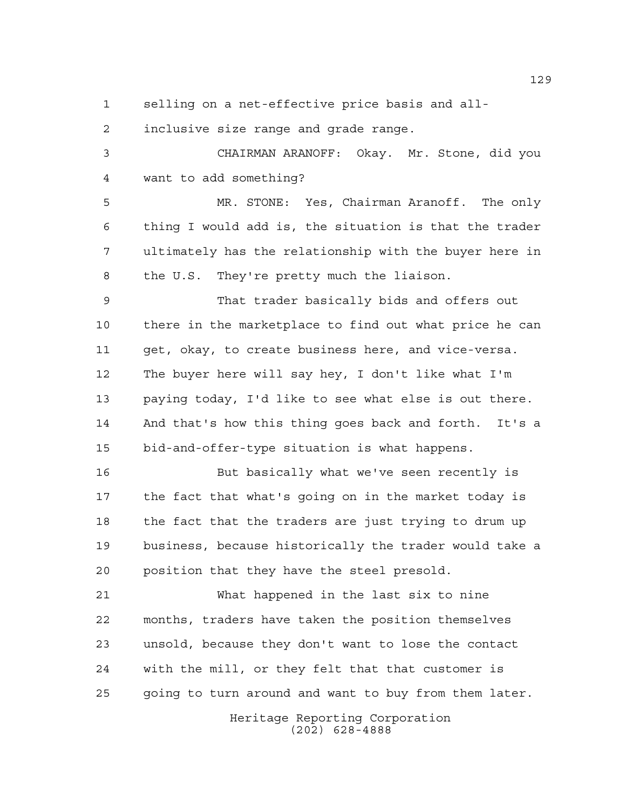selling on a net-effective price basis and all-

inclusive size range and grade range.

 CHAIRMAN ARANOFF: Okay. Mr. Stone, did you want to add something?

 MR. STONE: Yes, Chairman Aranoff. The only thing I would add is, the situation is that the trader ultimately has the relationship with the buyer here in the U.S. They're pretty much the liaison.

 That trader basically bids and offers out there in the marketplace to find out what price he can get, okay, to create business here, and vice-versa. The buyer here will say hey, I don't like what I'm paying today, I'd like to see what else is out there. And that's how this thing goes back and forth. It's a bid-and-offer-type situation is what happens.

 But basically what we've seen recently is the fact that what's going on in the market today is 18 the fact that the traders are just trying to drum up business, because historically the trader would take a position that they have the steel presold.

 What happened in the last six to nine months, traders have taken the position themselves unsold, because they don't want to lose the contact with the mill, or they felt that that customer is going to turn around and want to buy from them later.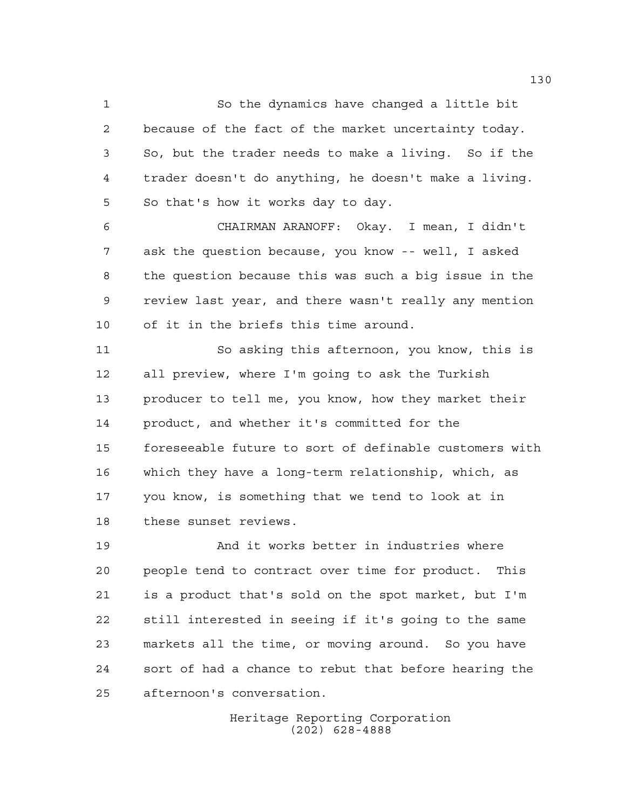So the dynamics have changed a little bit because of the fact of the market uncertainty today. So, but the trader needs to make a living. So if the trader doesn't do anything, he doesn't make a living. So that's how it works day to day.

 CHAIRMAN ARANOFF: Okay. I mean, I didn't ask the question because, you know -- well, I asked the question because this was such a big issue in the review last year, and there wasn't really any mention of it in the briefs this time around.

 So asking this afternoon, you know, this is all preview, where I'm going to ask the Turkish producer to tell me, you know, how they market their product, and whether it's committed for the foreseeable future to sort of definable customers with which they have a long-term relationship, which, as you know, is something that we tend to look at in these sunset reviews.

 And it works better in industries where people tend to contract over time for product. This is a product that's sold on the spot market, but I'm still interested in seeing if it's going to the same markets all the time, or moving around. So you have sort of had a chance to rebut that before hearing the afternoon's conversation.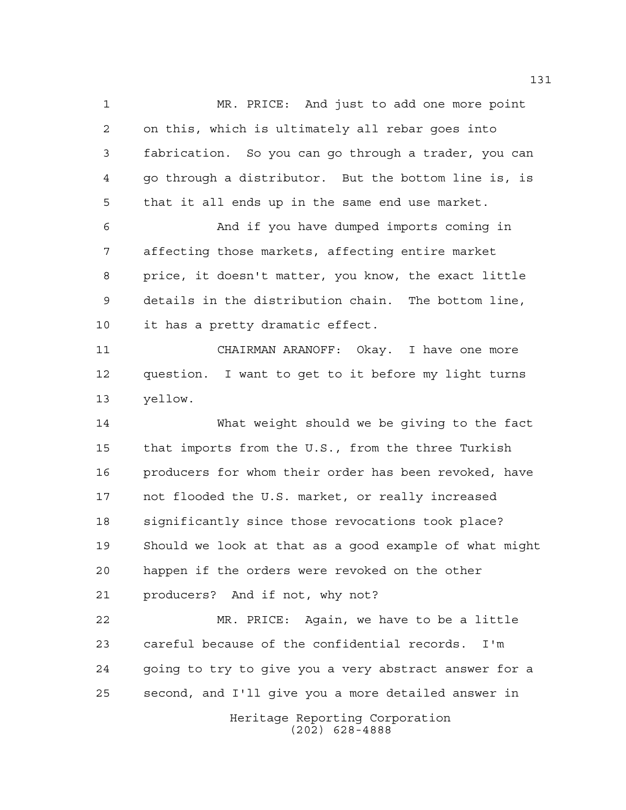MR. PRICE: And just to add one more point on this, which is ultimately all rebar goes into fabrication. So you can go through a trader, you can go through a distributor. But the bottom line is, is that it all ends up in the same end use market. And if you have dumped imports coming in affecting those markets, affecting entire market price, it doesn't matter, you know, the exact little details in the distribution chain. The bottom line, it has a pretty dramatic effect.

 CHAIRMAN ARANOFF: Okay. I have one more question. I want to get to it before my light turns yellow.

 What weight should we be giving to the fact that imports from the U.S., from the three Turkish producers for whom their order has been revoked, have not flooded the U.S. market, or really increased significantly since those revocations took place? Should we look at that as a good example of what might happen if the orders were revoked on the other producers? And if not, why not?

 MR. PRICE: Again, we have to be a little careful because of the confidential records. I'm going to try to give you a very abstract answer for a second, and I'll give you a more detailed answer in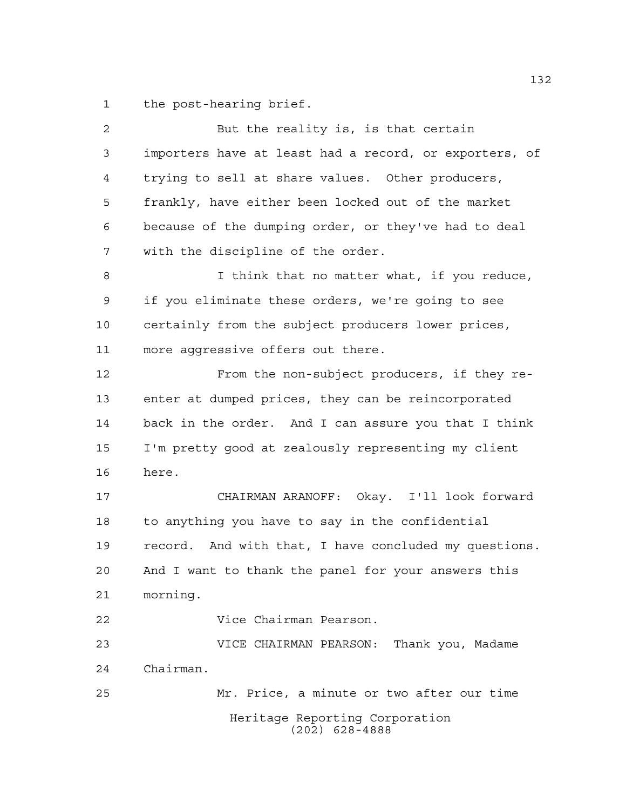the post-hearing brief.

| $\overline{2}$ | But the reality is, is that certain                    |
|----------------|--------------------------------------------------------|
| 3              | importers have at least had a record, or exporters, of |
| 4              | trying to sell at share values. Other producers,       |
| 5              | frankly, have either been locked out of the market     |
| 6              | because of the dumping order, or they've had to deal   |
| 7              | with the discipline of the order.                      |
| 8              | I think that no matter what, if you reduce,            |
| 9              | if you eliminate these orders, we're going to see      |
| 10             | certainly from the subject producers lower prices,     |
| 11             | more aggressive offers out there.                      |
| 12             | From the non-subject producers, if they re-            |
| 13             | enter at dumped prices, they can be reincorporated     |
| 14             | back in the order. And I can assure you that I think   |
| 15             | I'm pretty good at zealously representing my client    |
| 16             | here.                                                  |
| 17             | CHAIRMAN ARANOFF: Okay. I'll look forward              |
| 18             | to anything you have to say in the confidential        |
| 19             | record. And with that, I have concluded my questions.  |
| 20             | And I want to thank the panel for your answers this    |
| 21             | morning.                                               |
| 22             | Vice Chairman Pearson.                                 |
| 23             | VICE CHAIRMAN PEARSON: Thank you, Madame               |
| 24             | Chairman.                                              |
| 25             | Mr. Price, a minute or two after our time              |
|                | Heritage Reporting Corporation<br>$(202)$ 628-4888     |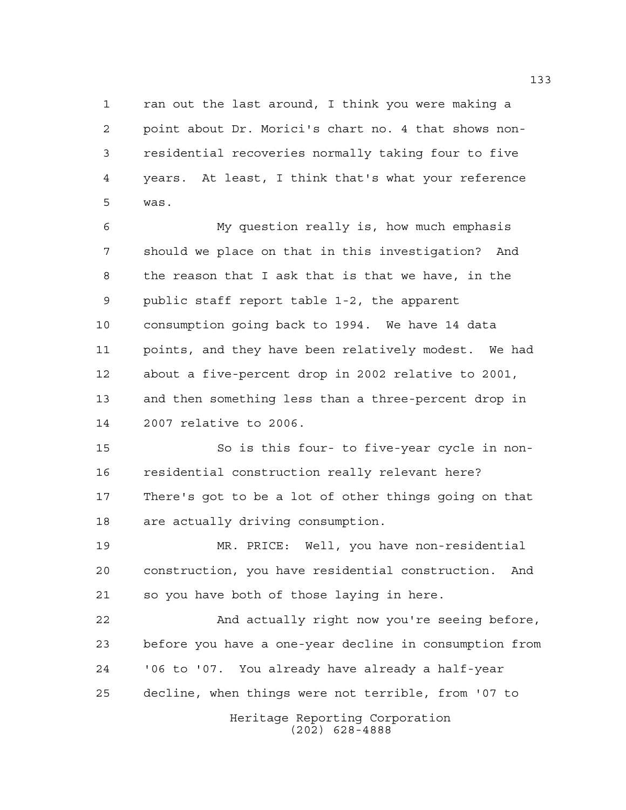ran out the last around, I think you were making a point about Dr. Morici's chart no. 4 that shows non- residential recoveries normally taking four to five years. At least, I think that's what your reference was.

 My question really is, how much emphasis should we place on that in this investigation? And the reason that I ask that is that we have, in the public staff report table 1-2, the apparent consumption going back to 1994. We have 14 data points, and they have been relatively modest. We had about a five-percent drop in 2002 relative to 2001, and then something less than a three-percent drop in 2007 relative to 2006.

 So is this four- to five-year cycle in non- residential construction really relevant here? There's got to be a lot of other things going on that are actually driving consumption.

 MR. PRICE: Well, you have non-residential construction, you have residential construction. And so you have both of those laying in here.

 And actually right now you're seeing before, before you have a one-year decline in consumption from '06 to '07. You already have already a half-year decline, when things were not terrible, from '07 to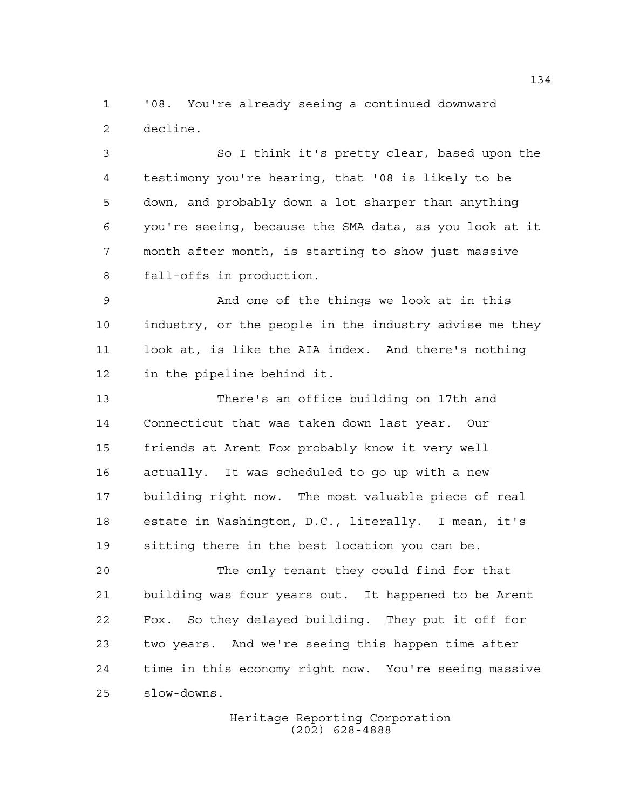'08. You're already seeing a continued downward decline.

 So I think it's pretty clear, based upon the testimony you're hearing, that '08 is likely to be down, and probably down a lot sharper than anything you're seeing, because the SMA data, as you look at it month after month, is starting to show just massive fall-offs in production.

 And one of the things we look at in this industry, or the people in the industry advise me they look at, is like the AIA index. And there's nothing in the pipeline behind it.

 There's an office building on 17th and Connecticut that was taken down last year. Our friends at Arent Fox probably know it very well actually. It was scheduled to go up with a new building right now. The most valuable piece of real estate in Washington, D.C., literally. I mean, it's sitting there in the best location you can be.

 The only tenant they could find for that building was four years out. It happened to be Arent Fox. So they delayed building. They put it off for two years. And we're seeing this happen time after time in this economy right now. You're seeing massive slow-downs.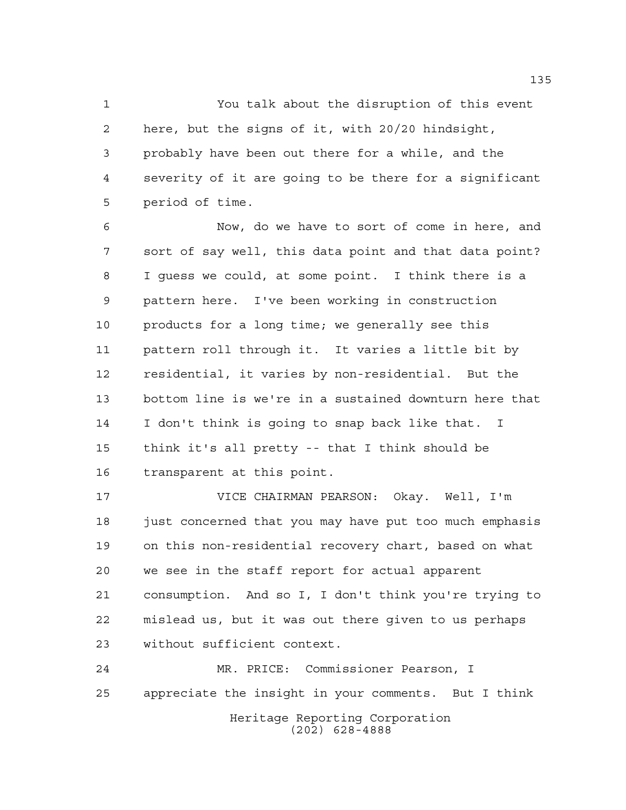You talk about the disruption of this event here, but the signs of it, with 20/20 hindsight, probably have been out there for a while, and the severity of it are going to be there for a significant period of time.

 Now, do we have to sort of come in here, and sort of say well, this data point and that data point? I guess we could, at some point. I think there is a pattern here. I've been working in construction products for a long time; we generally see this pattern roll through it. It varies a little bit by residential, it varies by non-residential. But the bottom line is we're in a sustained downturn here that I don't think is going to snap back like that. I think it's all pretty -- that I think should be transparent at this point.

 VICE CHAIRMAN PEARSON: Okay. Well, I'm just concerned that you may have put too much emphasis on this non-residential recovery chart, based on what we see in the staff report for actual apparent consumption. And so I, I don't think you're trying to mislead us, but it was out there given to us perhaps without sufficient context.

Heritage Reporting Corporation (202) 628-4888 MR. PRICE: Commissioner Pearson, I appreciate the insight in your comments. But I think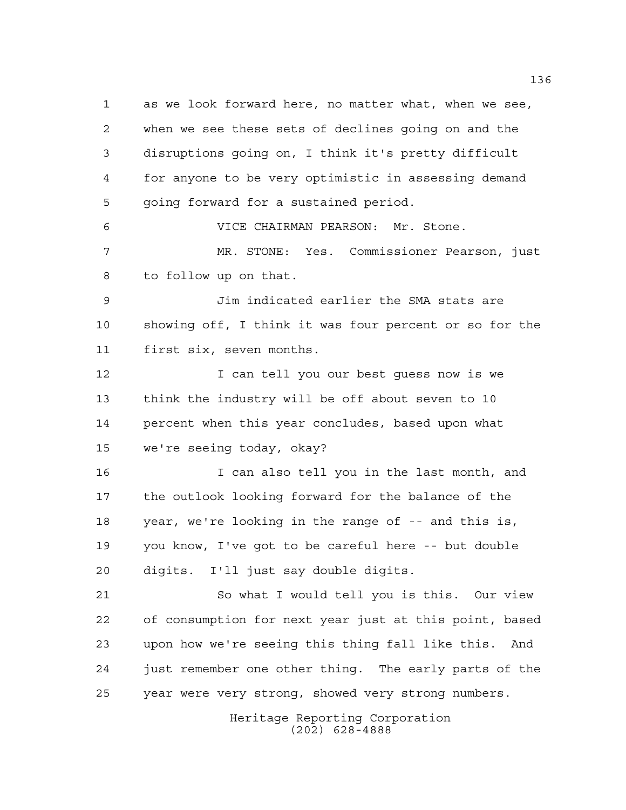as we look forward here, no matter what, when we see, when we see these sets of declines going on and the disruptions going on, I think it's pretty difficult for anyone to be very optimistic in assessing demand going forward for a sustained period.

 VICE CHAIRMAN PEARSON: Mr. Stone. MR. STONE: Yes. Commissioner Pearson, just to follow up on that.

 Jim indicated earlier the SMA stats are showing off, I think it was four percent or so for the first six, seven months.

 I can tell you our best guess now is we think the industry will be off about seven to 10 percent when this year concludes, based upon what we're seeing today, okay?

 I can also tell you in the last month, and the outlook looking forward for the balance of the year, we're looking in the range of -- and this is, you know, I've got to be careful here -- but double digits. I'll just say double digits.

 So what I would tell you is this. Our view of consumption for next year just at this point, based upon how we're seeing this thing fall like this. And just remember one other thing. The early parts of the year were very strong, showed very strong numbers.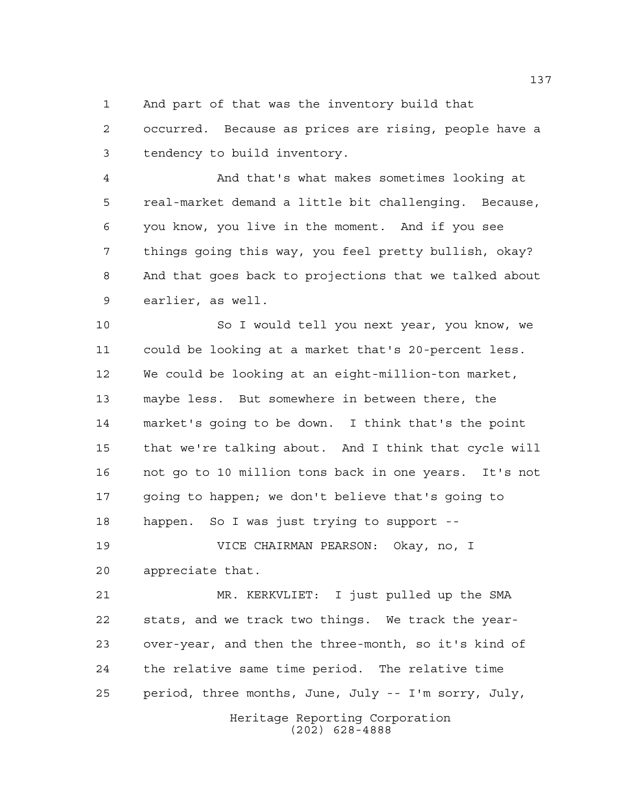And part of that was the inventory build that

 occurred. Because as prices are rising, people have a tendency to build inventory.

 And that's what makes sometimes looking at real-market demand a little bit challenging. Because, you know, you live in the moment. And if you see things going this way, you feel pretty bullish, okay? And that goes back to projections that we talked about earlier, as well.

 So I would tell you next year, you know, we could be looking at a market that's 20-percent less. We could be looking at an eight-million-ton market, maybe less. But somewhere in between there, the market's going to be down. I think that's the point that we're talking about. And I think that cycle will not go to 10 million tons back in one years. It's not going to happen; we don't believe that's going to happen. So I was just trying to support --

 VICE CHAIRMAN PEARSON: Okay, no, I appreciate that.

 MR. KERKVLIET: I just pulled up the SMA stats, and we track two things. We track the year- over-year, and then the three-month, so it's kind of the relative same time period. The relative time period, three months, June, July -- I'm sorry, July,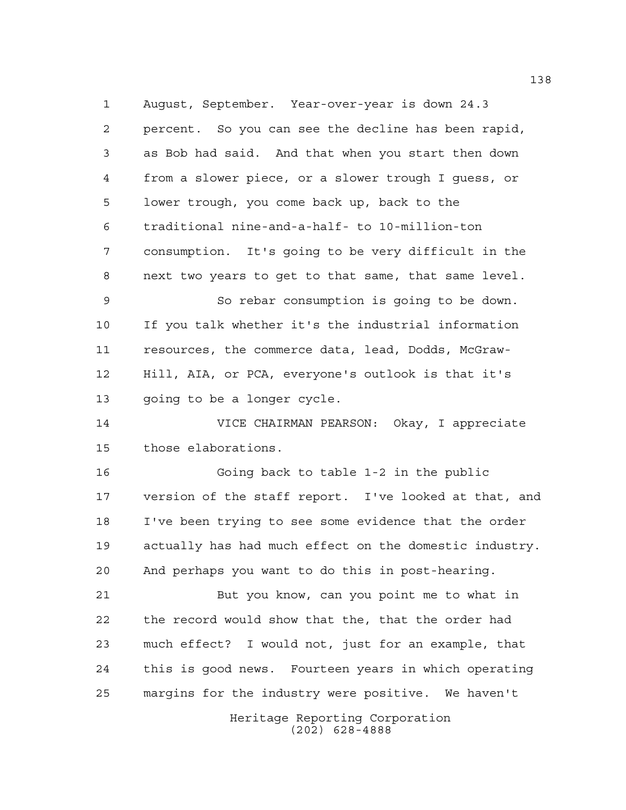August, September. Year-over-year is down 24.3 percent. So you can see the decline has been rapid, as Bob had said. And that when you start then down from a slower piece, or a slower trough I guess, or lower trough, you come back up, back to the traditional nine-and-a-half- to 10-million-ton consumption. It's going to be very difficult in the next two years to get to that same, that same level.

 So rebar consumption is going to be down. If you talk whether it's the industrial information resources, the commerce data, lead, Dodds, McGraw- Hill, AIA, or PCA, everyone's outlook is that it's going to be a longer cycle.

 VICE CHAIRMAN PEARSON: Okay, I appreciate those elaborations.

 Going back to table 1-2 in the public version of the staff report. I've looked at that, and I've been trying to see some evidence that the order actually has had much effect on the domestic industry. And perhaps you want to do this in post-hearing.

 But you know, can you point me to what in the record would show that the, that the order had much effect? I would not, just for an example, that this is good news. Fourteen years in which operating margins for the industry were positive. We haven't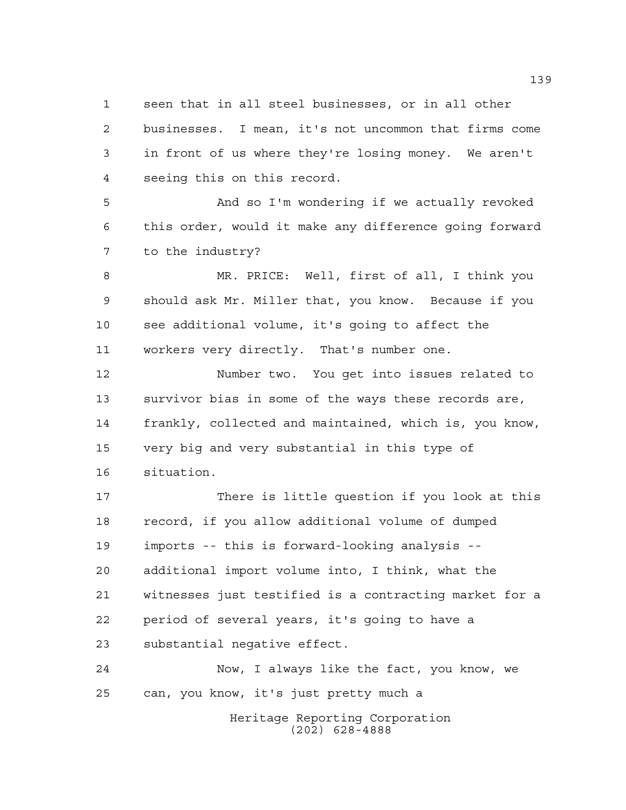seen that in all steel businesses, or in all other businesses. I mean, it's not uncommon that firms come in front of us where they're losing money. We aren't seeing this on this record.

 And so I'm wondering if we actually revoked this order, would it make any difference going forward to the industry?

 MR. PRICE: Well, first of all, I think you should ask Mr. Miller that, you know. Because if you see additional volume, it's going to affect the workers very directly. That's number one.

 Number two. You get into issues related to survivor bias in some of the ways these records are, frankly, collected and maintained, which is, you know, very big and very substantial in this type of situation.

 There is little question if you look at this record, if you allow additional volume of dumped imports -- this is forward-looking analysis -- additional import volume into, I think, what the witnesses just testified is a contracting market for a period of several years, it's going to have a substantial negative effect.

 Now, I always like the fact, you know, we can, you know, it's just pretty much a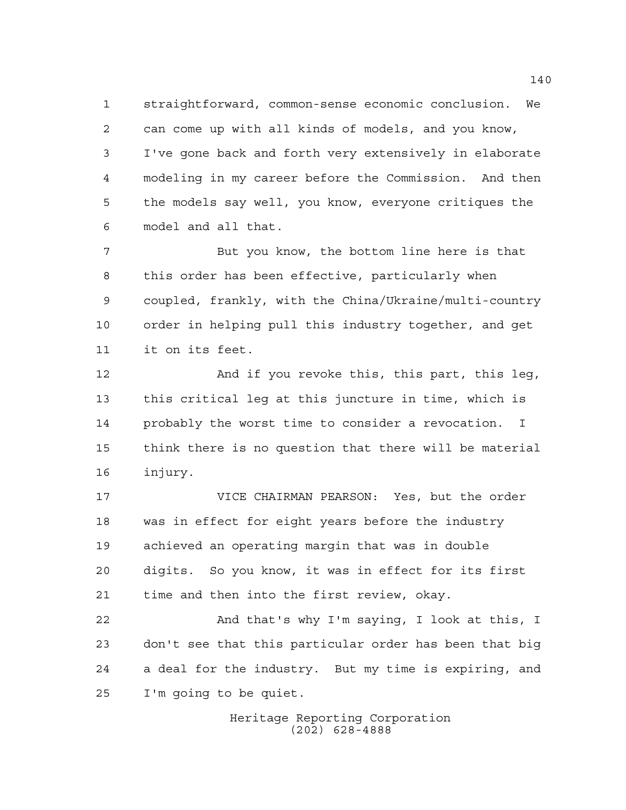straightforward, common-sense economic conclusion. We can come up with all kinds of models, and you know, I've gone back and forth very extensively in elaborate modeling in my career before the Commission. And then the models say well, you know, everyone critiques the model and all that.

 But you know, the bottom line here is that this order has been effective, particularly when coupled, frankly, with the China/Ukraine/multi-country order in helping pull this industry together, and get it on its feet.

 And if you revoke this, this part, this leg, this critical leg at this juncture in time, which is probably the worst time to consider a revocation. I think there is no question that there will be material injury.

 VICE CHAIRMAN PEARSON: Yes, but the order was in effect for eight years before the industry achieved an operating margin that was in double digits. So you know, it was in effect for its first time and then into the first review, okay.

 And that's why I'm saying, I look at this, I don't see that this particular order has been that big a deal for the industry. But my time is expiring, and I'm going to be quiet.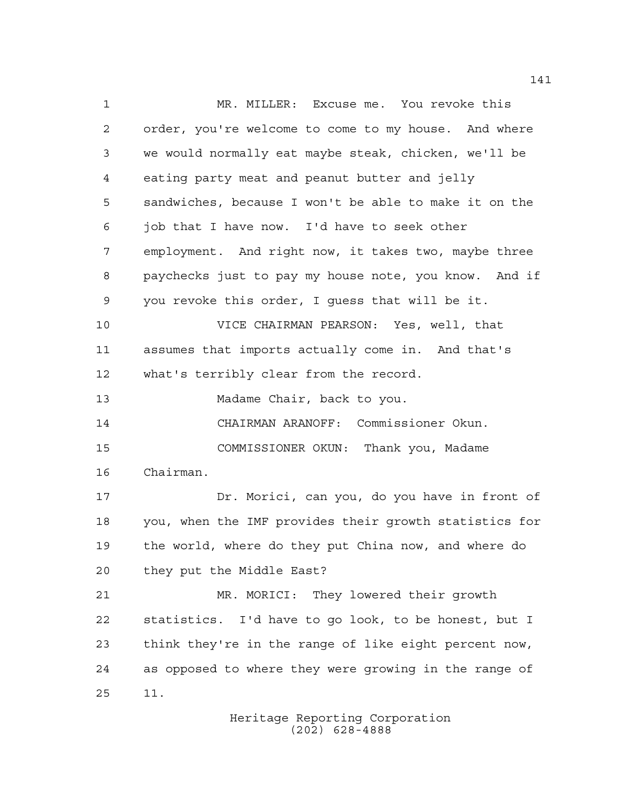1 MR. MILLER: Excuse me. You revoke this order, you're welcome to come to my house. And where we would normally eat maybe steak, chicken, we'll be eating party meat and peanut butter and jelly sandwiches, because I won't be able to make it on the job that I have now. I'd have to seek other employment. And right now, it takes two, maybe three paychecks just to pay my house note, you know. And if you revoke this order, I guess that will be it. VICE CHAIRMAN PEARSON: Yes, well, that assumes that imports actually come in. And that's what's terribly clear from the record. 13 Madame Chair, back to you. CHAIRMAN ARANOFF: Commissioner Okun. COMMISSIONER OKUN: Thank you, Madame Chairman. Dr. Morici, can you, do you have in front of you, when the IMF provides their growth statistics for the world, where do they put China now, and where do they put the Middle East? MR. MORICI: They lowered their growth statistics. I'd have to go look, to be honest, but I think they're in the range of like eight percent now, as opposed to where they were growing in the range of 11.

Heritage Reporting Corporation (202) 628-4888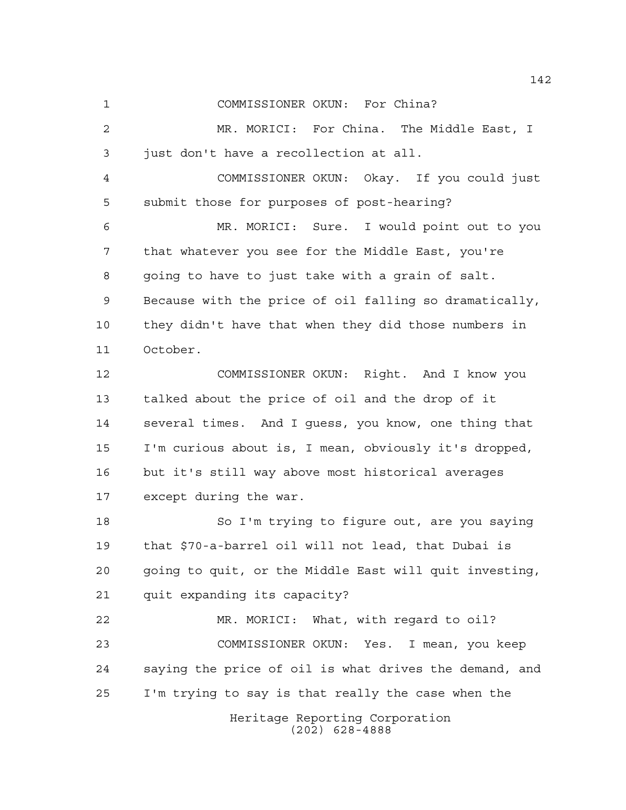COMMISSIONER OKUN: For China?

 MR. MORICI: For China. The Middle East, I just don't have a recollection at all.

 COMMISSIONER OKUN: Okay. If you could just submit those for purposes of post-hearing?

 MR. MORICI: Sure. I would point out to you that whatever you see for the Middle East, you're going to have to just take with a grain of salt. Because with the price of oil falling so dramatically, they didn't have that when they did those numbers in October.

 COMMISSIONER OKUN: Right. And I know you talked about the price of oil and the drop of it several times. And I guess, you know, one thing that I'm curious about is, I mean, obviously it's dropped, but it's still way above most historical averages except during the war.

 So I'm trying to figure out, are you saying that \$70-a-barrel oil will not lead, that Dubai is going to quit, or the Middle East will quit investing, quit expanding its capacity?

 MR. MORICI: What, with regard to oil? COMMISSIONER OKUN: Yes. I mean, you keep saying the price of oil is what drives the demand, and I'm trying to say is that really the case when the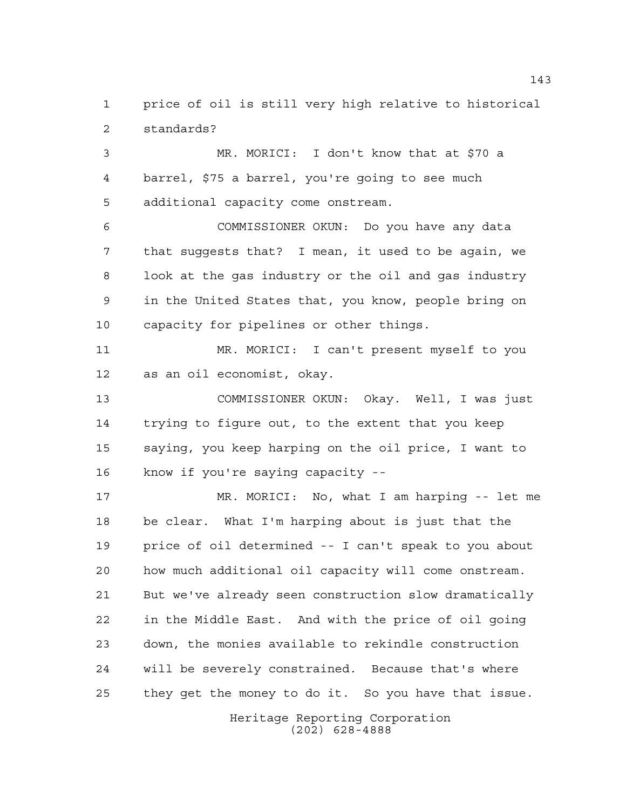price of oil is still very high relative to historical standards?

 MR. MORICI: I don't know that at \$70 a barrel, \$75 a barrel, you're going to see much additional capacity come onstream.

 COMMISSIONER OKUN: Do you have any data that suggests that? I mean, it used to be again, we look at the gas industry or the oil and gas industry in the United States that, you know, people bring on capacity for pipelines or other things.

 MR. MORICI: I can't present myself to you as an oil economist, okay.

 COMMISSIONER OKUN: Okay. Well, I was just trying to figure out, to the extent that you keep saying, you keep harping on the oil price, I want to know if you're saying capacity --

 MR. MORICI: No, what I am harping -- let me be clear. What I'm harping about is just that the price of oil determined -- I can't speak to you about how much additional oil capacity will come onstream. But we've already seen construction slow dramatically in the Middle East. And with the price of oil going down, the monies available to rekindle construction will be severely constrained. Because that's where they get the money to do it. So you have that issue.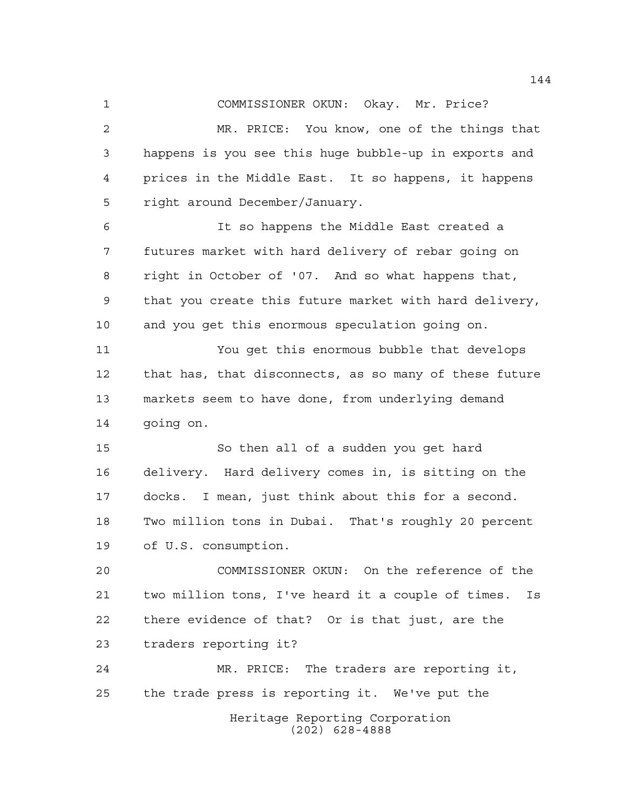COMMISSIONER OKUN: Okay. Mr. Price?

 MR. PRICE: You know, one of the things that happens is you see this huge bubble-up in exports and prices in the Middle East. It so happens, it happens right around December/January.

 It so happens the Middle East created a futures market with hard delivery of rebar going on right in October of '07. And so what happens that, that you create this future market with hard delivery, and you get this enormous speculation going on.

 You get this enormous bubble that develops that has, that disconnects, as so many of these future markets seem to have done, from underlying demand going on.

 So then all of a sudden you get hard delivery. Hard delivery comes in, is sitting on the docks. I mean, just think about this for a second. Two million tons in Dubai. That's roughly 20 percent of U.S. consumption.

 COMMISSIONER OKUN: On the reference of the two million tons, I've heard it a couple of times. Is there evidence of that? Or is that just, are the traders reporting it?

Heritage Reporting Corporation (202) 628-4888 MR. PRICE: The traders are reporting it, the trade press is reporting it. We've put the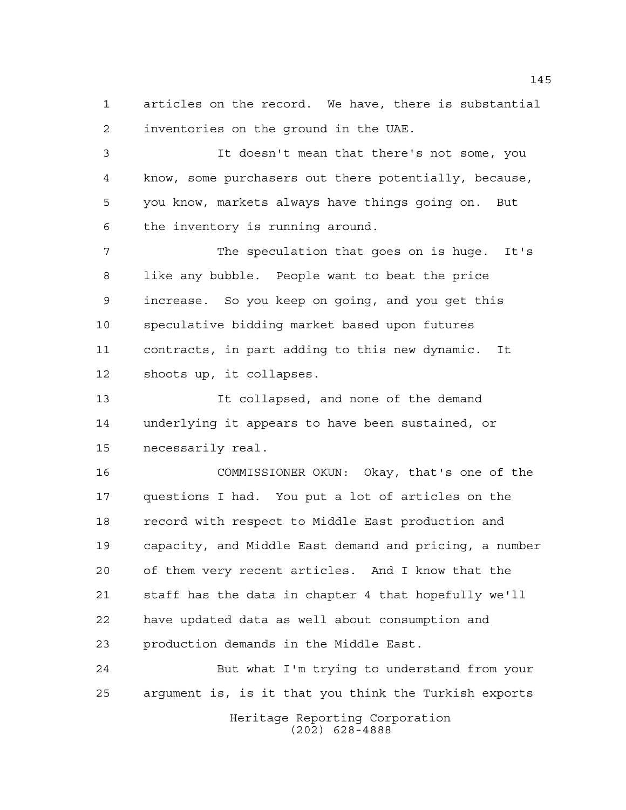articles on the record. We have, there is substantial inventories on the ground in the UAE.

 It doesn't mean that there's not some, you know, some purchasers out there potentially, because, you know, markets always have things going on. But the inventory is running around.

 The speculation that goes on is huge. It's like any bubble. People want to beat the price increase. So you keep on going, and you get this speculative bidding market based upon futures contracts, in part adding to this new dynamic. It shoots up, it collapses.

 It collapsed, and none of the demand underlying it appears to have been sustained, or necessarily real.

 COMMISSIONER OKUN: Okay, that's one of the questions I had. You put a lot of articles on the 18 record with respect to Middle East production and capacity, and Middle East demand and pricing, a number of them very recent articles. And I know that the staff has the data in chapter 4 that hopefully we'll have updated data as well about consumption and production demands in the Middle East.

 But what I'm trying to understand from your argument is, is it that you think the Turkish exports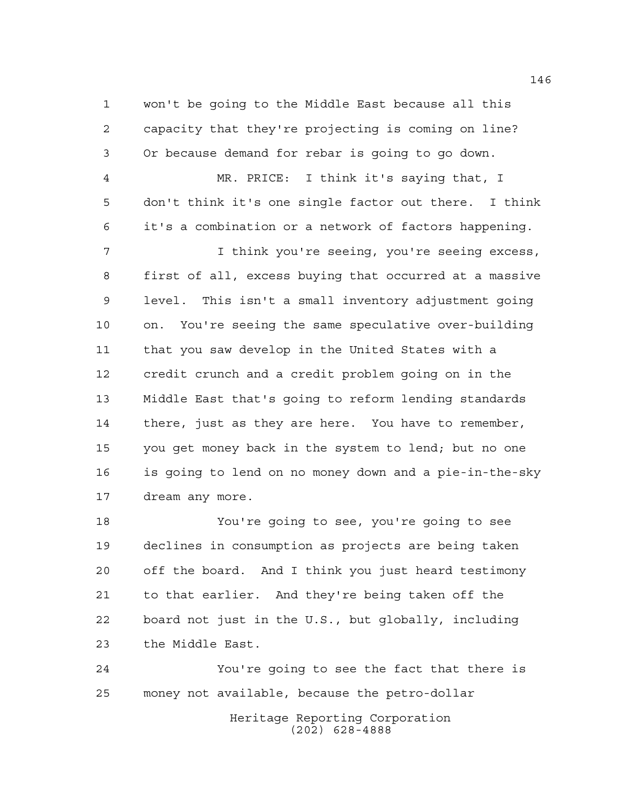won't be going to the Middle East because all this capacity that they're projecting is coming on line? Or because demand for rebar is going to go down.

 MR. PRICE: I think it's saying that, I don't think it's one single factor out there. I think it's a combination or a network of factors happening.

 I think you're seeing, you're seeing excess, first of all, excess buying that occurred at a massive level. This isn't a small inventory adjustment going on. You're seeing the same speculative over-building that you saw develop in the United States with a credit crunch and a credit problem going on in the Middle East that's going to reform lending standards there, just as they are here. You have to remember, you get money back in the system to lend; but no one is going to lend on no money down and a pie-in-the-sky dream any more.

 You're going to see, you're going to see declines in consumption as projects are being taken off the board. And I think you just heard testimony to that earlier. And they're being taken off the board not just in the U.S., but globally, including the Middle East.

 You're going to see the fact that there is money not available, because the petro-dollar

> Heritage Reporting Corporation (202) 628-4888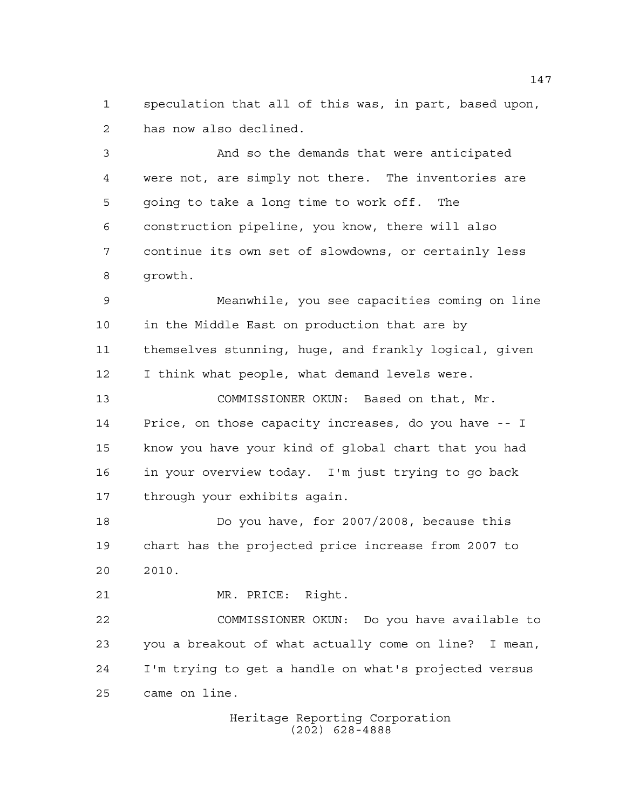speculation that all of this was, in part, based upon, has now also declined.

 And so the demands that were anticipated were not, are simply not there. The inventories are going to take a long time to work off. The construction pipeline, you know, there will also continue its own set of slowdowns, or certainly less growth.

 Meanwhile, you see capacities coming on line in the Middle East on production that are by themselves stunning, huge, and frankly logical, given I think what people, what demand levels were.

 COMMISSIONER OKUN: Based on that, Mr. Price, on those capacity increases, do you have -- I know you have your kind of global chart that you had in your overview today. I'm just trying to go back through your exhibits again.

 Do you have, for 2007/2008, because this chart has the projected price increase from 2007 to 2010.

MR. PRICE: Right.

 COMMISSIONER OKUN: Do you have available to you a breakout of what actually come on line? I mean, I'm trying to get a handle on what's projected versus came on line.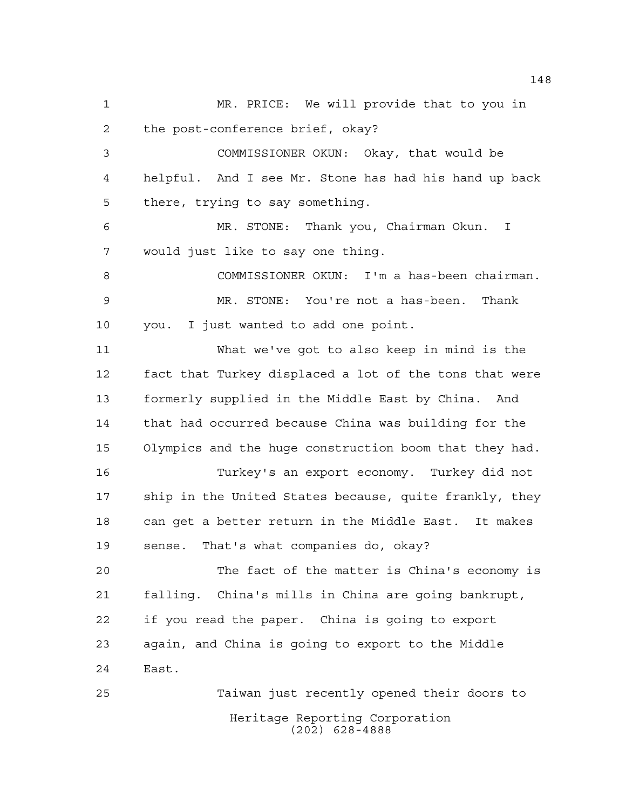Heritage Reporting Corporation (202) 628-4888 MR. PRICE: We will provide that to you in the post-conference brief, okay? COMMISSIONER OKUN: Okay, that would be helpful. And I see Mr. Stone has had his hand up back there, trying to say something. MR. STONE: Thank you, Chairman Okun. I would just like to say one thing. COMMISSIONER OKUN: I'm a has-been chairman. MR. STONE: You're not a has-been. Thank you. I just wanted to add one point. What we've got to also keep in mind is the fact that Turkey displaced a lot of the tons that were formerly supplied in the Middle East by China. And that had occurred because China was building for the Olympics and the huge construction boom that they had. Turkey's an export economy. Turkey did not ship in the United States because, quite frankly, they can get a better return in the Middle East. It makes sense. That's what companies do, okay? The fact of the matter is China's economy is falling. China's mills in China are going bankrupt, if you read the paper. China is going to export again, and China is going to export to the Middle East. Taiwan just recently opened their doors to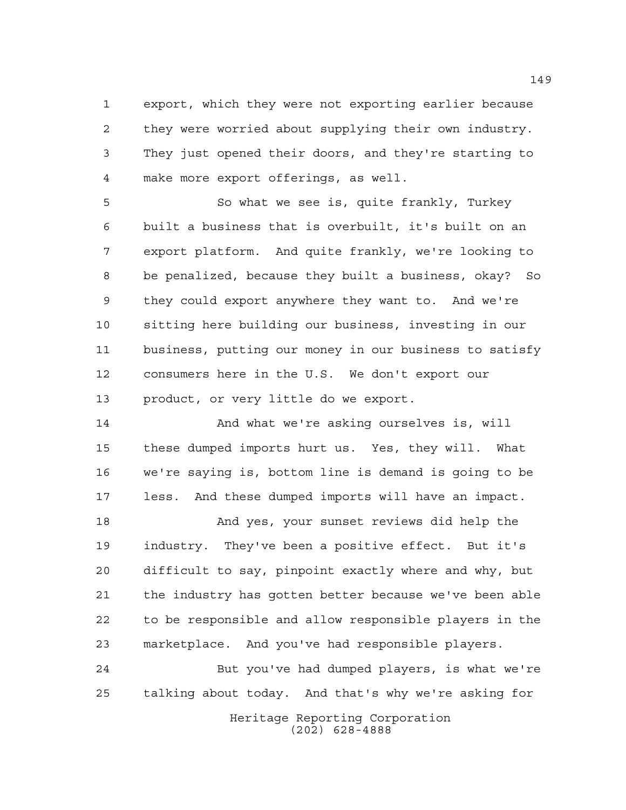export, which they were not exporting earlier because they were worried about supplying their own industry. They just opened their doors, and they're starting to make more export offerings, as well.

 So what we see is, quite frankly, Turkey built a business that is overbuilt, it's built on an export platform. And quite frankly, we're looking to be penalized, because they built a business, okay? So they could export anywhere they want to. And we're sitting here building our business, investing in our business, putting our money in our business to satisfy consumers here in the U.S. We don't export our product, or very little do we export.

 And what we're asking ourselves is, will these dumped imports hurt us. Yes, they will. What we're saying is, bottom line is demand is going to be less. And these dumped imports will have an impact.

 And yes, your sunset reviews did help the industry. They've been a positive effect. But it's difficult to say, pinpoint exactly where and why, but the industry has gotten better because we've been able to be responsible and allow responsible players in the marketplace. And you've had responsible players.

 But you've had dumped players, is what we're talking about today. And that's why we're asking for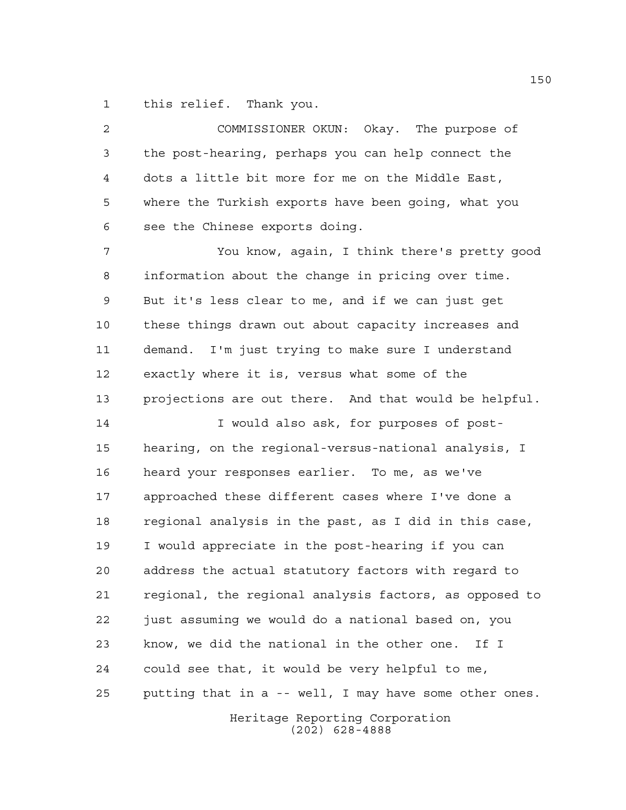this relief. Thank you.

 COMMISSIONER OKUN: Okay. The purpose of the post-hearing, perhaps you can help connect the dots a little bit more for me on the Middle East, where the Turkish exports have been going, what you see the Chinese exports doing. You know, again, I think there's pretty good information about the change in pricing over time. But it's less clear to me, and if we can just get these things drawn out about capacity increases and demand. I'm just trying to make sure I understand exactly where it is, versus what some of the projections are out there. And that would be helpful. I would also ask, for purposes of post- hearing, on the regional-versus-national analysis, I heard your responses earlier. To me, as we've approached these different cases where I've done a regional analysis in the past, as I did in this case, I would appreciate in the post-hearing if you can address the actual statutory factors with regard to regional, the regional analysis factors, as opposed to just assuming we would do a national based on, you know, we did the national in the other one. If I could see that, it would be very helpful to me, putting that in a -- well, I may have some other ones.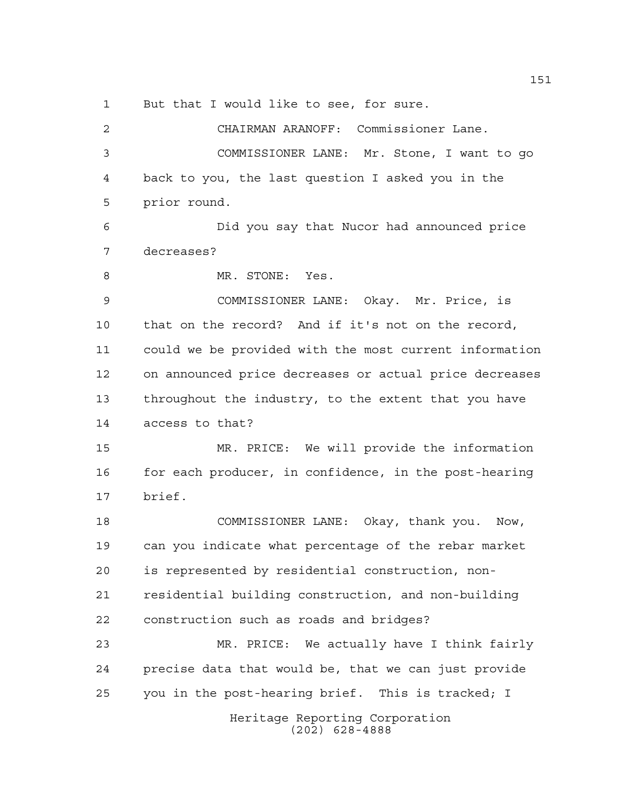But that I would like to see, for sure.

Heritage Reporting Corporation (202) 628-4888 CHAIRMAN ARANOFF: Commissioner Lane. COMMISSIONER LANE: Mr. Stone, I want to go back to you, the last question I asked you in the prior round. Did you say that Nucor had announced price decreases? MR. STONE: Yes. COMMISSIONER LANE: Okay. Mr. Price, is that on the record? And if it's not on the record, could we be provided with the most current information on announced price decreases or actual price decreases throughout the industry, to the extent that you have access to that? MR. PRICE: We will provide the information 16 for each producer, in confidence, in the post-hearing brief. COMMISSIONER LANE: Okay, thank you. Now, can you indicate what percentage of the rebar market is represented by residential construction, non- residential building construction, and non-building construction such as roads and bridges? MR. PRICE: We actually have I think fairly precise data that would be, that we can just provide you in the post-hearing brief. This is tracked; I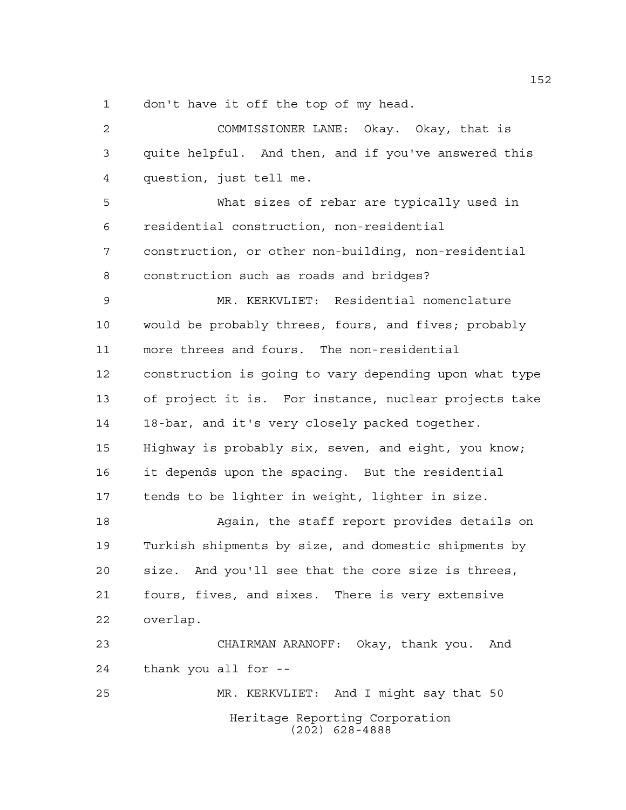don't have it off the top of my head.

Heritage Reporting Corporation (202) 628-4888 COMMISSIONER LANE: Okay. Okay, that is quite helpful. And then, and if you've answered this question, just tell me. What sizes of rebar are typically used in residential construction, non-residential construction, or other non-building, non-residential construction such as roads and bridges? MR. KERKVLIET: Residential nomenclature would be probably threes, fours, and fives; probably more threes and fours. The non-residential construction is going to vary depending upon what type of project it is. For instance, nuclear projects take 18-bar, and it's very closely packed together. Highway is probably six, seven, and eight, you know; it depends upon the spacing. But the residential tends to be lighter in weight, lighter in size. 18 Again, the staff report provides details on Turkish shipments by size, and domestic shipments by size. And you'll see that the core size is threes, fours, fives, and sixes. There is very extensive overlap. CHAIRMAN ARANOFF: Okay, thank you. And thank you all for -- MR. KERKVLIET: And I might say that 50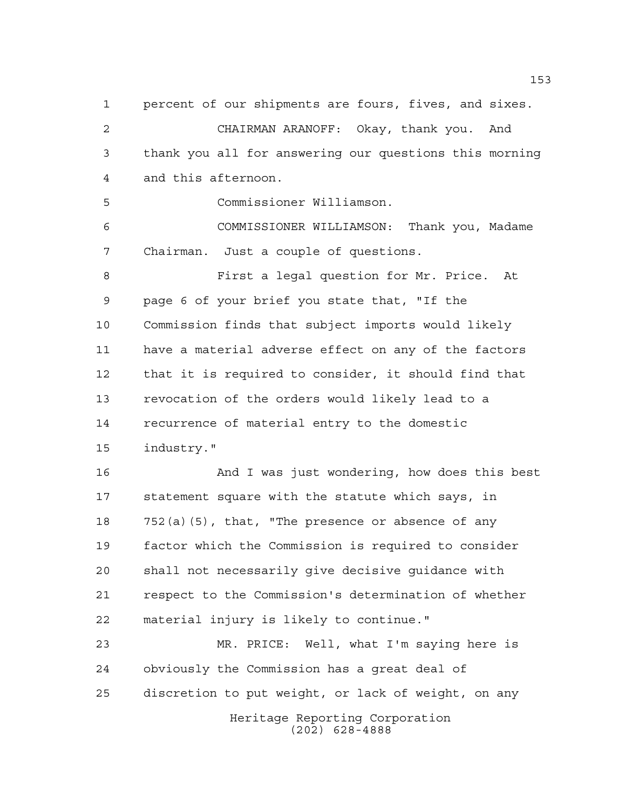Heritage Reporting Corporation percent of our shipments are fours, fives, and sixes. CHAIRMAN ARANOFF: Okay, thank you. And thank you all for answering our questions this morning and this afternoon. Commissioner Williamson. COMMISSIONER WILLIAMSON: Thank you, Madame Chairman. Just a couple of questions. First a legal question for Mr. Price. At page 6 of your brief you state that, "If the Commission finds that subject imports would likely have a material adverse effect on any of the factors that it is required to consider, it should find that revocation of the orders would likely lead to a recurrence of material entry to the domestic industry." And I was just wondering, how does this best statement square with the statute which says, in 752(a)(5), that, "The presence or absence of any factor which the Commission is required to consider shall not necessarily give decisive guidance with respect to the Commission's determination of whether material injury is likely to continue." MR. PRICE: Well, what I'm saying here is obviously the Commission has a great deal of discretion to put weight, or lack of weight, on any

(202) 628-4888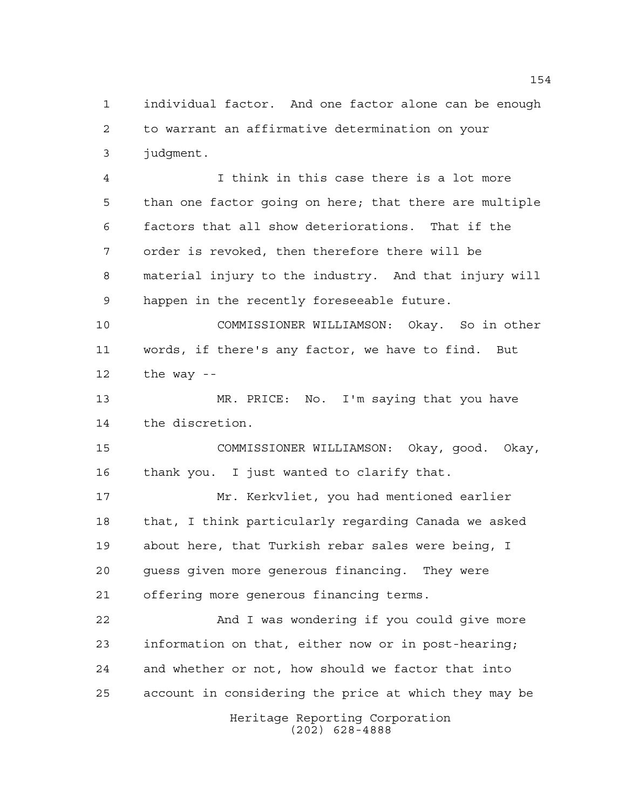individual factor. And one factor alone can be enough to warrant an affirmative determination on your judgment.

 I think in this case there is a lot more than one factor going on here; that there are multiple factors that all show deteriorations. That if the order is revoked, then therefore there will be material injury to the industry. And that injury will happen in the recently foreseeable future.

 COMMISSIONER WILLIAMSON: Okay. So in other words, if there's any factor, we have to find. But the way --

 MR. PRICE: No. I'm saying that you have the discretion.

 COMMISSIONER WILLIAMSON: Okay, good. Okay, thank you. I just wanted to clarify that.

 Mr. Kerkvliet, you had mentioned earlier that, I think particularly regarding Canada we asked about here, that Turkish rebar sales were being, I guess given more generous financing. They were offering more generous financing terms.

 And I was wondering if you could give more information on that, either now or in post-hearing; and whether or not, how should we factor that into account in considering the price at which they may be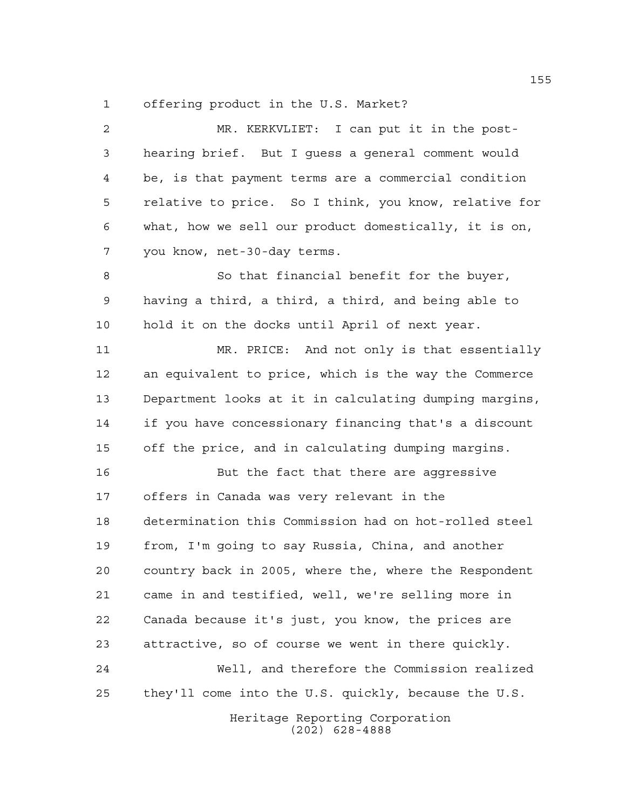offering product in the U.S. Market?

| 2  | MR. KERKVLIET: I can put it in the post-               |
|----|--------------------------------------------------------|
| 3  | hearing brief. But I guess a general comment would     |
| 4  | be, is that payment terms are a commercial condition   |
| 5  | relative to price. So I think, you know, relative for  |
| 6  | what, how we sell our product domestically, it is on,  |
| 7  | you know, net-30-day terms.                            |
| 8  | So that financial benefit for the buyer,               |
| 9  | having a third, a third, a third, and being able to    |
| 10 | hold it on the docks until April of next year.         |
| 11 | MR. PRICE: And not only is that essentially            |
| 12 | an equivalent to price, which is the way the Commerce  |
| 13 | Department looks at it in calculating dumping margins, |
| 14 | if you have concessionary financing that's a discount  |
| 15 | off the price, and in calculating dumping margins.     |
| 16 | But the fact that there are aggressive                 |
| 17 | offers in Canada was very relevant in the              |
| 18 | determination this Commission had on hot-rolled steel  |
| 19 | from, I'm going to say Russia, China, and another      |
| 20 | country back in 2005, where the, where the Respondent  |
| 21 | came in and testified, well, we're selling more in     |
| 22 | Canada because it's just, you know, the prices are     |
| 23 | attractive, so of course we went in there quickly.     |
| 24 | Well, and therefore the Commission realized            |
| 25 | they'll come into the U.S. quickly, because the U.S.   |
|    | Heritage Reporting Corporation<br>$(202)$ 628-4888     |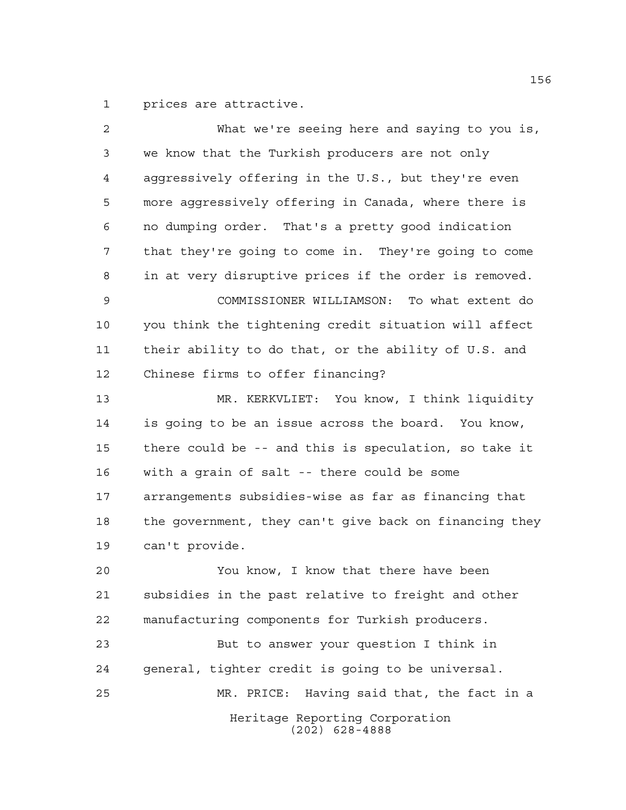prices are attractive.

| 2              | What we're seeing here and saying to you is,           |
|----------------|--------------------------------------------------------|
| 3              | we know that the Turkish producers are not only        |
| $\overline{4}$ | aggressively offering in the U.S., but they're even    |
| 5              | more aggressively offering in Canada, where there is   |
| 6              | no dumping order. That's a pretty good indication      |
| 7              | that they're going to come in. They're going to come   |
| 8              | in at very disruptive prices if the order is removed.  |
| 9              | COMMISSIONER WILLIAMSON: To what extent do             |
| 10             | you think the tightening credit situation will affect  |
| 11             | their ability to do that, or the ability of U.S. and   |
| 12             | Chinese firms to offer financing?                      |
| 13             | MR. KERKVLIET: You know, I think liquidity             |
| 14             | is going to be an issue across the board. You know,    |
| 15             | there could be -- and this is speculation, so take it  |
| 16             | with a grain of salt -- there could be some            |
| 17             | arrangements subsidies-wise as far as financing that   |
| 18             | the government, they can't give back on financing they |
| 19             | can't provide.                                         |
| 20             | You know, I know that there have been                  |
| 21             | subsidies in the past relative to freight and other    |
| 22             | manufacturing components for Turkish producers.        |
| 23             | But to answer your question I think in                 |
| 24             | general, tighter credit is going to be universal.      |
| 25             | Having said that, the fact in a<br>MR. PRICE:          |
|                | Heritage Reporting Corporation<br>$(202)$ 628-4888     |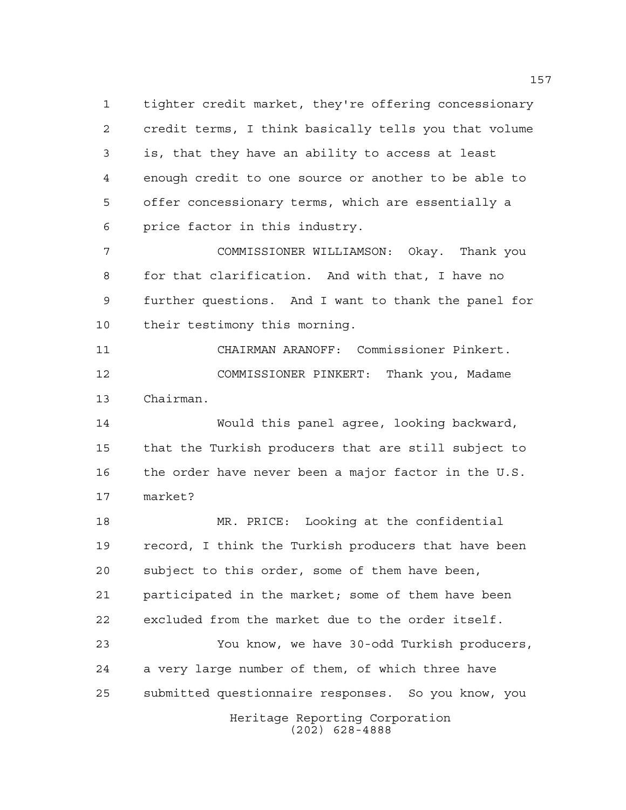tighter credit market, they're offering concessionary credit terms, I think basically tells you that volume is, that they have an ability to access at least enough credit to one source or another to be able to offer concessionary terms, which are essentially a price factor in this industry.

 COMMISSIONER WILLIAMSON: Okay. Thank you for that clarification. And with that, I have no further questions. And I want to thank the panel for their testimony this morning.

 CHAIRMAN ARANOFF: Commissioner Pinkert. COMMISSIONER PINKERT: Thank you, Madame Chairman.

 Would this panel agree, looking backward, that the Turkish producers that are still subject to the order have never been a major factor in the U.S. market?

 MR. PRICE: Looking at the confidential record, I think the Turkish producers that have been subject to this order, some of them have been, participated in the market; some of them have been excluded from the market due to the order itself.

 You know, we have 30-odd Turkish producers, a very large number of them, of which three have submitted questionnaire responses. So you know, you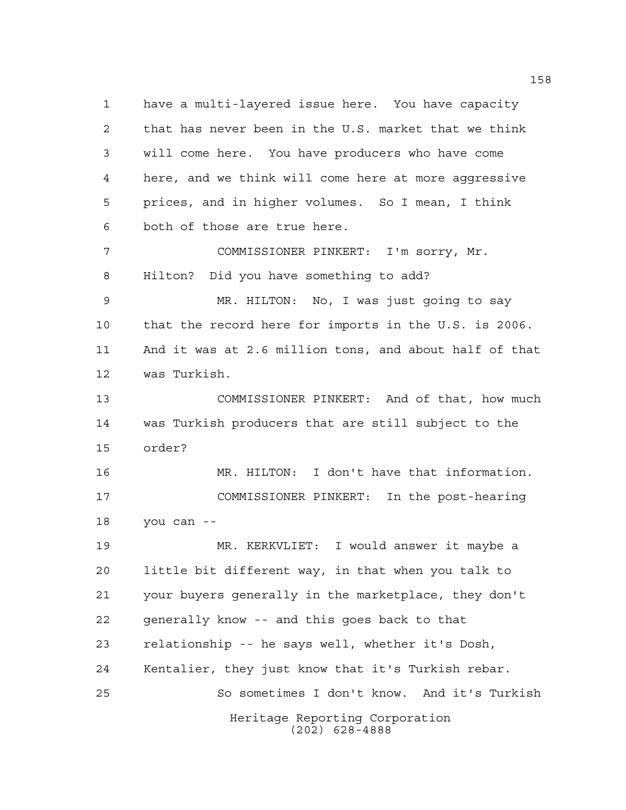Heritage Reporting Corporation have a multi-layered issue here. You have capacity that has never been in the U.S. market that we think will come here. You have producers who have come here, and we think will come here at more aggressive prices, and in higher volumes. So I mean, I think both of those are true here. COMMISSIONER PINKERT: I'm sorry, Mr. Hilton? Did you have something to add? MR. HILTON: No, I was just going to say that the record here for imports in the U.S. is 2006. And it was at 2.6 million tons, and about half of that was Turkish. COMMISSIONER PINKERT: And of that, how much was Turkish producers that are still subject to the order? MR. HILTON: I don't have that information. COMMISSIONER PINKERT: In the post-hearing you can -- MR. KERKVLIET: I would answer it maybe a little bit different way, in that when you talk to your buyers generally in the marketplace, they don't generally know -- and this goes back to that relationship -- he says well, whether it's Dosh, Kentalier, they just know that it's Turkish rebar. So sometimes I don't know. And it's Turkish

(202) 628-4888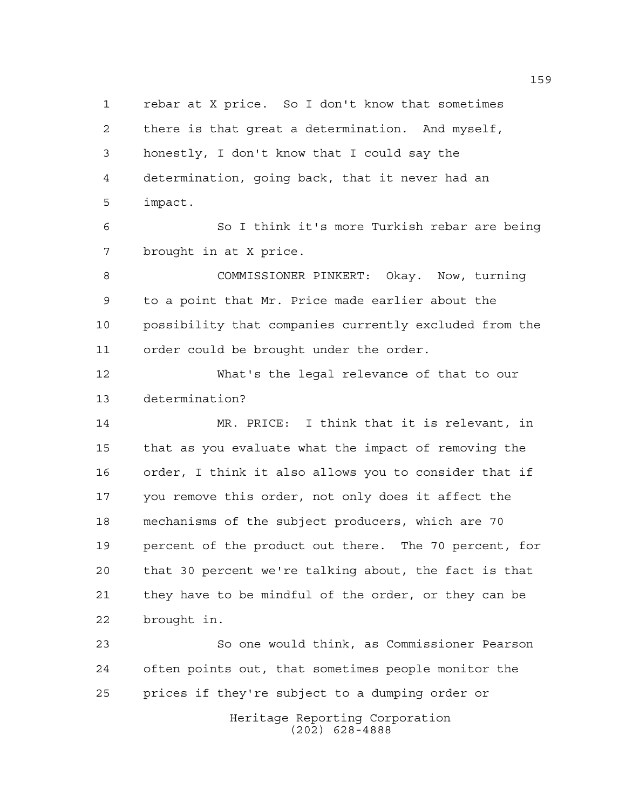rebar at X price. So I don't know that sometimes there is that great a determination. And myself, honestly, I don't know that I could say the determination, going back, that it never had an impact. So I think it's more Turkish rebar are being brought in at X price. COMMISSIONER PINKERT: Okay. Now, turning to a point that Mr. Price made earlier about the possibility that companies currently excluded from the order could be brought under the order. What's the legal relevance of that to our determination? MR. PRICE: I think that it is relevant, in that as you evaluate what the impact of removing the order, I think it also allows you to consider that if you remove this order, not only does it affect the mechanisms of the subject producers, which are 70 percent of the product out there. The 70 percent, for that 30 percent we're talking about, the fact is that they have to be mindful of the order, or they can be brought in. So one would think, as Commissioner Pearson often points out, that sometimes people monitor the prices if they're subject to a dumping order or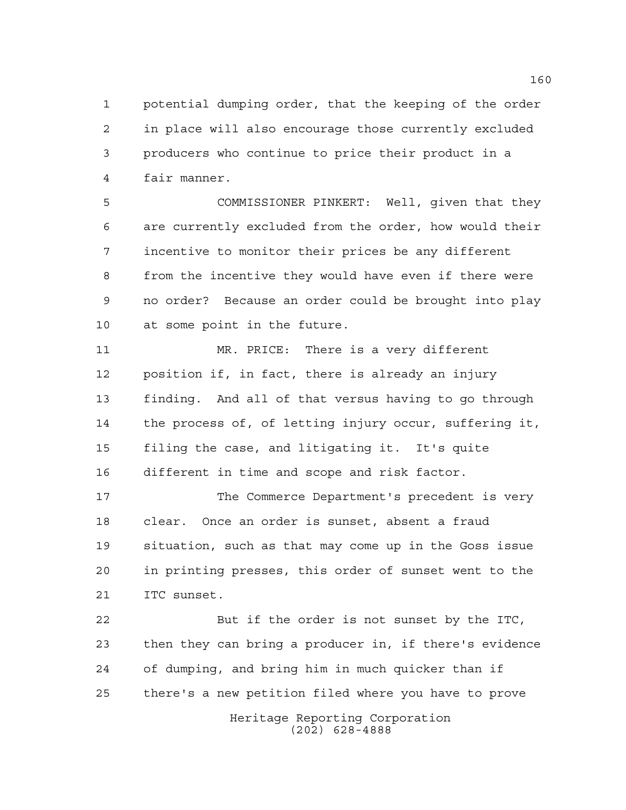potential dumping order, that the keeping of the order in place will also encourage those currently excluded producers who continue to price their product in a fair manner.

 COMMISSIONER PINKERT: Well, given that they are currently excluded from the order, how would their incentive to monitor their prices be any different from the incentive they would have even if there were no order? Because an order could be brought into play at some point in the future.

 MR. PRICE: There is a very different position if, in fact, there is already an injury finding. And all of that versus having to go through the process of, of letting injury occur, suffering it, filing the case, and litigating it. It's quite different in time and scope and risk factor.

 The Commerce Department's precedent is very clear. Once an order is sunset, absent a fraud situation, such as that may come up in the Goss issue in printing presses, this order of sunset went to the ITC sunset.

 But if the order is not sunset by the ITC, then they can bring a producer in, if there's evidence of dumping, and bring him in much quicker than if there's a new petition filed where you have to prove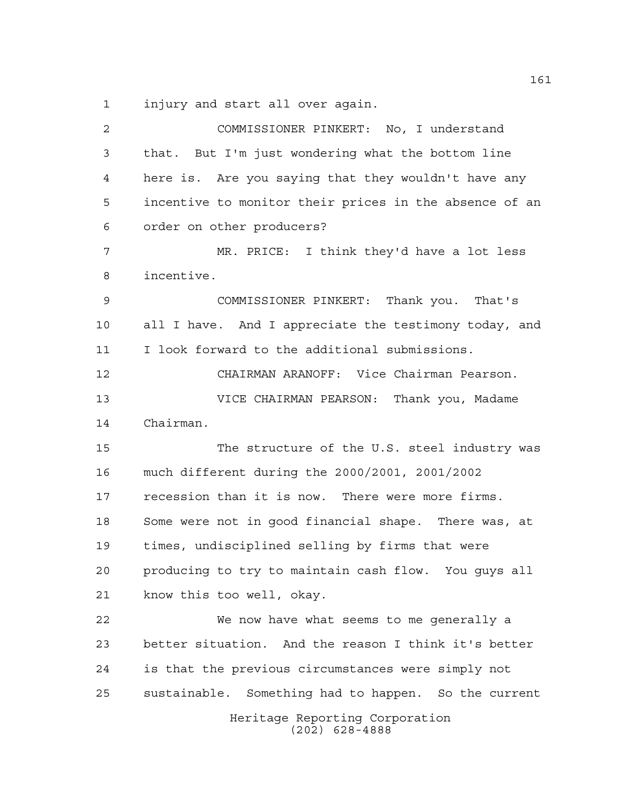injury and start all over again.

Heritage Reporting Corporation (202) 628-4888 COMMISSIONER PINKERT: No, I understand that. But I'm just wondering what the bottom line here is. Are you saying that they wouldn't have any incentive to monitor their prices in the absence of an order on other producers? MR. PRICE: I think they'd have a lot less incentive. COMMISSIONER PINKERT: Thank you. That's all I have. And I appreciate the testimony today, and I look forward to the additional submissions. CHAIRMAN ARANOFF: Vice Chairman Pearson. VICE CHAIRMAN PEARSON: Thank you, Madame Chairman. The structure of the U.S. steel industry was much different during the 2000/2001, 2001/2002 recession than it is now. There were more firms. Some were not in good financial shape. There was, at times, undisciplined selling by firms that were producing to try to maintain cash flow. You guys all know this too well, okay. We now have what seems to me generally a better situation. And the reason I think it's better is that the previous circumstances were simply not sustainable. Something had to happen. So the current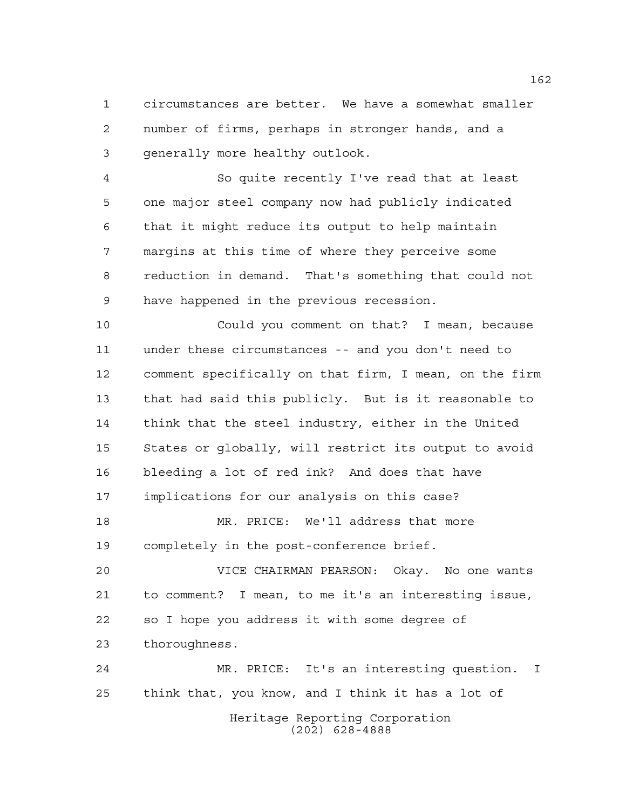circumstances are better. We have a somewhat smaller number of firms, perhaps in stronger hands, and a generally more healthy outlook.

 So quite recently I've read that at least one major steel company now had publicly indicated that it might reduce its output to help maintain margins at this time of where they perceive some reduction in demand. That's something that could not have happened in the previous recession.

 Could you comment on that? I mean, because under these circumstances -- and you don't need to comment specifically on that firm, I mean, on the firm that had said this publicly. But is it reasonable to think that the steel industry, either in the United States or globally, will restrict its output to avoid bleeding a lot of red ink? And does that have implications for our analysis on this case?

 MR. PRICE: We'll address that more completely in the post-conference brief.

 VICE CHAIRMAN PEARSON: Okay. No one wants to comment? I mean, to me it's an interesting issue, so I hope you address it with some degree of thoroughness.

Heritage Reporting Corporation (202) 628-4888 MR. PRICE: It's an interesting question. I think that, you know, and I think it has a lot of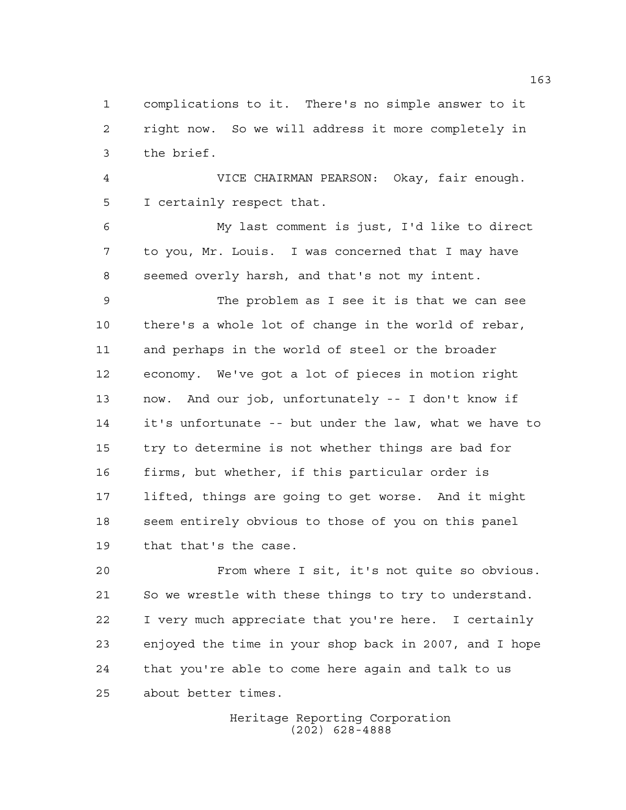complications to it. There's no simple answer to it right now. So we will address it more completely in the brief.

 VICE CHAIRMAN PEARSON: Okay, fair enough. I certainly respect that.

 My last comment is just, I'd like to direct to you, Mr. Louis. I was concerned that I may have seemed overly harsh, and that's not my intent.

 The problem as I see it is that we can see there's a whole lot of change in the world of rebar, and perhaps in the world of steel or the broader economy. We've got a lot of pieces in motion right now. And our job, unfortunately -- I don't know if it's unfortunate -- but under the law, what we have to try to determine is not whether things are bad for firms, but whether, if this particular order is lifted, things are going to get worse. And it might seem entirely obvious to those of you on this panel that that's the case.

 From where I sit, it's not quite so obvious. So we wrestle with these things to try to understand. I very much appreciate that you're here. I certainly enjoyed the time in your shop back in 2007, and I hope that you're able to come here again and talk to us about better times.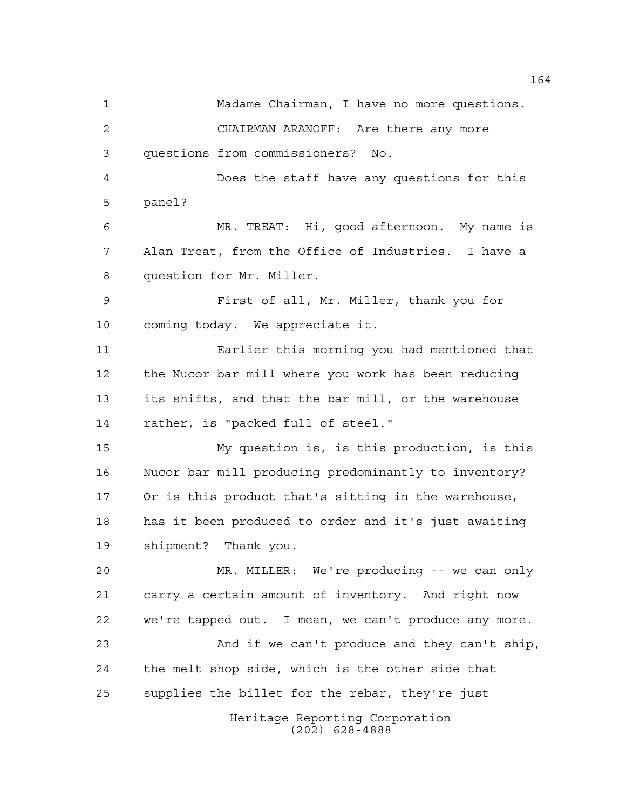Heritage Reporting Corporation (202) 628-4888 Madame Chairman, I have no more questions. CHAIRMAN ARANOFF: Are there any more questions from commissioners? No. Does the staff have any questions for this panel? MR. TREAT: Hi, good afternoon. My name is Alan Treat, from the Office of Industries. I have a question for Mr. Miller. First of all, Mr. Miller, thank you for coming today. We appreciate it. Earlier this morning you had mentioned that the Nucor bar mill where you work has been reducing its shifts, and that the bar mill, or the warehouse rather, is "packed full of steel." My question is, is this production, is this Nucor bar mill producing predominantly to inventory? Or is this product that's sitting in the warehouse, has it been produced to order and it's just awaiting shipment? Thank you. MR. MILLER: We're producing -- we can only carry a certain amount of inventory. And right now we're tapped out. I mean, we can't produce any more. And if we can't produce and they can't ship, the melt shop side, which is the other side that supplies the billet for the rebar, they're just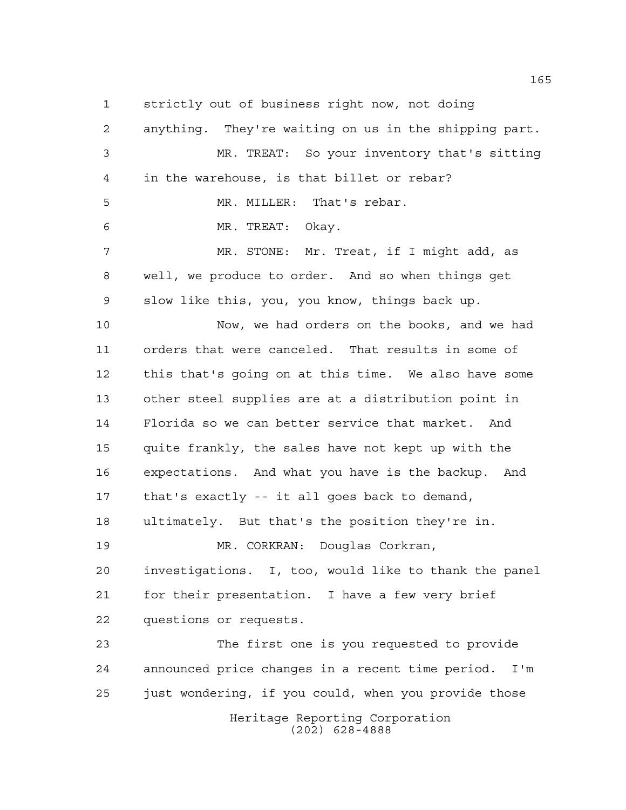strictly out of business right now, not doing

Heritage Reporting Corporation (202) 628-4888 anything. They're waiting on us in the shipping part. MR. TREAT: So your inventory that's sitting in the warehouse, is that billet or rebar? MR. MILLER: That's rebar. MR. TREAT: Okay. MR. STONE: Mr. Treat, if I might add, as well, we produce to order. And so when things get slow like this, you, you know, things back up. Now, we had orders on the books, and we had orders that were canceled. That results in some of this that's going on at this time. We also have some other steel supplies are at a distribution point in Florida so we can better service that market. And quite frankly, the sales have not kept up with the expectations. And what you have is the backup. And that's exactly -- it all goes back to demand, ultimately. But that's the position they're in. MR. CORKRAN: Douglas Corkran, investigations. I, too, would like to thank the panel for their presentation. I have a few very brief questions or requests. The first one is you requested to provide announced price changes in a recent time period. I'm just wondering, if you could, when you provide those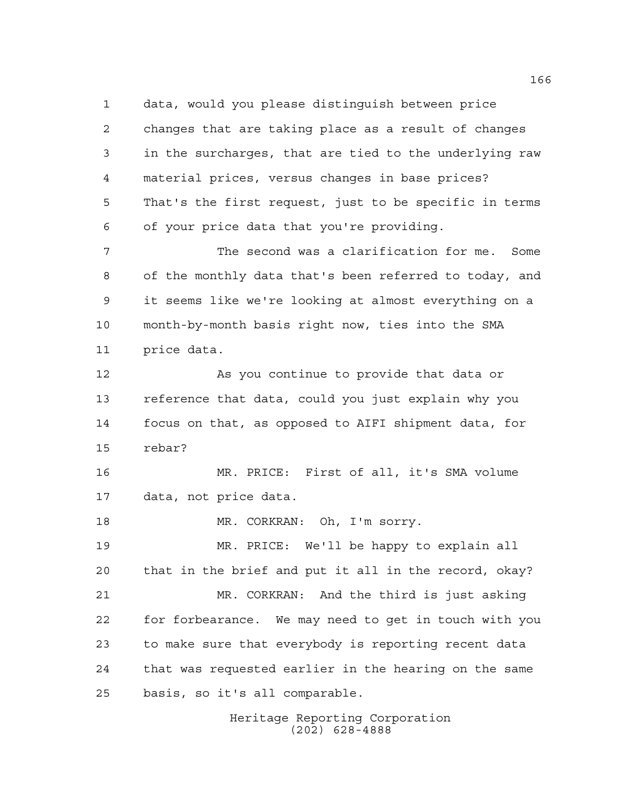data, would you please distinguish between price changes that are taking place as a result of changes in the surcharges, that are tied to the underlying raw material prices, versus changes in base prices? That's the first request, just to be specific in terms of your price data that you're providing.

 The second was a clarification for me. Some of the monthly data that's been referred to today, and it seems like we're looking at almost everything on a month-by-month basis right now, ties into the SMA price data.

 As you continue to provide that data or reference that data, could you just explain why you focus on that, as opposed to AIFI shipment data, for rebar?

 MR. PRICE: First of all, it's SMA volume data, not price data.

18 MR. CORKRAN: Oh, I'm sorry.

 MR. PRICE: We'll be happy to explain all that in the brief and put it all in the record, okay? MR. CORKRAN: And the third is just asking for forbearance. We may need to get in touch with you to make sure that everybody is reporting recent data that was requested earlier in the hearing on the same basis, so it's all comparable.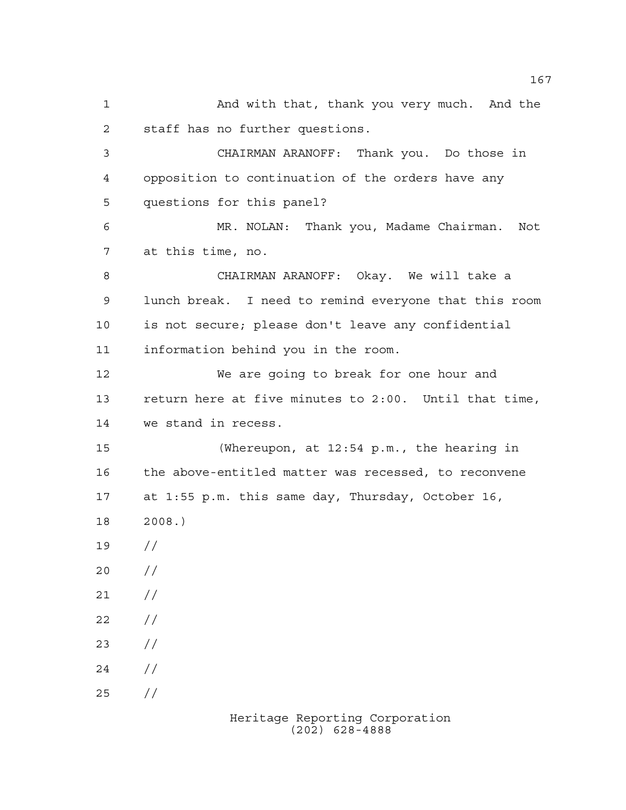And with that, thank you very much. And the staff has no further questions. CHAIRMAN ARANOFF: Thank you. Do those in opposition to continuation of the orders have any questions for this panel? MR. NOLAN: Thank you, Madame Chairman. Not at this time, no. CHAIRMAN ARANOFF: Okay. We will take a lunch break. I need to remind everyone that this room is not secure; please don't leave any confidential information behind you in the room. We are going to break for one hour and return here at five minutes to 2:00. Until that time, we stand in recess. (Whereupon, at 12:54 p.m., the hearing in the above-entitled matter was recessed, to reconvene at 1:55 p.m. this same day, Thursday, October 16, 2008.) //  $20 /$  $21 /$  $22 / /$  $23 / /$  $24 /$ //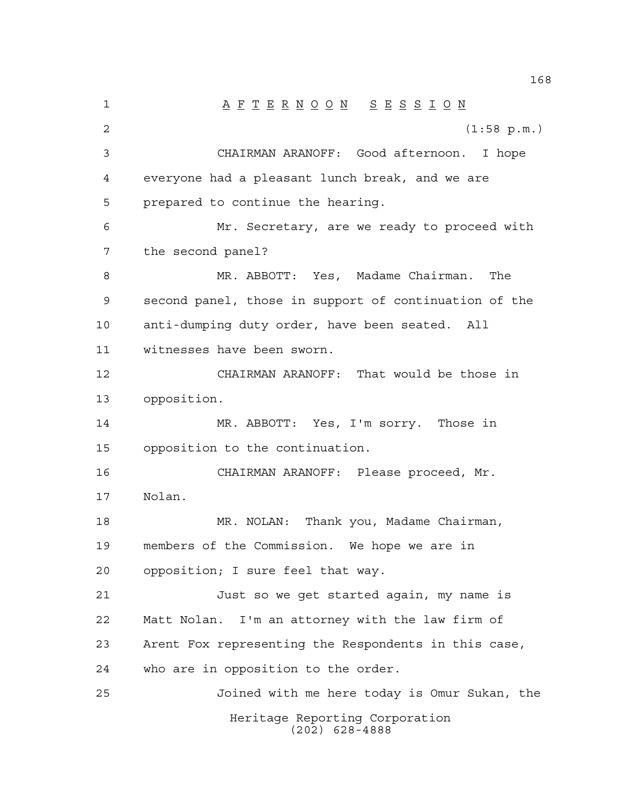Heritage Reporting Corporation (202) 628-4888 1 A F T E R N O O N S E S S I O N (1:58 p.m.) CHAIRMAN ARANOFF: Good afternoon. I hope everyone had a pleasant lunch break, and we are prepared to continue the hearing. Mr. Secretary, are we ready to proceed with the second panel? MR. ABBOTT: Yes, Madame Chairman. The second panel, those in support of continuation of the anti-dumping duty order, have been seated. All witnesses have been sworn. CHAIRMAN ARANOFF: That would be those in opposition. MR. ABBOTT: Yes, I'm sorry. Those in opposition to the continuation. CHAIRMAN ARANOFF: Please proceed, Mr. Nolan. MR. NOLAN: Thank you, Madame Chairman, members of the Commission. We hope we are in opposition; I sure feel that way. Just so we get started again, my name is Matt Nolan. I'm an attorney with the law firm of Arent Fox representing the Respondents in this case, who are in opposition to the order. Joined with me here today is Omur Sukan, the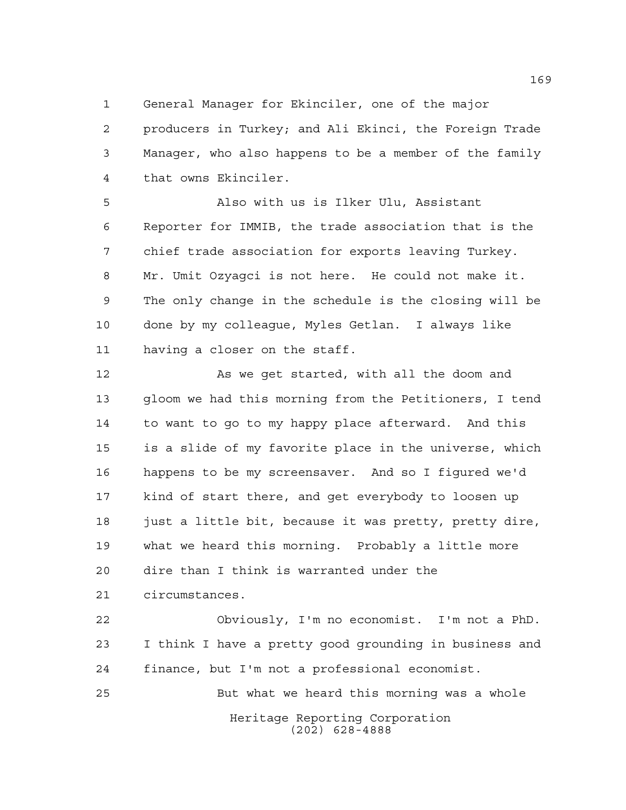General Manager for Ekinciler, one of the major

 producers in Turkey; and Ali Ekinci, the Foreign Trade Manager, who also happens to be a member of the family that owns Ekinciler.

 Also with us is Ilker Ulu, Assistant Reporter for IMMIB, the trade association that is the chief trade association for exports leaving Turkey. Mr. Umit Ozyagci is not here. He could not make it. The only change in the schedule is the closing will be done by my colleague, Myles Getlan. I always like having a closer on the staff.

12 As we get started, with all the doom and gloom we had this morning from the Petitioners, I tend to want to go to my happy place afterward. And this is a slide of my favorite place in the universe, which happens to be my screensaver. And so I figured we'd kind of start there, and get everybody to loosen up 18 just a little bit, because it was pretty, pretty dire, what we heard this morning. Probably a little more dire than I think is warranted under the circumstances.

 Obviously, I'm no economist. I'm not a PhD. I think I have a pretty good grounding in business and finance, but I'm not a professional economist. But what we heard this morning was a whole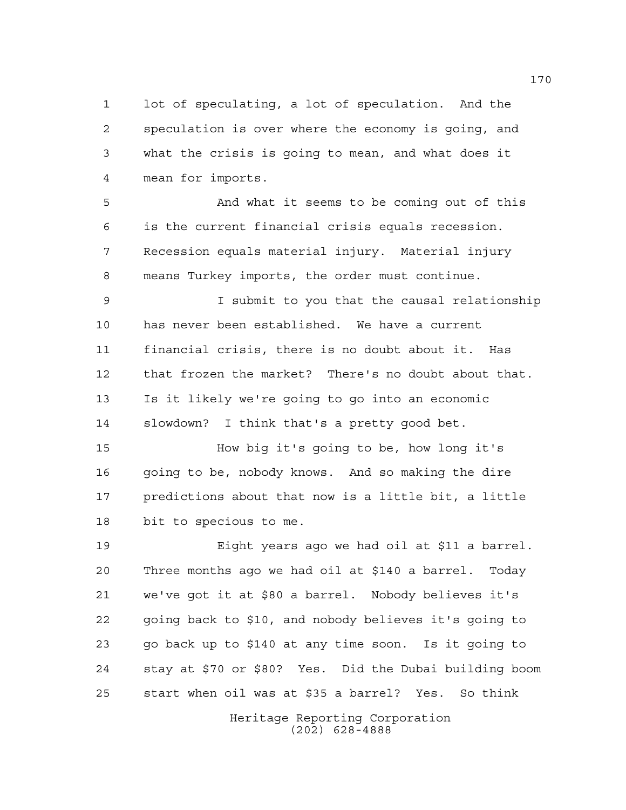lot of speculating, a lot of speculation. And the speculation is over where the economy is going, and what the crisis is going to mean, and what does it mean for imports.

 And what it seems to be coming out of this is the current financial crisis equals recession. Recession equals material injury. Material injury means Turkey imports, the order must continue.

 I submit to you that the causal relationship has never been established. We have a current financial crisis, there is no doubt about it. Has that frozen the market? There's no doubt about that. Is it likely we're going to go into an economic slowdown? I think that's a pretty good bet.

 How big it's going to be, how long it's going to be, nobody knows. And so making the dire predictions about that now is a little bit, a little bit to specious to me.

 Eight years ago we had oil at \$11 a barrel. Three months ago we had oil at \$140 a barrel. Today we've got it at \$80 a barrel. Nobody believes it's going back to \$10, and nobody believes it's going to go back up to \$140 at any time soon. Is it going to stay at \$70 or \$80? Yes. Did the Dubai building boom start when oil was at \$35 a barrel? Yes. So think

> Heritage Reporting Corporation (202) 628-4888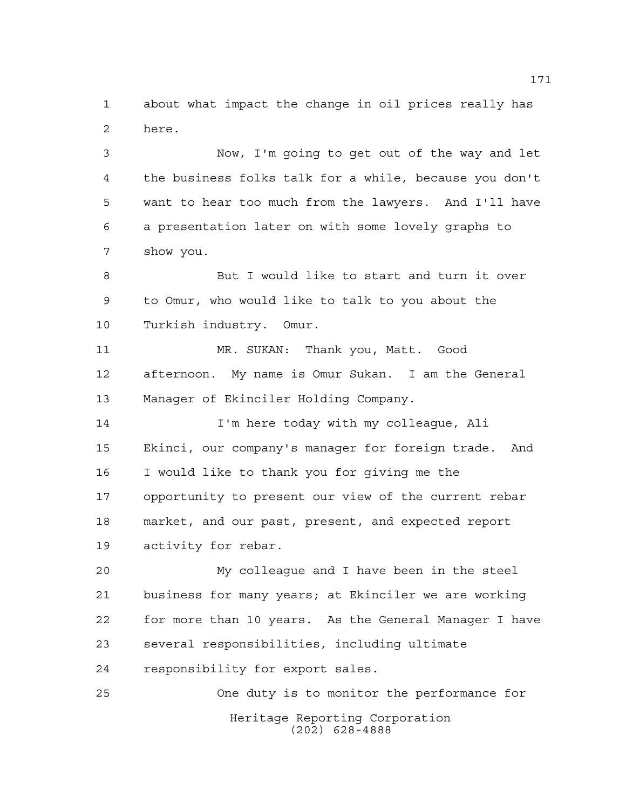about what impact the change in oil prices really has here.

 Now, I'm going to get out of the way and let the business folks talk for a while, because you don't want to hear too much from the lawyers. And I'll have a presentation later on with some lovely graphs to show you.

 But I would like to start and turn it over to Omur, who would like to talk to you about the Turkish industry. Omur.

 MR. SUKAN: Thank you, Matt. Good afternoon. My name is Omur Sukan. I am the General Manager of Ekinciler Holding Company.

 I'm here today with my colleague, Ali Ekinci, our company's manager for foreign trade. And I would like to thank you for giving me the opportunity to present our view of the current rebar market, and our past, present, and expected report activity for rebar.

 My colleague and I have been in the steel business for many years; at Ekinciler we are working for more than 10 years. As the General Manager I have several responsibilities, including ultimate responsibility for export sales.

Heritage Reporting Corporation (202) 628-4888 One duty is to monitor the performance for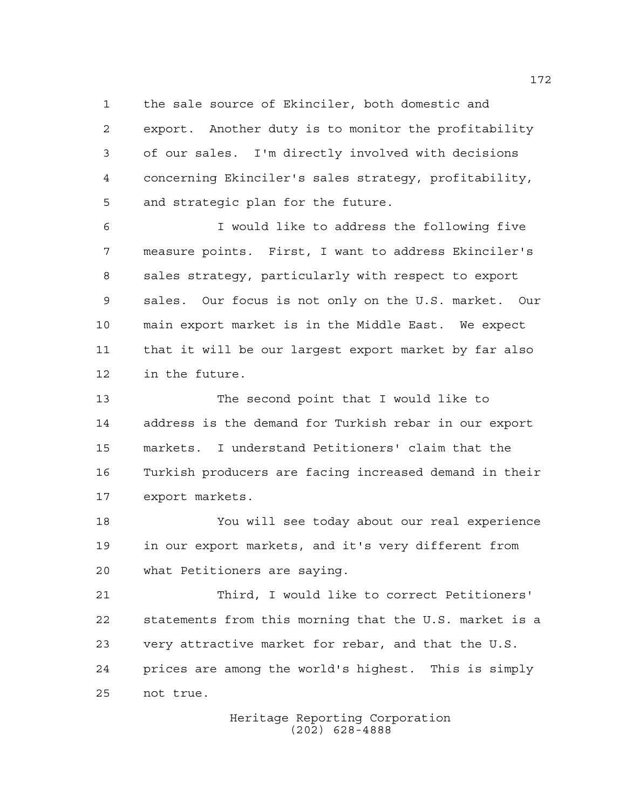the sale source of Ekinciler, both domestic and

 export. Another duty is to monitor the profitability of our sales. I'm directly involved with decisions concerning Ekinciler's sales strategy, profitability, and strategic plan for the future.

 I would like to address the following five measure points. First, I want to address Ekinciler's sales strategy, particularly with respect to export sales. Our focus is not only on the U.S. market. Our main export market is in the Middle East. We expect that it will be our largest export market by far also in the future.

 The second point that I would like to address is the demand for Turkish rebar in our export markets. I understand Petitioners' claim that the Turkish producers are facing increased demand in their export markets.

 You will see today about our real experience in our export markets, and it's very different from what Petitioners are saying.

 Third, I would like to correct Petitioners' statements from this morning that the U.S. market is a very attractive market for rebar, and that the U.S. prices are among the world's highest. This is simply not true.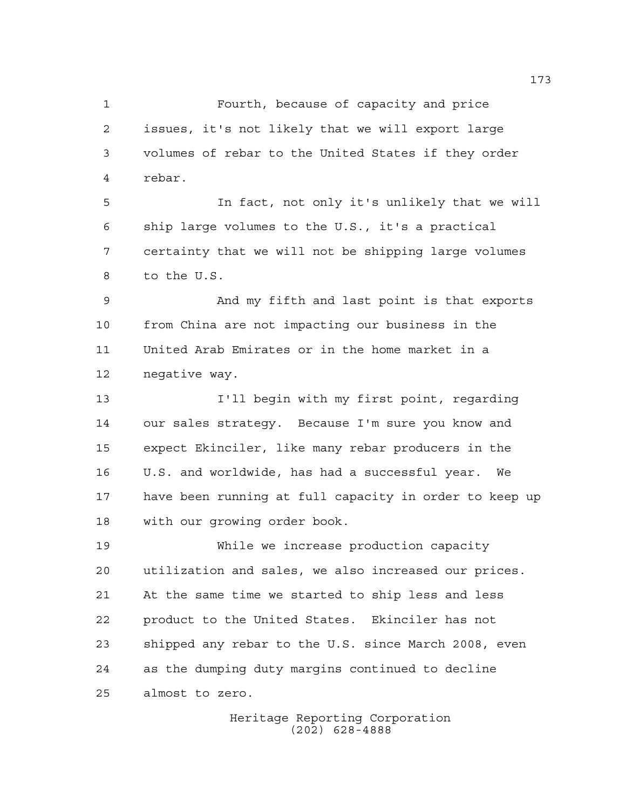Fourth, because of capacity and price issues, it's not likely that we will export large volumes of rebar to the United States if they order rebar.

 In fact, not only it's unlikely that we will ship large volumes to the U.S., it's a practical certainty that we will not be shipping large volumes to the U.S.

 And my fifth and last point is that exports from China are not impacting our business in the United Arab Emirates or in the home market in a negative way.

 I'll begin with my first point, regarding our sales strategy. Because I'm sure you know and expect Ekinciler, like many rebar producers in the U.S. and worldwide, has had a successful year. We have been running at full capacity in order to keep up with our growing order book.

 While we increase production capacity utilization and sales, we also increased our prices. At the same time we started to ship less and less product to the United States. Ekinciler has not shipped any rebar to the U.S. since March 2008, even as the dumping duty margins continued to decline almost to zero.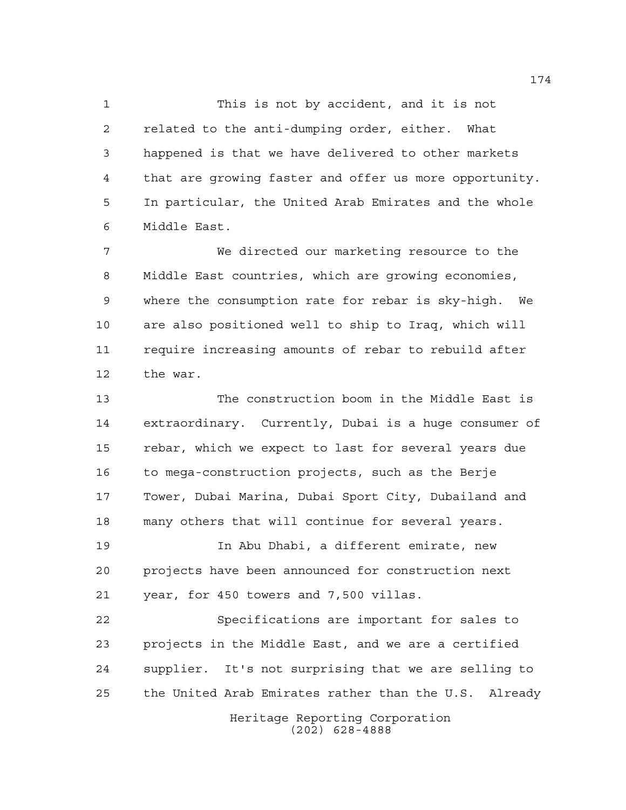This is not by accident, and it is not related to the anti-dumping order, either. What happened is that we have delivered to other markets that are growing faster and offer us more opportunity. In particular, the United Arab Emirates and the whole Middle East.

 We directed our marketing resource to the Middle East countries, which are growing economies, where the consumption rate for rebar is sky-high. We are also positioned well to ship to Iraq, which will require increasing amounts of rebar to rebuild after the war.

 The construction boom in the Middle East is extraordinary. Currently, Dubai is a huge consumer of rebar, which we expect to last for several years due to mega-construction projects, such as the Berje Tower, Dubai Marina, Dubai Sport City, Dubailand and many others that will continue for several years.

 In Abu Dhabi, a different emirate, new projects have been announced for construction next year, for 450 towers and 7,500 villas.

 Specifications are important for sales to projects in the Middle East, and we are a certified supplier. It's not surprising that we are selling to the United Arab Emirates rather than the U.S. Already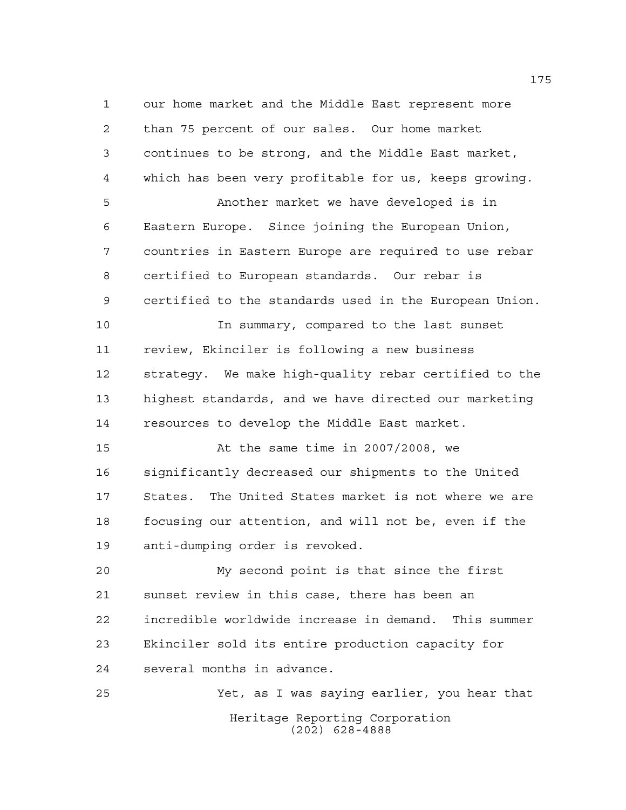our home market and the Middle East represent more than 75 percent of our sales. Our home market continues to be strong, and the Middle East market, which has been very profitable for us, keeps growing. Another market we have developed is in Eastern Europe. Since joining the European Union, countries in Eastern Europe are required to use rebar certified to European standards. Our rebar is certified to the standards used in the European Union. In summary, compared to the last sunset review, Ekinciler is following a new business strategy. We make high-quality rebar certified to the highest standards, and we have directed our marketing resources to develop the Middle East market. At the same time in 2007/2008, we significantly decreased our shipments to the United States. The United States market is not where we are focusing our attention, and will not be, even if the anti-dumping order is revoked. My second point is that since the first sunset review in this case, there has been an incredible worldwide increase in demand. This summer Ekinciler sold its entire production capacity for

several months in advance.

Heritage Reporting Corporation (202) 628-4888 Yet, as I was saying earlier, you hear that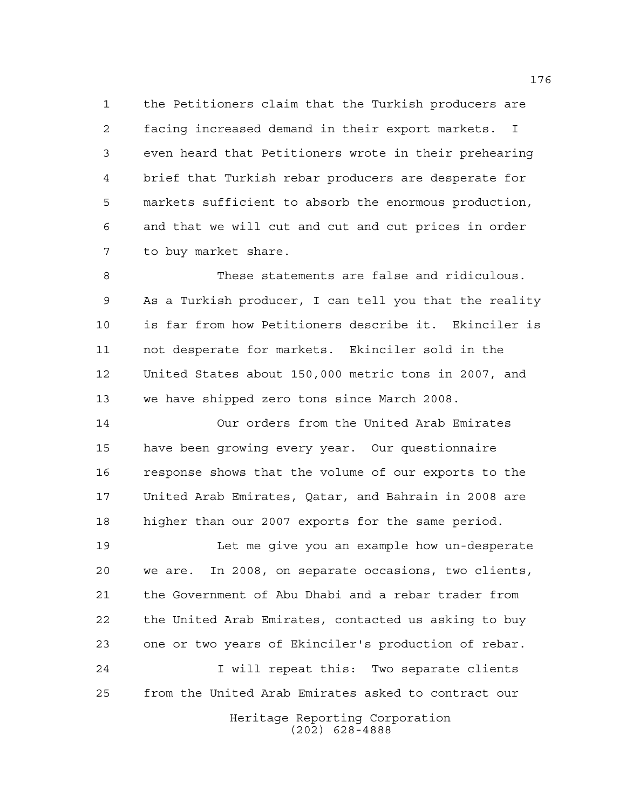the Petitioners claim that the Turkish producers are facing increased demand in their export markets. I even heard that Petitioners wrote in their prehearing brief that Turkish rebar producers are desperate for markets sufficient to absorb the enormous production, and that we will cut and cut and cut prices in order to buy market share.

 These statements are false and ridiculous. As a Turkish producer, I can tell you that the reality is far from how Petitioners describe it. Ekinciler is not desperate for markets. Ekinciler sold in the United States about 150,000 metric tons in 2007, and we have shipped zero tons since March 2008.

 Our orders from the United Arab Emirates have been growing every year. Our questionnaire response shows that the volume of our exports to the United Arab Emirates, Qatar, and Bahrain in 2008 are higher than our 2007 exports for the same period.

 Let me give you an example how un-desperate we are. In 2008, on separate occasions, two clients, the Government of Abu Dhabi and a rebar trader from the United Arab Emirates, contacted us asking to buy one or two years of Ekinciler's production of rebar. I will repeat this: Two separate clients from the United Arab Emirates asked to contract our

> Heritage Reporting Corporation (202) 628-4888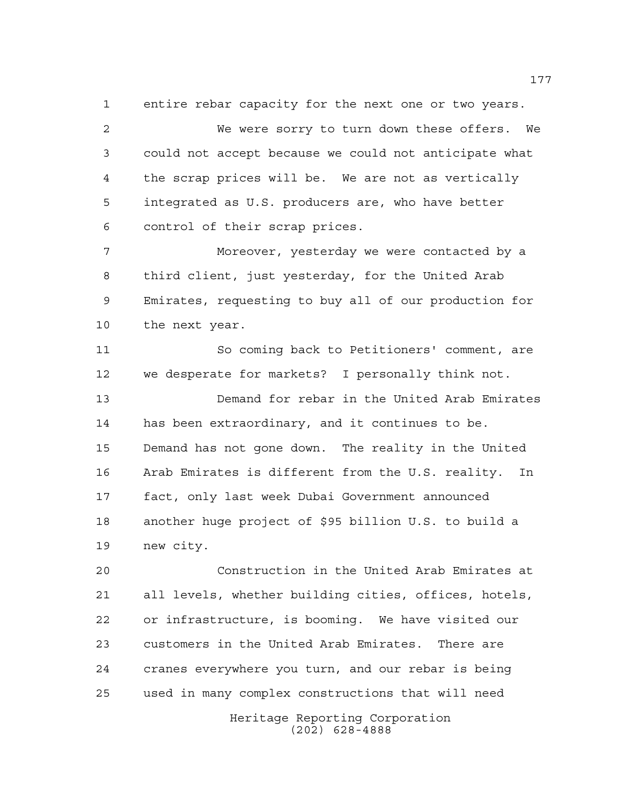entire rebar capacity for the next one or two years.

 We were sorry to turn down these offers. We could not accept because we could not anticipate what the scrap prices will be. We are not as vertically integrated as U.S. producers are, who have better control of their scrap prices.

 Moreover, yesterday we were contacted by a third client, just yesterday, for the United Arab Emirates, requesting to buy all of our production for the next year.

 So coming back to Petitioners' comment, are we desperate for markets? I personally think not.

 Demand for rebar in the United Arab Emirates has been extraordinary, and it continues to be. Demand has not gone down. The reality in the United Arab Emirates is different from the U.S. reality. In fact, only last week Dubai Government announced another huge project of \$95 billion U.S. to build a new city.

 Construction in the United Arab Emirates at all levels, whether building cities, offices, hotels, or infrastructure, is booming. We have visited our customers in the United Arab Emirates. There are cranes everywhere you turn, and our rebar is being used in many complex constructions that will need

Heritage Reporting Corporation (202) 628-4888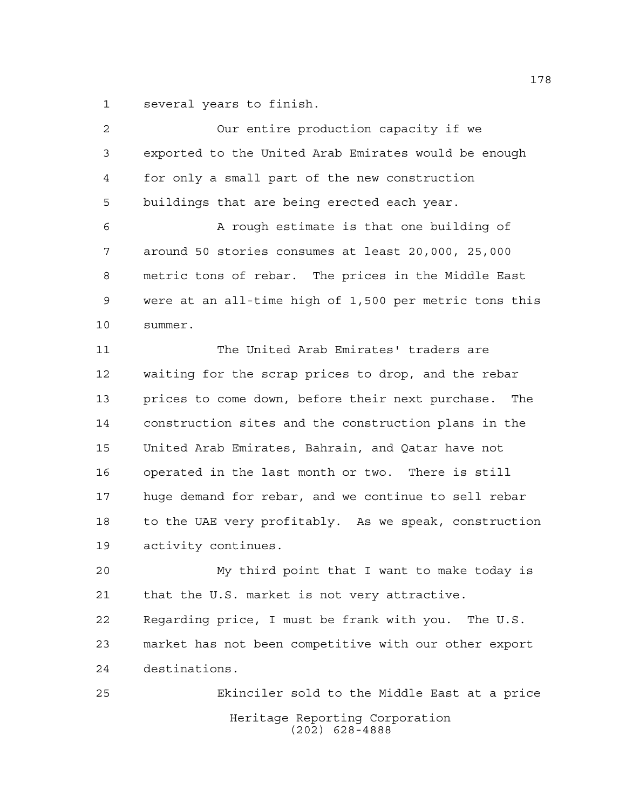several years to finish.

 Our entire production capacity if we exported to the United Arab Emirates would be enough for only a small part of the new construction buildings that are being erected each year. A rough estimate is that one building of around 50 stories consumes at least 20,000, 25,000 metric tons of rebar. The prices in the Middle East were at an all-time high of 1,500 per metric tons this summer. The United Arab Emirates' traders are waiting for the scrap prices to drop, and the rebar prices to come down, before their next purchase. The construction sites and the construction plans in the United Arab Emirates, Bahrain, and Qatar have not operated in the last month or two. There is still huge demand for rebar, and we continue to sell rebar to the UAE very profitably. As we speak, construction activity continues. My third point that I want to make today is that the U.S. market is not very attractive. Regarding price, I must be frank with you. The U.S. market has not been competitive with our other export destinations. Ekinciler sold to the Middle East at a price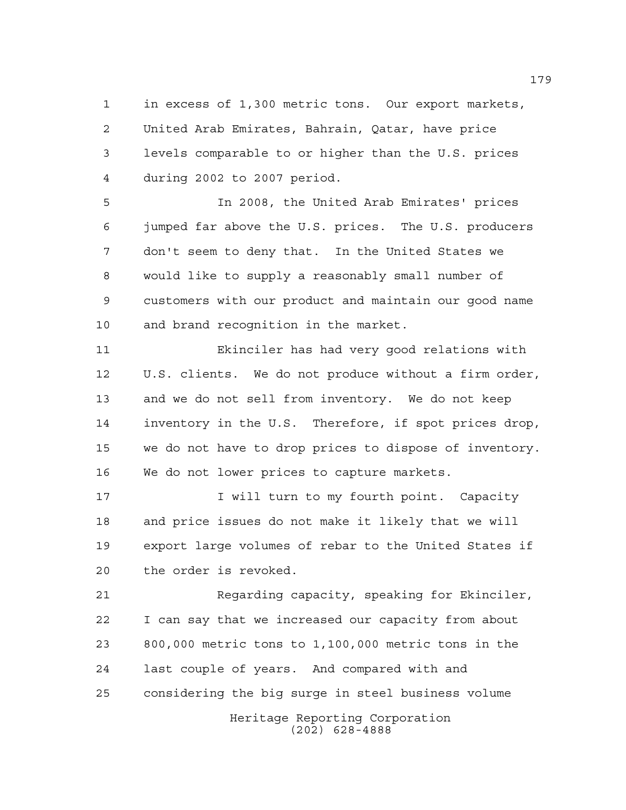in excess of 1,300 metric tons. Our export markets, United Arab Emirates, Bahrain, Qatar, have price levels comparable to or higher than the U.S. prices during 2002 to 2007 period.

 In 2008, the United Arab Emirates' prices jumped far above the U.S. prices. The U.S. producers don't seem to deny that. In the United States we would like to supply a reasonably small number of customers with our product and maintain our good name and brand recognition in the market.

 Ekinciler has had very good relations with U.S. clients. We do not produce without a firm order, and we do not sell from inventory. We do not keep inventory in the U.S. Therefore, if spot prices drop, we do not have to drop prices to dispose of inventory. We do not lower prices to capture markets.

17 17 I will turn to my fourth point. Capacity and price issues do not make it likely that we will export large volumes of rebar to the United States if the order is revoked.

 Regarding capacity, speaking for Ekinciler, I can say that we increased our capacity from about 800,000 metric tons to 1,100,000 metric tons in the last couple of years. And compared with and considering the big surge in steel business volume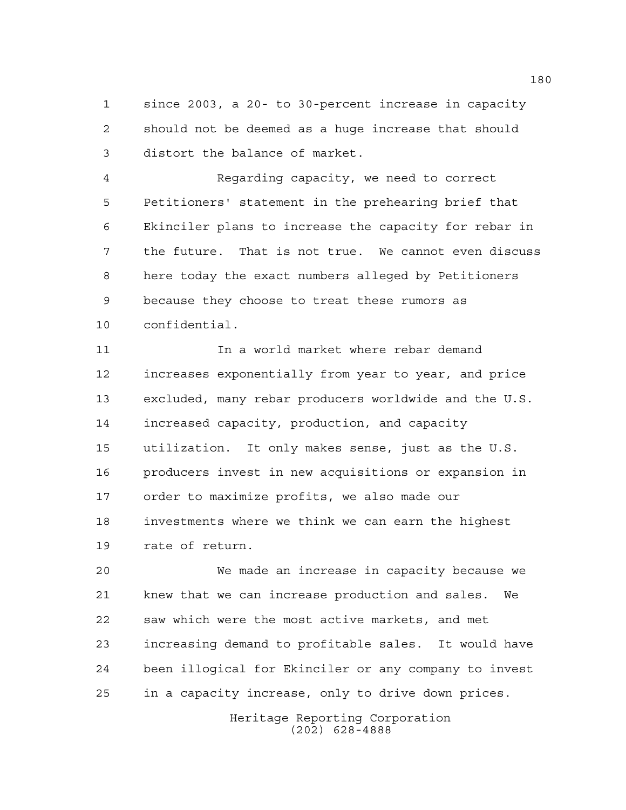since 2003, a 20- to 30-percent increase in capacity should not be deemed as a huge increase that should distort the balance of market.

 Regarding capacity, we need to correct Petitioners' statement in the prehearing brief that Ekinciler plans to increase the capacity for rebar in the future. That is not true. We cannot even discuss here today the exact numbers alleged by Petitioners because they choose to treat these rumors as confidential.

 In a world market where rebar demand increases exponentially from year to year, and price excluded, many rebar producers worldwide and the U.S. increased capacity, production, and capacity utilization. It only makes sense, just as the U.S. producers invest in new acquisitions or expansion in order to maximize profits, we also made our investments where we think we can earn the highest rate of return.

 We made an increase in capacity because we knew that we can increase production and sales. We saw which were the most active markets, and met increasing demand to profitable sales. It would have been illogical for Ekinciler or any company to invest in a capacity increase, only to drive down prices.

> Heritage Reporting Corporation (202) 628-4888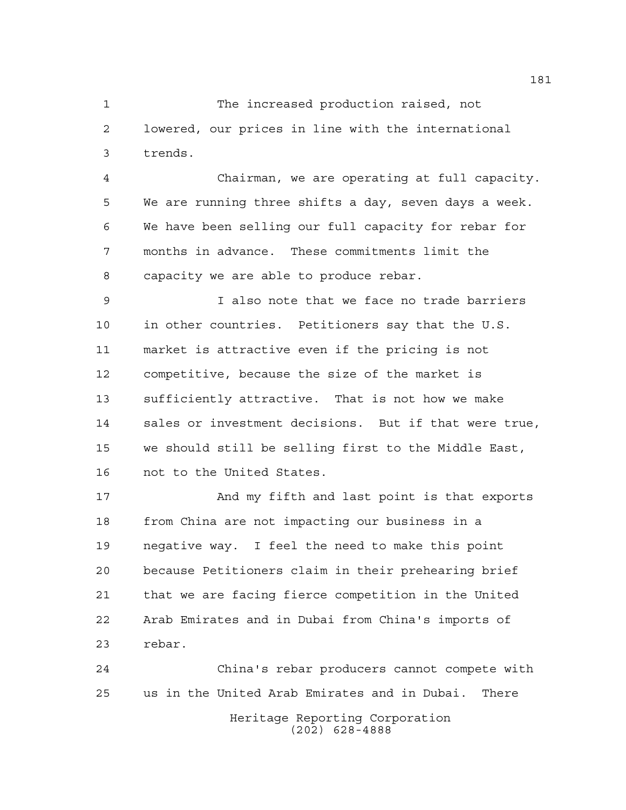The increased production raised, not lowered, our prices in line with the international trends.

 Chairman, we are operating at full capacity. We are running three shifts a day, seven days a week. We have been selling our full capacity for rebar for months in advance. These commitments limit the capacity we are able to produce rebar.

 I also note that we face no trade barriers in other countries. Petitioners say that the U.S. market is attractive even if the pricing is not competitive, because the size of the market is sufficiently attractive. That is not how we make sales or investment decisions. But if that were true, we should still be selling first to the Middle East, not to the United States.

 And my fifth and last point is that exports from China are not impacting our business in a negative way. I feel the need to make this point because Petitioners claim in their prehearing brief that we are facing fierce competition in the United Arab Emirates and in Dubai from China's imports of rebar.

Heritage Reporting Corporation (202) 628-4888 China's rebar producers cannot compete with us in the United Arab Emirates and in Dubai. There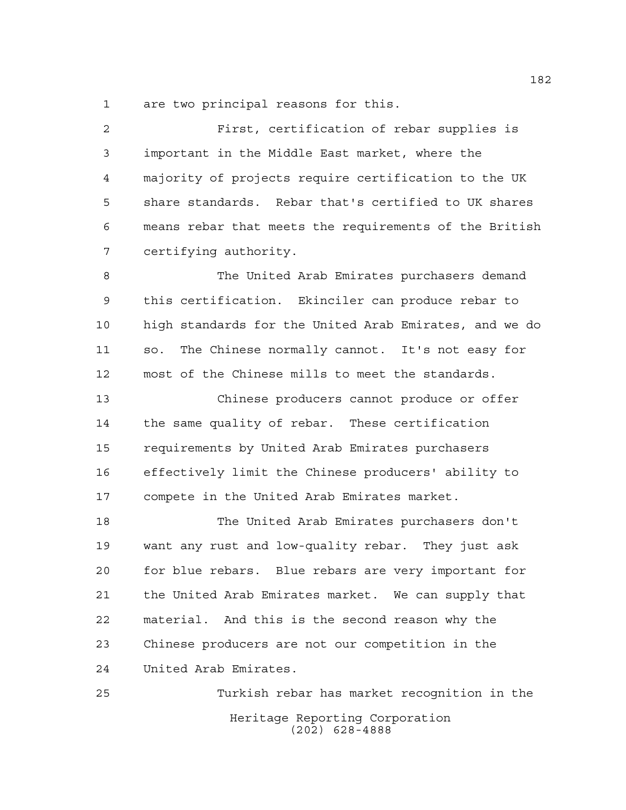are two principal reasons for this.

 First, certification of rebar supplies is important in the Middle East market, where the majority of projects require certification to the UK share standards. Rebar that's certified to UK shares means rebar that meets the requirements of the British certifying authority.

 The United Arab Emirates purchasers demand this certification. Ekinciler can produce rebar to high standards for the United Arab Emirates, and we do so. The Chinese normally cannot. It's not easy for most of the Chinese mills to meet the standards.

 Chinese producers cannot produce or offer the same quality of rebar. These certification requirements by United Arab Emirates purchasers effectively limit the Chinese producers' ability to compete in the United Arab Emirates market.

 The United Arab Emirates purchasers don't want any rust and low-quality rebar. They just ask for blue rebars. Blue rebars are very important for the United Arab Emirates market. We can supply that material. And this is the second reason why the Chinese producers are not our competition in the United Arab Emirates.

Heritage Reporting Corporation (202) 628-4888 Turkish rebar has market recognition in the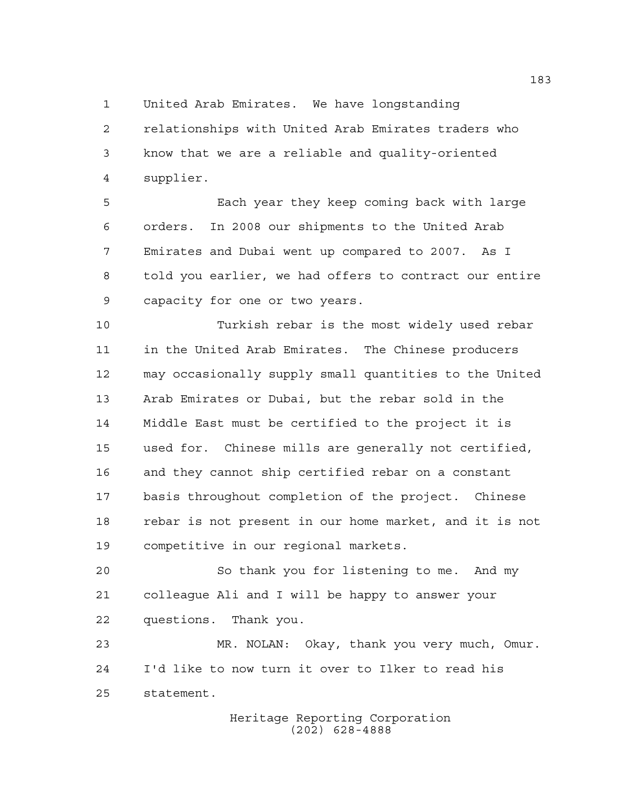United Arab Emirates. We have longstanding

 relationships with United Arab Emirates traders who know that we are a reliable and quality-oriented supplier.

 Each year they keep coming back with large orders. In 2008 our shipments to the United Arab Emirates and Dubai went up compared to 2007. As I told you earlier, we had offers to contract our entire capacity for one or two years.

 Turkish rebar is the most widely used rebar in the United Arab Emirates. The Chinese producers may occasionally supply small quantities to the United Arab Emirates or Dubai, but the rebar sold in the Middle East must be certified to the project it is used for. Chinese mills are generally not certified, and they cannot ship certified rebar on a constant basis throughout completion of the project. Chinese rebar is not present in our home market, and it is not competitive in our regional markets.

 So thank you for listening to me. And my colleague Ali and I will be happy to answer your questions. Thank you.

 MR. NOLAN: Okay, thank you very much, Omur. I'd like to now turn it over to Ilker to read his statement.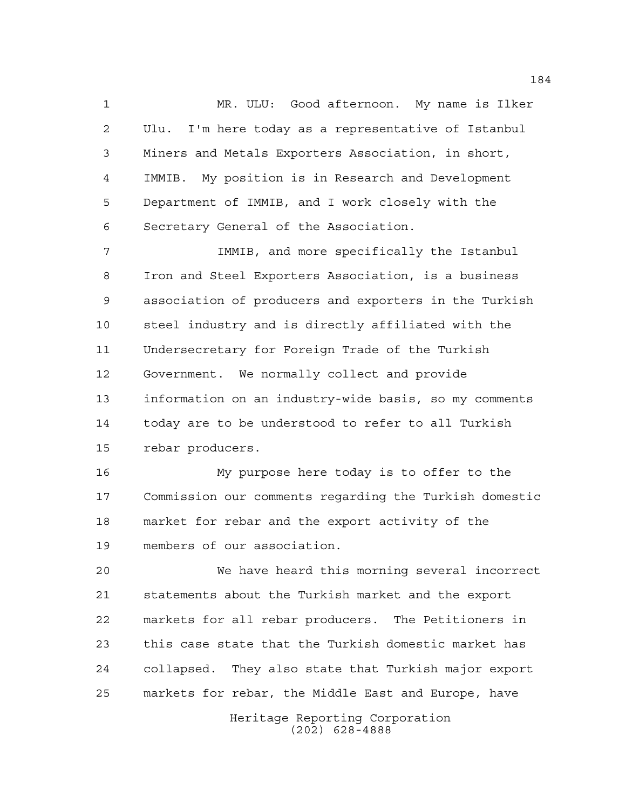MR. ULU: Good afternoon. My name is Ilker Ulu. I'm here today as a representative of Istanbul Miners and Metals Exporters Association, in short, IMMIB. My position is in Research and Development Department of IMMIB, and I work closely with the Secretary General of the Association.

 IMMIB, and more specifically the Istanbul Iron and Steel Exporters Association, is a business association of producers and exporters in the Turkish steel industry and is directly affiliated with the Undersecretary for Foreign Trade of the Turkish Government. We normally collect and provide information on an industry-wide basis, so my comments today are to be understood to refer to all Turkish rebar producers.

 My purpose here today is to offer to the Commission our comments regarding the Turkish domestic market for rebar and the export activity of the members of our association.

 We have heard this morning several incorrect statements about the Turkish market and the export markets for all rebar producers. The Petitioners in this case state that the Turkish domestic market has collapsed. They also state that Turkish major export markets for rebar, the Middle East and Europe, have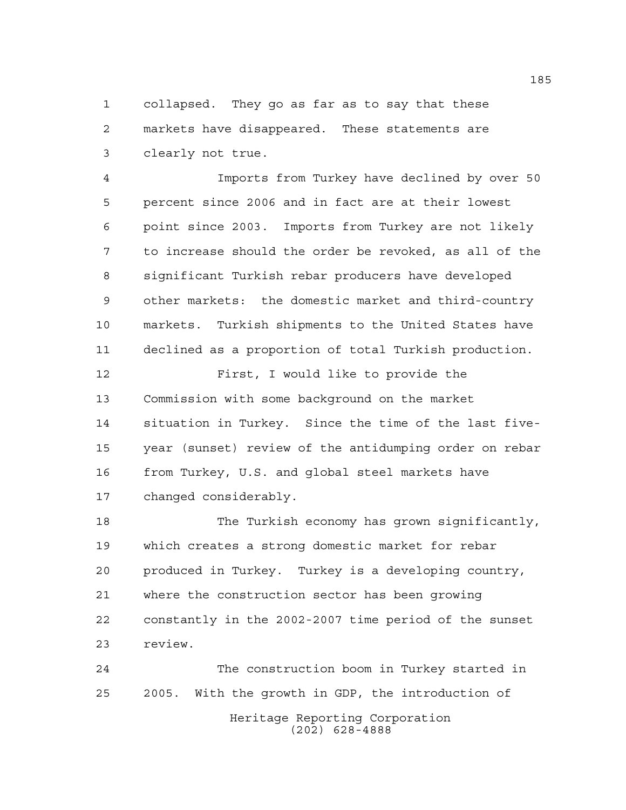collapsed. They go as far as to say that these markets have disappeared. These statements are clearly not true.

 Imports from Turkey have declined by over 50 percent since 2006 and in fact are at their lowest point since 2003. Imports from Turkey are not likely to increase should the order be revoked, as all of the significant Turkish rebar producers have developed other markets: the domestic market and third-country markets. Turkish shipments to the United States have declined as a proportion of total Turkish production.

 First, I would like to provide the Commission with some background on the market situation in Turkey. Since the time of the last five- year (sunset) review of the antidumping order on rebar from Turkey, U.S. and global steel markets have changed considerably.

 The Turkish economy has grown significantly, which creates a strong domestic market for rebar produced in Turkey. Turkey is a developing country, where the construction sector has been growing constantly in the 2002-2007 time period of the sunset review.

Heritage Reporting Corporation (202) 628-4888 The construction boom in Turkey started in 2005. With the growth in GDP, the introduction of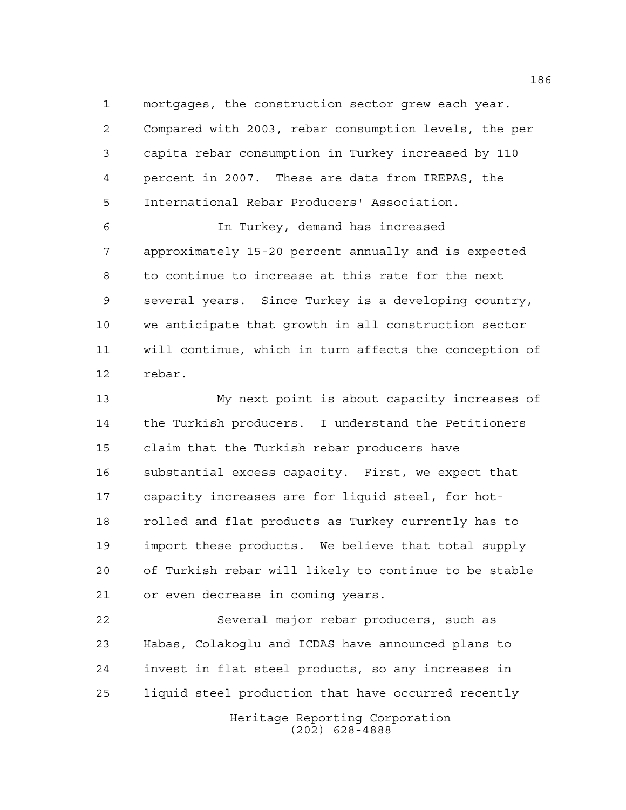mortgages, the construction sector grew each year. Compared with 2003, rebar consumption levels, the per capita rebar consumption in Turkey increased by 110 percent in 2007. These are data from IREPAS, the International Rebar Producers' Association.

 In Turkey, demand has increased approximately 15-20 percent annually and is expected to continue to increase at this rate for the next several years. Since Turkey is a developing country, we anticipate that growth in all construction sector will continue, which in turn affects the conception of rebar.

 My next point is about capacity increases of the Turkish producers. I understand the Petitioners claim that the Turkish rebar producers have substantial excess capacity. First, we expect that capacity increases are for liquid steel, for hot- rolled and flat products as Turkey currently has to import these products. We believe that total supply of Turkish rebar will likely to continue to be stable or even decrease in coming years.

 Several major rebar producers, such as Habas, Colakoglu and ICDAS have announced plans to invest in flat steel products, so any increases in liquid steel production that have occurred recently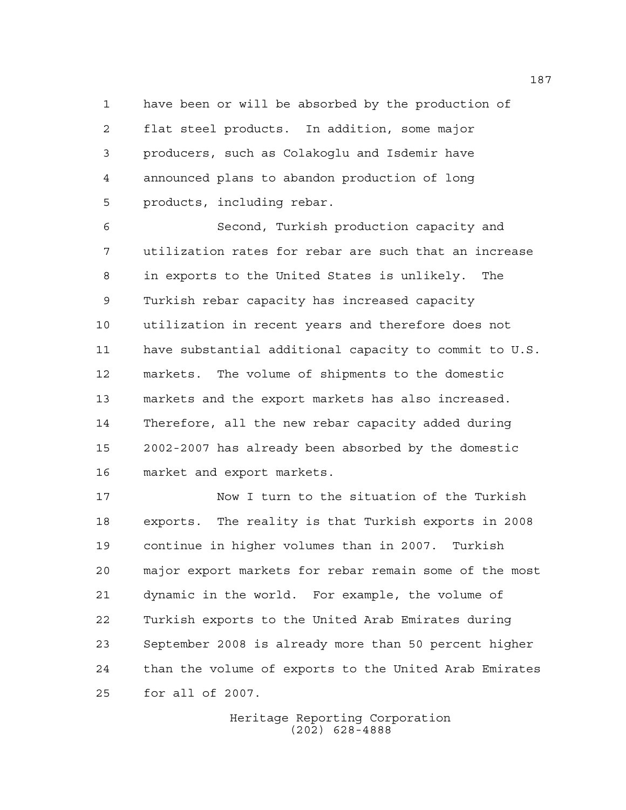have been or will be absorbed by the production of flat steel products. In addition, some major producers, such as Colakoglu and Isdemir have announced plans to abandon production of long products, including rebar.

 Second, Turkish production capacity and utilization rates for rebar are such that an increase in exports to the United States is unlikely. The Turkish rebar capacity has increased capacity utilization in recent years and therefore does not have substantial additional capacity to commit to U.S. markets. The volume of shipments to the domestic markets and the export markets has also increased. Therefore, all the new rebar capacity added during 2002-2007 has already been absorbed by the domestic market and export markets.

 Now I turn to the situation of the Turkish exports. The reality is that Turkish exports in 2008 continue in higher volumes than in 2007. Turkish major export markets for rebar remain some of the most dynamic in the world. For example, the volume of Turkish exports to the United Arab Emirates during September 2008 is already more than 50 percent higher than the volume of exports to the United Arab Emirates for all of 2007.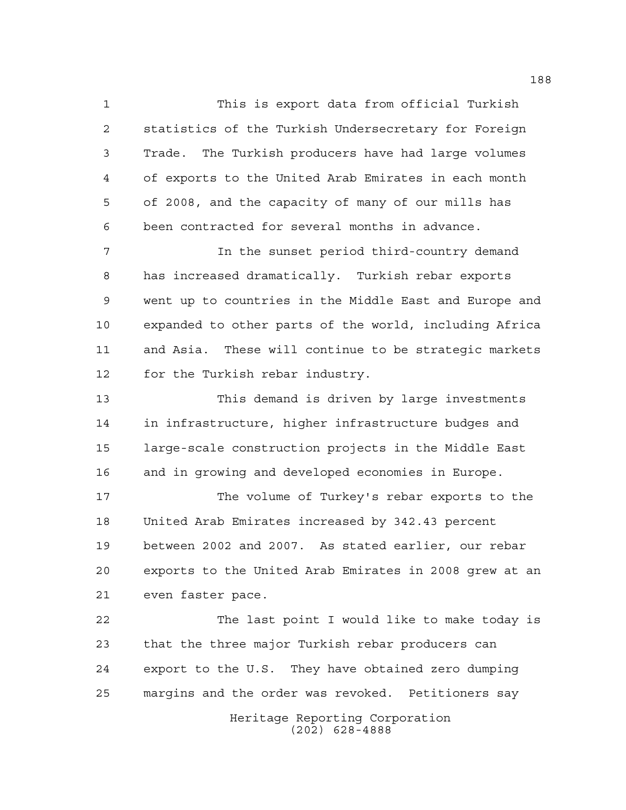This is export data from official Turkish statistics of the Turkish Undersecretary for Foreign Trade. The Turkish producers have had large volumes of exports to the United Arab Emirates in each month of 2008, and the capacity of many of our mills has been contracted for several months in advance.

7 1 In the sunset period third-country demand has increased dramatically. Turkish rebar exports went up to countries in the Middle East and Europe and expanded to other parts of the world, including Africa and Asia. These will continue to be strategic markets for the Turkish rebar industry.

 This demand is driven by large investments in infrastructure, higher infrastructure budges and large-scale construction projects in the Middle East and in growing and developed economies in Europe.

 The volume of Turkey's rebar exports to the United Arab Emirates increased by 342.43 percent between 2002 and 2007. As stated earlier, our rebar exports to the United Arab Emirates in 2008 grew at an even faster pace.

 The last point I would like to make today is that the three major Turkish rebar producers can export to the U.S. They have obtained zero dumping margins and the order was revoked. Petitioners say

Heritage Reporting Corporation (202) 628-4888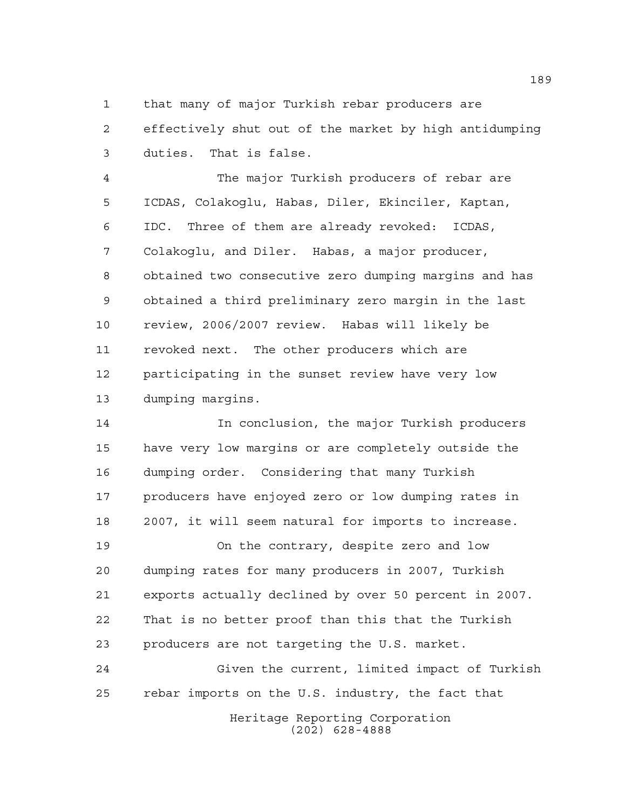that many of major Turkish rebar producers are effectively shut out of the market by high antidumping duties. That is false.

 The major Turkish producers of rebar are ICDAS, Colakoglu, Habas, Diler, Ekinciler, Kaptan, IDC. Three of them are already revoked: ICDAS, Colakoglu, and Diler. Habas, a major producer, obtained two consecutive zero dumping margins and has obtained a third preliminary zero margin in the last review, 2006/2007 review. Habas will likely be revoked next. The other producers which are participating in the sunset review have very low dumping margins.

 In conclusion, the major Turkish producers have very low margins or are completely outside the dumping order. Considering that many Turkish producers have enjoyed zero or low dumping rates in 2007, it will seem natural for imports to increase.

 On the contrary, despite zero and low dumping rates for many producers in 2007, Turkish exports actually declined by over 50 percent in 2007. That is no better proof than this that the Turkish producers are not targeting the U.S. market.

Heritage Reporting Corporation Given the current, limited impact of Turkish rebar imports on the U.S. industry, the fact that

(202) 628-4888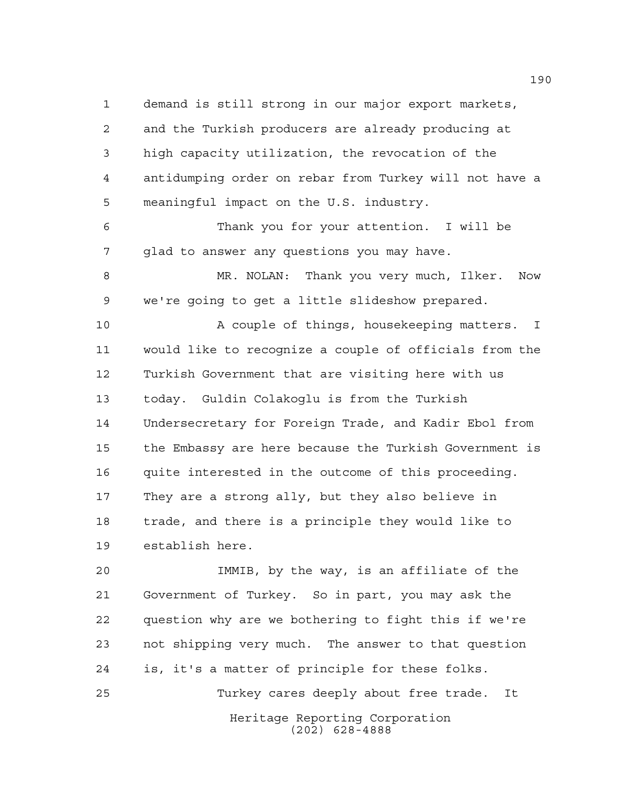demand is still strong in our major export markets, and the Turkish producers are already producing at high capacity utilization, the revocation of the antidumping order on rebar from Turkey will not have a meaningful impact on the U.S. industry.

 Thank you for your attention. I will be glad to answer any questions you may have.

 MR. NOLAN: Thank you very much, Ilker. Now we're going to get a little slideshow prepared.

 A couple of things, housekeeping matters. I would like to recognize a couple of officials from the Turkish Government that are visiting here with us today. Guldin Colakoglu is from the Turkish Undersecretary for Foreign Trade, and Kadir Ebol from the Embassy are here because the Turkish Government is quite interested in the outcome of this proceeding. They are a strong ally, but they also believe in trade, and there is a principle they would like to establish here.

 IMMIB, by the way, is an affiliate of the Government of Turkey. So in part, you may ask the question why are we bothering to fight this if we're not shipping very much. The answer to that question is, it's a matter of principle for these folks. Turkey cares deeply about free trade. It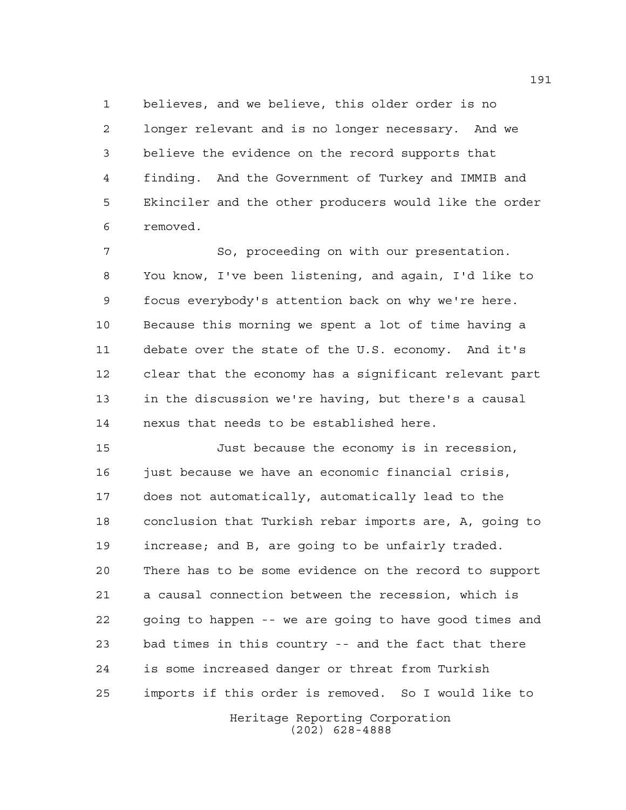believes, and we believe, this older order is no longer relevant and is no longer necessary. And we believe the evidence on the record supports that finding. And the Government of Turkey and IMMIB and Ekinciler and the other producers would like the order removed.

7 So, proceeding on with our presentation. You know, I've been listening, and again, I'd like to focus everybody's attention back on why we're here. Because this morning we spent a lot of time having a debate over the state of the U.S. economy. And it's clear that the economy has a significant relevant part in the discussion we're having, but there's a causal nexus that needs to be established here.

 Just because the economy is in recession, 16 just because we have an economic financial crisis, does not automatically, automatically lead to the conclusion that Turkish rebar imports are, A, going to increase; and B, are going to be unfairly traded. There has to be some evidence on the record to support a causal connection between the recession, which is going to happen -- we are going to have good times and bad times in this country -- and the fact that there is some increased danger or threat from Turkish imports if this order is removed. So I would like to

Heritage Reporting Corporation (202) 628-4888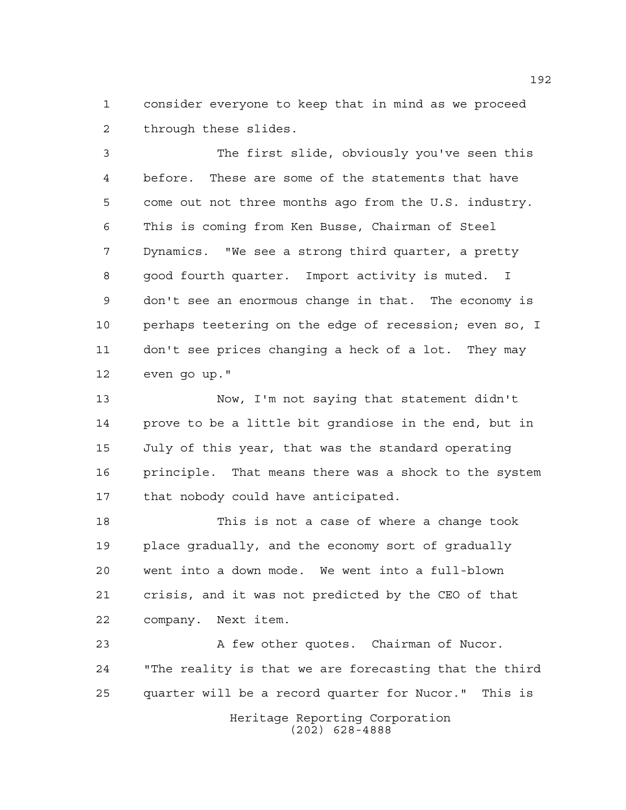consider everyone to keep that in mind as we proceed through these slides.

 The first slide, obviously you've seen this before. These are some of the statements that have come out not three months ago from the U.S. industry. This is coming from Ken Busse, Chairman of Steel Dynamics. "We see a strong third quarter, a pretty good fourth quarter. Import activity is muted. I don't see an enormous change in that. The economy is perhaps teetering on the edge of recession; even so, I don't see prices changing a heck of a lot. They may even go up."

 Now, I'm not saying that statement didn't prove to be a little bit grandiose in the end, but in July of this year, that was the standard operating principle. That means there was a shock to the system that nobody could have anticipated.

 This is not a case of where a change took place gradually, and the economy sort of gradually went into a down mode. We went into a full-blown crisis, and it was not predicted by the CEO of that company. Next item.

23 A few other quotes. Chairman of Nucor. "The reality is that we are forecasting that the third quarter will be a record quarter for Nucor." This is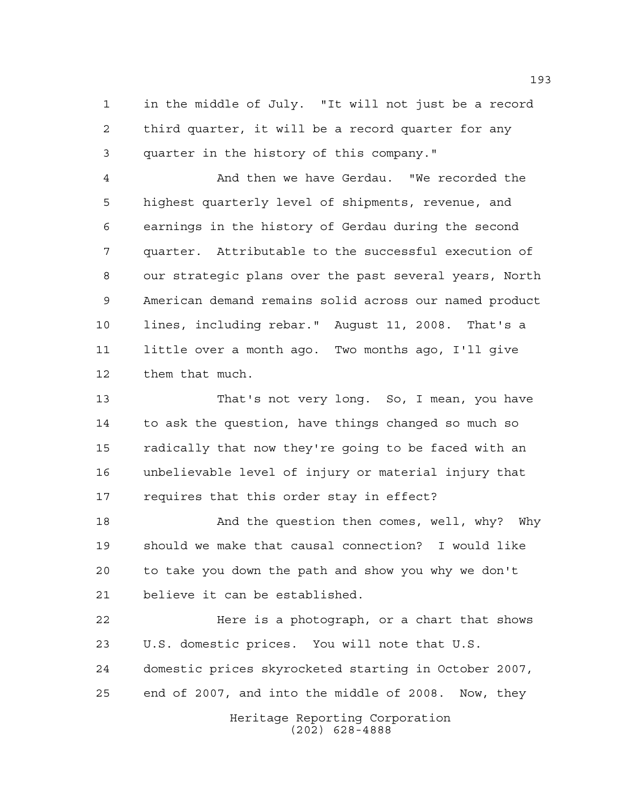in the middle of July. "It will not just be a record third quarter, it will be a record quarter for any quarter in the history of this company."

 And then we have Gerdau. "We recorded the highest quarterly level of shipments, revenue, and earnings in the history of Gerdau during the second quarter. Attributable to the successful execution of our strategic plans over the past several years, North American demand remains solid across our named product lines, including rebar." August 11, 2008. That's a little over a month ago. Two months ago, I'll give them that much.

 That's not very long. So, I mean, you have to ask the question, have things changed so much so radically that now they're going to be faced with an unbelievable level of injury or material injury that requires that this order stay in effect?

 And the question then comes, well, why? Why should we make that causal connection? I would like to take you down the path and show you why we don't believe it can be established.

 Here is a photograph, or a chart that shows U.S. domestic prices. You will note that U.S. domestic prices skyrocketed starting in October 2007, end of 2007, and into the middle of 2008. Now, they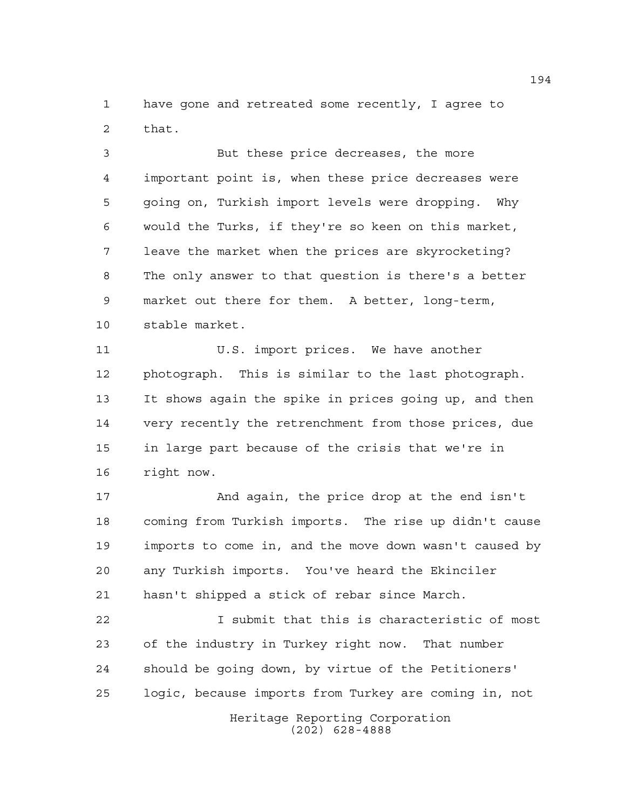have gone and retreated some recently, I agree to that.

 But these price decreases, the more important point is, when these price decreases were going on, Turkish import levels were dropping. Why would the Turks, if they're so keen on this market, leave the market when the prices are skyrocketing? The only answer to that question is there's a better market out there for them. A better, long-term, stable market.

 U.S. import prices. We have another photograph. This is similar to the last photograph. It shows again the spike in prices going up, and then very recently the retrenchment from those prices, due in large part because of the crisis that we're in right now.

 And again, the price drop at the end isn't coming from Turkish imports. The rise up didn't cause imports to come in, and the move down wasn't caused by any Turkish imports. You've heard the Ekinciler hasn't shipped a stick of rebar since March.

 I submit that this is characteristic of most of the industry in Turkey right now. That number should be going down, by virtue of the Petitioners' logic, because imports from Turkey are coming in, not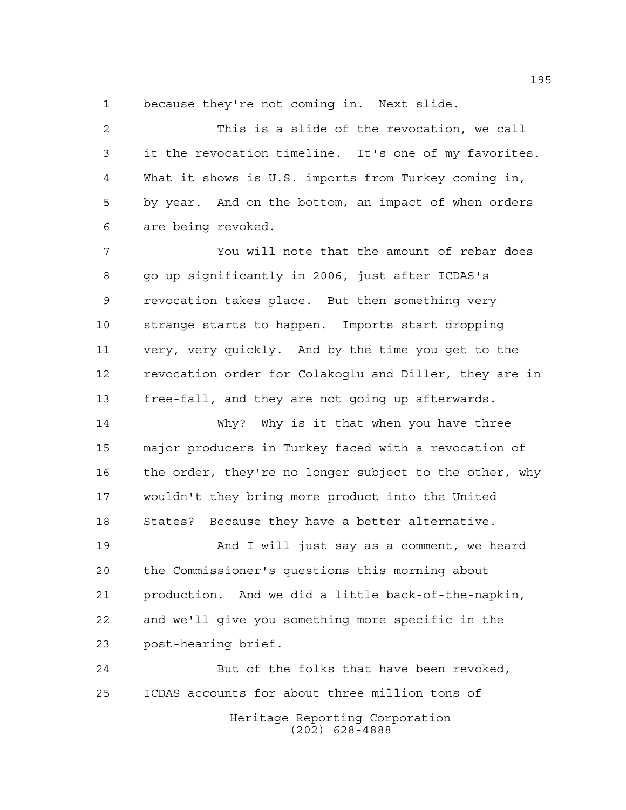because they're not coming in. Next slide.

 This is a slide of the revocation, we call it the revocation timeline. It's one of my favorites. What it shows is U.S. imports from Turkey coming in, by year. And on the bottom, an impact of when orders are being revoked.

 You will note that the amount of rebar does go up significantly in 2006, just after ICDAS's revocation takes place. But then something very strange starts to happen. Imports start dropping very, very quickly. And by the time you get to the revocation order for Colakoglu and Diller, they are in free-fall, and they are not going up afterwards.

 Why? Why is it that when you have three major producers in Turkey faced with a revocation of the order, they're no longer subject to the other, why wouldn't they bring more product into the United States? Because they have a better alternative.

 And I will just say as a comment, we heard the Commissioner's questions this morning about production. And we did a little back-of-the-napkin, and we'll give you something more specific in the post-hearing brief.

Heritage Reporting Corporation (202) 628-4888 But of the folks that have been revoked, ICDAS accounts for about three million tons of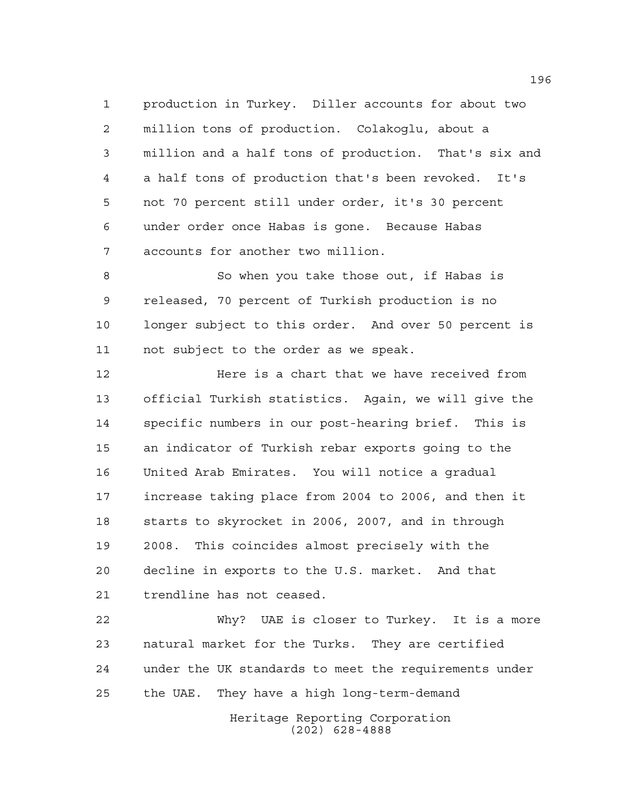production in Turkey. Diller accounts for about two million tons of production. Colakoglu, about a million and a half tons of production. That's six and a half tons of production that's been revoked. It's not 70 percent still under order, it's 30 percent under order once Habas is gone. Because Habas accounts for another two million.

 So when you take those out, if Habas is released, 70 percent of Turkish production is no longer subject to this order. And over 50 percent is not subject to the order as we speak.

**Here is a chart that we have received from**  official Turkish statistics. Again, we will give the specific numbers in our post-hearing brief. This is an indicator of Turkish rebar exports going to the United Arab Emirates. You will notice a gradual increase taking place from 2004 to 2006, and then it starts to skyrocket in 2006, 2007, and in through 2008. This coincides almost precisely with the decline in exports to the U.S. market. And that trendline has not ceased.

 Why? UAE is closer to Turkey. It is a more natural market for the Turks. They are certified under the UK standards to meet the requirements under the UAE. They have a high long-term-demand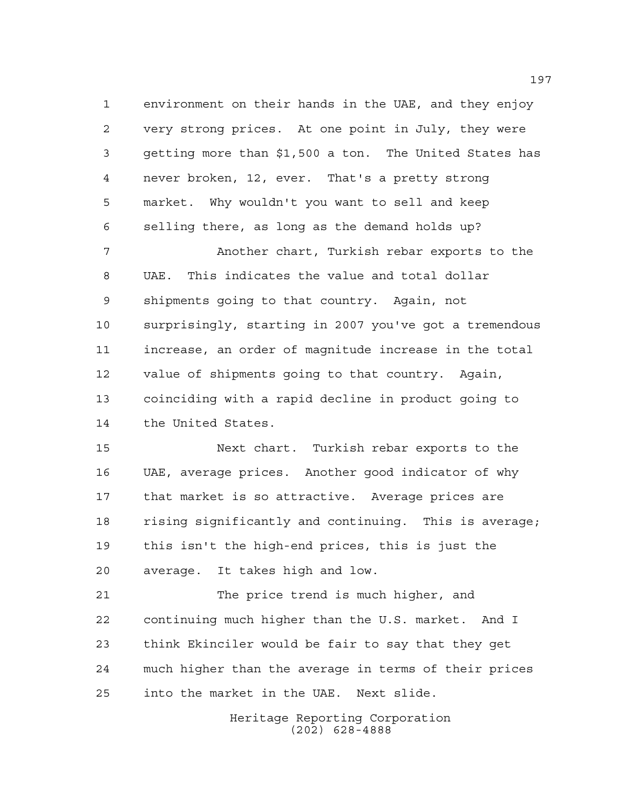environment on their hands in the UAE, and they enjoy very strong prices. At one point in July, they were getting more than \$1,500 a ton. The United States has never broken, 12, ever. That's a pretty strong market. Why wouldn't you want to sell and keep selling there, as long as the demand holds up?

 Another chart, Turkish rebar exports to the UAE. This indicates the value and total dollar shipments going to that country. Again, not surprisingly, starting in 2007 you've got a tremendous increase, an order of magnitude increase in the total value of shipments going to that country. Again, coinciding with a rapid decline in product going to the United States.

 Next chart. Turkish rebar exports to the UAE, average prices. Another good indicator of why that market is so attractive. Average prices are rising significantly and continuing. This is average; this isn't the high-end prices, this is just the average. It takes high and low.

 The price trend is much higher, and continuing much higher than the U.S. market. And I think Ekinciler would be fair to say that they get much higher than the average in terms of their prices into the market in the UAE. Next slide.

> Heritage Reporting Corporation (202) 628-4888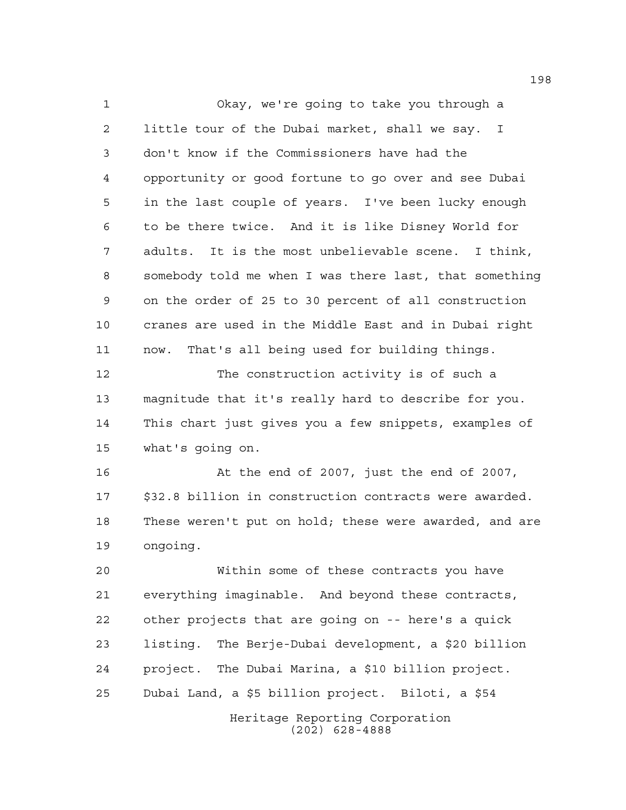Okay, we're going to take you through a little tour of the Dubai market, shall we say. I don't know if the Commissioners have had the opportunity or good fortune to go over and see Dubai in the last couple of years. I've been lucky enough to be there twice. And it is like Disney World for adults. It is the most unbelievable scene. I think, somebody told me when I was there last, that something on the order of 25 to 30 percent of all construction cranes are used in the Middle East and in Dubai right now. That's all being used for building things. The construction activity is of such a magnitude that it's really hard to describe for you. This chart just gives you a few snippets, examples of what's going on. At the end of 2007, just the end of 2007, \$32.8 billion in construction contracts were awarded. These weren't put on hold; these were awarded, and are ongoing. Within some of these contracts you have everything imaginable. And beyond these contracts, other projects that are going on -- here's a quick listing. The Berje-Dubai development, a \$20 billion project. The Dubai Marina, a \$10 billion project. Dubai Land, a \$5 billion project. Biloti, a \$54

> Heritage Reporting Corporation (202) 628-4888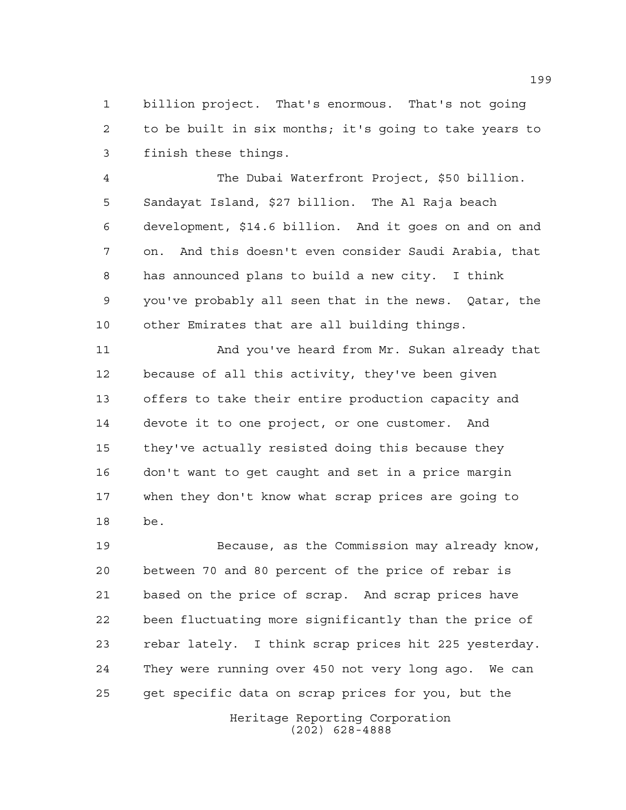billion project. That's enormous. That's not going to be built in six months; it's going to take years to finish these things.

 The Dubai Waterfront Project, \$50 billion. Sandayat Island, \$27 billion. The Al Raja beach development, \$14.6 billion. And it goes on and on and on. And this doesn't even consider Saudi Arabia, that has announced plans to build a new city. I think you've probably all seen that in the news. Qatar, the other Emirates that are all building things.

 And you've heard from Mr. Sukan already that because of all this activity, they've been given offers to take their entire production capacity and devote it to one project, or one customer. And they've actually resisted doing this because they don't want to get caught and set in a price margin when they don't know what scrap prices are going to be.

 Because, as the Commission may already know, between 70 and 80 percent of the price of rebar is based on the price of scrap. And scrap prices have been fluctuating more significantly than the price of rebar lately. I think scrap prices hit 225 yesterday. They were running over 450 not very long ago. We can get specific data on scrap prices for you, but the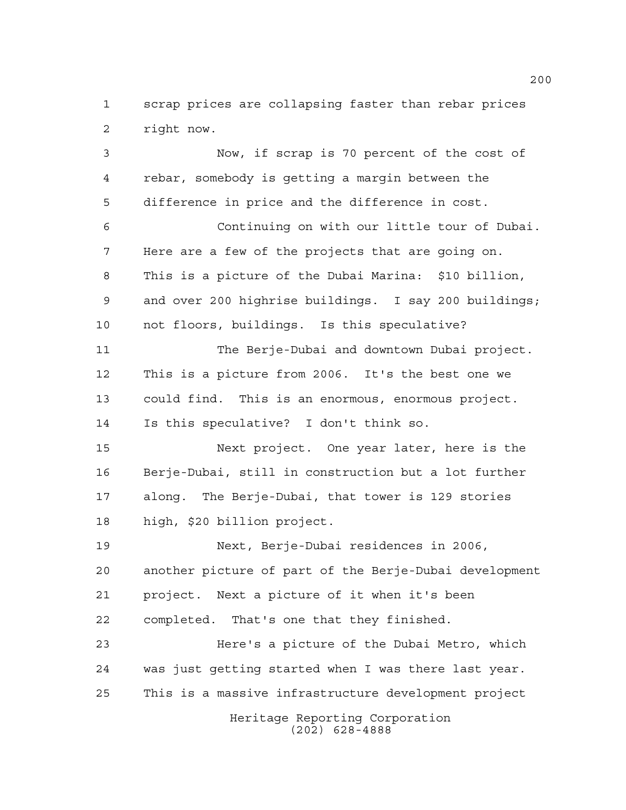scrap prices are collapsing faster than rebar prices right now.

Heritage Reporting Corporation (202) 628-4888 Now, if scrap is 70 percent of the cost of rebar, somebody is getting a margin between the difference in price and the difference in cost. Continuing on with our little tour of Dubai. Here are a few of the projects that are going on. This is a picture of the Dubai Marina: \$10 billion, and over 200 highrise buildings. I say 200 buildings; not floors, buildings. Is this speculative? The Berje-Dubai and downtown Dubai project. This is a picture from 2006. It's the best one we could find. This is an enormous, enormous project. Is this speculative? I don't think so. Next project. One year later, here is the Berje-Dubai, still in construction but a lot further along. The Berje-Dubai, that tower is 129 stories high, \$20 billion project. Next, Berje-Dubai residences in 2006, another picture of part of the Berje-Dubai development project. Next a picture of it when it's been completed. That's one that they finished. Here's a picture of the Dubai Metro, which was just getting started when I was there last year. This is a massive infrastructure development project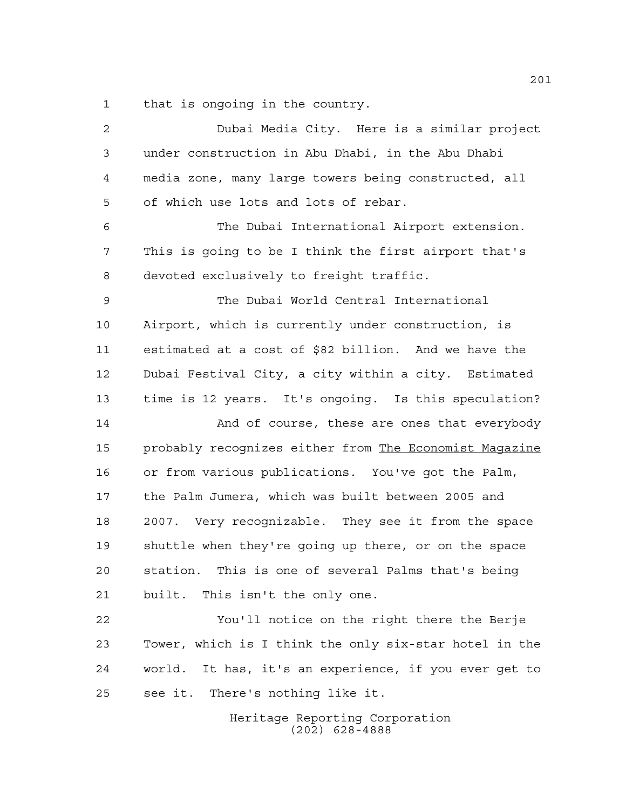that is ongoing in the country.

| $\overline{a}$ | Dubai Media City. Here is a similar project              |
|----------------|----------------------------------------------------------|
| 3              | under construction in Abu Dhabi, in the Abu Dhabi        |
| 4              | media zone, many large towers being constructed, all     |
| 5              | of which use lots and lots of rebar.                     |
| 6              | The Dubai International Airport extension.               |
| 7              | This is going to be I think the first airport that's     |
| 8              | devoted exclusively to freight traffic.                  |
| 9              | The Dubai World Central International                    |
| 10             | Airport, which is currently under construction, is       |
| 11             | estimated at a cost of \$82 billion. And we have the     |
| 12             | Dubai Festival City, a city within a city. Estimated     |
| 13             | time is 12 years. It's ongoing. Is this speculation?     |
| 14             | And of course, these are ones that everybody             |
| 15             | probably recognizes either from The Economist Magazine   |
| 16             | or from various publications. You've got the Palm,       |
| 17             | the Palm Jumera, which was built between 2005 and        |
| 18             | 2007. Very recognizable. They see it from the space      |
| 19             | shuttle when they're going up there, or on the space     |
| 20             | station. This is one of several Palms that's being       |
| 21             | built. This isn't the only one.                          |
| 22             | You'll notice on the right there the Berje               |
| 23             | Tower, which is I think the only six-star hotel in the   |
| 24             | It has, it's an experience, if you ever get to<br>world. |
| 25             | see it. There's nothing like it.                         |
|                |                                                          |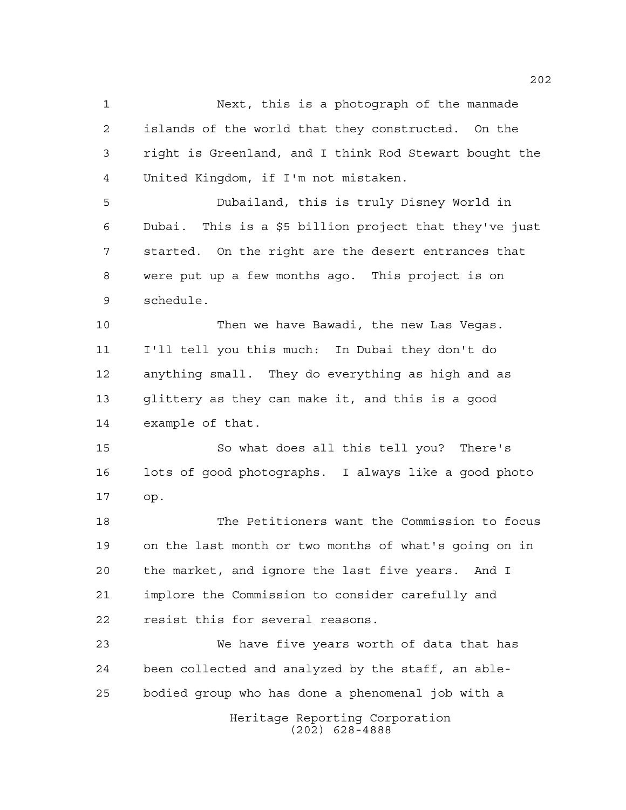Next, this is a photograph of the manmade islands of the world that they constructed. On the right is Greenland, and I think Rod Stewart bought the United Kingdom, if I'm not mistaken. Dubailand, this is truly Disney World in Dubai. This is a \$5 billion project that they've just started. On the right are the desert entrances that were put up a few months ago. This project is on schedule. Then we have Bawadi, the new Las Vegas. I'll tell you this much: In Dubai they don't do anything small. They do everything as high and as glittery as they can make it, and this is a good example of that. So what does all this tell you? There's lots of good photographs. I always like a good photo

op.

 The Petitioners want the Commission to focus on the last month or two months of what's going on in the market, and ignore the last five years. And I implore the Commission to consider carefully and resist this for several reasons.

Heritage Reporting Corporation (202) 628-4888 We have five years worth of data that has been collected and analyzed by the staff, an able-bodied group who has done a phenomenal job with a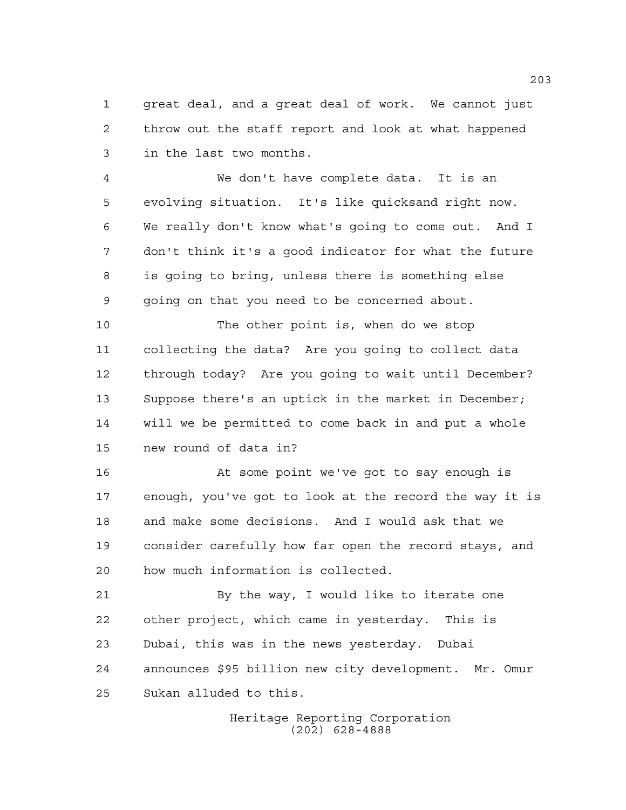great deal, and a great deal of work. We cannot just throw out the staff report and look at what happened in the last two months.

 We don't have complete data. It is an evolving situation. It's like quicksand right now. We really don't know what's going to come out. And I don't think it's a good indicator for what the future is going to bring, unless there is something else going on that you need to be concerned about.

 The other point is, when do we stop collecting the data? Are you going to collect data through today? Are you going to wait until December? Suppose there's an uptick in the market in December; will we be permitted to come back in and put a whole new round of data in?

 At some point we've got to say enough is enough, you've got to look at the record the way it is and make some decisions. And I would ask that we consider carefully how far open the record stays, and how much information is collected.

21 By the way, I would like to iterate one other project, which came in yesterday. This is Dubai, this was in the news yesterday. Dubai announces \$95 billion new city development. Mr. Omur Sukan alluded to this.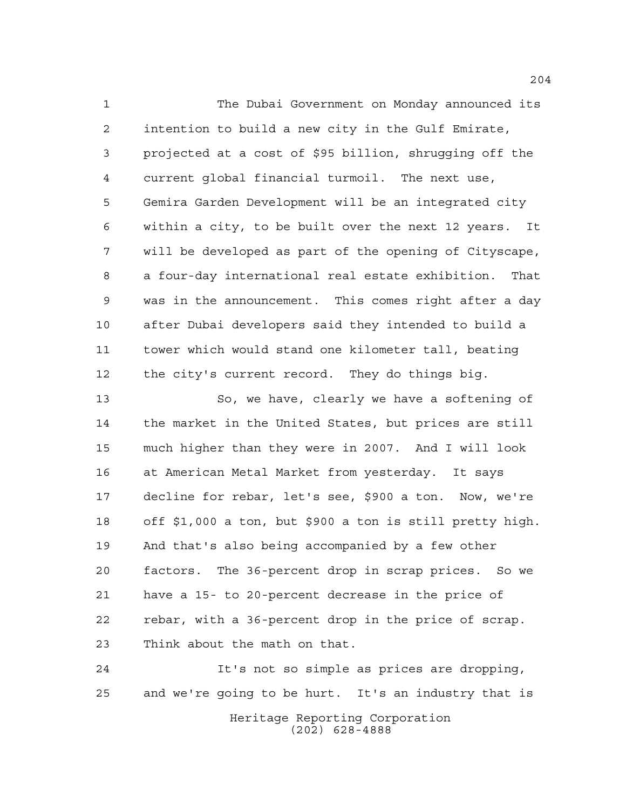The Dubai Government on Monday announced its intention to build a new city in the Gulf Emirate, projected at a cost of \$95 billion, shrugging off the current global financial turmoil. The next use, Gemira Garden Development will be an integrated city within a city, to be built over the next 12 years. It will be developed as part of the opening of Cityscape, a four-day international real estate exhibition. That was in the announcement. This comes right after a day after Dubai developers said they intended to build a tower which would stand one kilometer tall, beating the city's current record. They do things big.

 So, we have, clearly we have a softening of the market in the United States, but prices are still much higher than they were in 2007. And I will look at American Metal Market from yesterday. It says decline for rebar, let's see, \$900 a ton. Now, we're off \$1,000 a ton, but \$900 a ton is still pretty high. And that's also being accompanied by a few other factors. The 36-percent drop in scrap prices. So we have a 15- to 20-percent decrease in the price of rebar, with a 36-percent drop in the price of scrap. Think about the math on that.

Heritage Reporting Corporation (202) 628-4888 It's not so simple as prices are dropping, and we're going to be hurt. It's an industry that is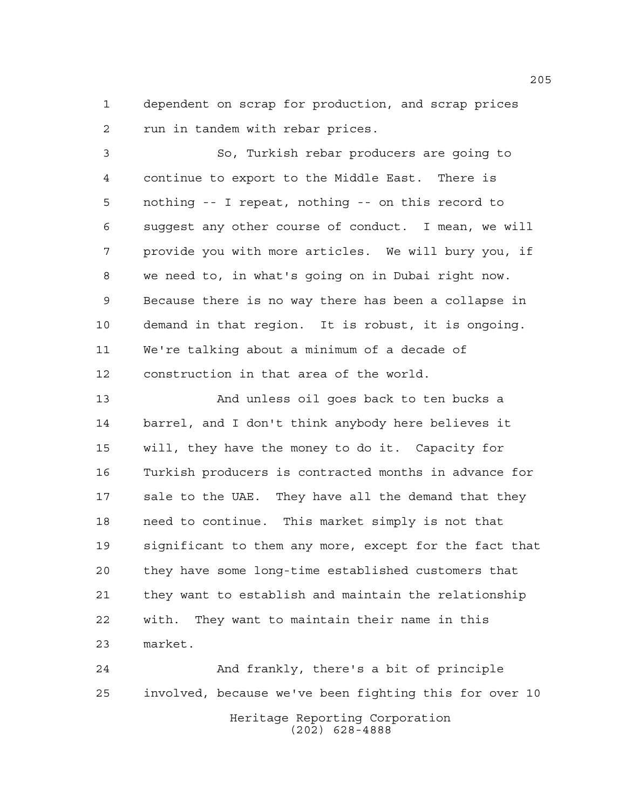dependent on scrap for production, and scrap prices run in tandem with rebar prices.

 So, Turkish rebar producers are going to continue to export to the Middle East. There is nothing -- I repeat, nothing -- on this record to suggest any other course of conduct. I mean, we will provide you with more articles. We will bury you, if we need to, in what's going on in Dubai right now. Because there is no way there has been a collapse in demand in that region. It is robust, it is ongoing. We're talking about a minimum of a decade of construction in that area of the world.

 And unless oil goes back to ten bucks a barrel, and I don't think anybody here believes it will, they have the money to do it. Capacity for Turkish producers is contracted months in advance for sale to the UAE. They have all the demand that they need to continue. This market simply is not that significant to them any more, except for the fact that they have some long-time established customers that they want to establish and maintain the relationship with. They want to maintain their name in this market.

Heritage Reporting Corporation (202) 628-4888 And frankly, there's a bit of principle involved, because we've been fighting this for over 10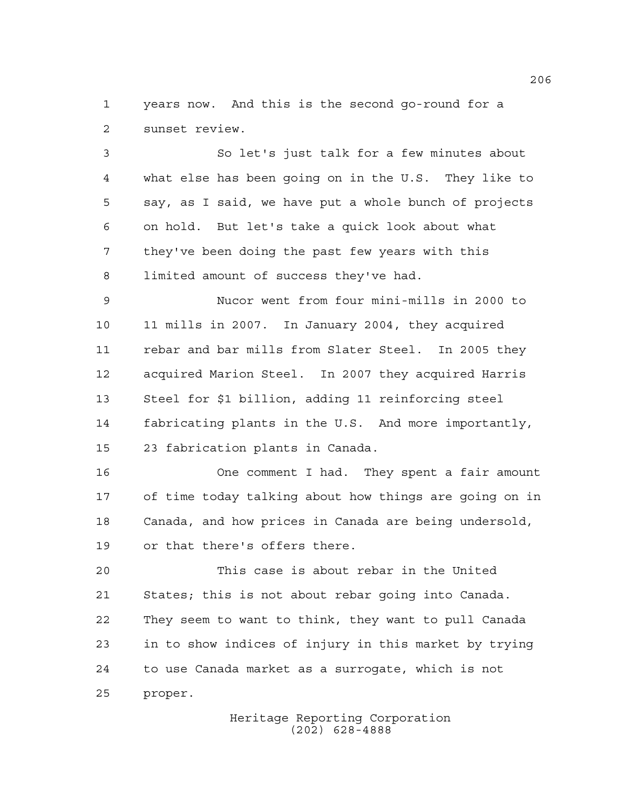years now. And this is the second go-round for a sunset review.

 So let's just talk for a few minutes about what else has been going on in the U.S. They like to say, as I said, we have put a whole bunch of projects on hold. But let's take a quick look about what they've been doing the past few years with this limited amount of success they've had.

 Nucor went from four mini-mills in 2000 to 11 mills in 2007. In January 2004, they acquired rebar and bar mills from Slater Steel. In 2005 they acquired Marion Steel. In 2007 they acquired Harris Steel for \$1 billion, adding 11 reinforcing steel fabricating plants in the U.S. And more importantly, 23 fabrication plants in Canada.

 One comment I had. They spent a fair amount of time today talking about how things are going on in Canada, and how prices in Canada are being undersold, or that there's offers there.

 This case is about rebar in the United States; this is not about rebar going into Canada. They seem to want to think, they want to pull Canada in to show indices of injury in this market by trying to use Canada market as a surrogate, which is not proper.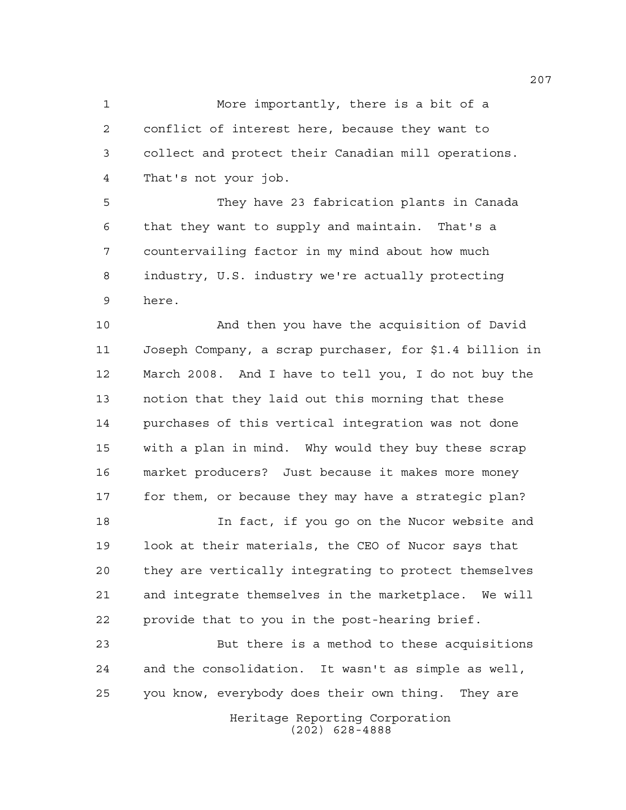More importantly, there is a bit of a conflict of interest here, because they want to collect and protect their Canadian mill operations. That's not your job.

 They have 23 fabrication plants in Canada that they want to supply and maintain. That's a countervailing factor in my mind about how much industry, U.S. industry we're actually protecting here.

 And then you have the acquisition of David Joseph Company, a scrap purchaser, for \$1.4 billion in March 2008. And I have to tell you, I do not buy the notion that they laid out this morning that these purchases of this vertical integration was not done with a plan in mind. Why would they buy these scrap market producers? Just because it makes more money for them, or because they may have a strategic plan?

 In fact, if you go on the Nucor website and look at their materials, the CEO of Nucor says that they are vertically integrating to protect themselves and integrate themselves in the marketplace. We will provide that to you in the post-hearing brief.

 But there is a method to these acquisitions and the consolidation. It wasn't as simple as well, you know, everybody does their own thing. They are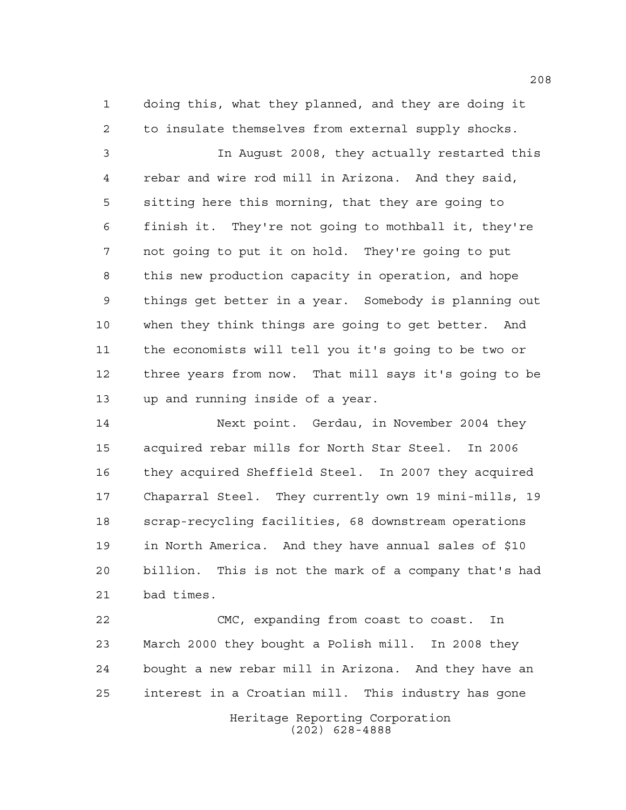doing this, what they planned, and they are doing it to insulate themselves from external supply shocks.

 In August 2008, they actually restarted this rebar and wire rod mill in Arizona. And they said, sitting here this morning, that they are going to finish it. They're not going to mothball it, they're not going to put it on hold. They're going to put this new production capacity in operation, and hope things get better in a year. Somebody is planning out when they think things are going to get better. And the economists will tell you it's going to be two or three years from now. That mill says it's going to be up and running inside of a year.

 Next point. Gerdau, in November 2004 they acquired rebar mills for North Star Steel. In 2006 they acquired Sheffield Steel. In 2007 they acquired Chaparral Steel. They currently own 19 mini-mills, 19 scrap-recycling facilities, 68 downstream operations in North America. And they have annual sales of \$10 billion. This is not the mark of a company that's had bad times.

 CMC, expanding from coast to coast. In March 2000 they bought a Polish mill. In 2008 they bought a new rebar mill in Arizona. And they have an interest in a Croatian mill. This industry has gone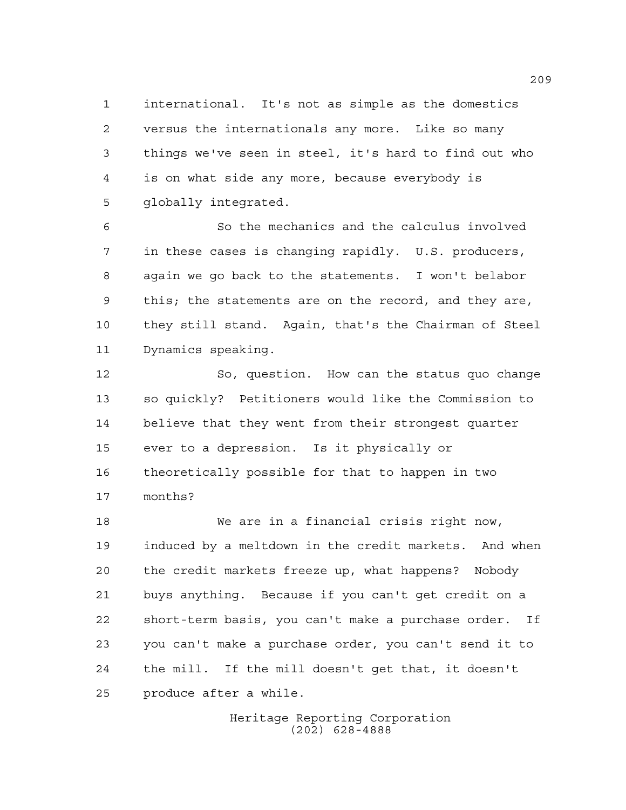international. It's not as simple as the domestics versus the internationals any more. Like so many things we've seen in steel, it's hard to find out who is on what side any more, because everybody is globally integrated.

 So the mechanics and the calculus involved in these cases is changing rapidly. U.S. producers, again we go back to the statements. I won't belabor this; the statements are on the record, and they are, they still stand. Again, that's the Chairman of Steel Dynamics speaking.

 So, question. How can the status quo change so quickly? Petitioners would like the Commission to believe that they went from their strongest quarter ever to a depression. Is it physically or theoretically possible for that to happen in two months?

 We are in a financial crisis right now, induced by a meltdown in the credit markets. And when the credit markets freeze up, what happens? Nobody buys anything. Because if you can't get credit on a short-term basis, you can't make a purchase order. If you can't make a purchase order, you can't send it to the mill. If the mill doesn't get that, it doesn't produce after a while.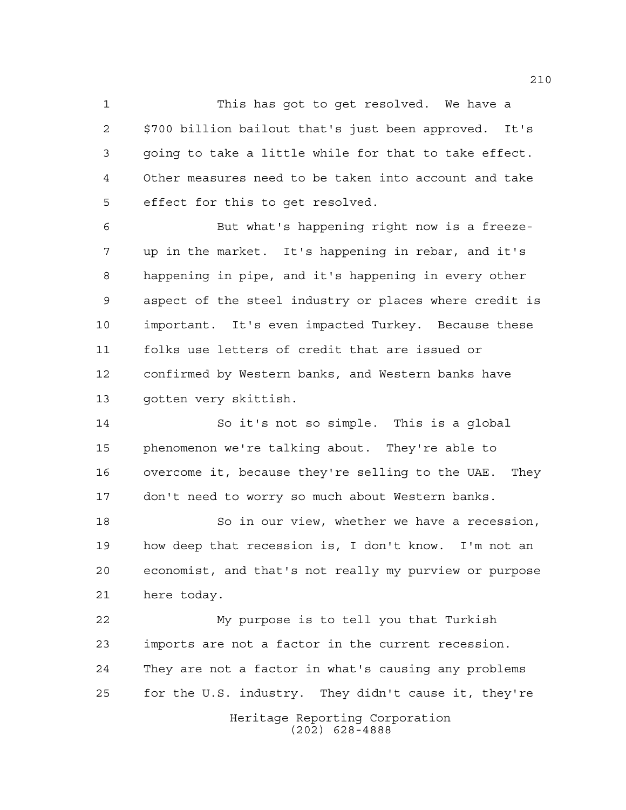This has got to get resolved. We have a \$700 billion bailout that's just been approved. It's going to take a little while for that to take effect. Other measures need to be taken into account and take effect for this to get resolved.

 But what's happening right now is a freeze- up in the market. It's happening in rebar, and it's happening in pipe, and it's happening in every other aspect of the steel industry or places where credit is important. It's even impacted Turkey. Because these folks use letters of credit that are issued or confirmed by Western banks, and Western banks have gotten very skittish.

 So it's not so simple. This is a global phenomenon we're talking about. They're able to overcome it, because they're selling to the UAE. They don't need to worry so much about Western banks.

18 So in our view, whether we have a recession, how deep that recession is, I don't know. I'm not an economist, and that's not really my purview or purpose here today.

 My purpose is to tell you that Turkish imports are not a factor in the current recession. They are not a factor in what's causing any problems for the U.S. industry. They didn't cause it, they're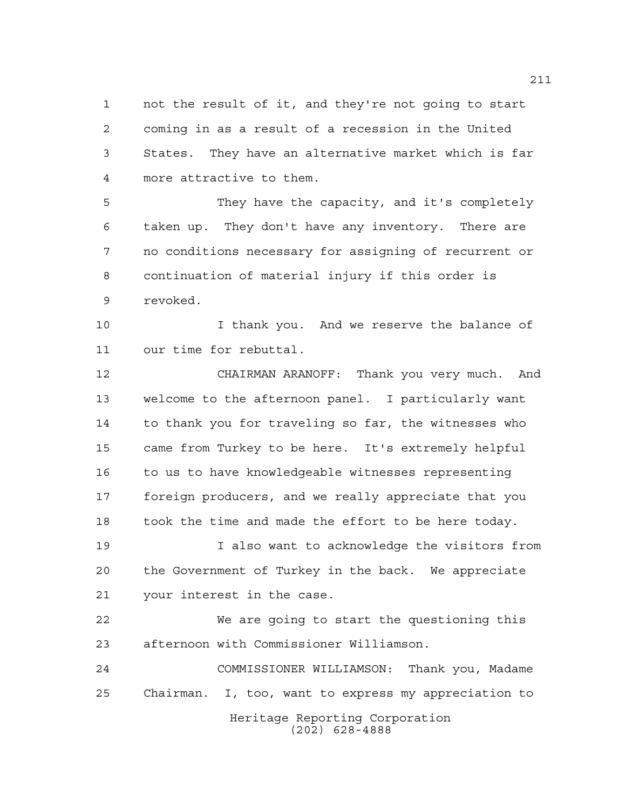not the result of it, and they're not going to start coming in as a result of a recession in the United States. They have an alternative market which is far more attractive to them.

 They have the capacity, and it's completely taken up. They don't have any inventory. There are no conditions necessary for assigning of recurrent or continuation of material injury if this order is revoked.

 I thank you. And we reserve the balance of our time for rebuttal.

 CHAIRMAN ARANOFF: Thank you very much. And welcome to the afternoon panel. I particularly want to thank you for traveling so far, the witnesses who came from Turkey to be here. It's extremely helpful 16 to us to have knowledgeable witnesses representing foreign producers, and we really appreciate that you took the time and made the effort to be here today.

 I also want to acknowledge the visitors from the Government of Turkey in the back. We appreciate your interest in the case.

 We are going to start the questioning this afternoon with Commissioner Williamson.

Heritage Reporting Corporation (202) 628-4888 COMMISSIONER WILLIAMSON: Thank you, Madame Chairman. I, too, want to express my appreciation to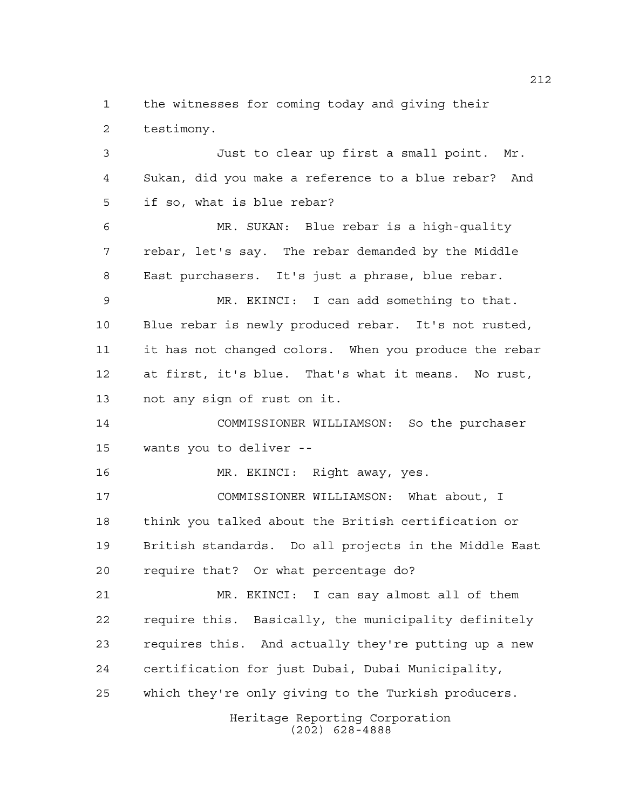the witnesses for coming today and giving their testimony.

 Just to clear up first a small point. Mr. Sukan, did you make a reference to a blue rebar? And if so, what is blue rebar? MR. SUKAN: Blue rebar is a high-quality rebar, let's say. The rebar demanded by the Middle East purchasers. It's just a phrase, blue rebar. MR. EKINCI: I can add something to that. Blue rebar is newly produced rebar. It's not rusted, it has not changed colors. When you produce the rebar at first, it's blue. That's what it means. No rust, not any sign of rust on it. COMMISSIONER WILLIAMSON: So the purchaser wants you to deliver -- MR. EKINCI: Right away, yes. COMMISSIONER WILLIAMSON: What about, I think you talked about the British certification or British standards. Do all projects in the Middle East

require that? Or what percentage do?

 MR. EKINCI: I can say almost all of them require this. Basically, the municipality definitely requires this. And actually they're putting up a new certification for just Dubai, Dubai Municipality, which they're only giving to the Turkish producers.

> Heritage Reporting Corporation (202) 628-4888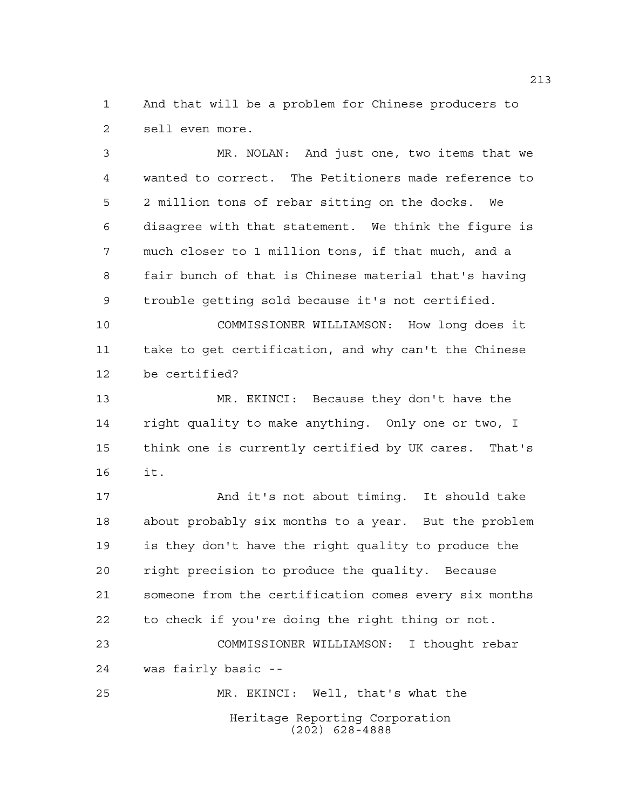And that will be a problem for Chinese producers to sell even more.

 MR. NOLAN: And just one, two items that we wanted to correct. The Petitioners made reference to 2 million tons of rebar sitting on the docks. We disagree with that statement. We think the figure is much closer to 1 million tons, if that much, and a fair bunch of that is Chinese material that's having trouble getting sold because it's not certified.

 COMMISSIONER WILLIAMSON: How long does it take to get certification, and why can't the Chinese be certified?

 MR. EKINCI: Because they don't have the right quality to make anything. Only one or two, I think one is currently certified by UK cares. That's it.

17 And it's not about timing. It should take about probably six months to a year. But the problem is they don't have the right quality to produce the right precision to produce the quality. Because someone from the certification comes every six months to check if you're doing the right thing or not.

 COMMISSIONER WILLIAMSON: I thought rebar was fairly basic -- MR. EKINCI: Well, that's what the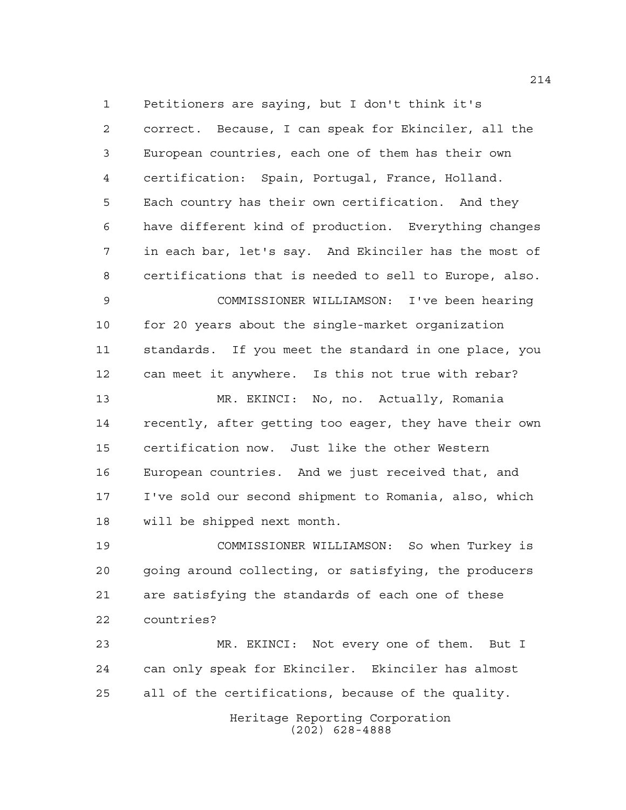Petitioners are saying, but I don't think it's correct. Because, I can speak for Ekinciler, all the European countries, each one of them has their own certification: Spain, Portugal, France, Holland. Each country has their own certification. And they have different kind of production. Everything changes in each bar, let's say. And Ekinciler has the most of certifications that is needed to sell to Europe, also.

 COMMISSIONER WILLIAMSON: I've been hearing for 20 years about the single-market organization standards. If you meet the standard in one place, you can meet it anywhere. Is this not true with rebar?

 MR. EKINCI: No, no. Actually, Romania recently, after getting too eager, they have their own certification now. Just like the other Western European countries. And we just received that, and I've sold our second shipment to Romania, also, which will be shipped next month.

 COMMISSIONER WILLIAMSON: So when Turkey is going around collecting, or satisfying, the producers are satisfying the standards of each one of these countries?

 MR. EKINCI: Not every one of them. But I can only speak for Ekinciler. Ekinciler has almost all of the certifications, because of the quality.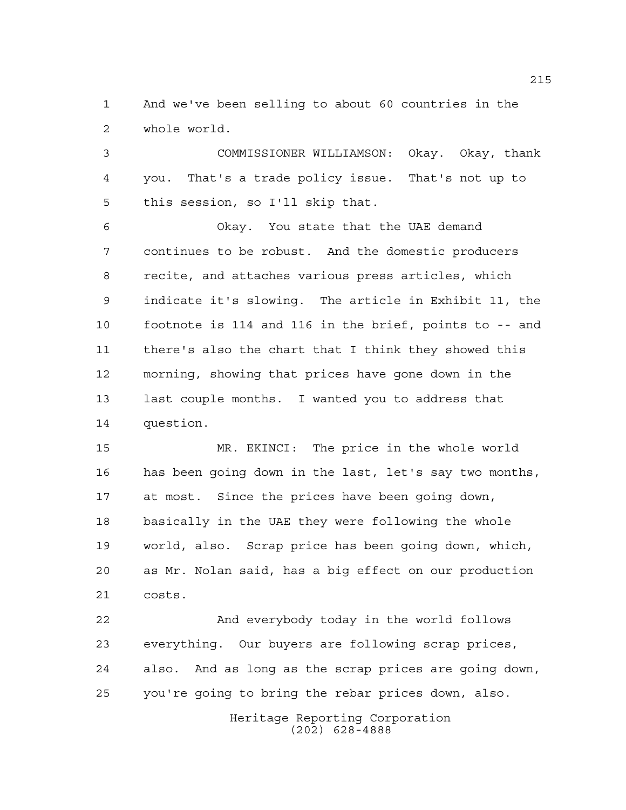And we've been selling to about 60 countries in the whole world.

 COMMISSIONER WILLIAMSON: Okay. Okay, thank you. That's a trade policy issue. That's not up to this session, so I'll skip that.

 Okay. You state that the UAE demand continues to be robust. And the domestic producers recite, and attaches various press articles, which indicate it's slowing. The article in Exhibit 11, the footnote is 114 and 116 in the brief, points to -- and there's also the chart that I think they showed this morning, showing that prices have gone down in the last couple months. I wanted you to address that question.

 MR. EKINCI: The price in the whole world has been going down in the last, let's say two months, at most. Since the prices have been going down, basically in the UAE they were following the whole world, also. Scrap price has been going down, which, as Mr. Nolan said, has a big effect on our production costs.

 And everybody today in the world follows everything. Our buyers are following scrap prices, also. And as long as the scrap prices are going down, you're going to bring the rebar prices down, also.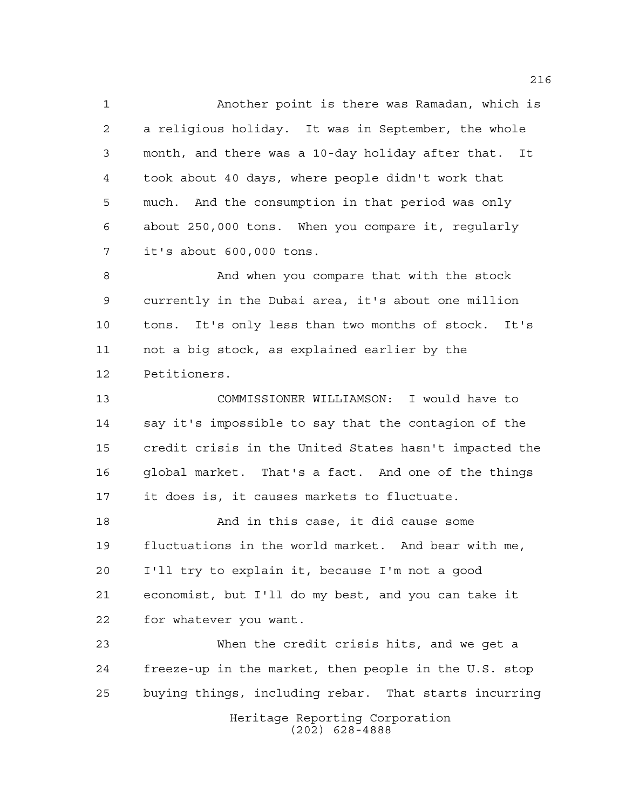Another point is there was Ramadan, which is a religious holiday. It was in September, the whole month, and there was a 10-day holiday after that. It took about 40 days, where people didn't work that much. And the consumption in that period was only about 250,000 tons. When you compare it, regularly it's about 600,000 tons.

 And when you compare that with the stock currently in the Dubai area, it's about one million tons. It's only less than two months of stock. It's not a big stock, as explained earlier by the Petitioners.

 COMMISSIONER WILLIAMSON: I would have to say it's impossible to say that the contagion of the credit crisis in the United States hasn't impacted the global market. That's a fact. And one of the things it does is, it causes markets to fluctuate.

 And in this case, it did cause some fluctuations in the world market. And bear with me, I'll try to explain it, because I'm not a good economist, but I'll do my best, and you can take it for whatever you want.

Heritage Reporting Corporation (202) 628-4888 When the credit crisis hits, and we get a freeze-up in the market, then people in the U.S. stop buying things, including rebar. That starts incurring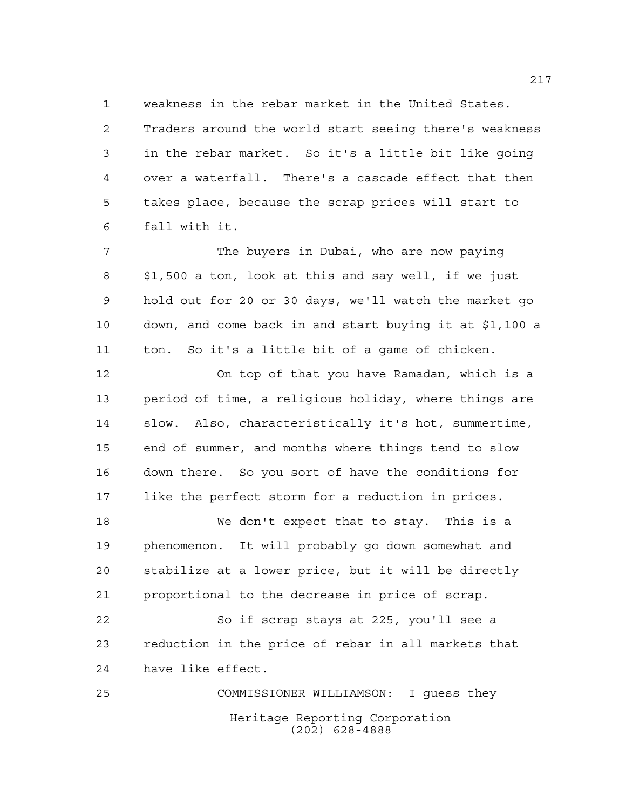weakness in the rebar market in the United States.

 Traders around the world start seeing there's weakness in the rebar market. So it's a little bit like going over a waterfall. There's a cascade effect that then takes place, because the scrap prices will start to fall with it.

 The buyers in Dubai, who are now paying \$1,500 a ton, look at this and say well, if we just hold out for 20 or 30 days, we'll watch the market go down, and come back in and start buying it at \$1,100 a ton. So it's a little bit of a game of chicken.

 On top of that you have Ramadan, which is a period of time, a religious holiday, where things are slow. Also, characteristically it's hot, summertime, end of summer, and months where things tend to slow down there. So you sort of have the conditions for like the perfect storm for a reduction in prices.

 We don't expect that to stay. This is a phenomenon. It will probably go down somewhat and stabilize at a lower price, but it will be directly proportional to the decrease in price of scrap.

 So if scrap stays at 225, you'll see a reduction in the price of rebar in all markets that have like effect.

Heritage Reporting Corporation (202) 628-4888 COMMISSIONER WILLIAMSON: I guess they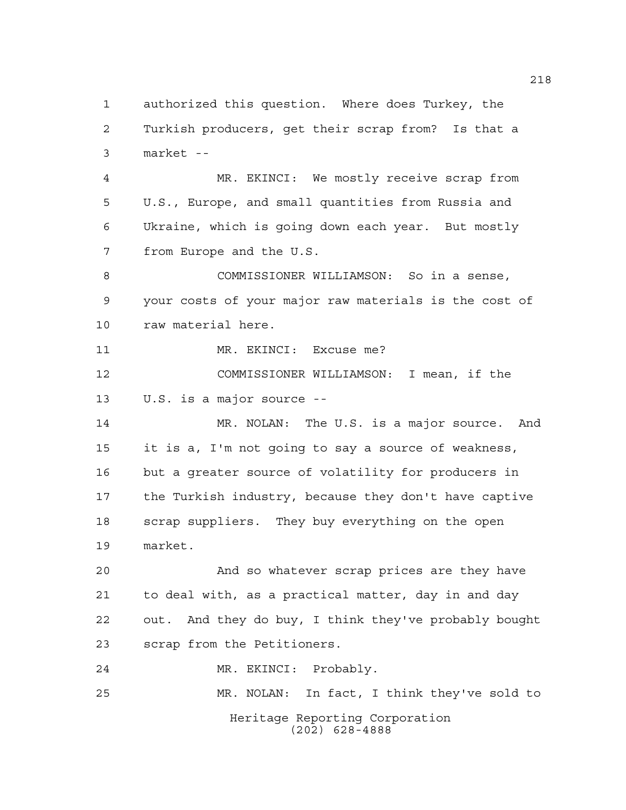Heritage Reporting Corporation (202) 628-4888 authorized this question. Where does Turkey, the Turkish producers, get their scrap from? Is that a market -- MR. EKINCI: We mostly receive scrap from U.S., Europe, and small quantities from Russia and Ukraine, which is going down each year. But mostly from Europe and the U.S. COMMISSIONER WILLIAMSON: So in a sense, your costs of your major raw materials is the cost of raw material here. 11 MR. EKINCI: Excuse me? COMMISSIONER WILLIAMSON: I mean, if the U.S. is a major source -- MR. NOLAN: The U.S. is a major source. And it is a, I'm not going to say a source of weakness, but a greater source of volatility for producers in the Turkish industry, because they don't have captive scrap suppliers. They buy everything on the open market. And so whatever scrap prices are they have to deal with, as a practical matter, day in and day out. And they do buy, I think they've probably bought scrap from the Petitioners. MR. EKINCI: Probably. MR. NOLAN: In fact, I think they've sold to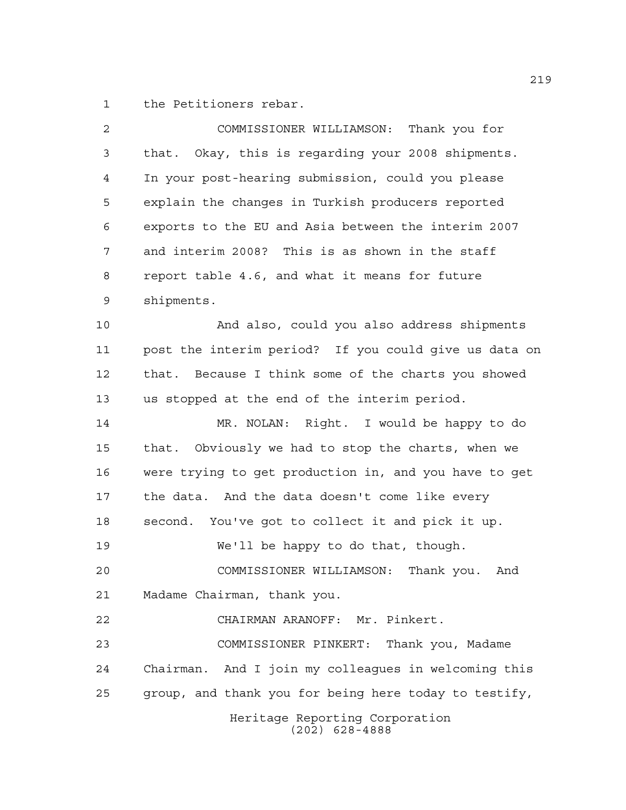the Petitioners rebar.

| 2  | COMMISSIONER WILLIAMSON:<br>Thank you for              |
|----|--------------------------------------------------------|
| 3  | that. Okay, this is regarding your 2008 shipments.     |
| 4  | In your post-hearing submission, could you please      |
| 5  | explain the changes in Turkish producers reported      |
| 6  | exports to the EU and Asia between the interim 2007    |
| 7  | and interim 2008? This is as shown in the staff        |
| 8  | report table 4.6, and what it means for future         |
| 9  | shipments.                                             |
| 10 | And also, could you also address shipments             |
| 11 | post the interim period? If you could give us data on  |
| 12 | Because I think some of the charts you showed<br>that. |
| 13 | us stopped at the end of the interim period.           |
| 14 | MR. NOLAN: Right. I would be happy to do               |
| 15 | that. Obviously we had to stop the charts, when we     |
| 16 | were trying to get production in, and you have to get  |
| 17 | the data. And the data doesn't come like every         |
| 18 | You've got to collect it and pick it up.<br>second.    |
| 19 | We'll be happy to do that, though.                     |
| 20 | COMMISSIONER WILLIAMSON: Thank you.<br>And             |
| 21 | Madame Chairman, thank you.                            |
| 22 | CHAIRMAN ARANOFF: Mr. Pinkert.                         |
| 23 | COMMISSIONER PINKERT: Thank you, Madame                |
| 24 | Chairman. And I join my colleagues in welcoming this   |
| 25 | group, and thank you for being here today to testify,  |
|    | Heritage Reporting Corporation<br>$(202)$ 628-4888     |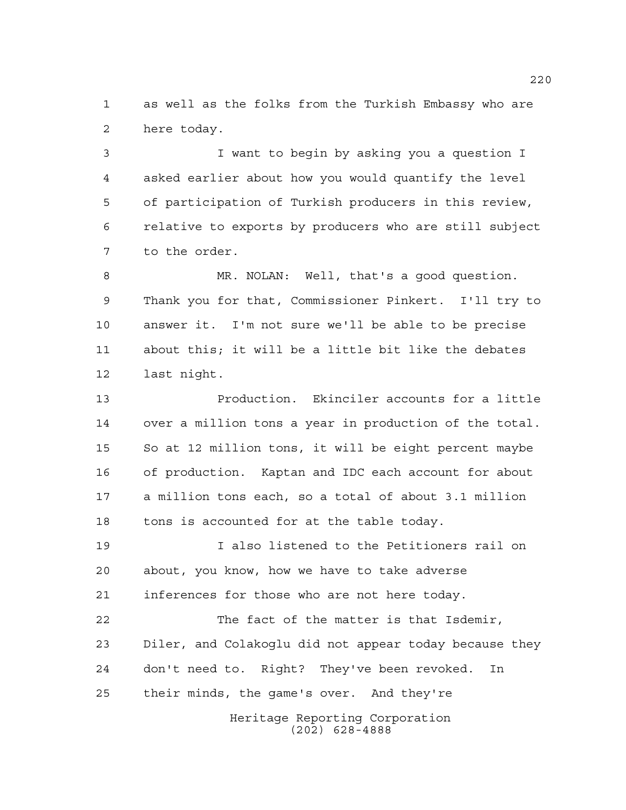as well as the folks from the Turkish Embassy who are here today.

 I want to begin by asking you a question I asked earlier about how you would quantify the level of participation of Turkish producers in this review, relative to exports by producers who are still subject to the order.

 MR. NOLAN: Well, that's a good question. Thank you for that, Commissioner Pinkert. I'll try to answer it. I'm not sure we'll be able to be precise about this; it will be a little bit like the debates last night.

 Production. Ekinciler accounts for a little over a million tons a year in production of the total. So at 12 million tons, it will be eight percent maybe of production. Kaptan and IDC each account for about a million tons each, so a total of about 3.1 million 18 tons is accounted for at the table today.

 I also listened to the Petitioners rail on about, you know, how we have to take adverse inferences for those who are not here today.

 The fact of the matter is that Isdemir, Diler, and Colakoglu did not appear today because they don't need to. Right? They've been revoked. In their minds, the game's over. And they're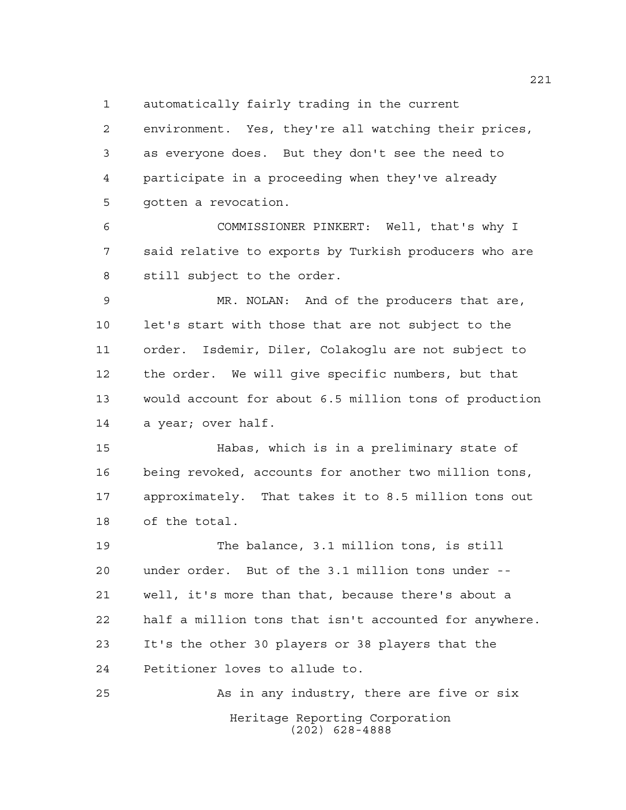automatically fairly trading in the current

 environment. Yes, they're all watching their prices, as everyone does. But they don't see the need to participate in a proceeding when they've already gotten a revocation.

 COMMISSIONER PINKERT: Well, that's why I said relative to exports by Turkish producers who are still subject to the order.

 MR. NOLAN: And of the producers that are, let's start with those that are not subject to the order. Isdemir, Diler, Colakoglu are not subject to the order. We will give specific numbers, but that would account for about 6.5 million tons of production a year; over half.

 Habas, which is in a preliminary state of being revoked, accounts for another two million tons, approximately. That takes it to 8.5 million tons out of the total.

 The balance, 3.1 million tons, is still under order. But of the 3.1 million tons under -- well, it's more than that, because there's about a half a million tons that isn't accounted for anywhere. It's the other 30 players or 38 players that the Petitioner loves to allude to.

Heritage Reporting Corporation (202) 628-4888 As in any industry, there are five or six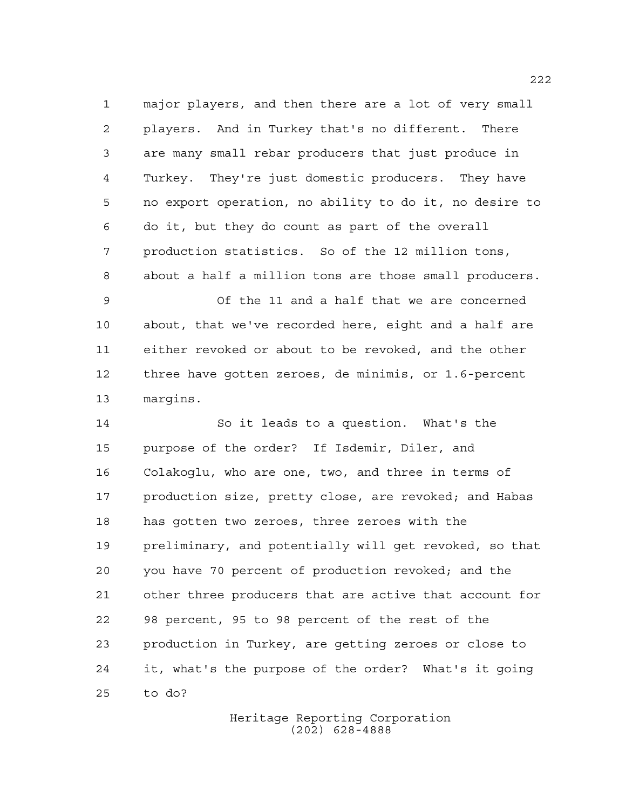major players, and then there are a lot of very small players. And in Turkey that's no different. There are many small rebar producers that just produce in Turkey. They're just domestic producers. They have no export operation, no ability to do it, no desire to do it, but they do count as part of the overall production statistics. So of the 12 million tons, about a half a million tons are those small producers.

 Of the 11 and a half that we are concerned about, that we've recorded here, eight and a half are either revoked or about to be revoked, and the other three have gotten zeroes, de minimis, or 1.6-percent margins.

 So it leads to a question. What's the purpose of the order? If Isdemir, Diler, and Colakoglu, who are one, two, and three in terms of production size, pretty close, are revoked; and Habas has gotten two zeroes, three zeroes with the preliminary, and potentially will get revoked, so that you have 70 percent of production revoked; and the other three producers that are active that account for 98 percent, 95 to 98 percent of the rest of the production in Turkey, are getting zeroes or close to it, what's the purpose of the order? What's it going to do?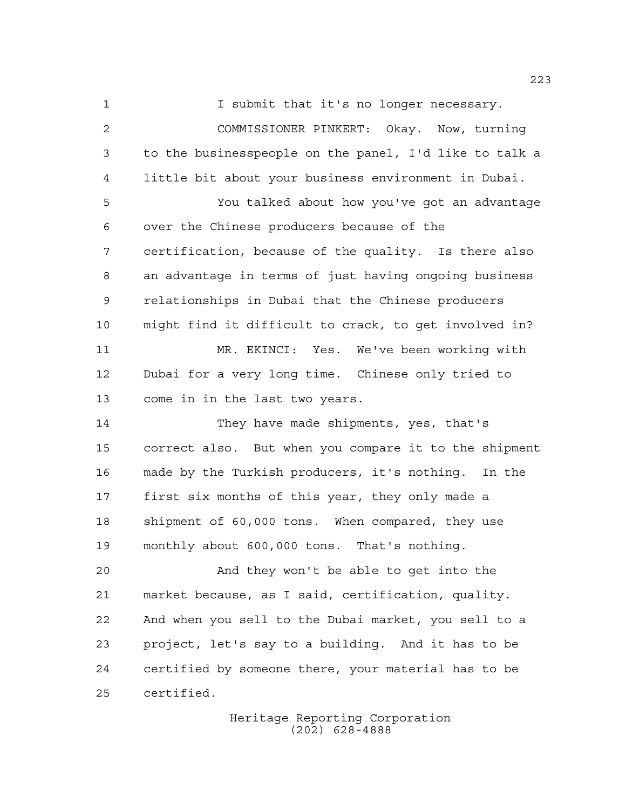**I** submit that it's no longer necessary.

 COMMISSIONER PINKERT: Okay. Now, turning to the businesspeople on the panel, I'd like to talk a little bit about your business environment in Dubai.

 You talked about how you've got an advantage over the Chinese producers because of the certification, because of the quality. Is there also an advantage in terms of just having ongoing business relationships in Dubai that the Chinese producers might find it difficult to crack, to get involved in? MR. EKINCI: Yes. We've been working with Dubai for a very long time. Chinese only tried to

come in in the last two years.

 They have made shipments, yes, that's correct also. But when you compare it to the shipment made by the Turkish producers, it's nothing. In the first six months of this year, they only made a shipment of 60,000 tons. When compared, they use monthly about 600,000 tons. That's nothing.

 And they won't be able to get into the market because, as I said, certification, quality. And when you sell to the Dubai market, you sell to a project, let's say to a building. And it has to be certified by someone there, your material has to be certified.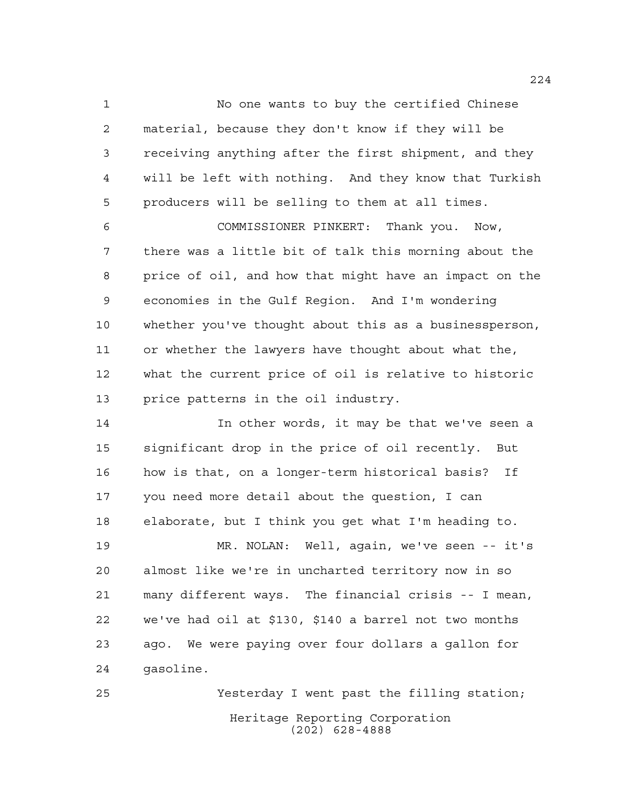No one wants to buy the certified Chinese material, because they don't know if they will be receiving anything after the first shipment, and they will be left with nothing. And they know that Turkish producers will be selling to them at all times.

 COMMISSIONER PINKERT: Thank you. Now, there was a little bit of talk this morning about the price of oil, and how that might have an impact on the economies in the Gulf Region. And I'm wondering whether you've thought about this as a businessperson, or whether the lawyers have thought about what the, what the current price of oil is relative to historic price patterns in the oil industry.

 In other words, it may be that we've seen a significant drop in the price of oil recently. But how is that, on a longer-term historical basis? If you need more detail about the question, I can elaborate, but I think you get what I'm heading to.

 MR. NOLAN: Well, again, we've seen -- it's almost like we're in uncharted territory now in so many different ways. The financial crisis -- I mean, we've had oil at \$130, \$140 a barrel not two months ago. We were paying over four dollars a gallon for gasoline.

Heritage Reporting Corporation (202) 628-4888 Yesterday I went past the filling station;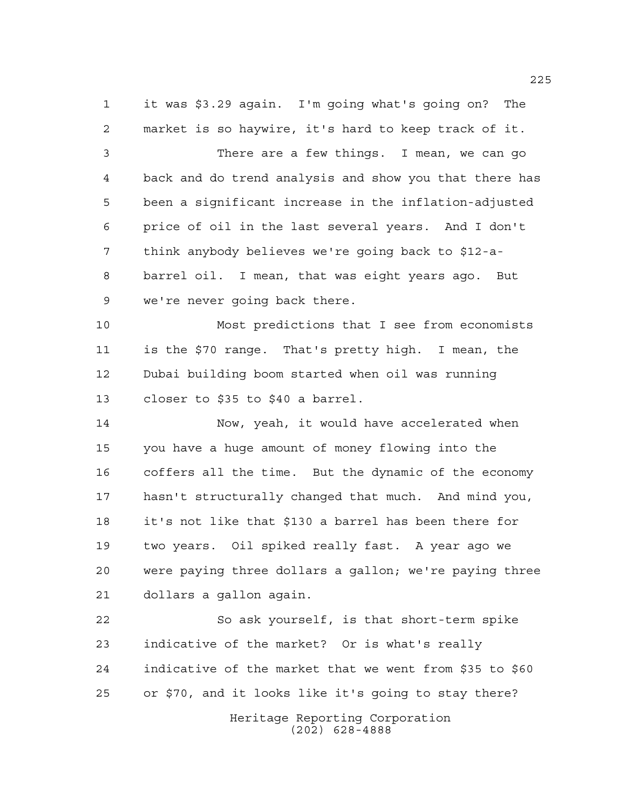it was \$3.29 again. I'm going what's going on? The market is so haywire, it's hard to keep track of it. There are a few things. I mean, we can go back and do trend analysis and show you that there has been a significant increase in the inflation-adjusted price of oil in the last several years. And I don't think anybody believes we're going back to \$12-a- barrel oil. I mean, that was eight years ago. But we're never going back there. Most predictions that I see from economists is the \$70 range. That's pretty high. I mean, the Dubai building boom started when oil was running closer to \$35 to \$40 a barrel. Now, yeah, it would have accelerated when you have a huge amount of money flowing into the coffers all the time. But the dynamic of the economy hasn't structurally changed that much. And mind you, it's not like that \$130 a barrel has been there for two years. Oil spiked really fast. A year ago we were paying three dollars a gallon; we're paying three dollars a gallon again. So ask yourself, is that short-term spike indicative of the market? Or is what's really indicative of the market that we went from \$35 to \$60 or \$70, and it looks like it's going to stay there?

> Heritage Reporting Corporation (202) 628-4888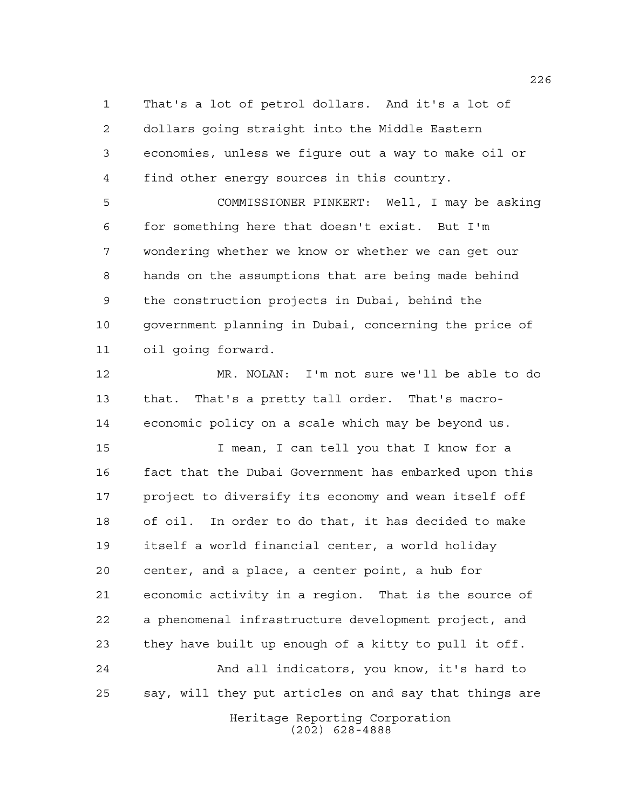That's a lot of petrol dollars. And it's a lot of dollars going straight into the Middle Eastern economies, unless we figure out a way to make oil or find other energy sources in this country.

 COMMISSIONER PINKERT: Well, I may be asking for something here that doesn't exist. But I'm wondering whether we know or whether we can get our hands on the assumptions that are being made behind the construction projects in Dubai, behind the government planning in Dubai, concerning the price of oil going forward.

 MR. NOLAN: I'm not sure we'll be able to do that. That's a pretty tall order. That's macro-economic policy on a scale which may be beyond us.

 I mean, I can tell you that I know for a fact that the Dubai Government has embarked upon this project to diversify its economy and wean itself off of oil. In order to do that, it has decided to make itself a world financial center, a world holiday center, and a place, a center point, a hub for economic activity in a region. That is the source of a phenomenal infrastructure development project, and they have built up enough of a kitty to pull it off. And all indicators, you know, it's hard to say, will they put articles on and say that things are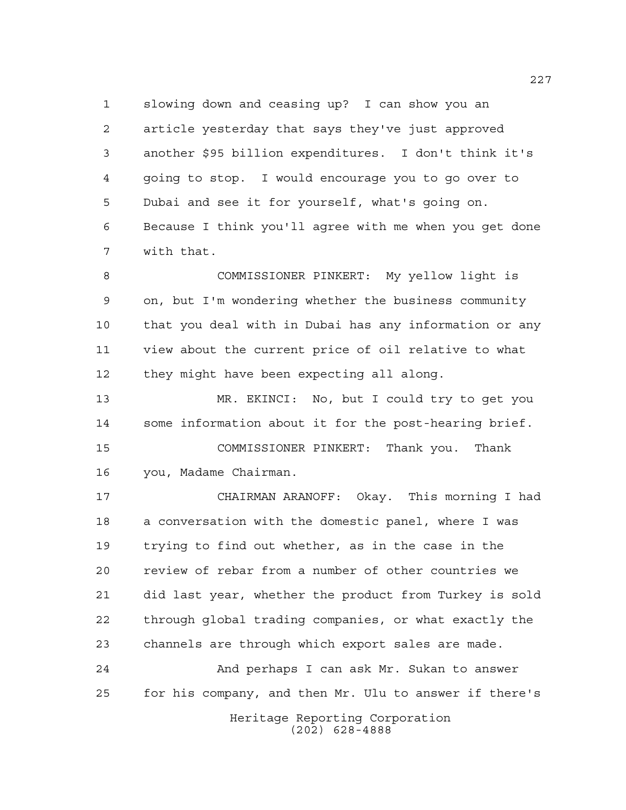slowing down and ceasing up? I can show you an article yesterday that says they've just approved another \$95 billion expenditures. I don't think it's going to stop. I would encourage you to go over to Dubai and see it for yourself, what's going on. Because I think you'll agree with me when you get done with that.

 COMMISSIONER PINKERT: My yellow light is on, but I'm wondering whether the business community that you deal with in Dubai has any information or any view about the current price of oil relative to what they might have been expecting all along.

 MR. EKINCI: No, but I could try to get you some information about it for the post-hearing brief. COMMISSIONER PINKERT: Thank you. Thank

you, Madame Chairman.

 CHAIRMAN ARANOFF: Okay. This morning I had a conversation with the domestic panel, where I was trying to find out whether, as in the case in the review of rebar from a number of other countries we did last year, whether the product from Turkey is sold through global trading companies, or what exactly the channels are through which export sales are made.

 And perhaps I can ask Mr. Sukan to answer for his company, and then Mr. Ulu to answer if there's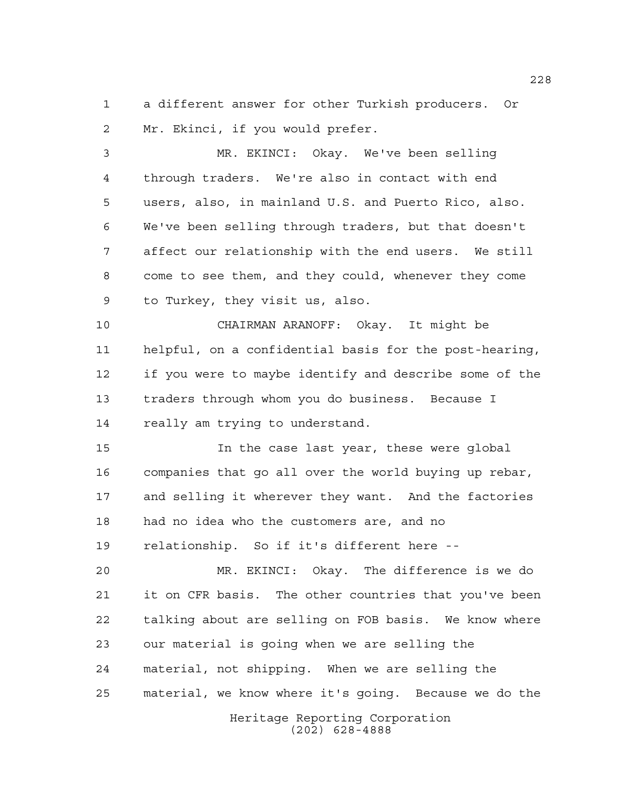a different answer for other Turkish producers. Or Mr. Ekinci, if you would prefer.

 MR. EKINCI: Okay. We've been selling through traders. We're also in contact with end users, also, in mainland U.S. and Puerto Rico, also. We've been selling through traders, but that doesn't affect our relationship with the end users. We still come to see them, and they could, whenever they come to Turkey, they visit us, also.

 CHAIRMAN ARANOFF: Okay. It might be helpful, on a confidential basis for the post-hearing, if you were to maybe identify and describe some of the traders through whom you do business. Because I really am trying to understand.

 In the case last year, these were global companies that go all over the world buying up rebar, and selling it wherever they want. And the factories had no idea who the customers are, and no relationship. So if it's different here --

 MR. EKINCI: Okay. The difference is we do it on CFR basis. The other countries that you've been talking about are selling on FOB basis. We know where our material is going when we are selling the material, not shipping. When we are selling the material, we know where it's going. Because we do the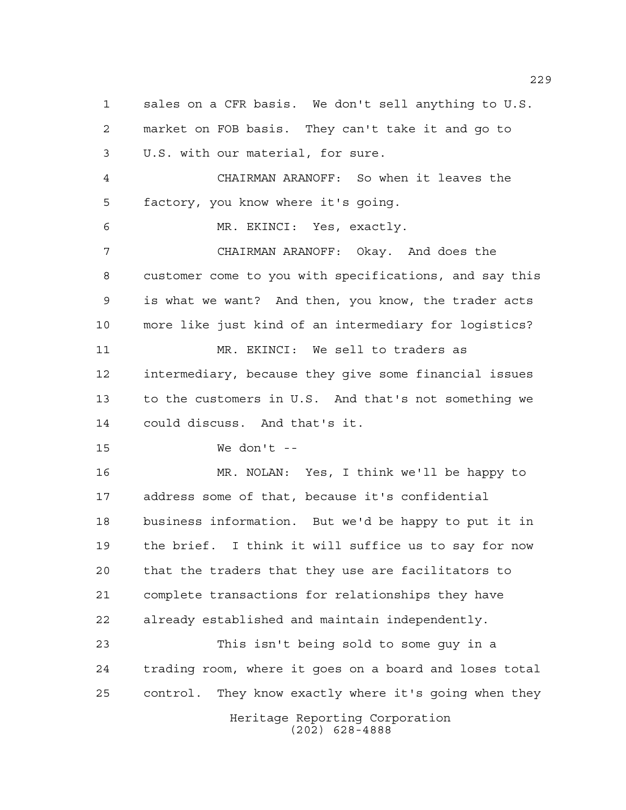Heritage Reporting Corporation (202) 628-4888 sales on a CFR basis. We don't sell anything to U.S. market on FOB basis. They can't take it and go to U.S. with our material, for sure. CHAIRMAN ARANOFF: So when it leaves the factory, you know where it's going. MR. EKINCI: Yes, exactly. CHAIRMAN ARANOFF: Okay. And does the customer come to you with specifications, and say this is what we want? And then, you know, the trader acts more like just kind of an intermediary for logistics? MR. EKINCI: We sell to traders as intermediary, because they give some financial issues to the customers in U.S. And that's not something we could discuss. And that's it. We don't -- MR. NOLAN: Yes, I think we'll be happy to address some of that, because it's confidential business information. But we'd be happy to put it in the brief. I think it will suffice us to say for now that the traders that they use are facilitators to complete transactions for relationships they have already established and maintain independently. This isn't being sold to some guy in a trading room, where it goes on a board and loses total control. They know exactly where it's going when they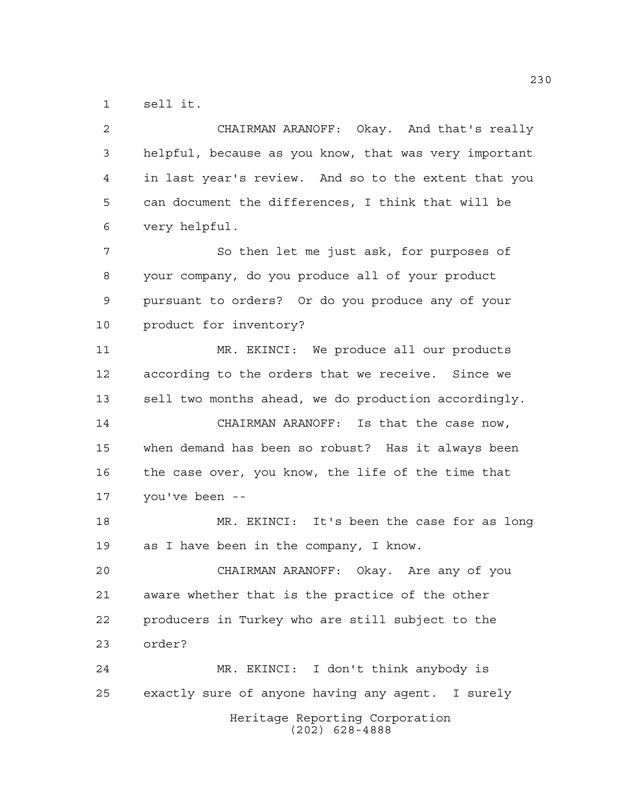sell it.

| 2  | CHAIRMAN ARANOFF: Okay. And that's really             |
|----|-------------------------------------------------------|
| 3  | helpful, because as you know, that was very important |
| 4  | in last year's review. And so to the extent that you  |
| 5  | can document the differences, I think that will be    |
| 6  | very helpful.                                         |
| 7  | So then let me just ask, for purposes of              |
| 8  | your company, do you produce all of your product      |
| 9  | pursuant to orders? Or do you produce any of your     |
| 10 | product for inventory?                                |
| 11 | MR. EKINCI: We produce all our products               |
| 12 | according to the orders that we receive. Since we     |
| 13 | sell two months ahead, we do production accordingly.  |
| 14 | CHAIRMAN ARANOFF: Is that the case now,               |
| 15 | when demand has been so robust? Has it always been    |
| 16 | the case over, you know, the life of the time that    |
| 17 | you've been --                                        |
| 18 | MR. EKINCI: It's been the case for as long            |
| 19 | as I have been in the company, I know.                |
| 20 | CHAIRMAN ARANOFF: Okay. Are any of you                |
| 21 | aware whether that is the practice of the other       |
| 22 | producers in Turkey who are still subject to the      |
| 23 | order?                                                |
| 24 | MR. EKINCI: I don't think anybody is                  |
| 25 | exactly sure of anyone having any agent. I surely     |
|    | Heritage Reporting Corporation<br>$(202)$ 628-4888    |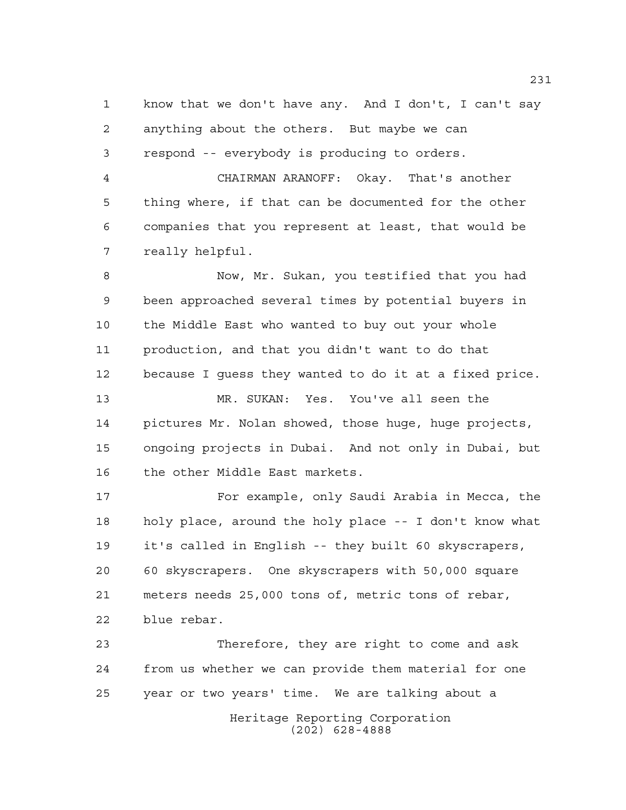know that we don't have any. And I don't, I can't say anything about the others. But maybe we can respond -- everybody is producing to orders.

 CHAIRMAN ARANOFF: Okay. That's another thing where, if that can be documented for the other companies that you represent at least, that would be really helpful.

 Now, Mr. Sukan, you testified that you had been approached several times by potential buyers in the Middle East who wanted to buy out your whole production, and that you didn't want to do that because I guess they wanted to do it at a fixed price. MR. SUKAN: Yes. You've all seen the pictures Mr. Nolan showed, those huge, huge projects, ongoing projects in Dubai. And not only in Dubai, but the other Middle East markets.

 For example, only Saudi Arabia in Mecca, the holy place, around the holy place -- I don't know what it's called in English -- they built 60 skyscrapers, 60 skyscrapers. One skyscrapers with 50,000 square meters needs 25,000 tons of, metric tons of rebar, blue rebar.

Heritage Reporting Corporation (202) 628-4888 Therefore, they are right to come and ask from us whether we can provide them material for one year or two years' time. We are talking about a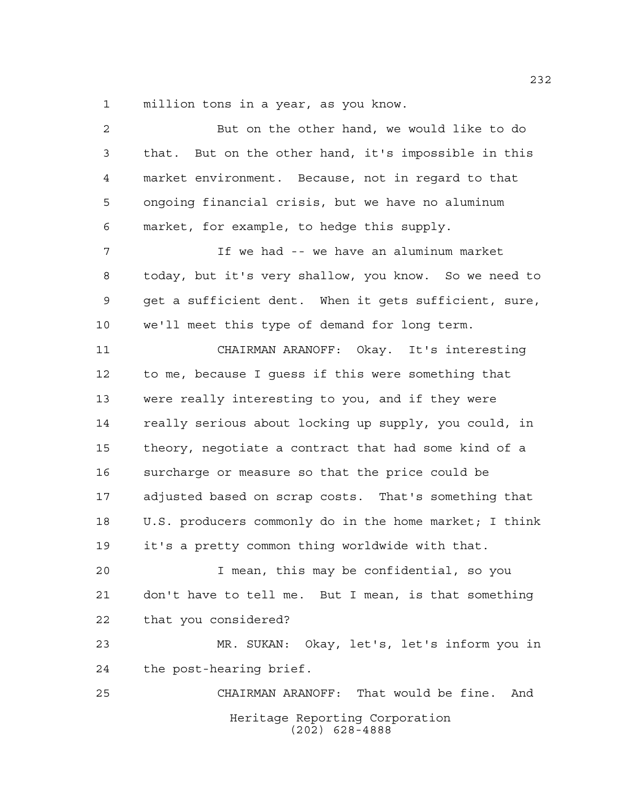million tons in a year, as you know.

| $\overline{a}$ | But on the other hand, we would like to do             |
|----------------|--------------------------------------------------------|
| 3              | that. But on the other hand, it's impossible in this   |
| 4              | market environment. Because, not in regard to that     |
| 5              | ongoing financial crisis, but we have no aluminum      |
| 6              | market, for example, to hedge this supply.             |
| 7              | If we had -- we have an aluminum market                |
| 8              | today, but it's very shallow, you know. So we need to  |
| 9              | get a sufficient dent. When it gets sufficient, sure,  |
| 10             | we'll meet this type of demand for long term.          |
| 11             | CHAIRMAN ARANOFF: Okay. It's interesting               |
| 12             | to me, because I guess if this were something that     |
| 13             | were really interesting to you, and if they were       |
| 14             | really serious about locking up supply, you could, in  |
| 15             | theory, negotiate a contract that had some kind of a   |
| 16             | surcharge or measure so that the price could be        |
| 17             | adjusted based on scrap costs. That's something that   |
| 18             | U.S. producers commonly do in the home market; I think |
| 19             | it's a pretty common thing worldwide with that.        |
| 20             | I mean, this may be confidential, so you               |
| 21             | don't have to tell me. But I mean, is that something   |
| 22             | that you considered?                                   |
| 23             | MR. SUKAN: Okay, let's, let's inform you in            |
| 24             | the post-hearing brief.                                |
| 25             | CHAIRMAN ARANOFF: That would be fine.<br>And           |
|                | Heritage Reporting Corporation<br>$(202)$ 628-4888     |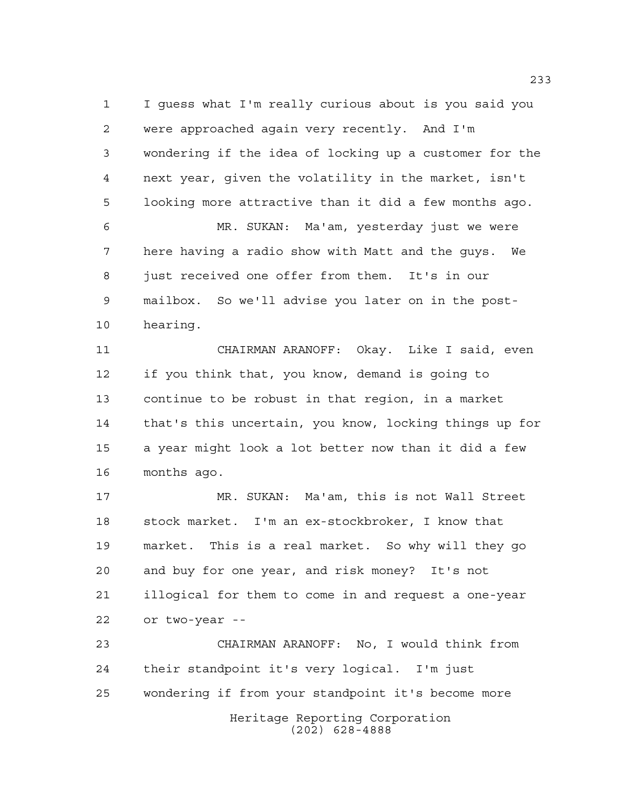I guess what I'm really curious about is you said you were approached again very recently. And I'm wondering if the idea of locking up a customer for the next year, given the volatility in the market, isn't looking more attractive than it did a few months ago. MR. SUKAN: Ma'am, yesterday just we were

 here having a radio show with Matt and the guys. We just received one offer from them. It's in our mailbox. So we'll advise you later on in the post-hearing.

 CHAIRMAN ARANOFF: Okay. Like I said, even if you think that, you know, demand is going to continue to be robust in that region, in a market that's this uncertain, you know, locking things up for a year might look a lot better now than it did a few months ago.

 MR. SUKAN: Ma'am, this is not Wall Street stock market. I'm an ex-stockbroker, I know that market. This is a real market. So why will they go and buy for one year, and risk money? It's not illogical for them to come in and request a one-year or two-year --

Heritage Reporting Corporation CHAIRMAN ARANOFF: No, I would think from their standpoint it's very logical. I'm just wondering if from your standpoint it's become more

(202) 628-4888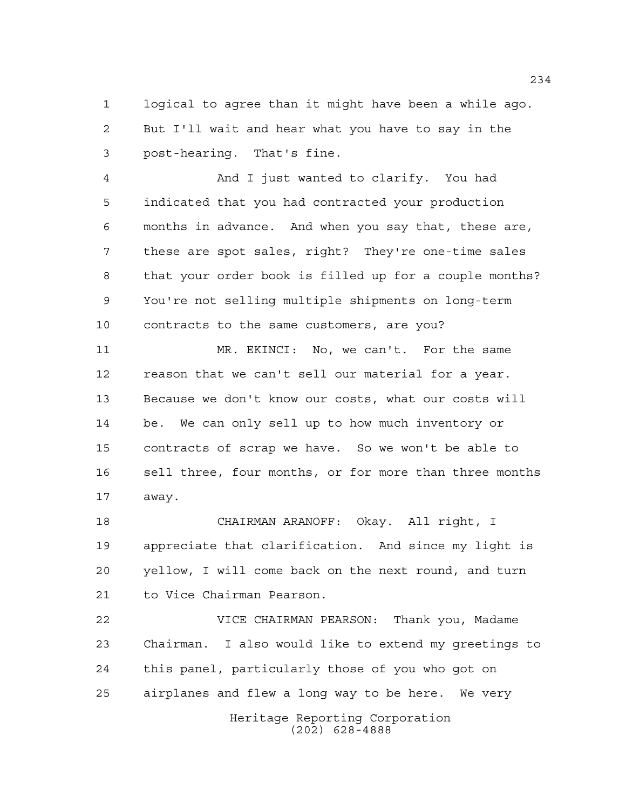logical to agree than it might have been a while ago. But I'll wait and hear what you have to say in the post-hearing. That's fine.

 And I just wanted to clarify. You had indicated that you had contracted your production months in advance. And when you say that, these are, these are spot sales, right? They're one-time sales that your order book is filled up for a couple months? You're not selling multiple shipments on long-term contracts to the same customers, are you?

 MR. EKINCI: No, we can't. For the same reason that we can't sell our material for a year. Because we don't know our costs, what our costs will be. We can only sell up to how much inventory or contracts of scrap we have. So we won't be able to sell three, four months, or for more than three months away.

 CHAIRMAN ARANOFF: Okay. All right, I appreciate that clarification. And since my light is yellow, I will come back on the next round, and turn to Vice Chairman Pearson.

Heritage Reporting Corporation VICE CHAIRMAN PEARSON: Thank you, Madame Chairman. I also would like to extend my greetings to this panel, particularly those of you who got on airplanes and flew a long way to be here. We very

(202) 628-4888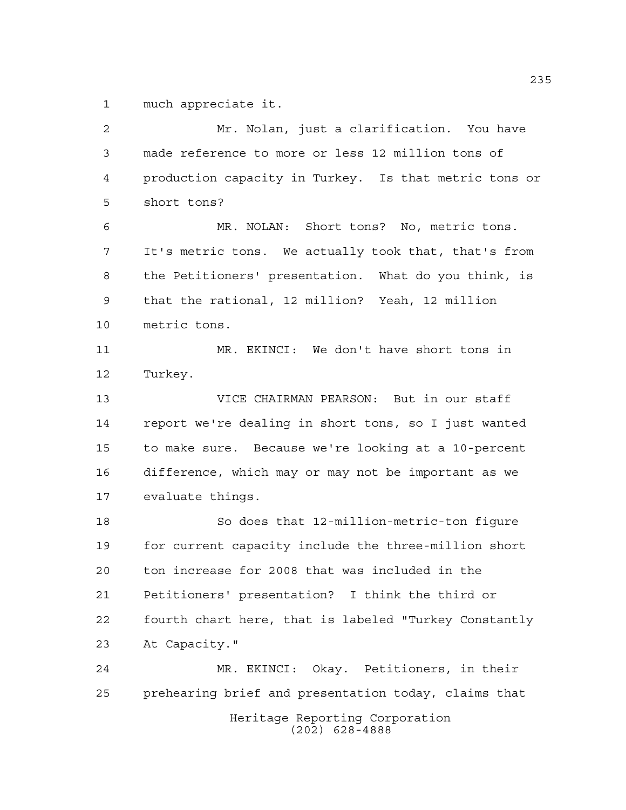much appreciate it.

Heritage Reporting Corporation (202) 628-4888 Mr. Nolan, just a clarification. You have made reference to more or less 12 million tons of production capacity in Turkey. Is that metric tons or short tons? MR. NOLAN: Short tons? No, metric tons. It's metric tons. We actually took that, that's from the Petitioners' presentation. What do you think, is that the rational, 12 million? Yeah, 12 million metric tons. MR. EKINCI: We don't have short tons in Turkey. VICE CHAIRMAN PEARSON: But in our staff report we're dealing in short tons, so I just wanted to make sure. Because we're looking at a 10-percent difference, which may or may not be important as we evaluate things. So does that 12-million-metric-ton figure for current capacity include the three-million short ton increase for 2008 that was included in the Petitioners' presentation? I think the third or fourth chart here, that is labeled "Turkey Constantly At Capacity." MR. EKINCI: Okay. Petitioners, in their prehearing brief and presentation today, claims that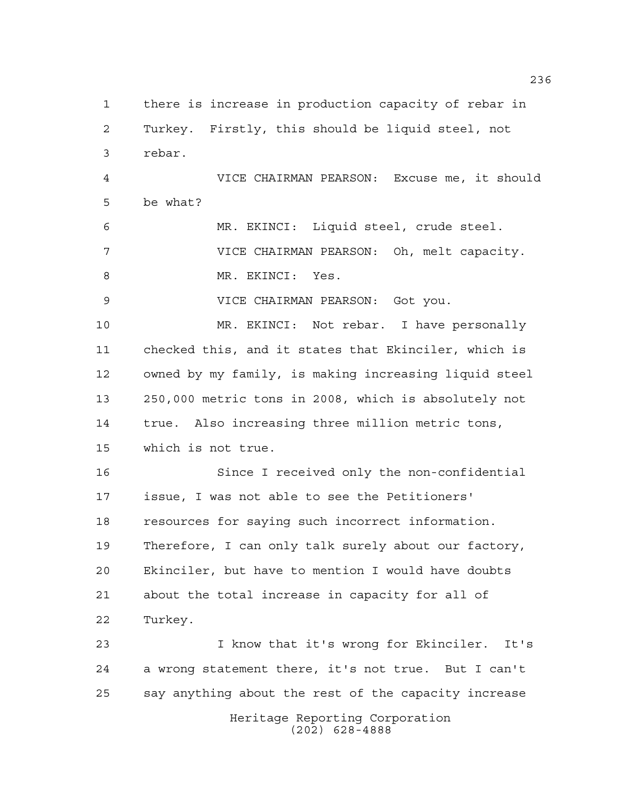Heritage Reporting Corporation (202) 628-4888 there is increase in production capacity of rebar in Turkey. Firstly, this should be liquid steel, not rebar. VICE CHAIRMAN PEARSON: Excuse me, it should be what? MR. EKINCI: Liquid steel, crude steel. VICE CHAIRMAN PEARSON: Oh, melt capacity. 8 MR. EKINCI: Yes. VICE CHAIRMAN PEARSON: Got you. MR. EKINCI: Not rebar. I have personally checked this, and it states that Ekinciler, which is owned by my family, is making increasing liquid steel 250,000 metric tons in 2008, which is absolutely not true. Also increasing three million metric tons, which is not true. Since I received only the non-confidential issue, I was not able to see the Petitioners' resources for saying such incorrect information. Therefore, I can only talk surely about our factory, Ekinciler, but have to mention I would have doubts about the total increase in capacity for all of Turkey. I know that it's wrong for Ekinciler. It's a wrong statement there, it's not true. But I can't say anything about the rest of the capacity increase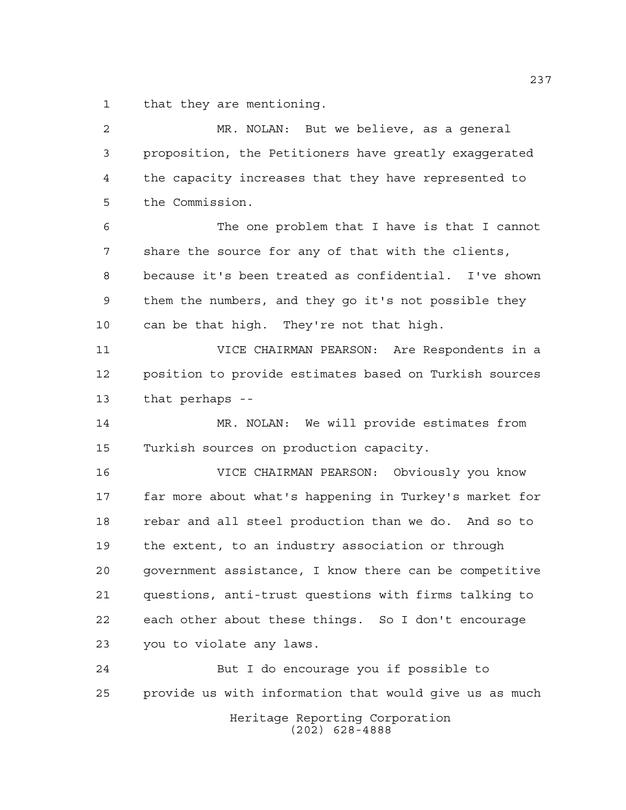that they are mentioning.

 MR. NOLAN: But we believe, as a general proposition, the Petitioners have greatly exaggerated the capacity increases that they have represented to the Commission. The one problem that I have is that I cannot share the source for any of that with the clients, because it's been treated as confidential. I've shown them the numbers, and they go it's not possible they can be that high. They're not that high. VICE CHAIRMAN PEARSON: Are Respondents in a position to provide estimates based on Turkish sources that perhaps -- MR. NOLAN: We will provide estimates from Turkish sources on production capacity. VICE CHAIRMAN PEARSON: Obviously you know far more about what's happening in Turkey's market for rebar and all steel production than we do. And so to the extent, to an industry association or through government assistance, I know there can be competitive questions, anti-trust questions with firms talking to each other about these things. So I don't encourage you to violate any laws. But I do encourage you if possible to provide us with information that would give us as much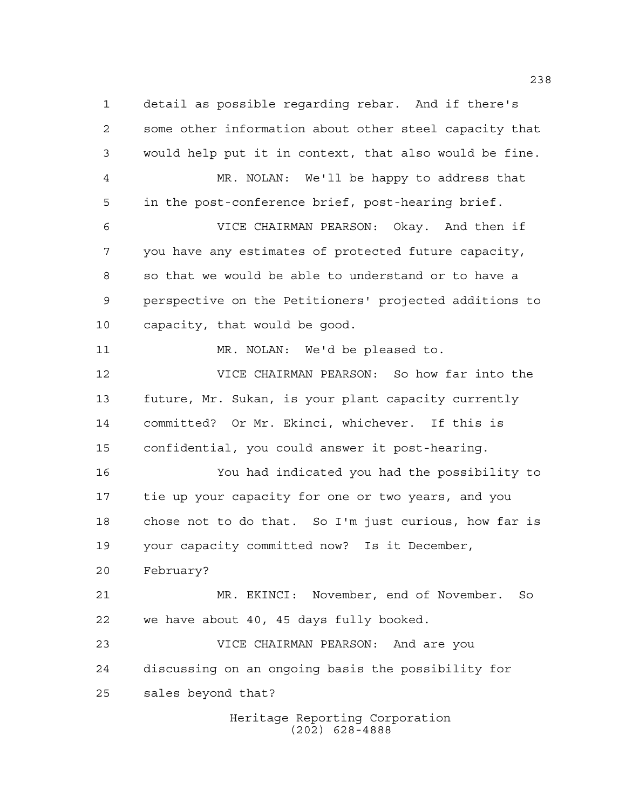detail as possible regarding rebar. And if there's some other information about other steel capacity that would help put it in context, that also would be fine. MR. NOLAN: We'll be happy to address that in the post-conference brief, post-hearing brief. VICE CHAIRMAN PEARSON: Okay. And then if you have any estimates of protected future capacity, so that we would be able to understand or to have a perspective on the Petitioners' projected additions to capacity, that would be good. MR. NOLAN: We'd be pleased to. VICE CHAIRMAN PEARSON: So how far into the future, Mr. Sukan, is your plant capacity currently committed? Or Mr. Ekinci, whichever. If this is confidential, you could answer it post-hearing. You had indicated you had the possibility to tie up your capacity for one or two years, and you chose not to do that. So I'm just curious, how far is your capacity committed now? Is it December, February? MR. EKINCI: November, end of November. So we have about 40, 45 days fully booked. VICE CHAIRMAN PEARSON: And are you discussing on an ongoing basis the possibility for sales beyond that?

Heritage Reporting Corporation (202) 628-4888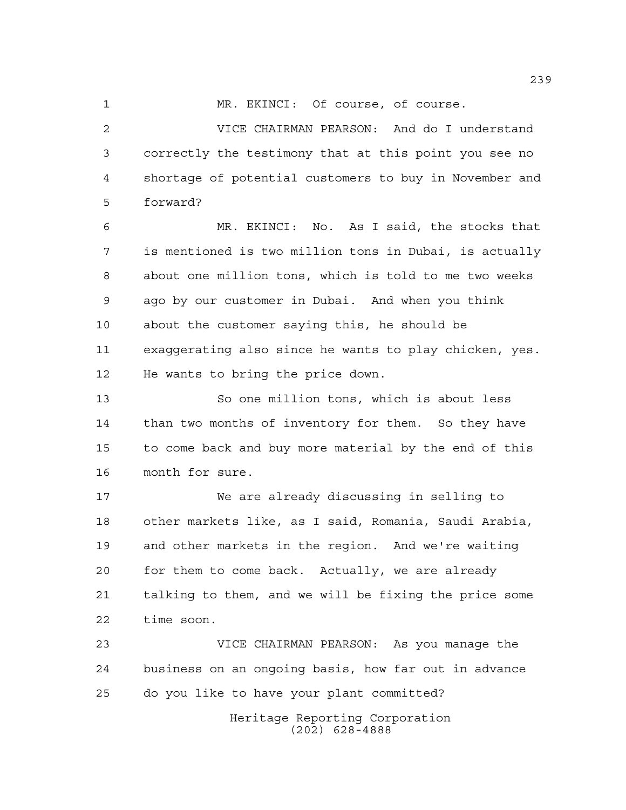1 MR. EKINCI: Of course, of course.

 VICE CHAIRMAN PEARSON: And do I understand correctly the testimony that at this point you see no shortage of potential customers to buy in November and forward?

 MR. EKINCI: No. As I said, the stocks that is mentioned is two million tons in Dubai, is actually about one million tons, which is told to me two weeks ago by our customer in Dubai. And when you think about the customer saying this, he should be exaggerating also since he wants to play chicken, yes. He wants to bring the price down.

 So one million tons, which is about less than two months of inventory for them. So they have to come back and buy more material by the end of this month for sure.

 We are already discussing in selling to other markets like, as I said, Romania, Saudi Arabia, and other markets in the region. And we're waiting for them to come back. Actually, we are already talking to them, and we will be fixing the price some time soon.

 VICE CHAIRMAN PEARSON: As you manage the business on an ongoing basis, how far out in advance do you like to have your plant committed?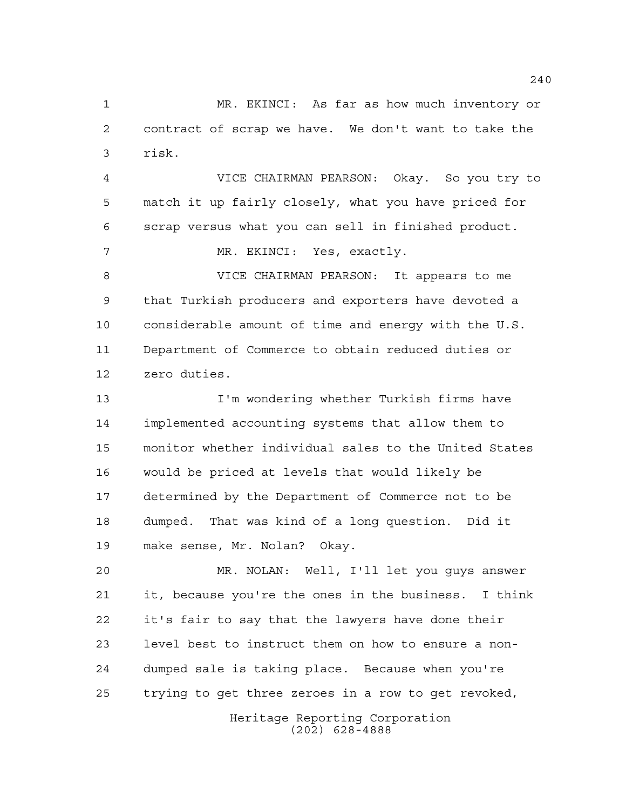MR. EKINCI: As far as how much inventory or contract of scrap we have. We don't want to take the risk.

 VICE CHAIRMAN PEARSON: Okay. So you try to match it up fairly closely, what you have priced for scrap versus what you can sell in finished product.

MR. EKINCI: Yes, exactly.

 VICE CHAIRMAN PEARSON: It appears to me that Turkish producers and exporters have devoted a considerable amount of time and energy with the U.S. Department of Commerce to obtain reduced duties or zero duties.

 I'm wondering whether Turkish firms have implemented accounting systems that allow them to monitor whether individual sales to the United States would be priced at levels that would likely be determined by the Department of Commerce not to be dumped. That was kind of a long question. Did it make sense, Mr. Nolan? Okay.

 MR. NOLAN: Well, I'll let you guys answer it, because you're the ones in the business. I think it's fair to say that the lawyers have done their level best to instruct them on how to ensure a non- dumped sale is taking place. Because when you're trying to get three zeroes in a row to get revoked,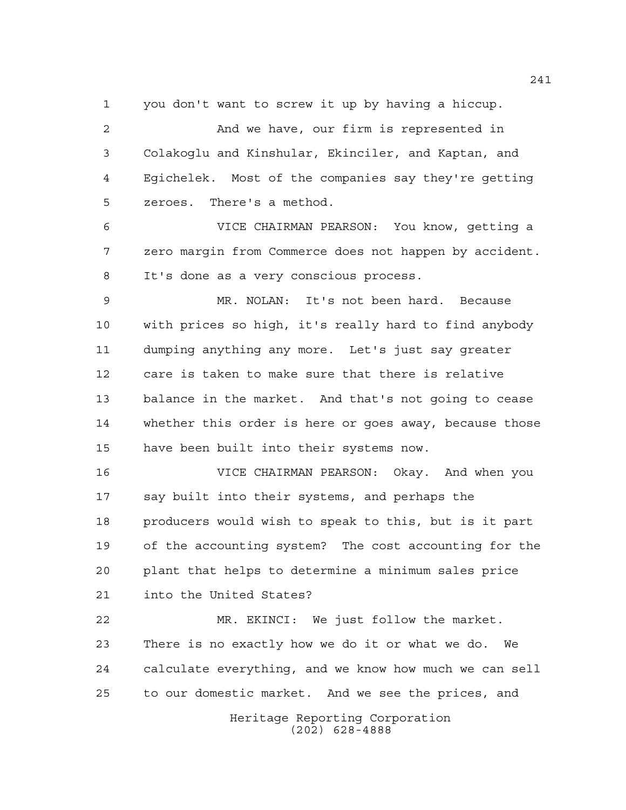you don't want to screw it up by having a hiccup.

 And we have, our firm is represented in Colakoglu and Kinshular, Ekinciler, and Kaptan, and Egichelek. Most of the companies say they're getting zeroes. There's a method.

 VICE CHAIRMAN PEARSON: You know, getting a zero margin from Commerce does not happen by accident. It's done as a very conscious process.

 MR. NOLAN: It's not been hard. Because with prices so high, it's really hard to find anybody dumping anything any more. Let's just say greater care is taken to make sure that there is relative balance in the market. And that's not going to cease whether this order is here or goes away, because those have been built into their systems now.

 VICE CHAIRMAN PEARSON: Okay. And when you say built into their systems, and perhaps the producers would wish to speak to this, but is it part of the accounting system? The cost accounting for the plant that helps to determine a minimum sales price into the United States?

 MR. EKINCI: We just follow the market. There is no exactly how we do it or what we do. We calculate everything, and we know how much we can sell to our domestic market. And we see the prices, and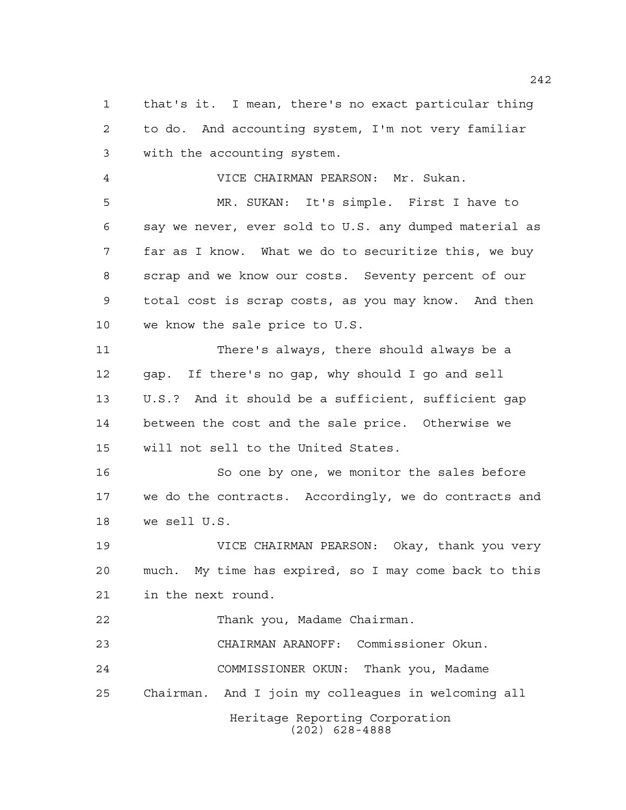that's it. I mean, there's no exact particular thing to do. And accounting system, I'm not very familiar with the accounting system.

VICE CHAIRMAN PEARSON: Mr. Sukan.

 MR. SUKAN: It's simple. First I have to say we never, ever sold to U.S. any dumped material as far as I know. What we do to securitize this, we buy scrap and we know our costs. Seventy percent of our total cost is scrap costs, as you may know. And then we know the sale price to U.S.

 There's always, there should always be a gap. If there's no gap, why should I go and sell U.S.? And it should be a sufficient, sufficient gap between the cost and the sale price. Otherwise we will not sell to the United States.

16 So one by one, we monitor the sales before we do the contracts. Accordingly, we do contracts and we sell U.S.

 VICE CHAIRMAN PEARSON: Okay, thank you very much. My time has expired, so I may come back to this in the next round.

Thank you, Madame Chairman.

CHAIRMAN ARANOFF: Commissioner Okun.

 COMMISSIONER OKUN: Thank you, Madame Chairman. And I join my colleagues in welcoming all

Heritage Reporting Corporation

(202) 628-4888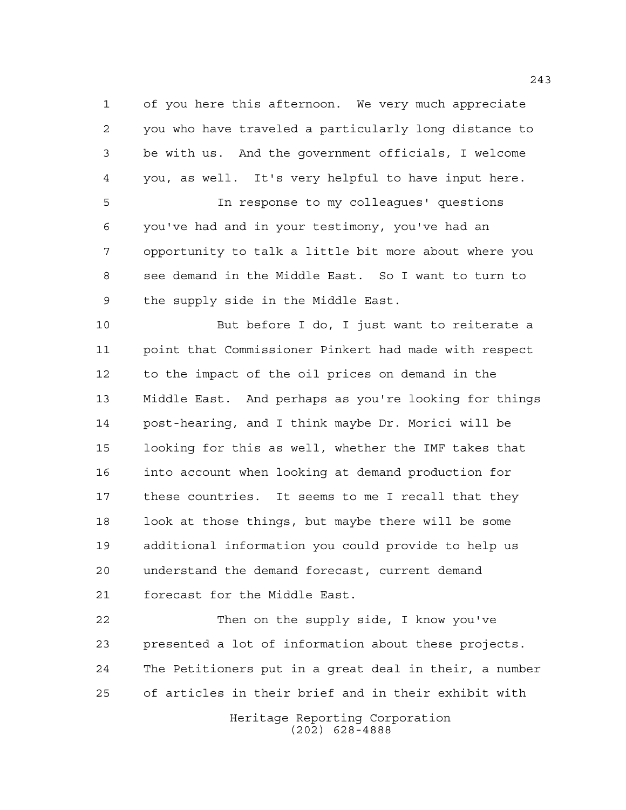of you here this afternoon. We very much appreciate you who have traveled a particularly long distance to be with us. And the government officials, I welcome you, as well. It's very helpful to have input here. In response to my colleagues' questions

 you've had and in your testimony, you've had an opportunity to talk a little bit more about where you see demand in the Middle East. So I want to turn to the supply side in the Middle East.

 But before I do, I just want to reiterate a point that Commissioner Pinkert had made with respect to the impact of the oil prices on demand in the Middle East. And perhaps as you're looking for things post-hearing, and I think maybe Dr. Morici will be looking for this as well, whether the IMF takes that into account when looking at demand production for these countries. It seems to me I recall that they look at those things, but maybe there will be some additional information you could provide to help us understand the demand forecast, current demand forecast for the Middle East.

 Then on the supply side, I know you've presented a lot of information about these projects. The Petitioners put in a great deal in their, a number of articles in their brief and in their exhibit with

> Heritage Reporting Corporation (202) 628-4888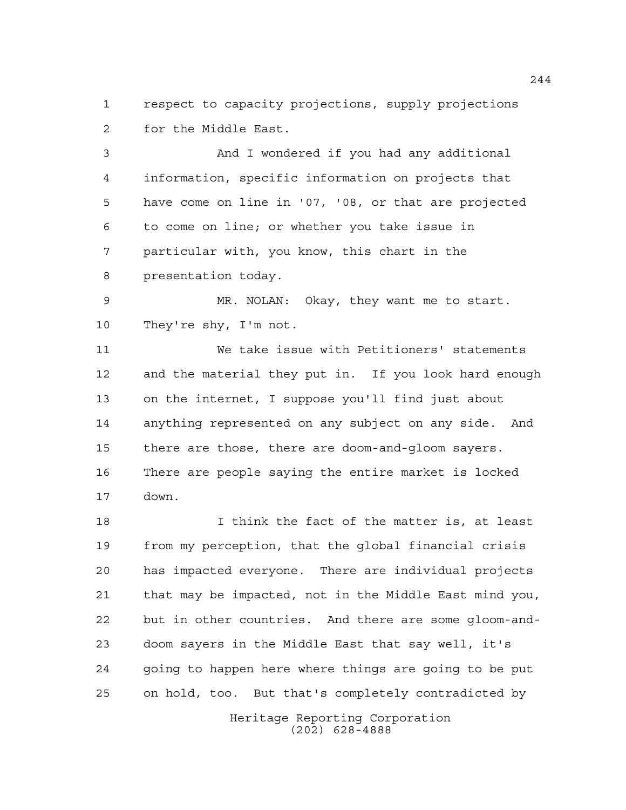respect to capacity projections, supply projections for the Middle East.

 And I wondered if you had any additional information, specific information on projects that have come on line in '07, '08, or that are projected to come on line; or whether you take issue in particular with, you know, this chart in the presentation today.

 MR. NOLAN: Okay, they want me to start. They're shy, I'm not.

 We take issue with Petitioners' statements and the material they put in. If you look hard enough on the internet, I suppose you'll find just about anything represented on any subject on any side. And there are those, there are doom-and-gloom sayers. There are people saying the entire market is locked down.

 I think the fact of the matter is, at least from my perception, that the global financial crisis has impacted everyone. There are individual projects that may be impacted, not in the Middle East mind you, but in other countries. And there are some gloom-and- doom sayers in the Middle East that say well, it's going to happen here where things are going to be put on hold, too. But that's completely contradicted by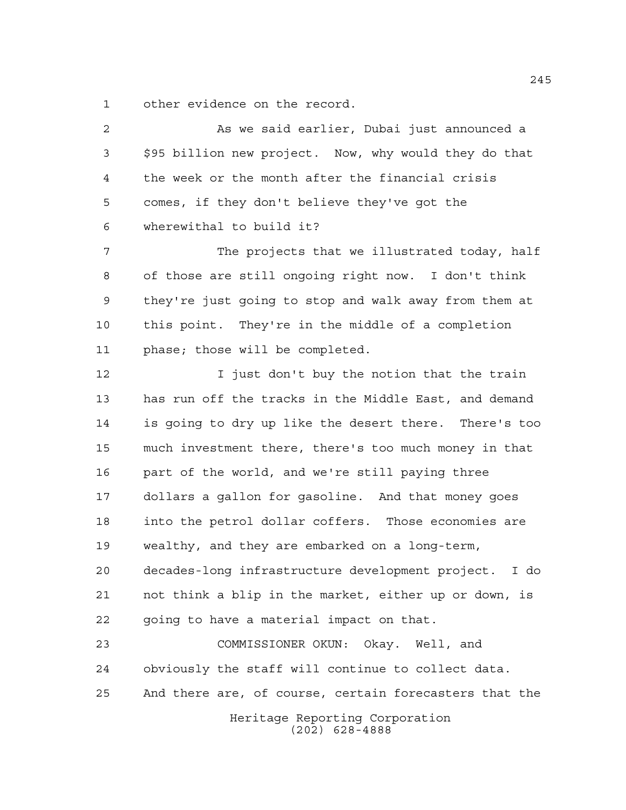other evidence on the record.

Heritage Reporting Corporation (202) 628-4888 As we said earlier, Dubai just announced a \$95 billion new project. Now, why would they do that the week or the month after the financial crisis comes, if they don't believe they've got the wherewithal to build it? 7 The projects that we illustrated today, half of those are still ongoing right now. I don't think they're just going to stop and walk away from them at this point. They're in the middle of a completion phase; those will be completed. 12 I just don't buy the notion that the train has run off the tracks in the Middle East, and demand is going to dry up like the desert there. There's too much investment there, there's too much money in that part of the world, and we're still paying three dollars a gallon for gasoline. And that money goes into the petrol dollar coffers. Those economies are wealthy, and they are embarked on a long-term, decades-long infrastructure development project. I do not think a blip in the market, either up or down, is going to have a material impact on that. COMMISSIONER OKUN: Okay. Well, and obviously the staff will continue to collect data. And there are, of course, certain forecasters that the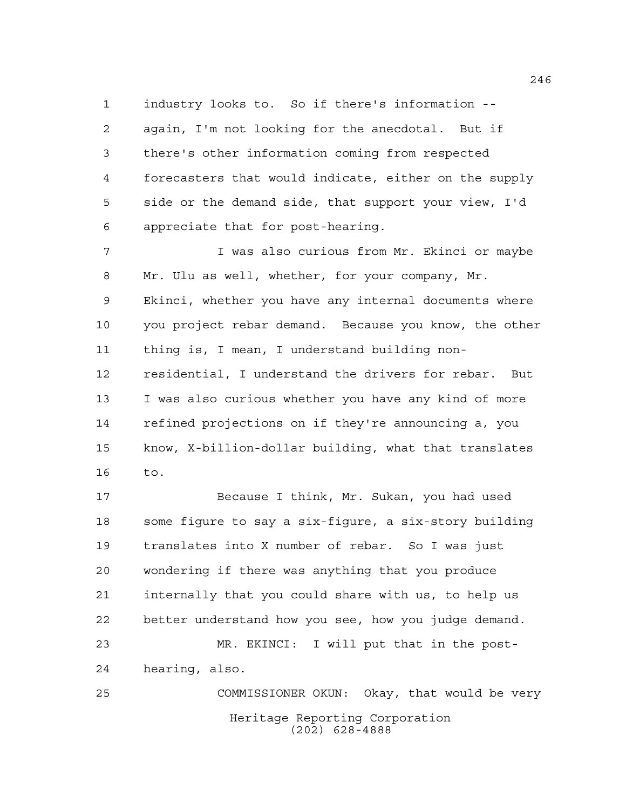industry looks to. So if there's information --

 again, I'm not looking for the anecdotal. But if there's other information coming from respected forecasters that would indicate, either on the supply side or the demand side, that support your view, I'd appreciate that for post-hearing.

 I was also curious from Mr. Ekinci or maybe Mr. Ulu as well, whether, for your company, Mr. Ekinci, whether you have any internal documents where you project rebar demand. Because you know, the other thing is, I mean, I understand building non- residential, I understand the drivers for rebar. But I was also curious whether you have any kind of more refined projections on if they're announcing a, you know, X-billion-dollar building, what that translates to.

 Because I think, Mr. Sukan, you had used some figure to say a six-figure, a six-story building translates into X number of rebar. So I was just wondering if there was anything that you produce internally that you could share with us, to help us better understand how you see, how you judge demand. MR. EKINCI: I will put that in the post-hearing, also.

Heritage Reporting Corporation (202) 628-4888 COMMISSIONER OKUN: Okay, that would be very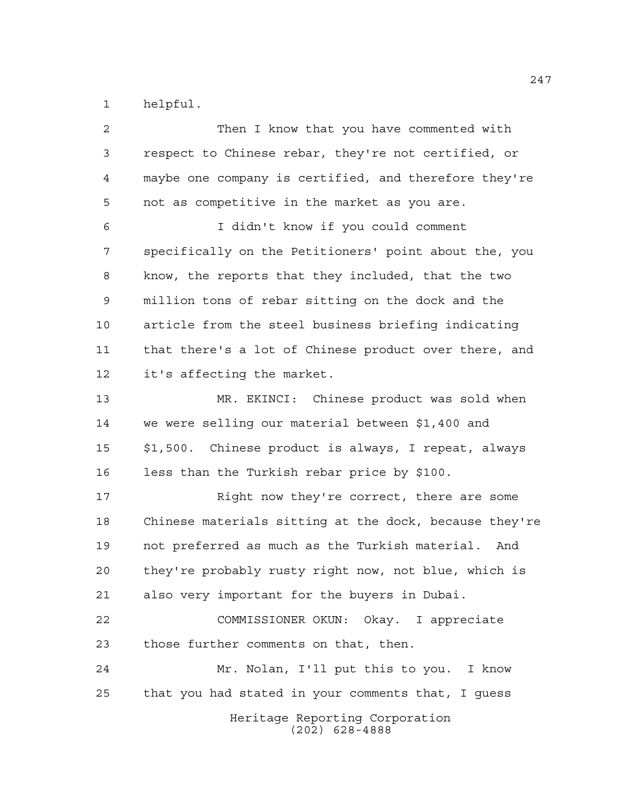helpful.

Heritage Reporting Corporation (202) 628-4888 Then I know that you have commented with respect to Chinese rebar, they're not certified, or maybe one company is certified, and therefore they're not as competitive in the market as you are. I didn't know if you could comment specifically on the Petitioners' point about the, you know, the reports that they included, that the two million tons of rebar sitting on the dock and the article from the steel business briefing indicating that there's a lot of Chinese product over there, and it's affecting the market. MR. EKINCI: Chinese product was sold when we were selling our material between \$1,400 and \$1,500. Chinese product is always, I repeat, always less than the Turkish rebar price by \$100. Right now they're correct, there are some Chinese materials sitting at the dock, because they're not preferred as much as the Turkish material. And they're probably rusty right now, not blue, which is also very important for the buyers in Dubai. COMMISSIONER OKUN: Okay. I appreciate those further comments on that, then. Mr. Nolan, I'll put this to you. I know that you had stated in your comments that, I guess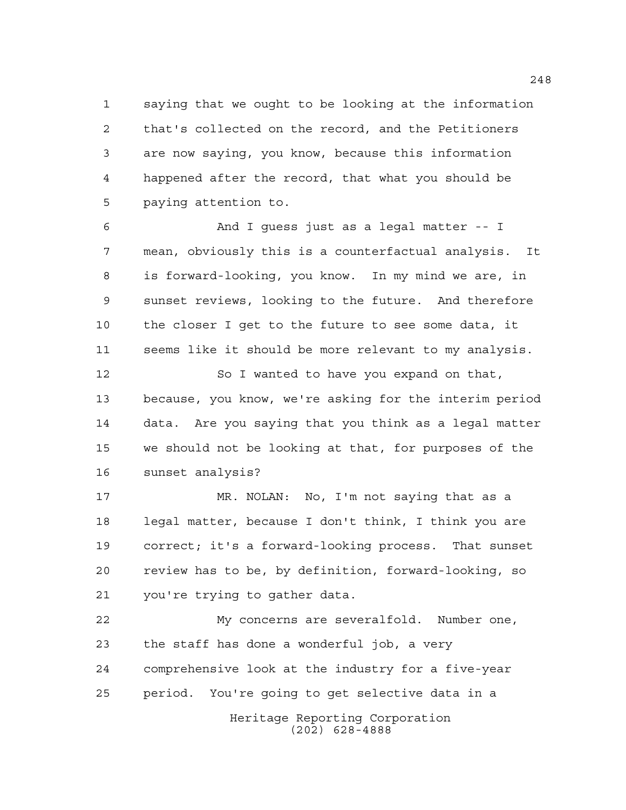saying that we ought to be looking at the information that's collected on the record, and the Petitioners are now saying, you know, because this information happened after the record, that what you should be paying attention to.

 And I guess just as a legal matter -- I mean, obviously this is a counterfactual analysis. It is forward-looking, you know. In my mind we are, in sunset reviews, looking to the future. And therefore the closer I get to the future to see some data, it seems like it should be more relevant to my analysis.

 So I wanted to have you expand on that, because, you know, we're asking for the interim period data. Are you saying that you think as a legal matter we should not be looking at that, for purposes of the sunset analysis?

 MR. NOLAN: No, I'm not saying that as a legal matter, because I don't think, I think you are correct; it's a forward-looking process. That sunset review has to be, by definition, forward-looking, so you're trying to gather data.

Heritage Reporting Corporation My concerns are severalfold. Number one, the staff has done a wonderful job, a very comprehensive look at the industry for a five-year period. You're going to get selective data in a

(202) 628-4888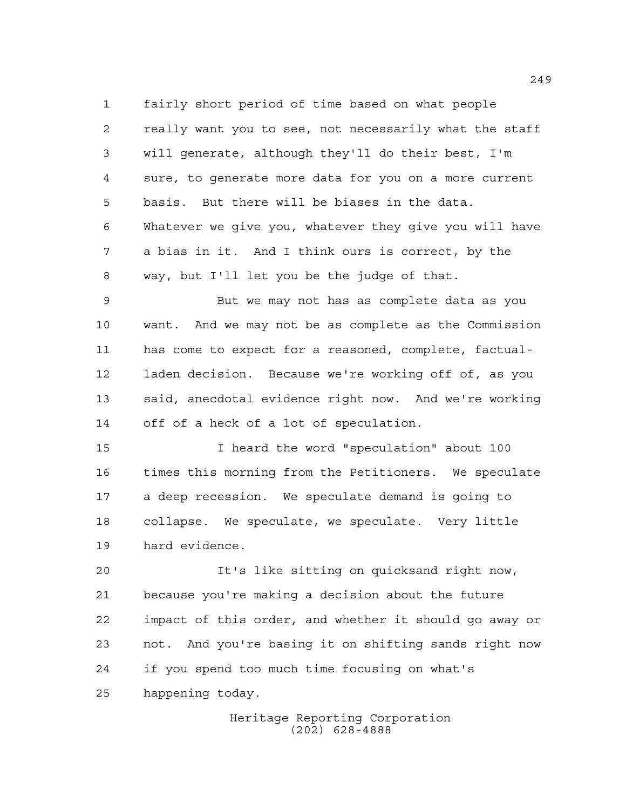fairly short period of time based on what people really want you to see, not necessarily what the staff will generate, although they'll do their best, I'm sure, to generate more data for you on a more current basis. But there will be biases in the data. Whatever we give you, whatever they give you will have a bias in it. And I think ours is correct, by the way, but I'll let you be the judge of that.

 But we may not has as complete data as you want. And we may not be as complete as the Commission has come to expect for a reasoned, complete, factual- laden decision. Because we're working off of, as you said, anecdotal evidence right now. And we're working off of a heck of a lot of speculation.

 I heard the word "speculation" about 100 times this morning from the Petitioners. We speculate a deep recession. We speculate demand is going to collapse. We speculate, we speculate. Very little hard evidence.

 It's like sitting on quicksand right now, because you're making a decision about the future impact of this order, and whether it should go away or not. And you're basing it on shifting sands right now if you spend too much time focusing on what's happening today.

> Heritage Reporting Corporation (202) 628-4888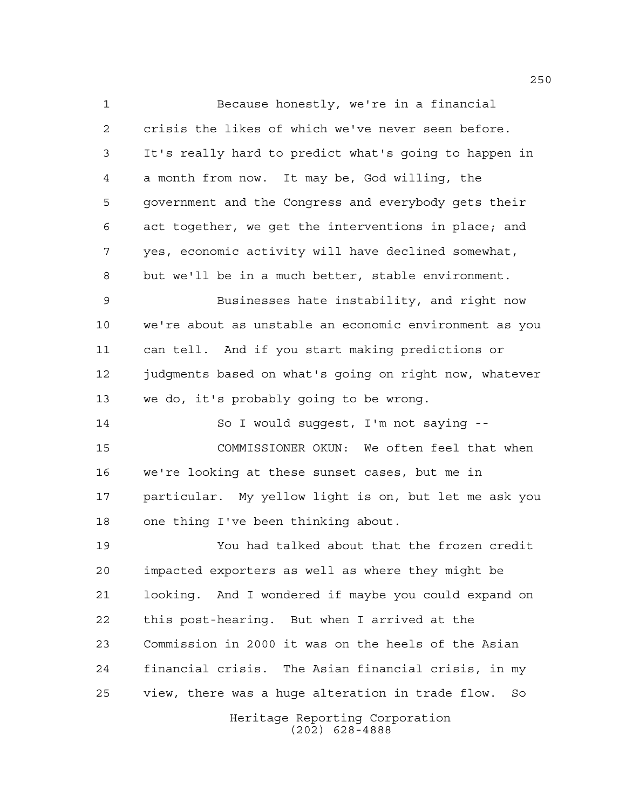Because honestly, we're in a financial crisis the likes of which we've never seen before. It's really hard to predict what's going to happen in a month from now. It may be, God willing, the government and the Congress and everybody gets their act together, we get the interventions in place; and yes, economic activity will have declined somewhat, but we'll be in a much better, stable environment.

 Businesses hate instability, and right now we're about as unstable an economic environment as you can tell. And if you start making predictions or 12 judgments based on what's going on right now, whatever we do, it's probably going to be wrong.

 So I would suggest, I'm not saying -- COMMISSIONER OKUN: We often feel that when we're looking at these sunset cases, but me in particular. My yellow light is on, but let me ask you one thing I've been thinking about.

Heritage Reporting Corporation You had talked about that the frozen credit impacted exporters as well as where they might be looking. And I wondered if maybe you could expand on this post-hearing. But when I arrived at the Commission in 2000 it was on the heels of the Asian financial crisis. The Asian financial crisis, in my view, there was a huge alteration in trade flow. So

(202) 628-4888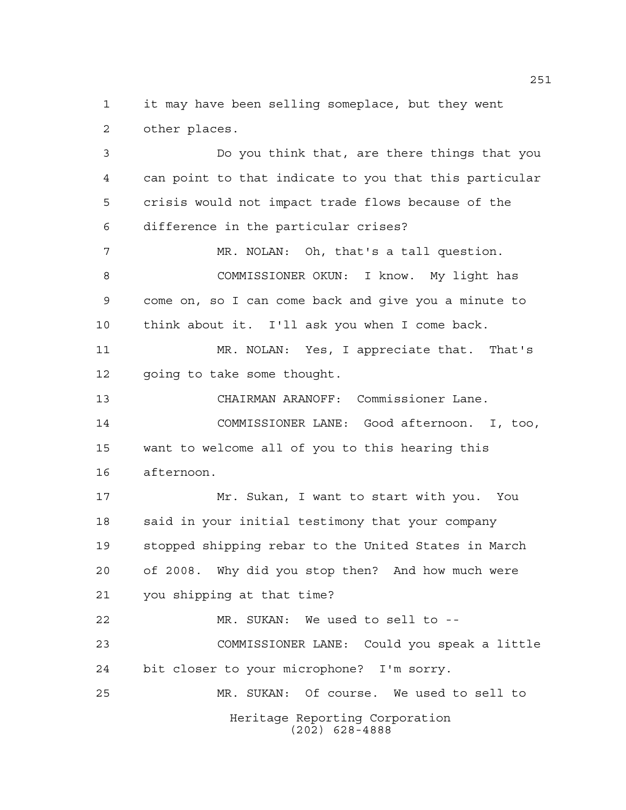it may have been selling someplace, but they went other places.

 Do you think that, are there things that you can point to that indicate to you that this particular crisis would not impact trade flows because of the difference in the particular crises? MR. NOLAN: Oh, that's a tall question. COMMISSIONER OKUN: I know. My light has come on, so I can come back and give you a minute to think about it. I'll ask you when I come back.

 MR. NOLAN: Yes, I appreciate that. That's going to take some thought.

 CHAIRMAN ARANOFF: Commissioner Lane. COMMISSIONER LANE: Good afternoon. I, too, want to welcome all of you to this hearing this afternoon.

 Mr. Sukan, I want to start with you. You 18 said in your initial testimony that your company stopped shipping rebar to the United States in March of 2008. Why did you stop then? And how much were you shipping at that time?

Heritage Reporting Corporation MR. SUKAN: We used to sell to -- COMMISSIONER LANE: Could you speak a little bit closer to your microphone? I'm sorry. MR. SUKAN: Of course. We used to sell to

(202) 628-4888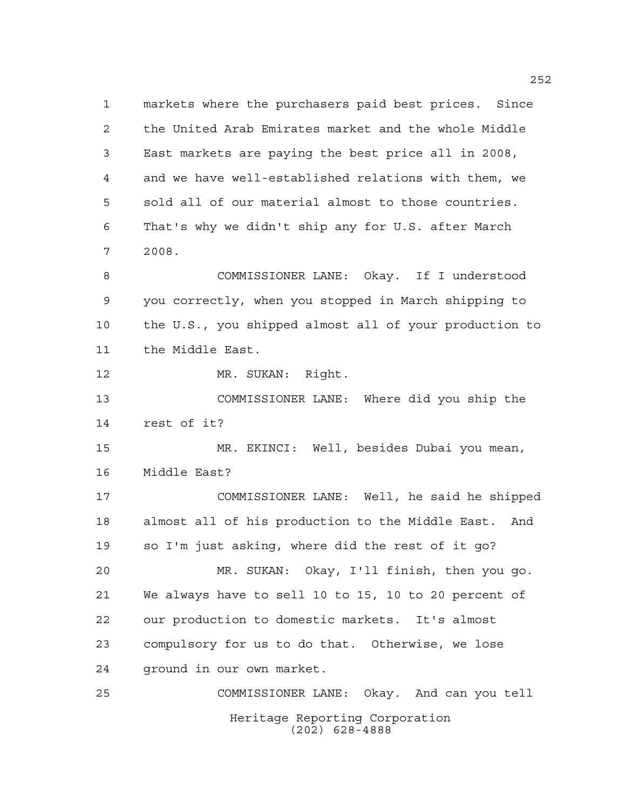Heritage Reporting Corporation markets where the purchasers paid best prices. Since the United Arab Emirates market and the whole Middle East markets are paying the best price all in 2008, and we have well-established relations with them, we sold all of our material almost to those countries. That's why we didn't ship any for U.S. after March 2008. COMMISSIONER LANE: Okay. If I understood you correctly, when you stopped in March shipping to the U.S., you shipped almost all of your production to the Middle East. MR. SUKAN: Right. COMMISSIONER LANE: Where did you ship the rest of it? MR. EKINCI: Well, besides Dubai you mean, Middle East? COMMISSIONER LANE: Well, he said he shipped almost all of his production to the Middle East. And so I'm just asking, where did the rest of it go? MR. SUKAN: Okay, I'll finish, then you go. We always have to sell 10 to 15, 10 to 20 percent of our production to domestic markets. It's almost compulsory for us to do that. Otherwise, we lose ground in our own market. COMMISSIONER LANE: Okay. And can you tell

(202) 628-4888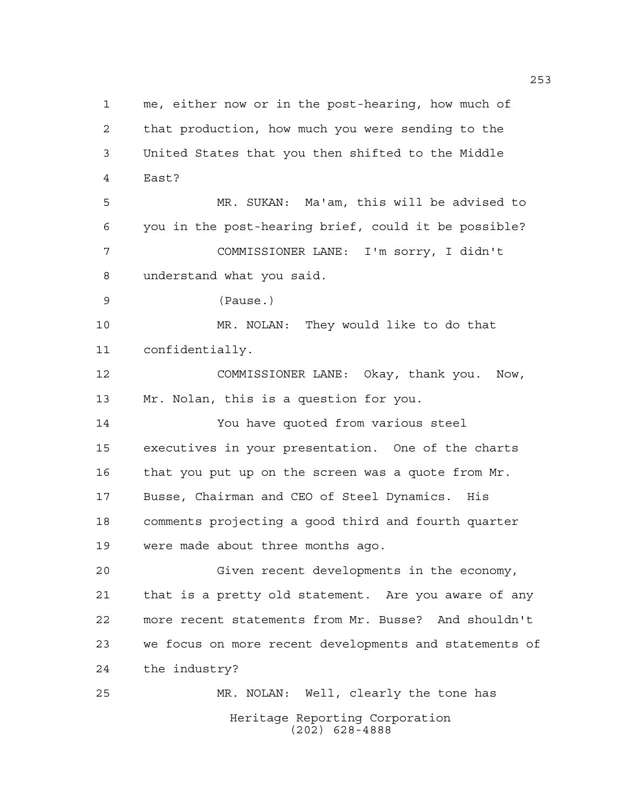Heritage Reporting Corporation (202) 628-4888 me, either now or in the post-hearing, how much of that production, how much you were sending to the United States that you then shifted to the Middle East? MR. SUKAN: Ma'am, this will be advised to you in the post-hearing brief, could it be possible? COMMISSIONER LANE: I'm sorry, I didn't understand what you said. (Pause.) MR. NOLAN: They would like to do that confidentially. COMMISSIONER LANE: Okay, thank you. Now, Mr. Nolan, this is a question for you. You have quoted from various steel executives in your presentation. One of the charts that you put up on the screen was a quote from Mr. Busse, Chairman and CEO of Steel Dynamics. His comments projecting a good third and fourth quarter were made about three months ago. Given recent developments in the economy, that is a pretty old statement. Are you aware of any more recent statements from Mr. Busse? And shouldn't we focus on more recent developments and statements of the industry? MR. NOLAN: Well, clearly the tone has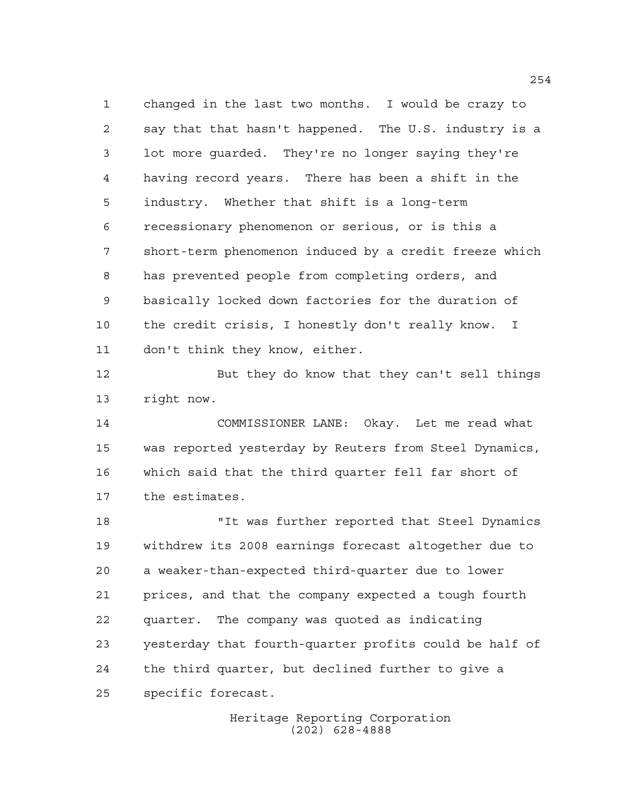changed in the last two months. I would be crazy to say that that hasn't happened. The U.S. industry is a lot more guarded. They're no longer saying they're having record years. There has been a shift in the industry. Whether that shift is a long-term recessionary phenomenon or serious, or is this a short-term phenomenon induced by a credit freeze which has prevented people from completing orders, and basically locked down factories for the duration of the credit crisis, I honestly don't really know. I don't think they know, either.

 But they do know that they can't sell things right now.

 COMMISSIONER LANE: Okay. Let me read what was reported yesterday by Reuters from Steel Dynamics, which said that the third quarter fell far short of the estimates.

 "It was further reported that Steel Dynamics withdrew its 2008 earnings forecast altogether due to a weaker-than-expected third-quarter due to lower prices, and that the company expected a tough fourth quarter. The company was quoted as indicating yesterday that fourth-quarter profits could be half of the third quarter, but declined further to give a specific forecast.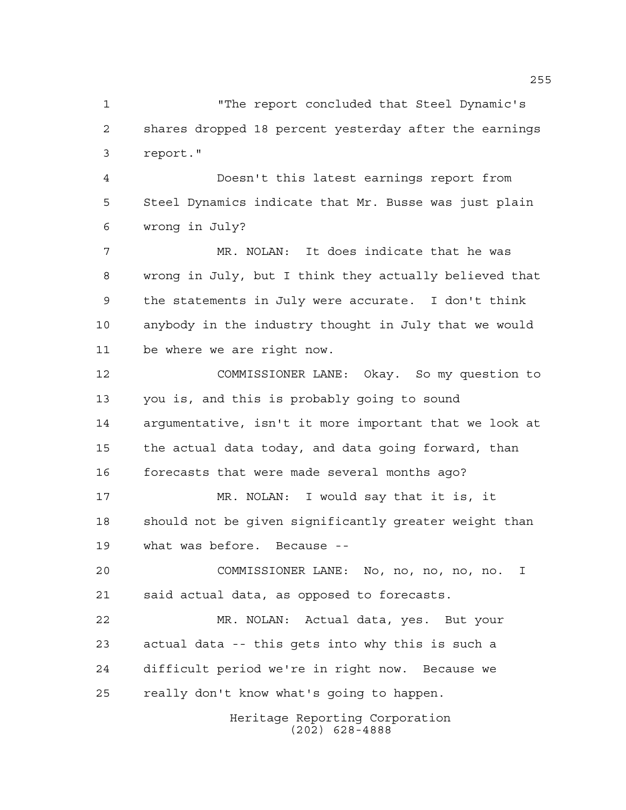"The report concluded that Steel Dynamic's shares dropped 18 percent yesterday after the earnings report."

 Doesn't this latest earnings report from Steel Dynamics indicate that Mr. Busse was just plain wrong in July?

 MR. NOLAN: It does indicate that he was wrong in July, but I think they actually believed that the statements in July were accurate. I don't think anybody in the industry thought in July that we would be where we are right now.

 COMMISSIONER LANE: Okay. So my question to you is, and this is probably going to sound argumentative, isn't it more important that we look at the actual data today, and data going forward, than forecasts that were made several months ago?

 MR. NOLAN: I would say that it is, it should not be given significantly greater weight than what was before. Because --

 COMMISSIONER LANE: No, no, no, no, no. I said actual data, as opposed to forecasts.

 MR. NOLAN: Actual data, yes. But your actual data -- this gets into why this is such a difficult period we're in right now. Because we really don't know what's going to happen.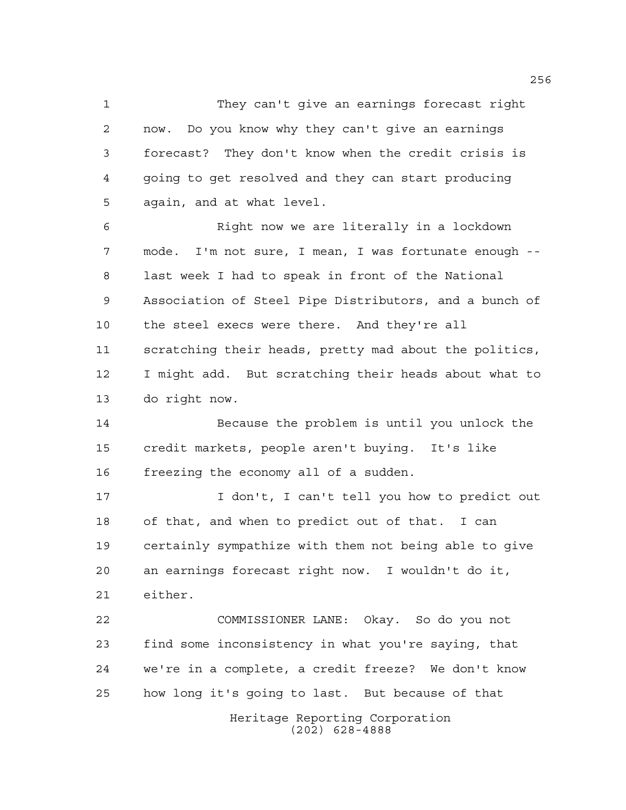They can't give an earnings forecast right now. Do you know why they can't give an earnings forecast? They don't know when the credit crisis is going to get resolved and they can start producing again, and at what level.

 Right now we are literally in a lockdown mode. I'm not sure, I mean, I was fortunate enough -- last week I had to speak in front of the National Association of Steel Pipe Distributors, and a bunch of the steel execs were there. And they're all scratching their heads, pretty mad about the politics, I might add. But scratching their heads about what to do right now.

 Because the problem is until you unlock the credit markets, people aren't buying. It's like freezing the economy all of a sudden.

 I don't, I can't tell you how to predict out of that, and when to predict out of that. I can certainly sympathize with them not being able to give an earnings forecast right now. I wouldn't do it, either.

 COMMISSIONER LANE: Okay. So do you not find some inconsistency in what you're saying, that we're in a complete, a credit freeze? We don't know how long it's going to last. But because of that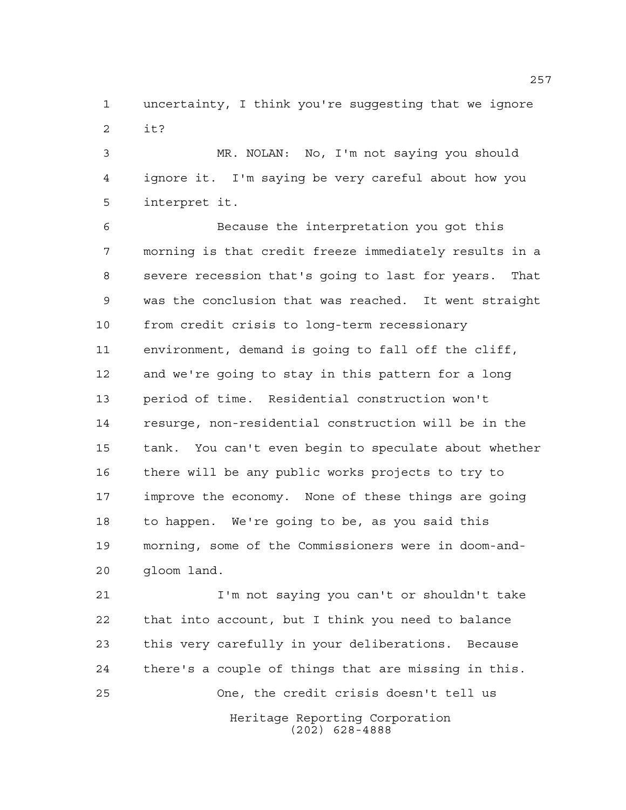uncertainty, I think you're suggesting that we ignore it?

 MR. NOLAN: No, I'm not saying you should ignore it. I'm saying be very careful about how you interpret it.

 Because the interpretation you got this morning is that credit freeze immediately results in a severe recession that's going to last for years. That was the conclusion that was reached. It went straight from credit crisis to long-term recessionary environment, demand is going to fall off the cliff, and we're going to stay in this pattern for a long period of time. Residential construction won't resurge, non-residential construction will be in the tank. You can't even begin to speculate about whether there will be any public works projects to try to improve the economy. None of these things are going to happen. We're going to be, as you said this morning, some of the Commissioners were in doom-and-gloom land.

Heritage Reporting Corporation (202) 628-4888 I'm not saying you can't or shouldn't take that into account, but I think you need to balance this very carefully in your deliberations. Because there's a couple of things that are missing in this. One, the credit crisis doesn't tell us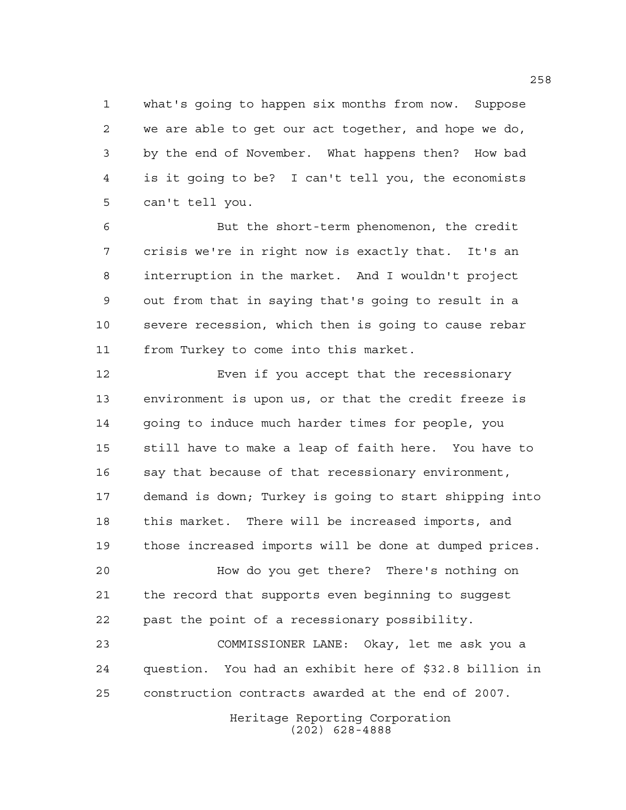what's going to happen six months from now. Suppose we are able to get our act together, and hope we do, by the end of November. What happens then? How bad is it going to be? I can't tell you, the economists can't tell you.

 But the short-term phenomenon, the credit crisis we're in right now is exactly that. It's an interruption in the market. And I wouldn't project out from that in saying that's going to result in a severe recession, which then is going to cause rebar from Turkey to come into this market.

 Even if you accept that the recessionary environment is upon us, or that the credit freeze is going to induce much harder times for people, you still have to make a leap of faith here. You have to say that because of that recessionary environment, demand is down; Turkey is going to start shipping into this market. There will be increased imports, and those increased imports will be done at dumped prices.

 How do you get there? There's nothing on the record that supports even beginning to suggest past the point of a recessionary possibility.

 COMMISSIONER LANE: Okay, let me ask you a question. You had an exhibit here of \$32.8 billion in construction contracts awarded at the end of 2007.

> Heritage Reporting Corporation (202) 628-4888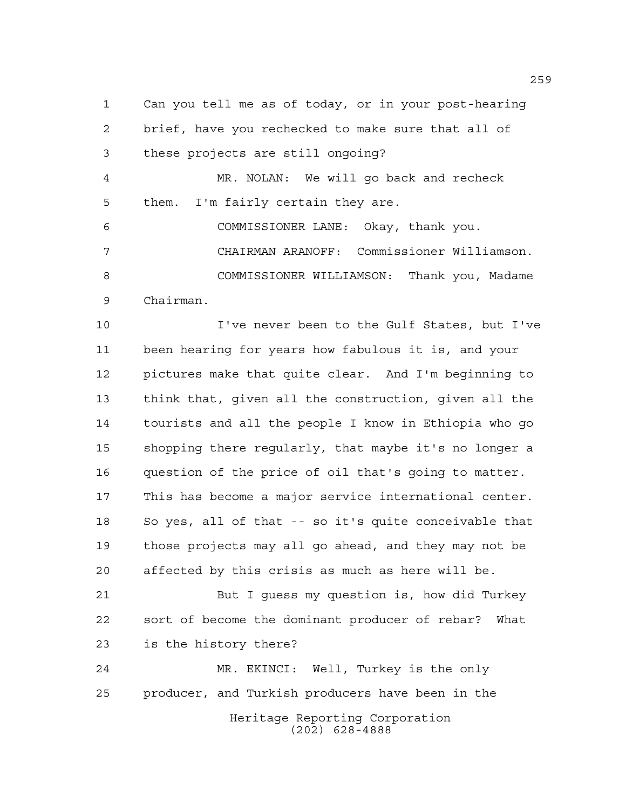Can you tell me as of today, or in your post-hearing brief, have you rechecked to make sure that all of these projects are still ongoing?

 MR. NOLAN: We will go back and recheck them. I'm fairly certain they are.

 COMMISSIONER LANE: Okay, thank you. CHAIRMAN ARANOFF: Commissioner Williamson. COMMISSIONER WILLIAMSON: Thank you, Madame Chairman.

 I've never been to the Gulf States, but I've been hearing for years how fabulous it is, and your pictures make that quite clear. And I'm beginning to think that, given all the construction, given all the tourists and all the people I know in Ethiopia who go shopping there regularly, that maybe it's no longer a question of the price of oil that's going to matter. This has become a major service international center. So yes, all of that -- so it's quite conceivable that those projects may all go ahead, and they may not be affected by this crisis as much as here will be.

 But I guess my question is, how did Turkey sort of become the dominant producer of rebar? What is the history there?

Heritage Reporting Corporation (202) 628-4888 MR. EKINCI: Well, Turkey is the only producer, and Turkish producers have been in the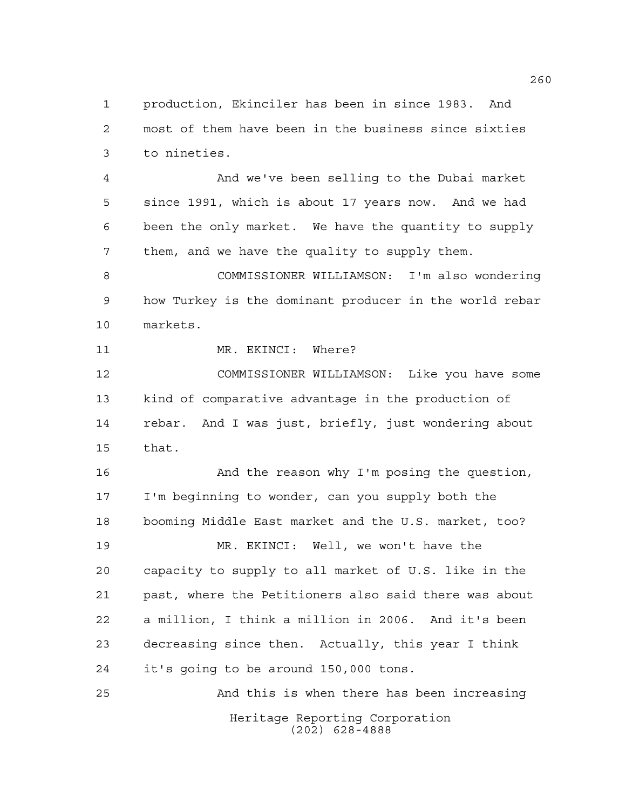production, Ekinciler has been in since 1983. And most of them have been in the business since sixties to nineties.

 And we've been selling to the Dubai market since 1991, which is about 17 years now. And we had been the only market. We have the quantity to supply them, and we have the quality to supply them.

 COMMISSIONER WILLIAMSON: I'm also wondering how Turkey is the dominant producer in the world rebar markets.

11 MR. EKINCI: Where?

 COMMISSIONER WILLIAMSON: Like you have some kind of comparative advantage in the production of rebar. And I was just, briefly, just wondering about that.

 And the reason why I'm posing the question, I'm beginning to wonder, can you supply both the booming Middle East market and the U.S. market, too? MR. EKINCI: Well, we won't have the capacity to supply to all market of U.S. like in the past, where the Petitioners also said there was about a million, I think a million in 2006. And it's been decreasing since then. Actually, this year I think it's going to be around 150,000 tons.

Heritage Reporting Corporation (202) 628-4888 And this is when there has been increasing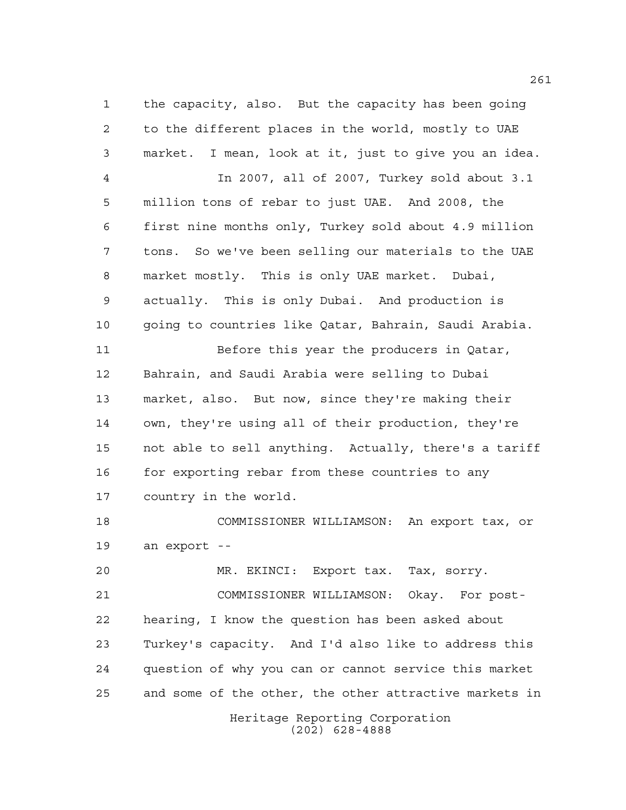the capacity, also. But the capacity has been going to the different places in the world, mostly to UAE market. I mean, look at it, just to give you an idea. In 2007, all of 2007, Turkey sold about 3.1 million tons of rebar to just UAE. And 2008, the first nine months only, Turkey sold about 4.9 million tons. So we've been selling our materials to the UAE market mostly. This is only UAE market. Dubai, actually. This is only Dubai. And production is going to countries like Qatar, Bahrain, Saudi Arabia. Before this year the producers in Qatar, Bahrain, and Saudi Arabia were selling to Dubai market, also. But now, since they're making their own, they're using all of their production, they're not able to sell anything. Actually, there's a tariff 16 for exporting rebar from these countries to any country in the world. COMMISSIONER WILLIAMSON: An export tax, or an export -- MR. EKINCI: Export tax. Tax, sorry. COMMISSIONER WILLIAMSON: Okay. For post-hearing, I know the question has been asked about

 Turkey's capacity. And I'd also like to address this question of why you can or cannot service this market and some of the other, the other attractive markets in

> Heritage Reporting Corporation (202) 628-4888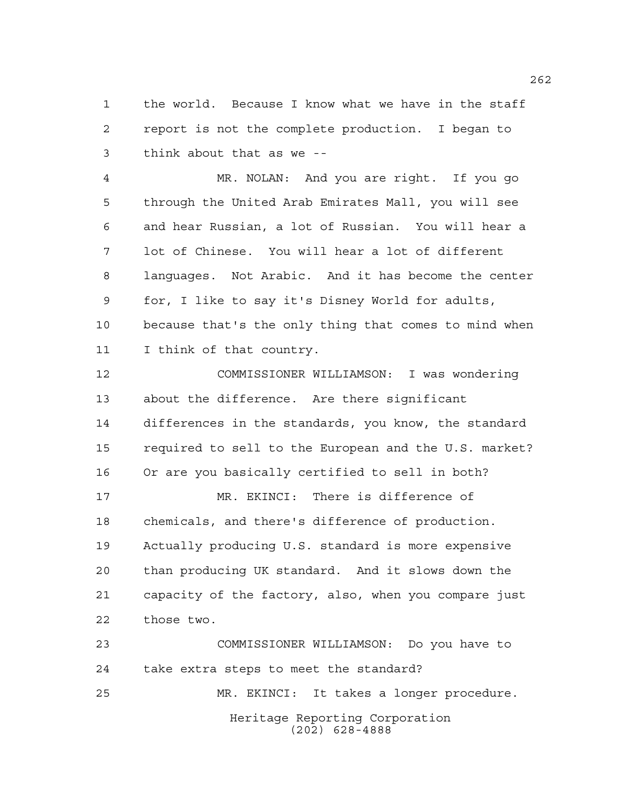the world. Because I know what we have in the staff report is not the complete production. I began to think about that as we --

 MR. NOLAN: And you are right. If you go through the United Arab Emirates Mall, you will see and hear Russian, a lot of Russian. You will hear a lot of Chinese. You will hear a lot of different languages. Not Arabic. And it has become the center for, I like to say it's Disney World for adults, because that's the only thing that comes to mind when I think of that country.

 COMMISSIONER WILLIAMSON: I was wondering about the difference. Are there significant differences in the standards, you know, the standard required to sell to the European and the U.S. market? Or are you basically certified to sell in both?

 MR. EKINCI: There is difference of chemicals, and there's difference of production. Actually producing U.S. standard is more expensive than producing UK standard. And it slows down the capacity of the factory, also, when you compare just those two.

Heritage Reporting Corporation (202) 628-4888 COMMISSIONER WILLIAMSON: Do you have to take extra steps to meet the standard? MR. EKINCI: It takes a longer procedure.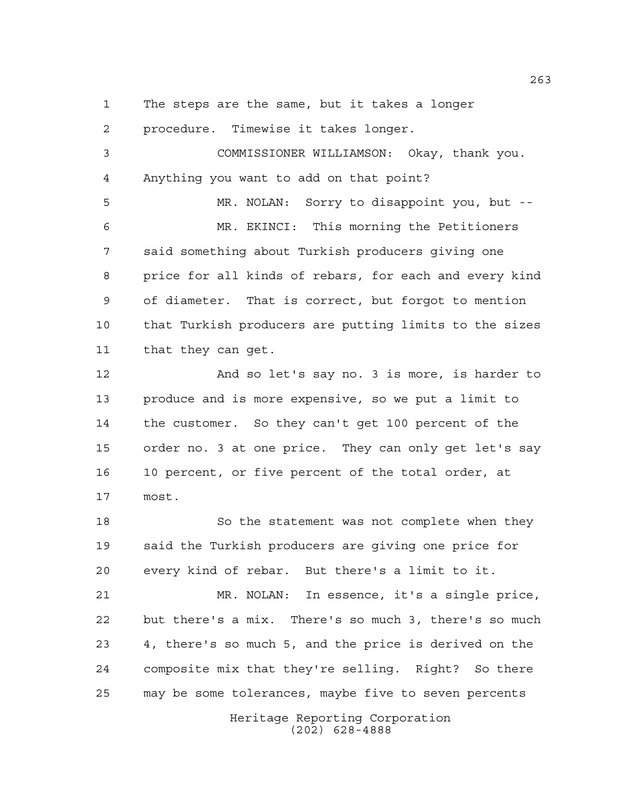The steps are the same, but it takes a longer

 procedure. Timewise it takes longer. COMMISSIONER WILLIAMSON: Okay, thank you. Anything you want to add on that point? MR. NOLAN: Sorry to disappoint you, but -- MR. EKINCI: This morning the Petitioners said something about Turkish producers giving one price for all kinds of rebars, for each and every kind of diameter. That is correct, but forgot to mention that Turkish producers are putting limits to the sizes that they can get. And so let's say no. 3 is more, is harder to produce and is more expensive, so we put a limit to the customer. So they can't get 100 percent of the order no. 3 at one price. They can only get let's say

 10 percent, or five percent of the total order, at most.

18 So the statement was not complete when they said the Turkish producers are giving one price for every kind of rebar. But there's a limit to it.

 MR. NOLAN: In essence, it's a single price, but there's a mix. There's so much 3, there's so much 4, there's so much 5, and the price is derived on the composite mix that they're selling. Right? So there may be some tolerances, maybe five to seven percents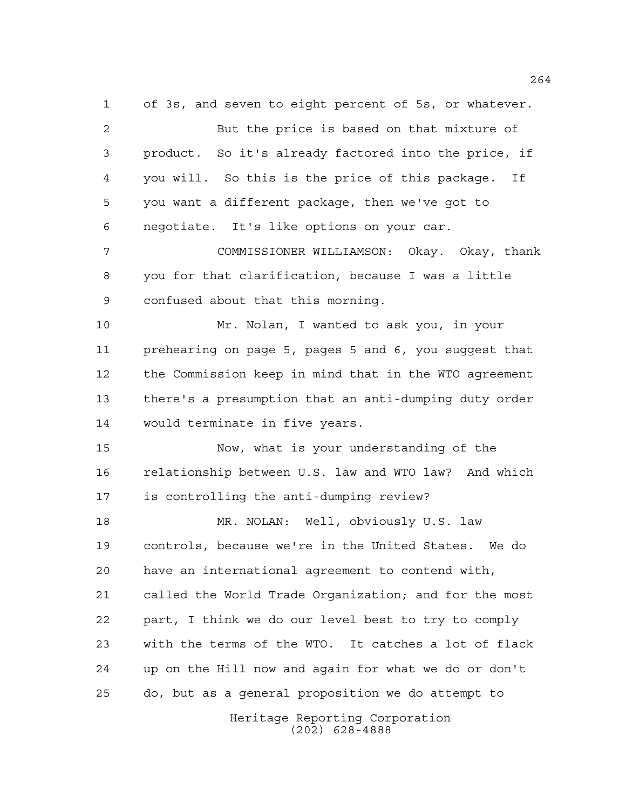Heritage Reporting Corporation of 3s, and seven to eight percent of 5s, or whatever. But the price is based on that mixture of product. So it's already factored into the price, if you will. So this is the price of this package. If you want a different package, then we've got to negotiate. It's like options on your car. COMMISSIONER WILLIAMSON: Okay. Okay, thank you for that clarification, because I was a little confused about that this morning. Mr. Nolan, I wanted to ask you, in your prehearing on page 5, pages 5 and 6, you suggest that the Commission keep in mind that in the WTO agreement there's a presumption that an anti-dumping duty order would terminate in five years. Now, what is your understanding of the relationship between U.S. law and WTO law? And which is controlling the anti-dumping review? MR. NOLAN: Well, obviously U.S. law controls, because we're in the United States. We do have an international agreement to contend with, called the World Trade Organization; and for the most part, I think we do our level best to try to comply with the terms of the WTO. It catches a lot of flack up on the Hill now and again for what we do or don't do, but as a general proposition we do attempt to

(202) 628-4888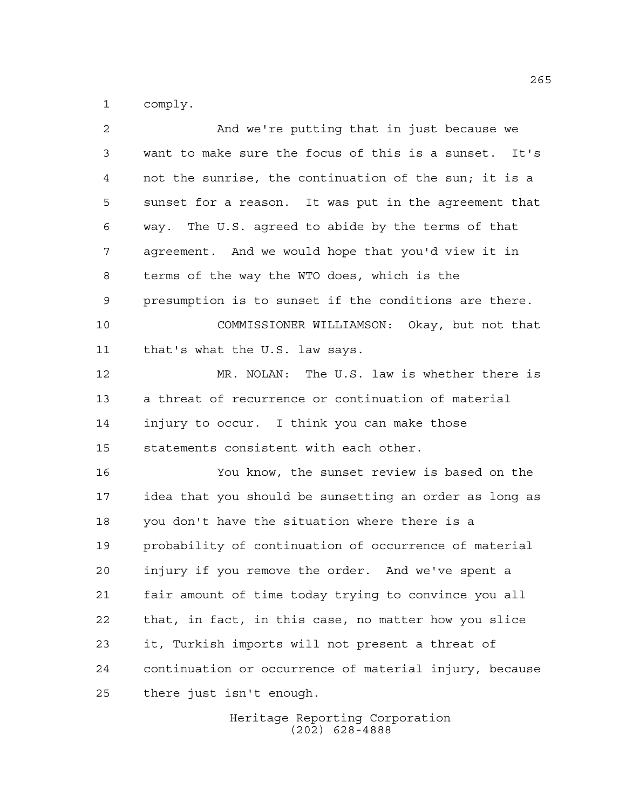comply.

| 2  | And we're putting that in just because we              |
|----|--------------------------------------------------------|
| 3  | want to make sure the focus of this is a sunset. It's  |
| 4  | not the sunrise, the continuation of the sun; it is a  |
| 5  | sunset for a reason. It was put in the agreement that  |
| 6  | way. The U.S. agreed to abide by the terms of that     |
| 7  | agreement. And we would hope that you'd view it in     |
| 8  | terms of the way the WTO does, which is the            |
| 9  | presumption is to sunset if the conditions are there.  |
| 10 | COMMISSIONER WILLIAMSON: Okay, but not that            |
| 11 | that's what the U.S. law says.                         |
| 12 | MR. NOLAN: The U.S. law is whether there is            |
| 13 | a threat of recurrence or continuation of material     |
| 14 | injury to occur. I think you can make those            |
| 15 | statements consistent with each other.                 |
| 16 | You know, the sunset review is based on the            |
| 17 | idea that you should be sunsetting an order as long as |
| 18 | you don't have the situation where there is a          |
| 19 | probability of continuation of occurrence of material  |
| 20 | injury if you remove the order. And we've spent a      |
| 21 | fair amount of time today trying to convince you all   |
| 22 | that, in fact, in this case, no matter how you slice   |
| 23 | it, Turkish imports will not present a threat of       |
| 24 | continuation or occurrence of material injury, because |
| 25 | there just isn't enough.                               |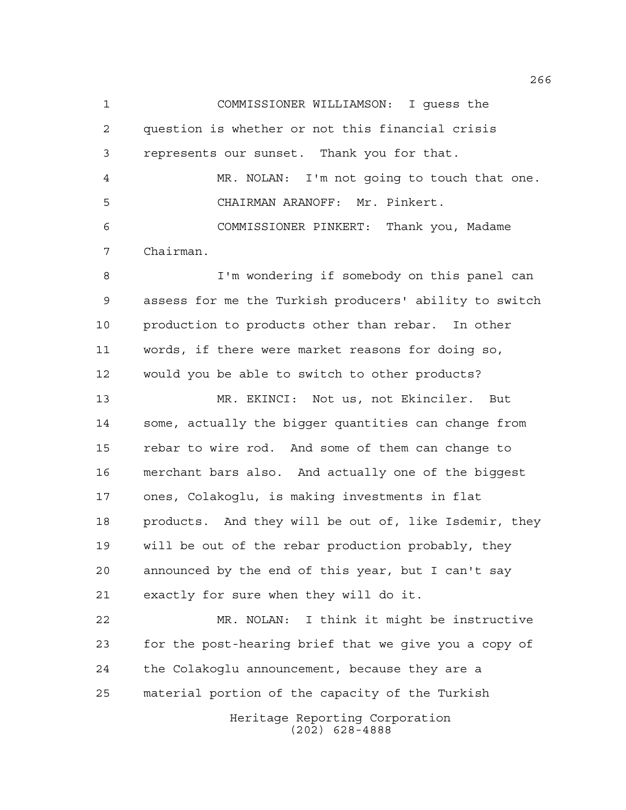COMMISSIONER WILLIAMSON: I guess the question is whether or not this financial crisis represents our sunset. Thank you for that. MR. NOLAN: I'm not going to touch that one. CHAIRMAN ARANOFF: Mr. Pinkert. COMMISSIONER PINKERT: Thank you, Madame Chairman. I'm wondering if somebody on this panel can assess for me the Turkish producers' ability to switch production to products other than rebar. In other words, if there were market reasons for doing so, would you be able to switch to other products? MR. EKINCI: Not us, not Ekinciler. But some, actually the bigger quantities can change from rebar to wire rod. And some of them can change to merchant bars also. And actually one of the biggest ones, Colakoglu, is making investments in flat products. And they will be out of, like Isdemir, they will be out of the rebar production probably, they announced by the end of this year, but I can't say exactly for sure when they will do it. MR. NOLAN: I think it might be instructive for the post-hearing brief that we give you a copy of the Colakoglu announcement, because they are a material portion of the capacity of the Turkish

> Heritage Reporting Corporation (202) 628-4888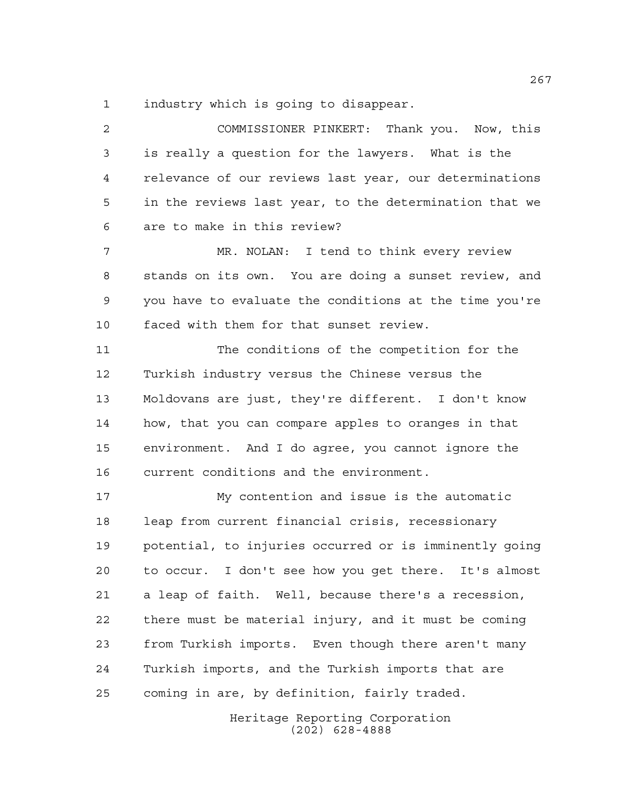industry which is going to disappear.

 COMMISSIONER PINKERT: Thank you. Now, this is really a question for the lawyers. What is the relevance of our reviews last year, our determinations in the reviews last year, to the determination that we are to make in this review? MR. NOLAN: I tend to think every review stands on its own. You are doing a sunset review, and

 you have to evaluate the conditions at the time you're faced with them for that sunset review.

 The conditions of the competition for the Turkish industry versus the Chinese versus the Moldovans are just, they're different. I don't know how, that you can compare apples to oranges in that environment. And I do agree, you cannot ignore the current conditions and the environment.

 My contention and issue is the automatic leap from current financial crisis, recessionary potential, to injuries occurred or is imminently going to occur. I don't see how you get there. It's almost a leap of faith. Well, because there's a recession, there must be material injury, and it must be coming from Turkish imports. Even though there aren't many Turkish imports, and the Turkish imports that are coming in are, by definition, fairly traded.

> Heritage Reporting Corporation (202) 628-4888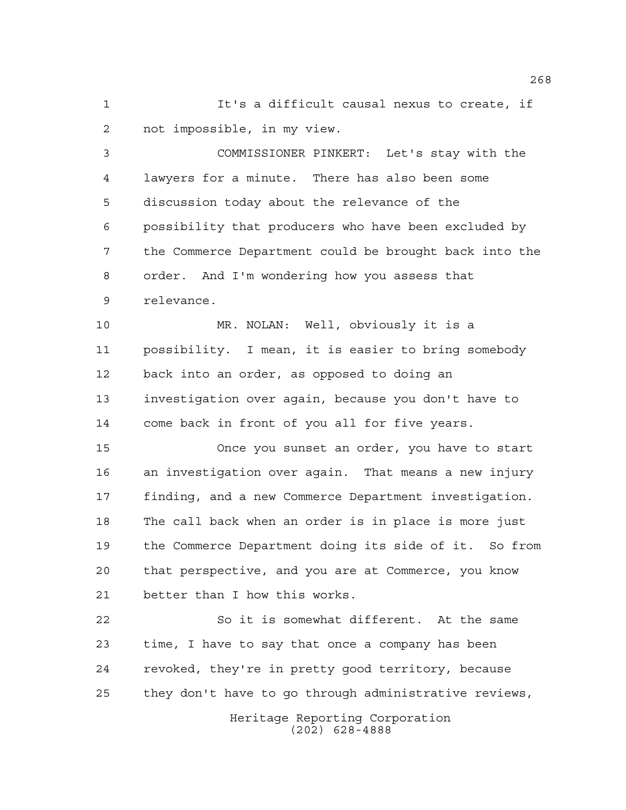It's a difficult causal nexus to create, if not impossible, in my view.

 COMMISSIONER PINKERT: Let's stay with the lawyers for a minute. There has also been some discussion today about the relevance of the possibility that producers who have been excluded by the Commerce Department could be brought back into the order. And I'm wondering how you assess that relevance.

 MR. NOLAN: Well, obviously it is a possibility. I mean, it is easier to bring somebody back into an order, as opposed to doing an investigation over again, because you don't have to come back in front of you all for five years.

 Once you sunset an order, you have to start an investigation over again. That means a new injury finding, and a new Commerce Department investigation. The call back when an order is in place is more just the Commerce Department doing its side of it. So from that perspective, and you are at Commerce, you know better than I how this works.

 So it is somewhat different. At the same time, I have to say that once a company has been revoked, they're in pretty good territory, because they don't have to go through administrative reviews,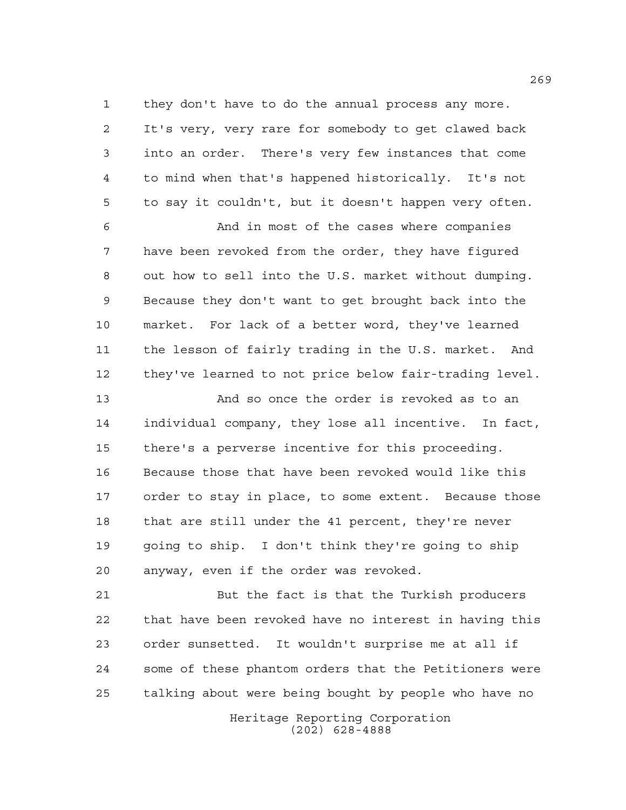they don't have to do the annual process any more. It's very, very rare for somebody to get clawed back into an order. There's very few instances that come to mind when that's happened historically. It's not to say it couldn't, but it doesn't happen very often.

 And in most of the cases where companies have been revoked from the order, they have figured out how to sell into the U.S. market without dumping. Because they don't want to get brought back into the market. For lack of a better word, they've learned the lesson of fairly trading in the U.S. market. And they've learned to not price below fair-trading level.

 And so once the order is revoked as to an individual company, they lose all incentive. In fact, there's a perverse incentive for this proceeding. Because those that have been revoked would like this order to stay in place, to some extent. Because those that are still under the 41 percent, they're never going to ship. I don't think they're going to ship anyway, even if the order was revoked.

21 But the fact is that the Turkish producers that have been revoked have no interest in having this order sunsetted. It wouldn't surprise me at all if some of these phantom orders that the Petitioners were talking about were being bought by people who have no

> Heritage Reporting Corporation (202) 628-4888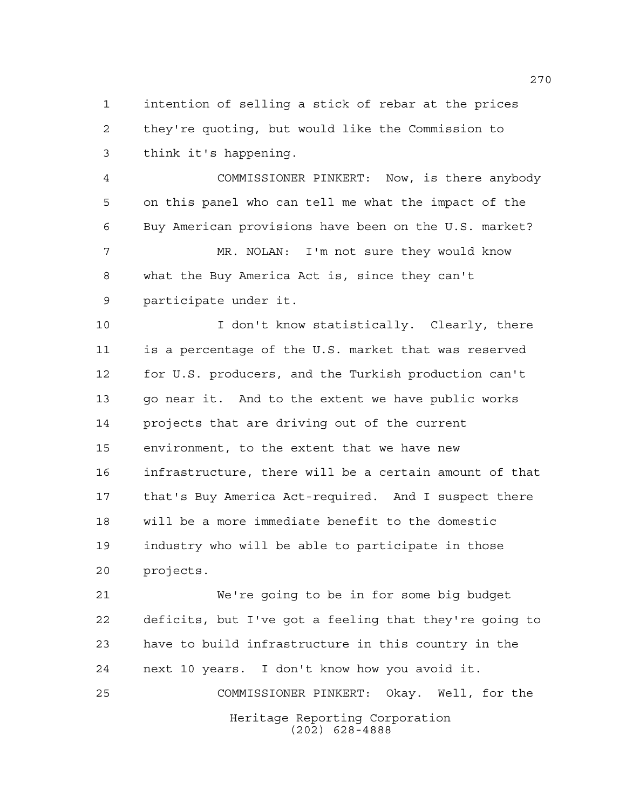intention of selling a stick of rebar at the prices they're quoting, but would like the Commission to think it's happening.

 COMMISSIONER PINKERT: Now, is there anybody on this panel who can tell me what the impact of the Buy American provisions have been on the U.S. market? MR. NOLAN: I'm not sure they would know

 what the Buy America Act is, since they can't participate under it.

 I don't know statistically. Clearly, there is a percentage of the U.S. market that was reserved for U.S. producers, and the Turkish production can't go near it. And to the extent we have public works projects that are driving out of the current environment, to the extent that we have new infrastructure, there will be a certain amount of that that's Buy America Act-required. And I suspect there will be a more immediate benefit to the domestic industry who will be able to participate in those projects.

Heritage Reporting Corporation (202) 628-4888 We're going to be in for some big budget deficits, but I've got a feeling that they're going to have to build infrastructure in this country in the next 10 years. I don't know how you avoid it. COMMISSIONER PINKERT: Okay. Well, for the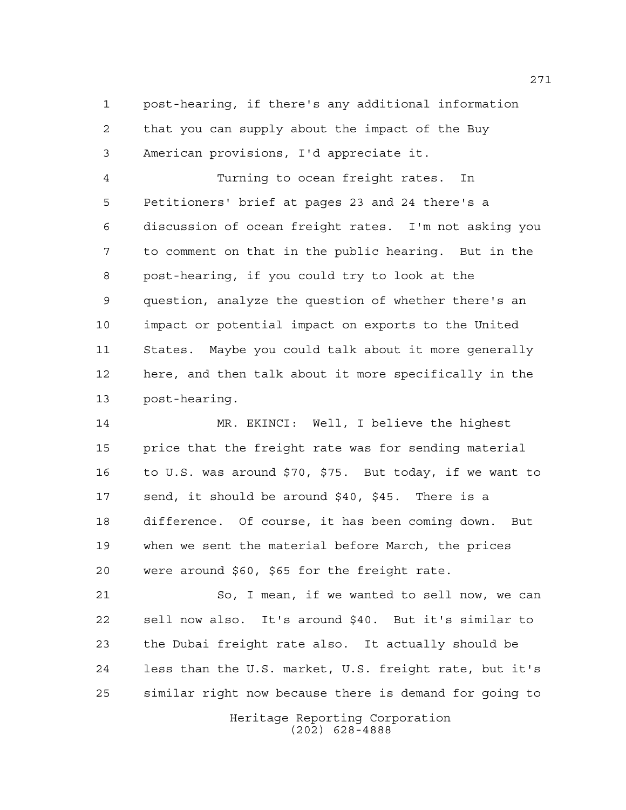post-hearing, if there's any additional information that you can supply about the impact of the Buy American provisions, I'd appreciate it.

 Turning to ocean freight rates. In Petitioners' brief at pages 23 and 24 there's a discussion of ocean freight rates. I'm not asking you to comment on that in the public hearing. But in the post-hearing, if you could try to look at the question, analyze the question of whether there's an impact or potential impact on exports to the United States. Maybe you could talk about it more generally here, and then talk about it more specifically in the post-hearing.

 MR. EKINCI: Well, I believe the highest price that the freight rate was for sending material to U.S. was around \$70, \$75. But today, if we want to send, it should be around \$40, \$45. There is a difference. Of course, it has been coming down. But when we sent the material before March, the prices were around \$60, \$65 for the freight rate.

 So, I mean, if we wanted to sell now, we can sell now also. It's around \$40. But it's similar to the Dubai freight rate also. It actually should be less than the U.S. market, U.S. freight rate, but it's similar right now because there is demand for going to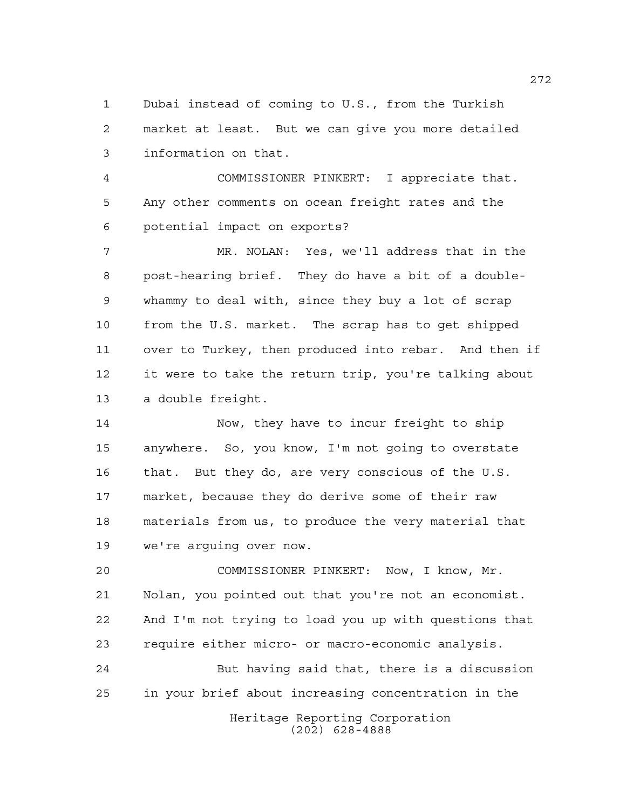Dubai instead of coming to U.S., from the Turkish market at least. But we can give you more detailed information on that.

 COMMISSIONER PINKERT: I appreciate that. Any other comments on ocean freight rates and the potential impact on exports?

 MR. NOLAN: Yes, we'll address that in the post-hearing brief. They do have a bit of a double- whammy to deal with, since they buy a lot of scrap from the U.S. market. The scrap has to get shipped over to Turkey, then produced into rebar. And then if it were to take the return trip, you're talking about a double freight.

 Now, they have to incur freight to ship anywhere. So, you know, I'm not going to overstate that. But they do, are very conscious of the U.S. market, because they do derive some of their raw materials from us, to produce the very material that we're arguing over now.

 COMMISSIONER PINKERT: Now, I know, Mr. Nolan, you pointed out that you're not an economist. And I'm not trying to load you up with questions that require either micro- or macro-economic analysis.

Heritage Reporting Corporation (202) 628-4888 But having said that, there is a discussion in your brief about increasing concentration in the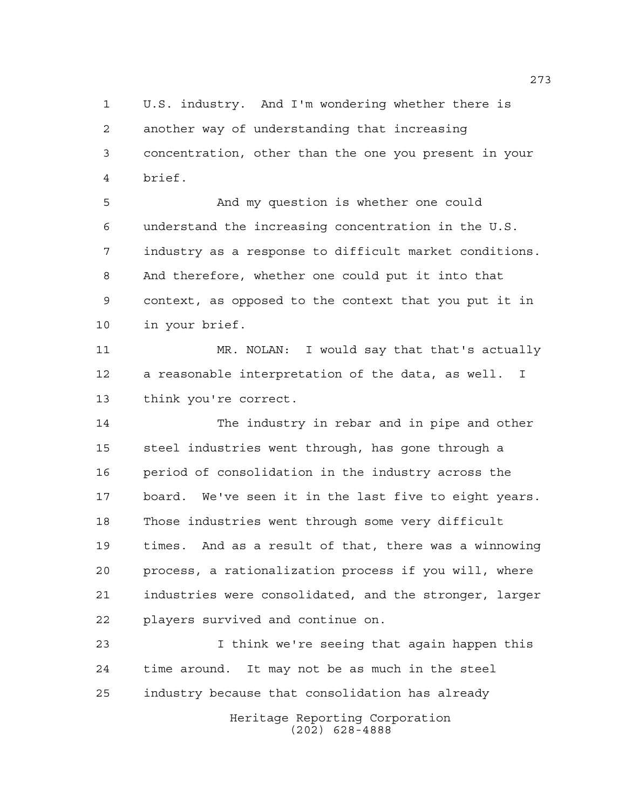U.S. industry. And I'm wondering whether there is another way of understanding that increasing concentration, other than the one you present in your brief.

 And my question is whether one could understand the increasing concentration in the U.S. industry as a response to difficult market conditions. And therefore, whether one could put it into that context, as opposed to the context that you put it in in your brief.

 MR. NOLAN: I would say that that's actually a reasonable interpretation of the data, as well. I think you're correct.

 The industry in rebar and in pipe and other steel industries went through, has gone through a period of consolidation in the industry across the board. We've seen it in the last five to eight years. Those industries went through some very difficult times. And as a result of that, there was a winnowing process, a rationalization process if you will, where industries were consolidated, and the stronger, larger players survived and continue on.

 I think we're seeing that again happen this time around. It may not be as much in the steel industry because that consolidation has already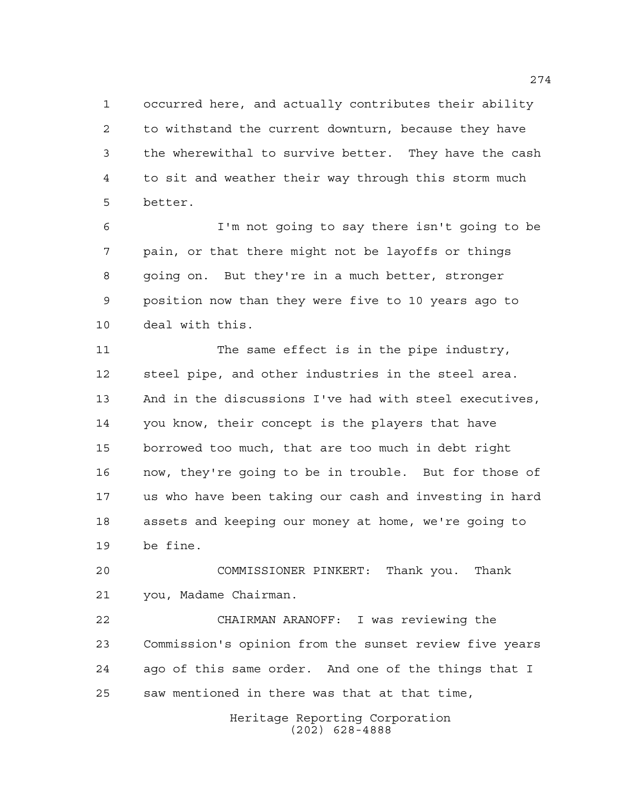occurred here, and actually contributes their ability to withstand the current downturn, because they have the wherewithal to survive better. They have the cash to sit and weather their way through this storm much better.

 I'm not going to say there isn't going to be pain, or that there might not be layoffs or things going on. But they're in a much better, stronger position now than they were five to 10 years ago to deal with this.

11 The same effect is in the pipe industry, steel pipe, and other industries in the steel area. And in the discussions I've had with steel executives, you know, their concept is the players that have borrowed too much, that are too much in debt right now, they're going to be in trouble. But for those of us who have been taking our cash and investing in hard assets and keeping our money at home, we're going to be fine.

 COMMISSIONER PINKERT: Thank you. Thank you, Madame Chairman.

 CHAIRMAN ARANOFF: I was reviewing the Commission's opinion from the sunset review five years ago of this same order. And one of the things that I saw mentioned in there was that at that time,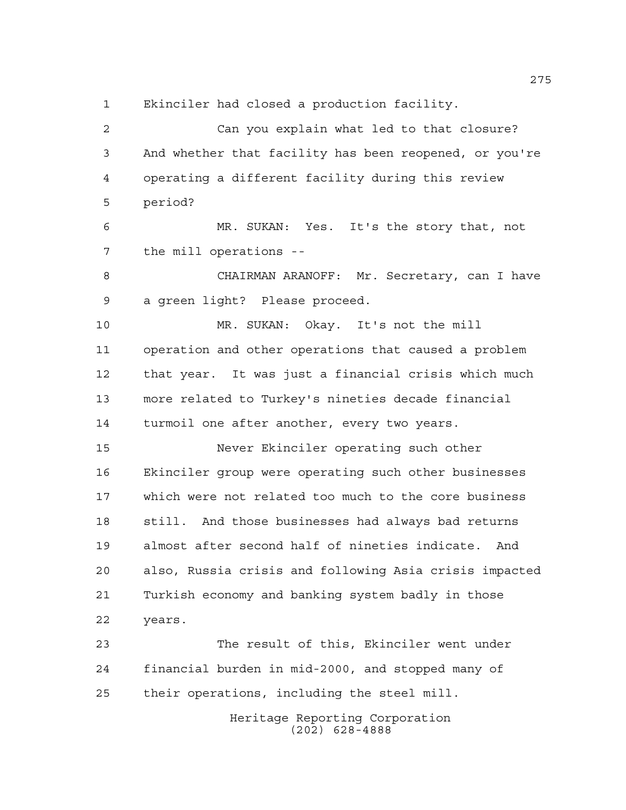Ekinciler had closed a production facility.

 Can you explain what led to that closure? And whether that facility has been reopened, or you're operating a different facility during this review period? MR. SUKAN: Yes. It's the story that, not the mill operations -- CHAIRMAN ARANOFF: Mr. Secretary, can I have a green light? Please proceed. MR. SUKAN: Okay. It's not the mill operation and other operations that caused a problem that year. It was just a financial crisis which much more related to Turkey's nineties decade financial turmoil one after another, every two years. Never Ekinciler operating such other Ekinciler group were operating such other businesses which were not related too much to the core business still. And those businesses had always bad returns almost after second half of nineties indicate. And also, Russia crisis and following Asia crisis impacted Turkish economy and banking system badly in those

years.

 The result of this, Ekinciler went under financial burden in mid-2000, and stopped many of their operations, including the steel mill.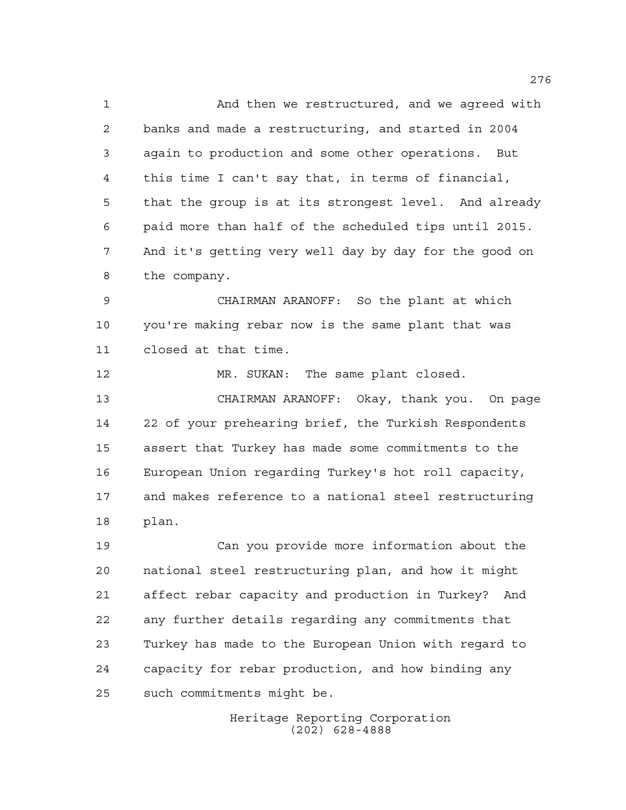And then we restructured, and we agreed with banks and made a restructuring, and started in 2004 again to production and some other operations. But this time I can't say that, in terms of financial, that the group is at its strongest level. And already paid more than half of the scheduled tips until 2015. And it's getting very well day by day for the good on the company.

 CHAIRMAN ARANOFF: So the plant at which you're making rebar now is the same plant that was closed at that time.

 MR. SUKAN: The same plant closed. CHAIRMAN ARANOFF: Okay, thank you. On page 22 of your prehearing brief, the Turkish Respondents assert that Turkey has made some commitments to the European Union regarding Turkey's hot roll capacity, and makes reference to a national steel restructuring plan.

 Can you provide more information about the national steel restructuring plan, and how it might affect rebar capacity and production in Turkey? And any further details regarding any commitments that Turkey has made to the European Union with regard to capacity for rebar production, and how binding any such commitments might be.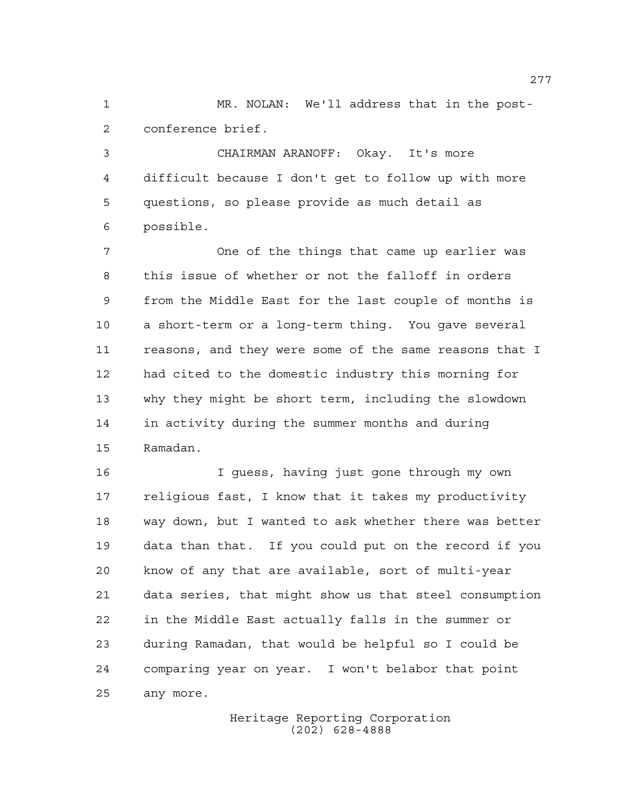MR. NOLAN: We'll address that in the post-conference brief.

 CHAIRMAN ARANOFF: Okay. It's more difficult because I don't get to follow up with more questions, so please provide as much detail as possible.

 One of the things that came up earlier was this issue of whether or not the falloff in orders from the Middle East for the last couple of months is a short-term or a long-term thing. You gave several reasons, and they were some of the same reasons that I had cited to the domestic industry this morning for why they might be short term, including the slowdown in activity during the summer months and during Ramadan.

 I guess, having just gone through my own religious fast, I know that it takes my productivity way down, but I wanted to ask whether there was better data than that. If you could put on the record if you know of any that are available, sort of multi-year data series, that might show us that steel consumption in the Middle East actually falls in the summer or during Ramadan, that would be helpful so I could be comparing year on year. I won't belabor that point any more.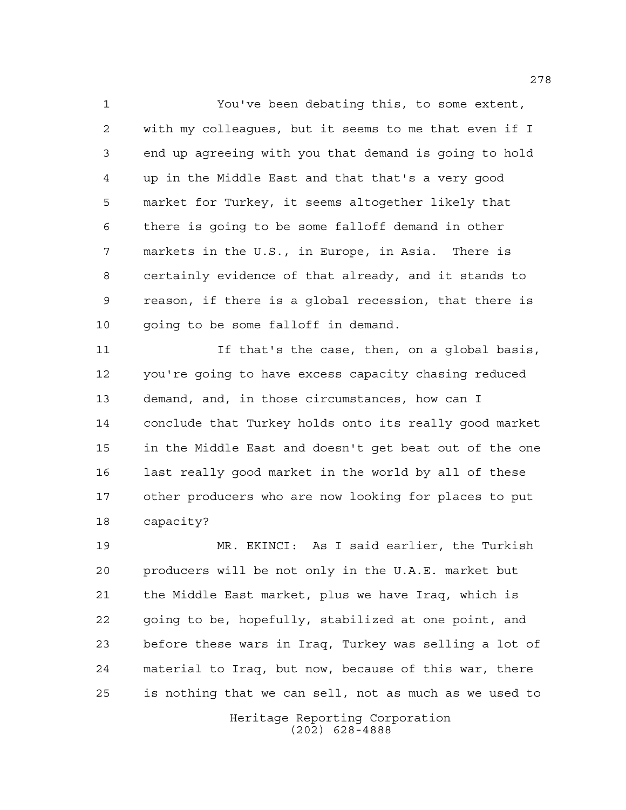You've been debating this, to some extent, with my colleagues, but it seems to me that even if I end up agreeing with you that demand is going to hold up in the Middle East and that that's a very good market for Turkey, it seems altogether likely that there is going to be some falloff demand in other markets in the U.S., in Europe, in Asia. There is certainly evidence of that already, and it stands to reason, if there is a global recession, that there is 10 going to be some falloff in demand.

 If that's the case, then, on a global basis, you're going to have excess capacity chasing reduced demand, and, in those circumstances, how can I conclude that Turkey holds onto its really good market in the Middle East and doesn't get beat out of the one last really good market in the world by all of these other producers who are now looking for places to put capacity?

 MR. EKINCI: As I said earlier, the Turkish producers will be not only in the U.A.E. market but the Middle East market, plus we have Iraq, which is going to be, hopefully, stabilized at one point, and before these wars in Iraq, Turkey was selling a lot of material to Iraq, but now, because of this war, there is nothing that we can sell, not as much as we used to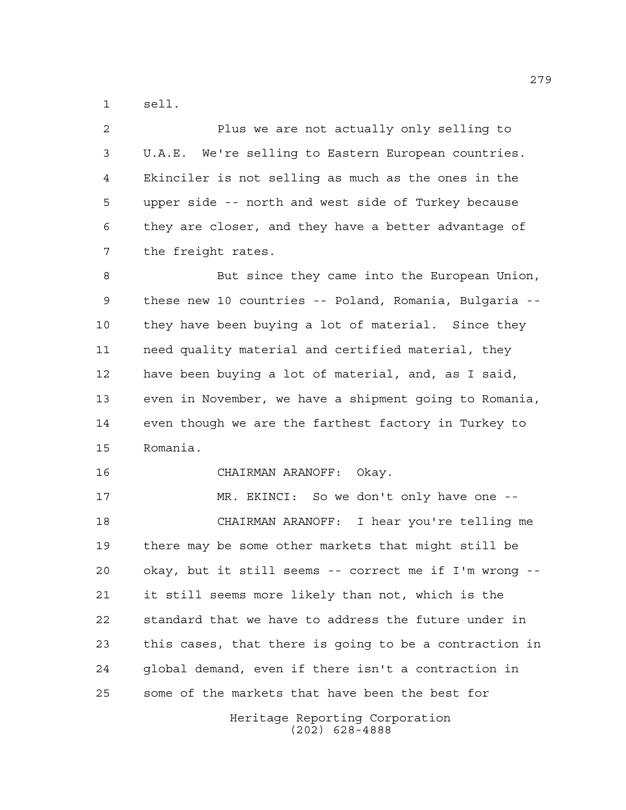sell.

| $\overline{2}$  | Plus we are not actually only selling to               |
|-----------------|--------------------------------------------------------|
| $\mathfrak{Z}$  | U.A.E. We're selling to Eastern European countries.    |
| 4               | Ekinciler is not selling as much as the ones in the    |
| 5               | upper side -- north and west side of Turkey because    |
| 6               | they are closer, and they have a better advantage of   |
| 7               | the freight rates.                                     |
| 8               | But since they came into the European Union,           |
| 9               | these new 10 countries -- Poland, Romania, Bulgaria -- |
| 10              | they have been buying a lot of material. Since they    |
| 11              | need quality material and certified material, they     |
| 12 <sub>1</sub> | have been buying a lot of material, and, as I said,    |
| 13              | even in November, we have a shipment going to Romania, |
| 14              | even though we are the farthest factory in Turkey to   |

Romania.

CHAIRMAN ARANOFF: Okay.

 MR. EKINCI: So we don't only have one -- CHAIRMAN ARANOFF: I hear you're telling me there may be some other markets that might still be okay, but it still seems -- correct me if I'm wrong -- it still seems more likely than not, which is the standard that we have to address the future under in this cases, that there is going to be a contraction in global demand, even if there isn't a contraction in some of the markets that have been the best for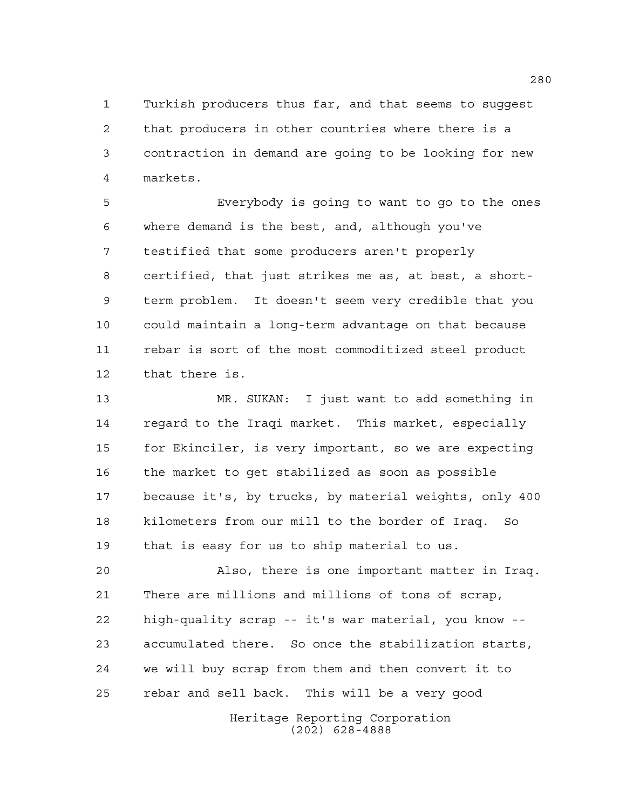Turkish producers thus far, and that seems to suggest that producers in other countries where there is a contraction in demand are going to be looking for new markets.

 Everybody is going to want to go to the ones where demand is the best, and, although you've testified that some producers aren't properly certified, that just strikes me as, at best, a short- term problem. It doesn't seem very credible that you could maintain a long-term advantage on that because rebar is sort of the most commoditized steel product that there is.

 MR. SUKAN: I just want to add something in regard to the Iraqi market. This market, especially for Ekinciler, is very important, so we are expecting the market to get stabilized as soon as possible because it's, by trucks, by material weights, only 400 kilometers from our mill to the border of Iraq. So that is easy for us to ship material to us.

 Also, there is one important matter in Iraq. There are millions and millions of tons of scrap, high-quality scrap -- it's war material, you know -- accumulated there. So once the stabilization starts, we will buy scrap from them and then convert it to rebar and sell back. This will be a very good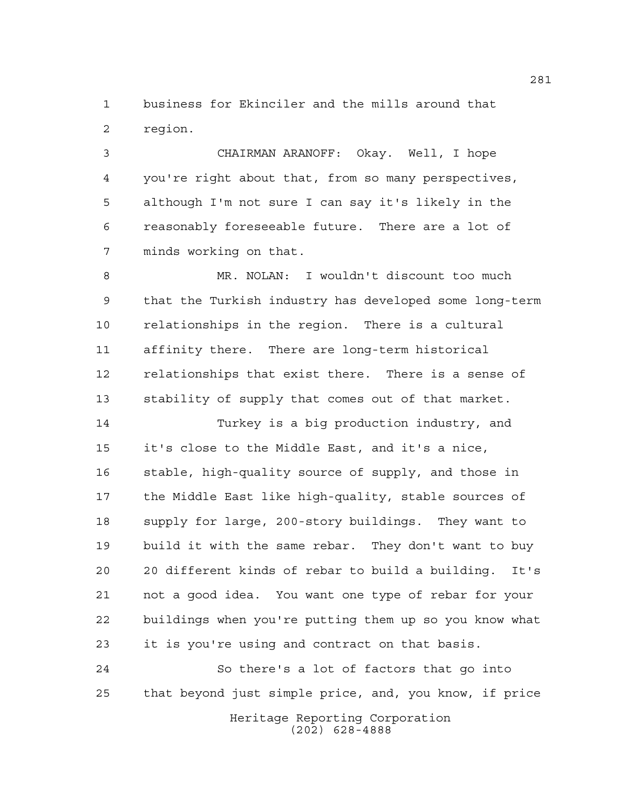business for Ekinciler and the mills around that region.

 CHAIRMAN ARANOFF: Okay. Well, I hope you're right about that, from so many perspectives, although I'm not sure I can say it's likely in the reasonably foreseeable future. There are a lot of minds working on that.

 MR. NOLAN: I wouldn't discount too much that the Turkish industry has developed some long-term relationships in the region. There is a cultural affinity there. There are long-term historical relationships that exist there. There is a sense of stability of supply that comes out of that market.

 Turkey is a big production industry, and it's close to the Middle East, and it's a nice, stable, high-quality source of supply, and those in the Middle East like high-quality, stable sources of supply for large, 200-story buildings. They want to build it with the same rebar. They don't want to buy 20 different kinds of rebar to build a building. It's not a good idea. You want one type of rebar for your buildings when you're putting them up so you know what it is you're using and contract on that basis.

 So there's a lot of factors that go into that beyond just simple price, and, you know, if price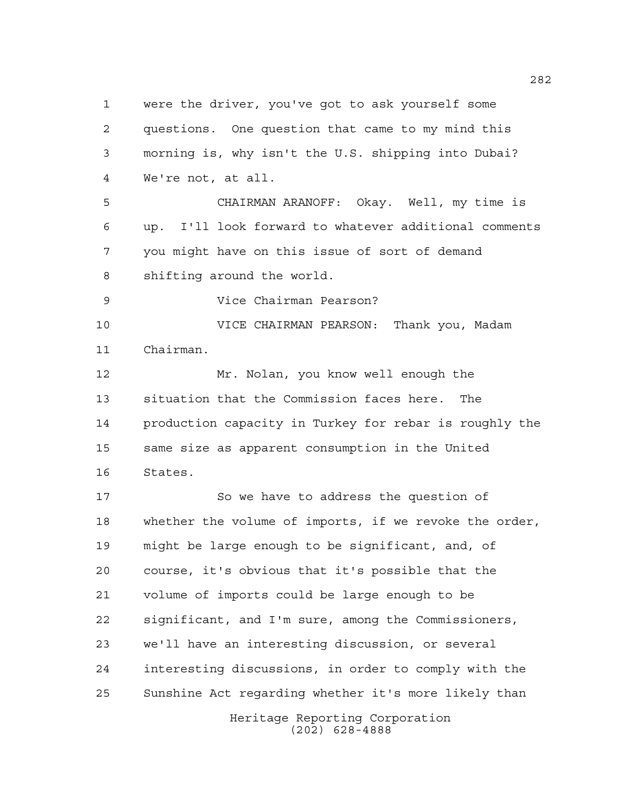Heritage Reporting Corporation were the driver, you've got to ask yourself some questions. One question that came to my mind this morning is, why isn't the U.S. shipping into Dubai? We're not, at all. CHAIRMAN ARANOFF: Okay. Well, my time is up. I'll look forward to whatever additional comments you might have on this issue of sort of demand shifting around the world. Vice Chairman Pearson? VICE CHAIRMAN PEARSON: Thank you, Madam Chairman. Mr. Nolan, you know well enough the situation that the Commission faces here. The production capacity in Turkey for rebar is roughly the same size as apparent consumption in the United States. So we have to address the question of whether the volume of imports, if we revoke the order, might be large enough to be significant, and, of course, it's obvious that it's possible that the volume of imports could be large enough to be significant, and I'm sure, among the Commissioners, we'll have an interesting discussion, or several interesting discussions, in order to comply with the Sunshine Act regarding whether it's more likely than

(202) 628-4888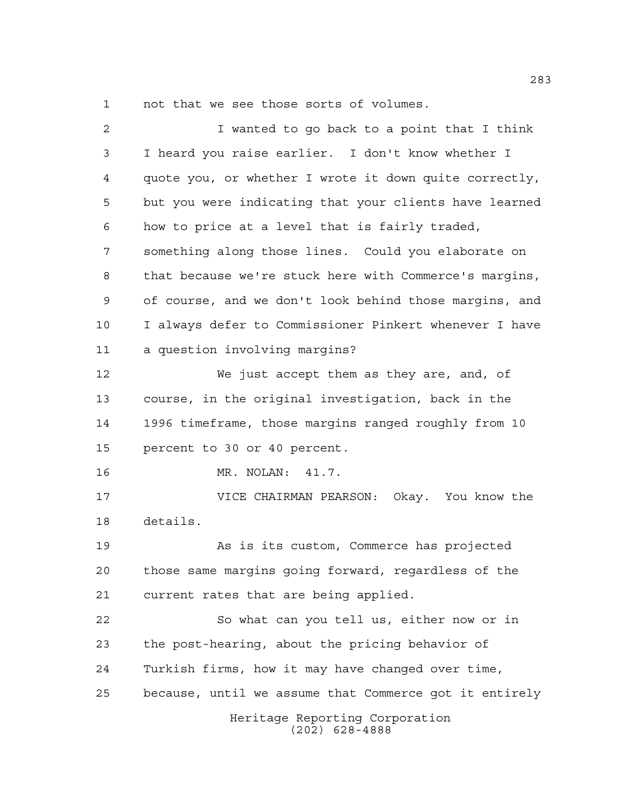not that we see those sorts of volumes.

| $\overline{a}$ | I wanted to go back to a point that I think            |
|----------------|--------------------------------------------------------|
| 3              | I heard you raise earlier. I don't know whether I      |
| 4              | quote you, or whether I wrote it down quite correctly, |
| 5              | but you were indicating that your clients have learned |
| 6              | how to price at a level that is fairly traded,         |
| 7              | something along those lines. Could you elaborate on    |
| 8              | that because we're stuck here with Commerce's margins, |
| 9              | of course, and we don't look behind those margins, and |
| 10             | I always defer to Commissioner Pinkert whenever I have |
| 11             | a question involving margins?                          |
| 12             | We just accept them as they are, and, of               |
| 13             | course, in the original investigation, back in the     |
| 14             | 1996 timeframe, those margins ranged roughly from 10   |
| 15             | percent to 30 or 40 percent.                           |
| 16             | MR. NOLAN: 41.7.                                       |
| 17             | VICE CHAIRMAN PEARSON: Okay. You know the              |
| 18             | details.                                               |
| 19             | As is its custom, Commerce has projected               |
| 20             | those same margins going forward, regardless of the    |
| 21             | current rates that are being applied.                  |
| 22             | So what can you tell us, either now or in              |
| 23             | the post-hearing, about the pricing behavior of        |
| 24             | Turkish firms, how it may have changed over time,      |
| 25             | because, until we assume that Commerce got it entirely |
|                | Heritage Reporting Corporation<br>$(202)$ 628-4888     |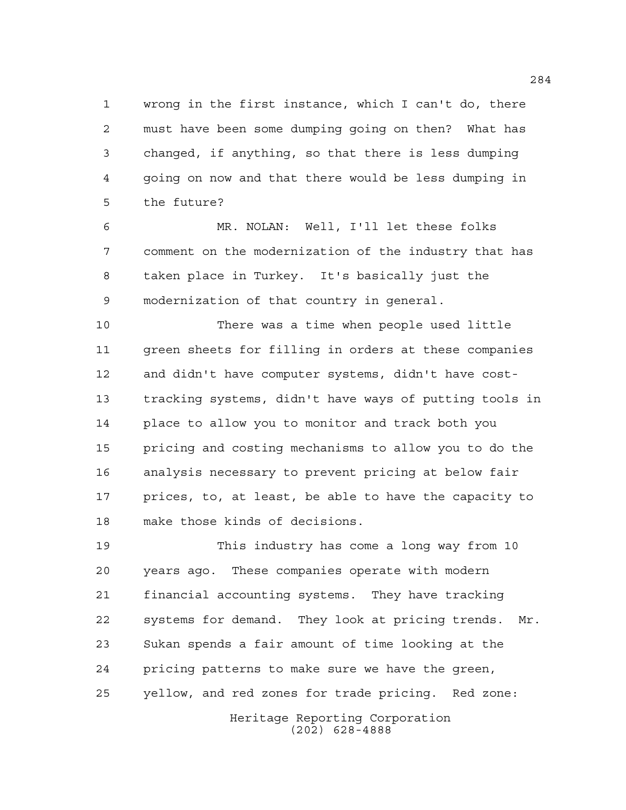wrong in the first instance, which I can't do, there must have been some dumping going on then? What has changed, if anything, so that there is less dumping going on now and that there would be less dumping in the future?

 MR. NOLAN: Well, I'll let these folks comment on the modernization of the industry that has taken place in Turkey. It's basically just the modernization of that country in general.

 There was a time when people used little green sheets for filling in orders at these companies and didn't have computer systems, didn't have cost- tracking systems, didn't have ways of putting tools in place to allow you to monitor and track both you pricing and costing mechanisms to allow you to do the analysis necessary to prevent pricing at below fair prices, to, at least, be able to have the capacity to make those kinds of decisions.

Heritage Reporting Corporation This industry has come a long way from 10 years ago. These companies operate with modern financial accounting systems. They have tracking systems for demand. They look at pricing trends. Mr. Sukan spends a fair amount of time looking at the pricing patterns to make sure we have the green, yellow, and red zones for trade pricing. Red zone:

(202) 628-4888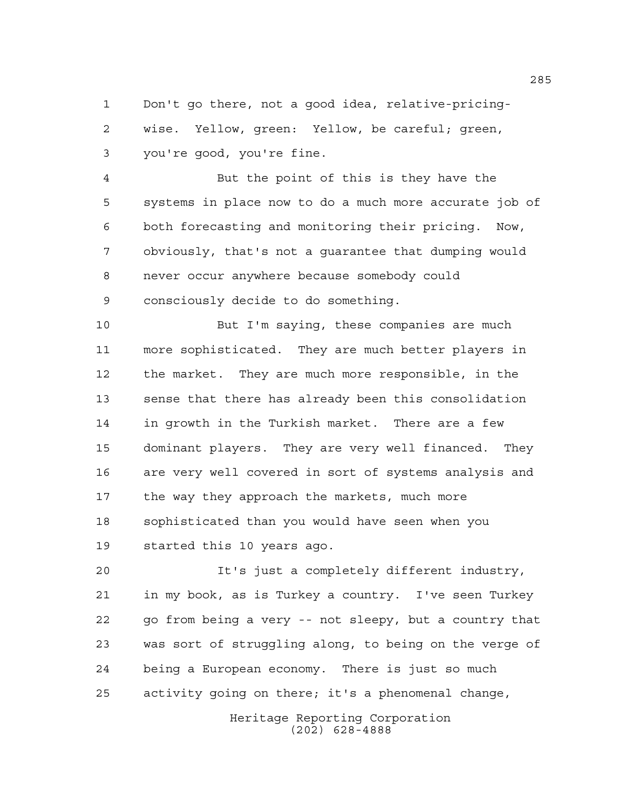Don't go there, not a good idea, relative-pricing- wise. Yellow, green: Yellow, be careful; green, you're good, you're fine.

 But the point of this is they have the systems in place now to do a much more accurate job of both forecasting and monitoring their pricing. Now, obviously, that's not a guarantee that dumping would never occur anywhere because somebody could consciously decide to do something.

 But I'm saying, these companies are much more sophisticated. They are much better players in the market. They are much more responsible, in the sense that there has already been this consolidation in growth in the Turkish market. There are a few dominant players. They are very well financed. They are very well covered in sort of systems analysis and the way they approach the markets, much more sophisticated than you would have seen when you started this 10 years ago.

 It's just a completely different industry, in my book, as is Turkey a country. I've seen Turkey go from being a very -- not sleepy, but a country that was sort of struggling along, to being on the verge of being a European economy. There is just so much activity going on there; it's a phenomenal change,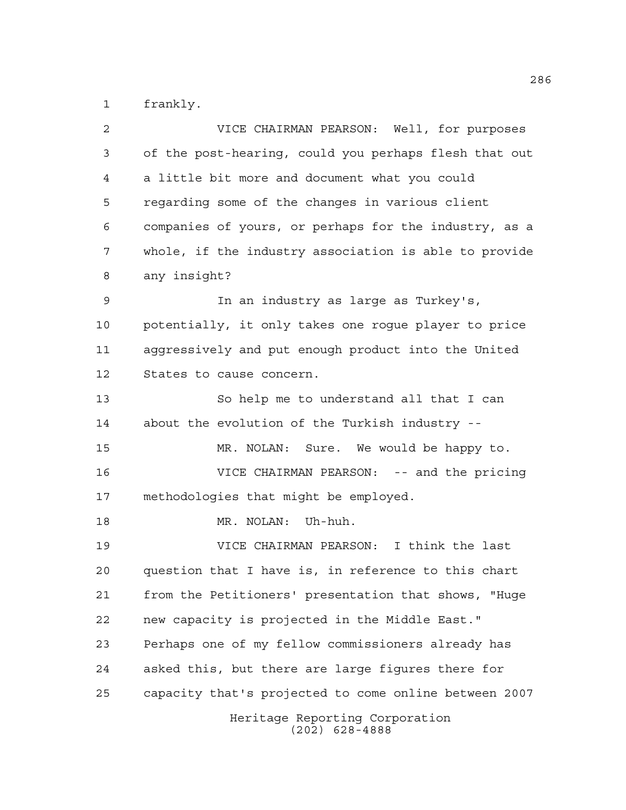frankly.

| 2  | VICE CHAIRMAN PEARSON: Well, for purposes             |
|----|-------------------------------------------------------|
| 3  | of the post-hearing, could you perhaps flesh that out |
| 4  | a little bit more and document what you could         |
| 5  | regarding some of the changes in various client       |
| 6  | companies of yours, or perhaps for the industry, as a |
| 7  | whole, if the industry association is able to provide |
| 8  | any insight?                                          |
| 9  | In an industry as large as Turkey's,                  |
| 10 | potentially, it only takes one rogue player to price  |
| 11 | aggressively and put enough product into the United   |
| 12 | States to cause concern.                              |
| 13 | So help me to understand all that I can               |
| 14 | about the evolution of the Turkish industry --        |
| 15 | MR. NOLAN: Sure. We would be happy to.                |
| 16 | VICE CHAIRMAN PEARSON: -- and the pricing             |
| 17 | methodologies that might be employed.                 |
| 18 | MR. NOLAN: Uh-huh.                                    |
| 19 | VICE CHAIRMAN PEARSON: I think the last               |
| 20 | question that I have is, in reference to this chart   |
| 21 | from the Petitioners' presentation that shows, "Huge  |
| 22 | new capacity is projected in the Middle East."        |
| 23 | Perhaps one of my fellow commissioners already has    |
| 24 | asked this, but there are large figures there for     |
| 25 | capacity that's projected to come online between 2007 |
|    | Heritage Reporting Corporation<br>$(202)$ 628-4888    |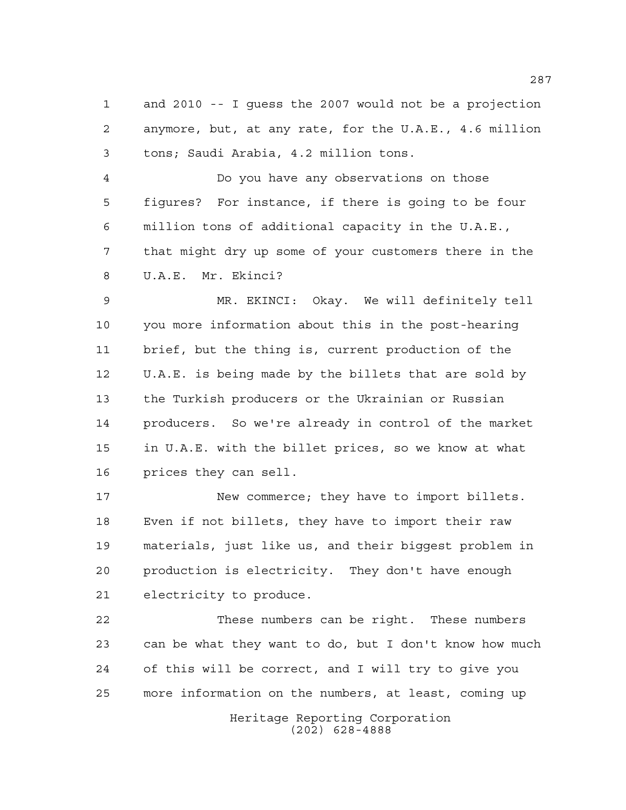and 2010 -- I guess the 2007 would not be a projection anymore, but, at any rate, for the U.A.E., 4.6 million tons; Saudi Arabia, 4.2 million tons.

 Do you have any observations on those figures? For instance, if there is going to be four million tons of additional capacity in the U.A.E., that might dry up some of your customers there in the U.A.E. Mr. Ekinci?

 MR. EKINCI: Okay. We will definitely tell you more information about this in the post-hearing brief, but the thing is, current production of the U.A.E. is being made by the billets that are sold by the Turkish producers or the Ukrainian or Russian producers. So we're already in control of the market in U.A.E. with the billet prices, so we know at what prices they can sell.

17 New commerce; they have to import billets. Even if not billets, they have to import their raw materials, just like us, and their biggest problem in production is electricity. They don't have enough electricity to produce.

 These numbers can be right. These numbers can be what they want to do, but I don't know how much of this will be correct, and I will try to give you more information on the numbers, at least, coming up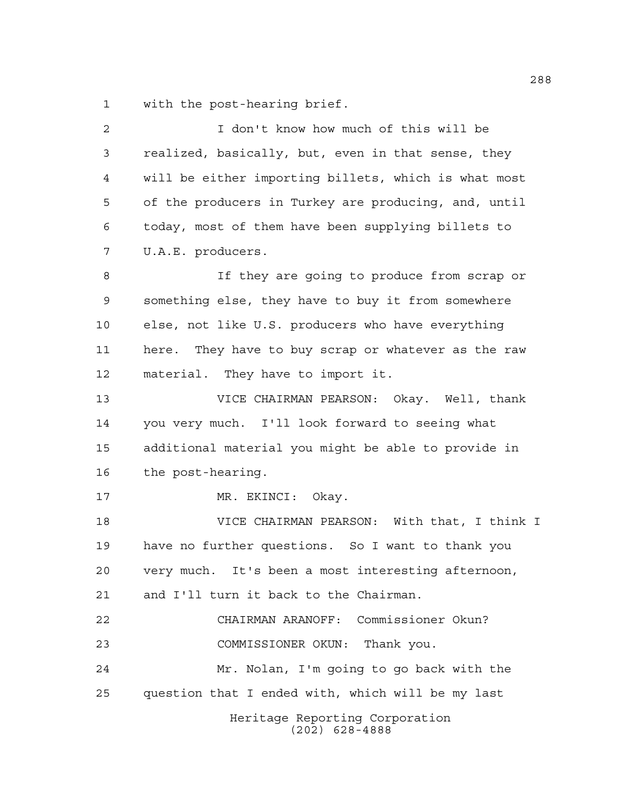with the post-hearing brief.

| $\mathbf{2}$ | I don't know how much of this will be                |
|--------------|------------------------------------------------------|
| 3            | realized, basically, but, even in that sense, they   |
| 4            | will be either importing billets, which is what most |
| 5            | of the producers in Turkey are producing, and, until |
| 6            | today, most of them have been supplying billets to   |
| 7            | U.A.E. producers.                                    |
| 8            | If they are going to produce from scrap or           |
| 9            | something else, they have to buy it from somewhere   |
| 10           | else, not like U.S. producers who have everything    |
| 11           | here. They have to buy scrap or whatever as the raw  |
| 12           | material. They have to import it.                    |
| 13           | VICE CHAIRMAN PEARSON: Okay. Well, thank             |
| 14           | you very much. I'll look forward to seeing what      |
| 15           | additional material you might be able to provide in  |
| 16           | the post-hearing.                                    |
| 17           | MR. EKINCI: Okay.                                    |
| 18           | VICE CHAIRMAN PEARSON: With that, I think I          |
| 19           | have no further questions. So I want to thank you    |
| 20           | very much. It's been a most interesting afternoon,   |
| 21           | and I'll turn it back to the Chairman.               |
| 22           | CHAIRMAN ARANOFF: Commissioner Okun?                 |
| 23           | COMMISSIONER OKUN: Thank you.                        |
| 24           | Mr. Nolan, I'm going to go back with the             |
| 25           | question that I ended with, which will be my last    |
|              | Heritage Reporting Corporation<br>$(202)$ 628-4888   |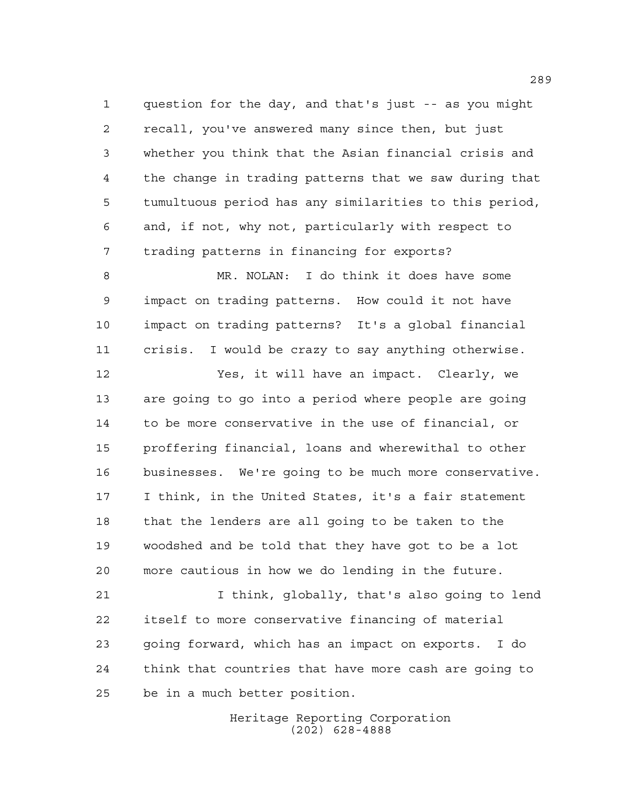question for the day, and that's just -- as you might recall, you've answered many since then, but just whether you think that the Asian financial crisis and the change in trading patterns that we saw during that tumultuous period has any similarities to this period, and, if not, why not, particularly with respect to trading patterns in financing for exports?

 MR. NOLAN: I do think it does have some impact on trading patterns. How could it not have impact on trading patterns? It's a global financial crisis. I would be crazy to say anything otherwise.

 Yes, it will have an impact. Clearly, we are going to go into a period where people are going to be more conservative in the use of financial, or proffering financial, loans and wherewithal to other businesses. We're going to be much more conservative. I think, in the United States, it's a fair statement that the lenders are all going to be taken to the woodshed and be told that they have got to be a lot more cautious in how we do lending in the future.

 I think, globally, that's also going to lend itself to more conservative financing of material going forward, which has an impact on exports. I do think that countries that have more cash are going to be in a much better position.

> Heritage Reporting Corporation (202) 628-4888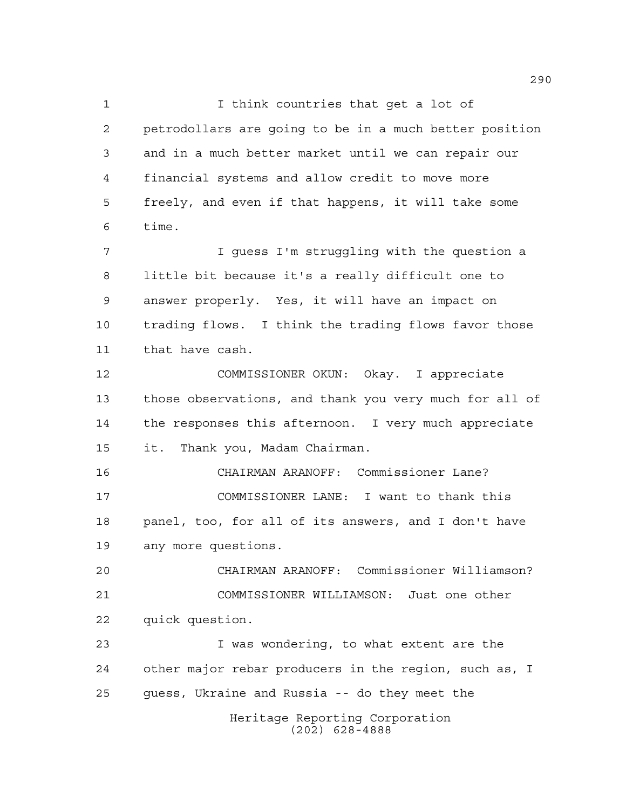I think countries that get a lot of petrodollars are going to be in a much better position and in a much better market until we can repair our financial systems and allow credit to move more freely, and even if that happens, it will take some time.

 I guess I'm struggling with the question a little bit because it's a really difficult one to answer properly. Yes, it will have an impact on trading flows. I think the trading flows favor those that have cash.

 COMMISSIONER OKUN: Okay. I appreciate those observations, and thank you very much for all of the responses this afternoon. I very much appreciate it. Thank you, Madam Chairman.

 CHAIRMAN ARANOFF: Commissioner Lane? COMMISSIONER LANE: I want to thank this panel, too, for all of its answers, and I don't have any more questions.

 CHAIRMAN ARANOFF: Commissioner Williamson? COMMISSIONER WILLIAMSON: Just one other quick question.

Heritage Reporting Corporation I was wondering, to what extent are the other major rebar producers in the region, such as, I guess, Ukraine and Russia -- do they meet the

(202) 628-4888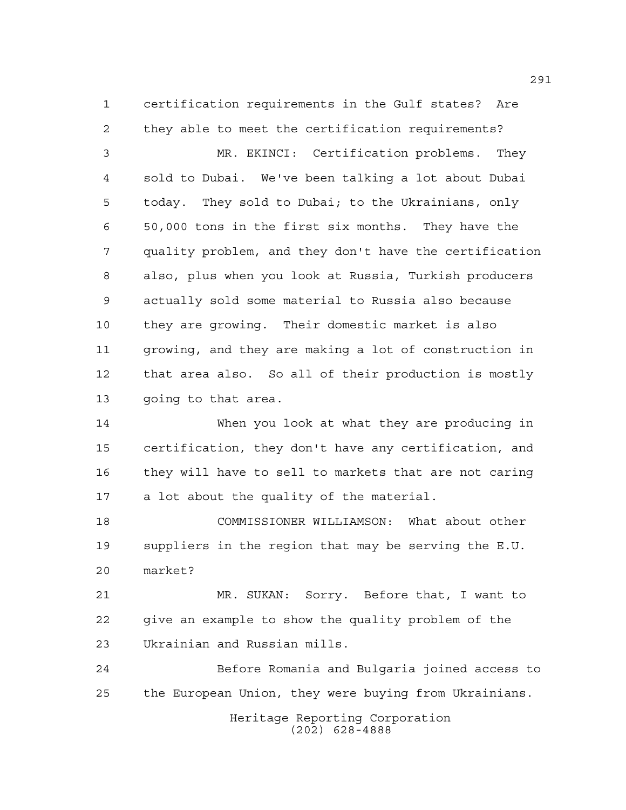certification requirements in the Gulf states? Are they able to meet the certification requirements?

 MR. EKINCI: Certification problems. They sold to Dubai. We've been talking a lot about Dubai today. They sold to Dubai; to the Ukrainians, only 50,000 tons in the first six months. They have the quality problem, and they don't have the certification also, plus when you look at Russia, Turkish producers actually sold some material to Russia also because they are growing. Their domestic market is also growing, and they are making a lot of construction in that area also. So all of their production is mostly going to that area.

 When you look at what they are producing in certification, they don't have any certification, and they will have to sell to markets that are not caring a lot about the quality of the material.

 COMMISSIONER WILLIAMSON: What about other suppliers in the region that may be serving the E.U. market?

 MR. SUKAN: Sorry. Before that, I want to give an example to show the quality problem of the Ukrainian and Russian mills.

 Before Romania and Bulgaria joined access to the European Union, they were buying from Ukrainians.

> Heritage Reporting Corporation (202) 628-4888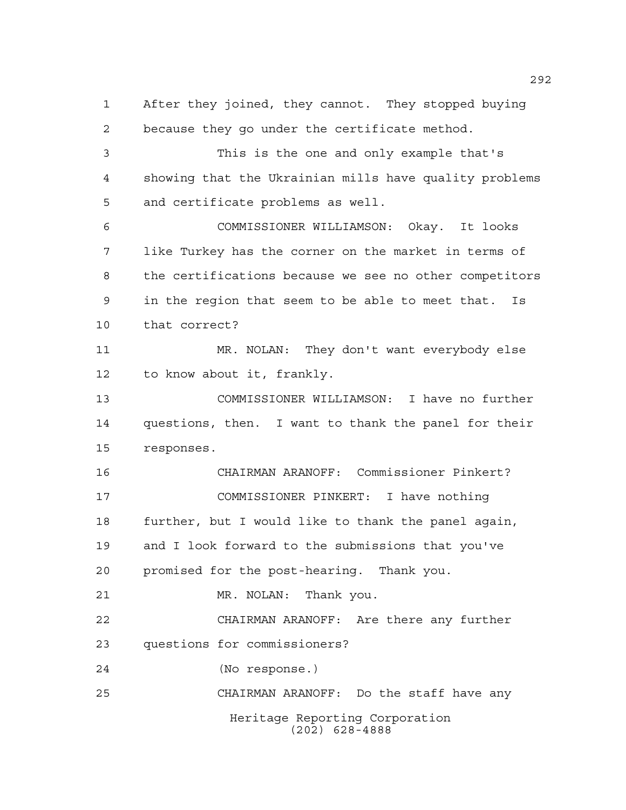Heritage Reporting Corporation (202) 628-4888 After they joined, they cannot. They stopped buying because they go under the certificate method. This is the one and only example that's showing that the Ukrainian mills have quality problems and certificate problems as well. COMMISSIONER WILLIAMSON: Okay. It looks like Turkey has the corner on the market in terms of the certifications because we see no other competitors in the region that seem to be able to meet that. Is that correct? MR. NOLAN: They don't want everybody else to know about it, frankly. COMMISSIONER WILLIAMSON: I have no further questions, then. I want to thank the panel for their responses. CHAIRMAN ARANOFF: Commissioner Pinkert? COMMISSIONER PINKERT: I have nothing further, but I would like to thank the panel again, and I look forward to the submissions that you've promised for the post-hearing. Thank you. MR. NOLAN: Thank you. CHAIRMAN ARANOFF: Are there any further questions for commissioners? (No response.) CHAIRMAN ARANOFF: Do the staff have any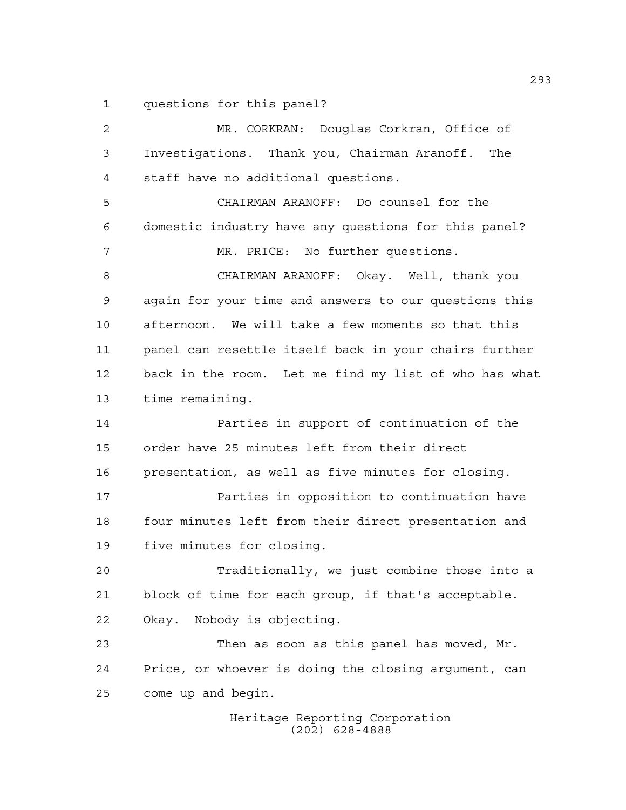questions for this panel?

Heritage Reporting Corporation MR. CORKRAN: Douglas Corkran, Office of Investigations. Thank you, Chairman Aranoff. The staff have no additional questions. CHAIRMAN ARANOFF: Do counsel for the domestic industry have any questions for this panel? MR. PRICE: No further questions. CHAIRMAN ARANOFF: Okay. Well, thank you again for your time and answers to our questions this afternoon. We will take a few moments so that this panel can resettle itself back in your chairs further back in the room. Let me find my list of who has what time remaining. Parties in support of continuation of the order have 25 minutes left from their direct presentation, as well as five minutes for closing. **Parties in opposition to continuation have** 18 four minutes left from their direct presentation and five minutes for closing. Traditionally, we just combine those into a block of time for each group, if that's acceptable. Okay. Nobody is objecting. Then as soon as this panel has moved, Mr. Price, or whoever is doing the closing argument, can come up and begin.

(202) 628-4888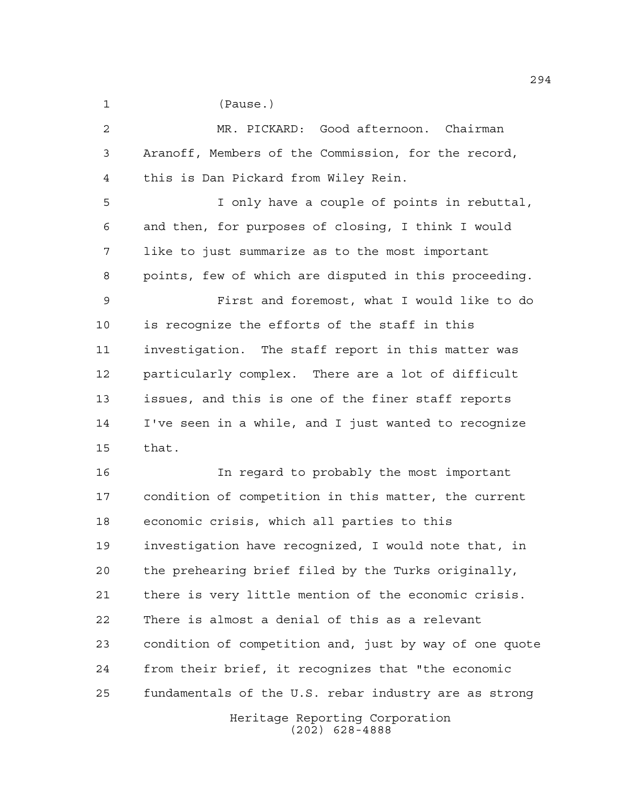(Pause.)

 MR. PICKARD: Good afternoon. Chairman Aranoff, Members of the Commission, for the record, this is Dan Pickard from Wiley Rein.

 I only have a couple of points in rebuttal, and then, for purposes of closing, I think I would like to just summarize as to the most important points, few of which are disputed in this proceeding.

 First and foremost, what I would like to do is recognize the efforts of the staff in this investigation. The staff report in this matter was particularly complex. There are a lot of difficult issues, and this is one of the finer staff reports I've seen in a while, and I just wanted to recognize that.

Heritage Reporting Corporation In regard to probably the most important condition of competition in this matter, the current economic crisis, which all parties to this investigation have recognized, I would note that, in the prehearing brief filed by the Turks originally, there is very little mention of the economic crisis. There is almost a denial of this as a relevant condition of competition and, just by way of one quote from their brief, it recognizes that "the economic fundamentals of the U.S. rebar industry are as strong

(202) 628-4888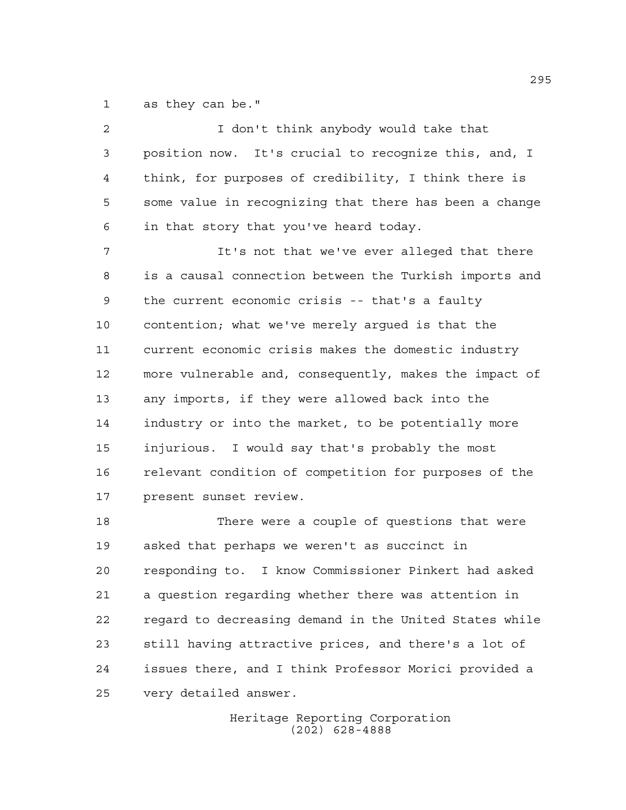as they can be."

2 I don't think anybody would take that position now. It's crucial to recognize this, and, I think, for purposes of credibility, I think there is some value in recognizing that there has been a change in that story that you've heard today. It's not that we've ever alleged that there is a causal connection between the Turkish imports and the current economic crisis -- that's a faulty contention; what we've merely argued is that the current economic crisis makes the domestic industry more vulnerable and, consequently, makes the impact of any imports, if they were allowed back into the industry or into the market, to be potentially more injurious. I would say that's probably the most relevant condition of competition for purposes of the present sunset review. There were a couple of questions that were asked that perhaps we weren't as succinct in responding to. I know Commissioner Pinkert had asked

 a question regarding whether there was attention in regard to decreasing demand in the United States while still having attractive prices, and there's a lot of issues there, and I think Professor Morici provided a very detailed answer.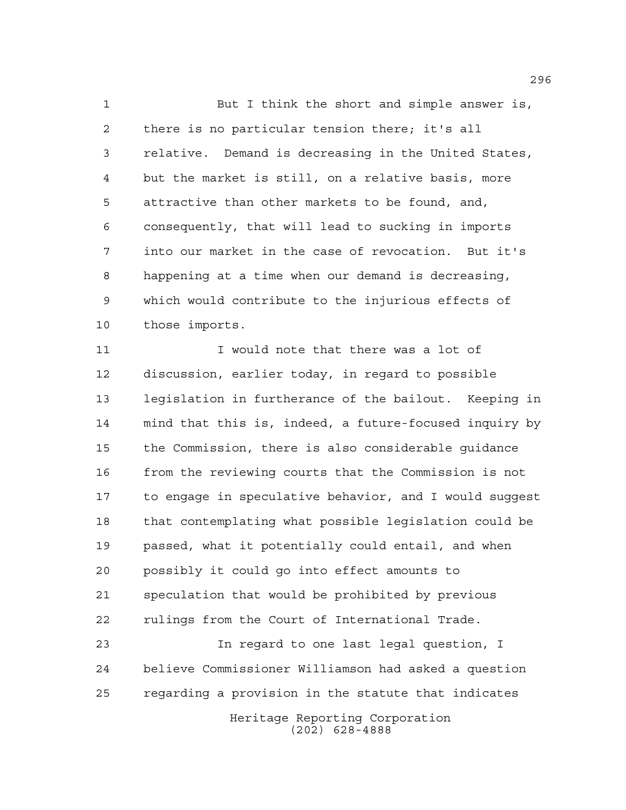But I think the short and simple answer is, there is no particular tension there; it's all relative. Demand is decreasing in the United States, but the market is still, on a relative basis, more attractive than other markets to be found, and, consequently, that will lead to sucking in imports into our market in the case of revocation. But it's happening at a time when our demand is decreasing, which would contribute to the injurious effects of those imports.

 I would note that there was a lot of discussion, earlier today, in regard to possible legislation in furtherance of the bailout. Keeping in mind that this is, indeed, a future-focused inquiry by the Commission, there is also considerable guidance from the reviewing courts that the Commission is not to engage in speculative behavior, and I would suggest that contemplating what possible legislation could be passed, what it potentially could entail, and when possibly it could go into effect amounts to speculation that would be prohibited by previous rulings from the Court of International Trade.

 In regard to one last legal question, I believe Commissioner Williamson had asked a question regarding a provision in the statute that indicates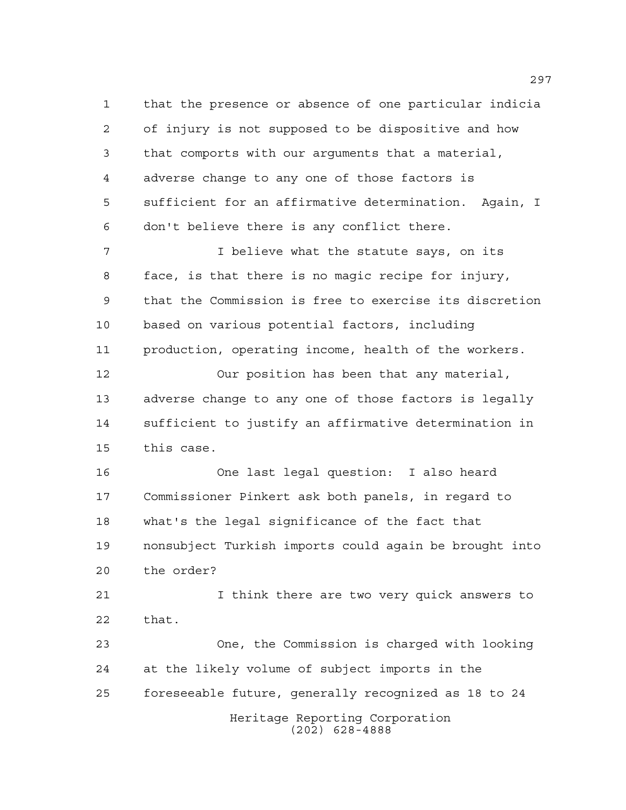that the presence or absence of one particular indicia of injury is not supposed to be dispositive and how that comports with our arguments that a material, adverse change to any one of those factors is sufficient for an affirmative determination. Again, I don't believe there is any conflict there.

 I believe what the statute says, on its face, is that there is no magic recipe for injury, that the Commission is free to exercise its discretion based on various potential factors, including production, operating income, health of the workers.

 Our position has been that any material, adverse change to any one of those factors is legally sufficient to justify an affirmative determination in this case.

 One last legal question: I also heard Commissioner Pinkert ask both panels, in regard to what's the legal significance of the fact that nonsubject Turkish imports could again be brought into the order?

 I think there are two very quick answers to that.

Heritage Reporting Corporation (202) 628-4888 One, the Commission is charged with looking at the likely volume of subject imports in the foreseeable future, generally recognized as 18 to 24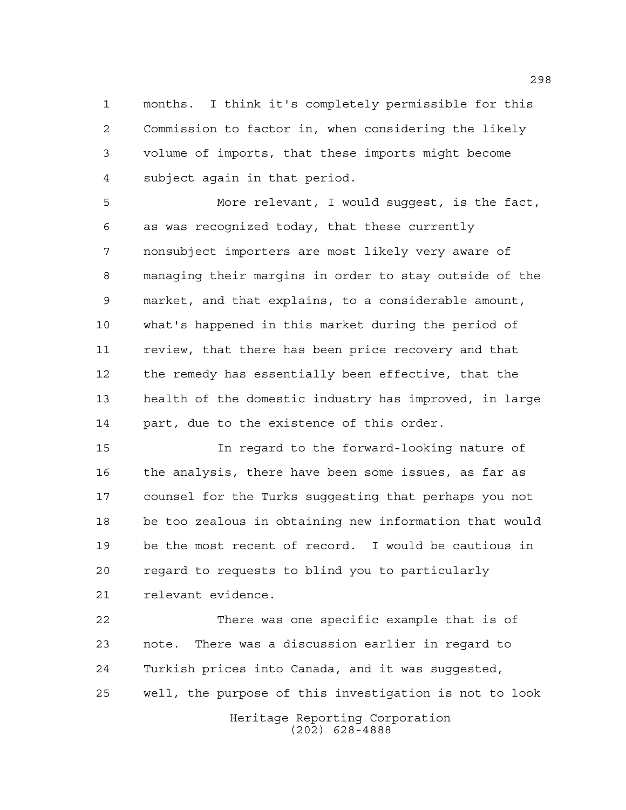months. I think it's completely permissible for this Commission to factor in, when considering the likely volume of imports, that these imports might become subject again in that period.

 More relevant, I would suggest, is the fact, as was recognized today, that these currently nonsubject importers are most likely very aware of managing their margins in order to stay outside of the market, and that explains, to a considerable amount, what's happened in this market during the period of review, that there has been price recovery and that the remedy has essentially been effective, that the health of the domestic industry has improved, in large part, due to the existence of this order.

 In regard to the forward-looking nature of the analysis, there have been some issues, as far as counsel for the Turks suggesting that perhaps you not be too zealous in obtaining new information that would be the most recent of record. I would be cautious in regard to requests to blind you to particularly relevant evidence.

Heritage Reporting Corporation (202) 628-4888 There was one specific example that is of note. There was a discussion earlier in regard to Turkish prices into Canada, and it was suggested, well, the purpose of this investigation is not to look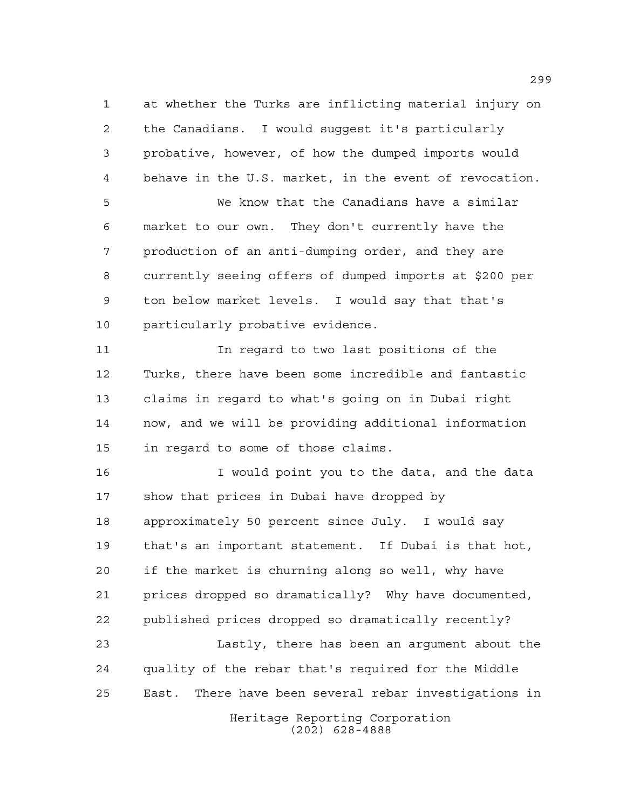at whether the Turks are inflicting material injury on the Canadians. I would suggest it's particularly probative, however, of how the dumped imports would behave in the U.S. market, in the event of revocation.

 We know that the Canadians have a similar market to our own. They don't currently have the production of an anti-dumping order, and they are currently seeing offers of dumped imports at \$200 per ton below market levels. I would say that that's particularly probative evidence.

 In regard to two last positions of the Turks, there have been some incredible and fantastic claims in regard to what's going on in Dubai right now, and we will be providing additional information in regard to some of those claims.

 I would point you to the data, and the data show that prices in Dubai have dropped by approximately 50 percent since July. I would say that's an important statement. If Dubai is that hot, if the market is churning along so well, why have prices dropped so dramatically? Why have documented, published prices dropped so dramatically recently?

 Lastly, there has been an argument about the quality of the rebar that's required for the Middle East. There have been several rebar investigations in

Heritage Reporting Corporation (202) 628-4888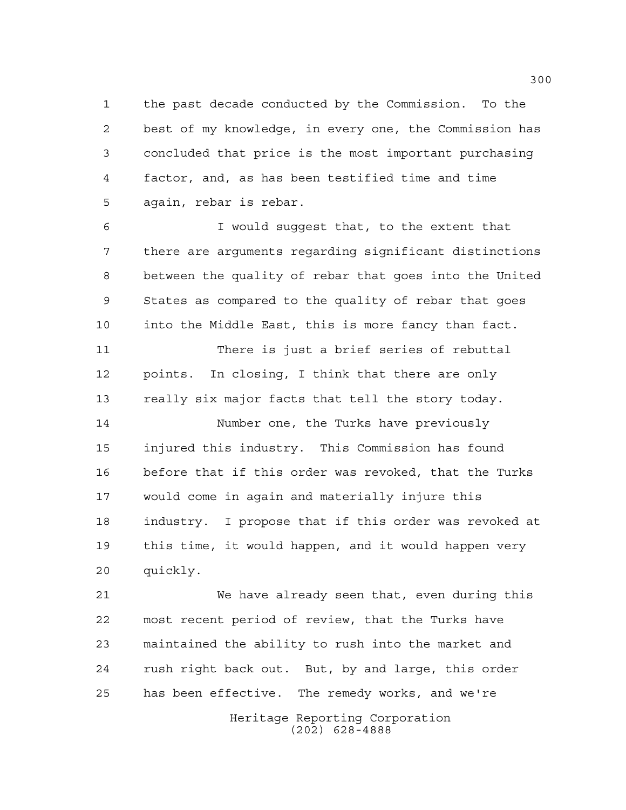the past decade conducted by the Commission. To the best of my knowledge, in every one, the Commission has concluded that price is the most important purchasing factor, and, as has been testified time and time again, rebar is rebar.

 I would suggest that, to the extent that there are arguments regarding significant distinctions between the quality of rebar that goes into the United States as compared to the quality of rebar that goes into the Middle East, this is more fancy than fact.

 There is just a brief series of rebuttal points. In closing, I think that there are only really six major facts that tell the story today.

 Number one, the Turks have previously injured this industry. This Commission has found before that if this order was revoked, that the Turks would come in again and materially injure this industry. I propose that if this order was revoked at this time, it would happen, and it would happen very quickly.

Heritage Reporting Corporation We have already seen that, even during this most recent period of review, that the Turks have maintained the ability to rush into the market and rush right back out. But, by and large, this order has been effective. The remedy works, and we're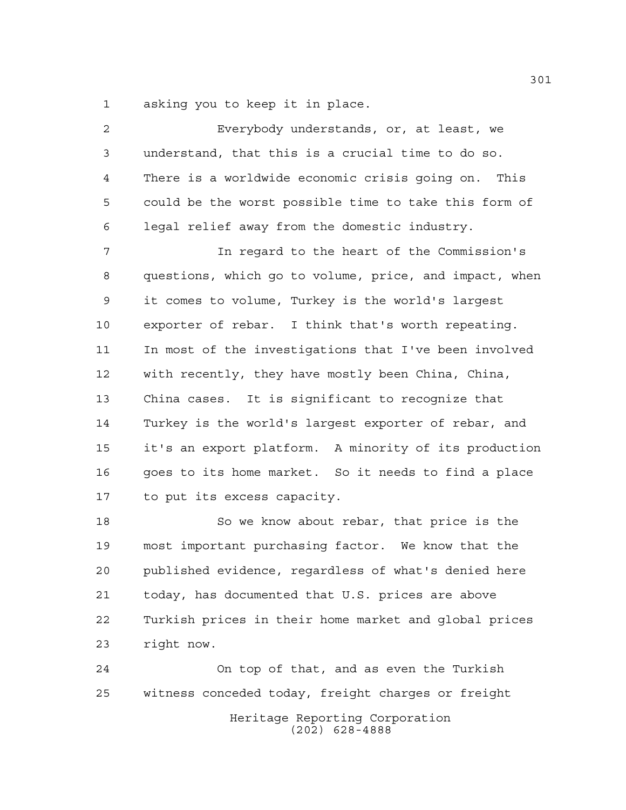asking you to keep it in place.

 Everybody understands, or, at least, we understand, that this is a crucial time to do so. There is a worldwide economic crisis going on. This could be the worst possible time to take this form of legal relief away from the domestic industry. In regard to the heart of the Commission's questions, which go to volume, price, and impact, when it comes to volume, Turkey is the world's largest exporter of rebar. I think that's worth repeating. In most of the investigations that I've been involved with recently, they have mostly been China, China, China cases. It is significant to recognize that Turkey is the world's largest exporter of rebar, and it's an export platform. A minority of its production goes to its home market. So it needs to find a place to put its excess capacity. So we know about rebar, that price is the

 most important purchasing factor. We know that the published evidence, regardless of what's denied here today, has documented that U.S. prices are above Turkish prices in their home market and global prices right now.

Heritage Reporting Corporation (202) 628-4888 On top of that, and as even the Turkish witness conceded today, freight charges or freight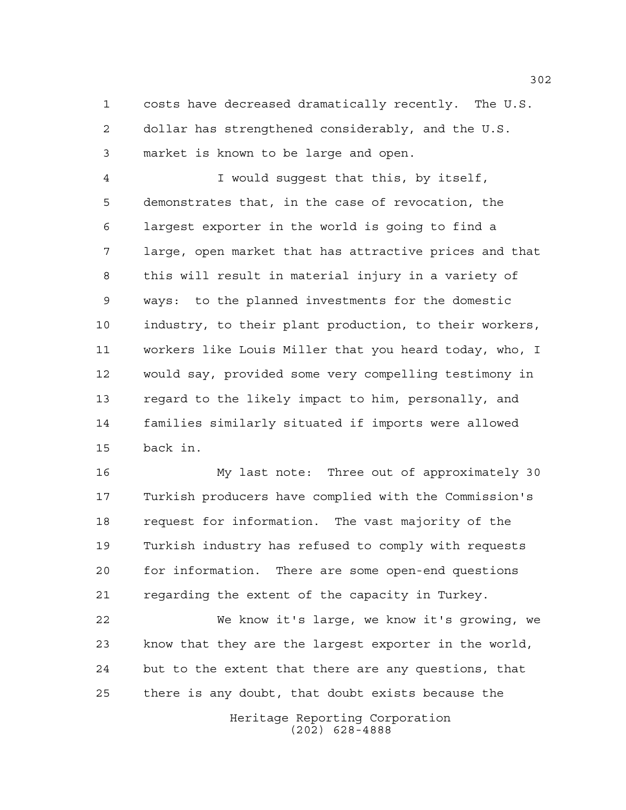costs have decreased dramatically recently. The U.S. dollar has strengthened considerably, and the U.S. market is known to be large and open.

 I would suggest that this, by itself, demonstrates that, in the case of revocation, the largest exporter in the world is going to find a large, open market that has attractive prices and that this will result in material injury in a variety of ways: to the planned investments for the domestic industry, to their plant production, to their workers, workers like Louis Miller that you heard today, who, I would say, provided some very compelling testimony in regard to the likely impact to him, personally, and families similarly situated if imports were allowed back in.

 My last note: Three out of approximately 30 Turkish producers have complied with the Commission's request for information. The vast majority of the Turkish industry has refused to comply with requests for information. There are some open-end questions regarding the extent of the capacity in Turkey.

 We know it's large, we know it's growing, we know that they are the largest exporter in the world, but to the extent that there are any questions, that there is any doubt, that doubt exists because the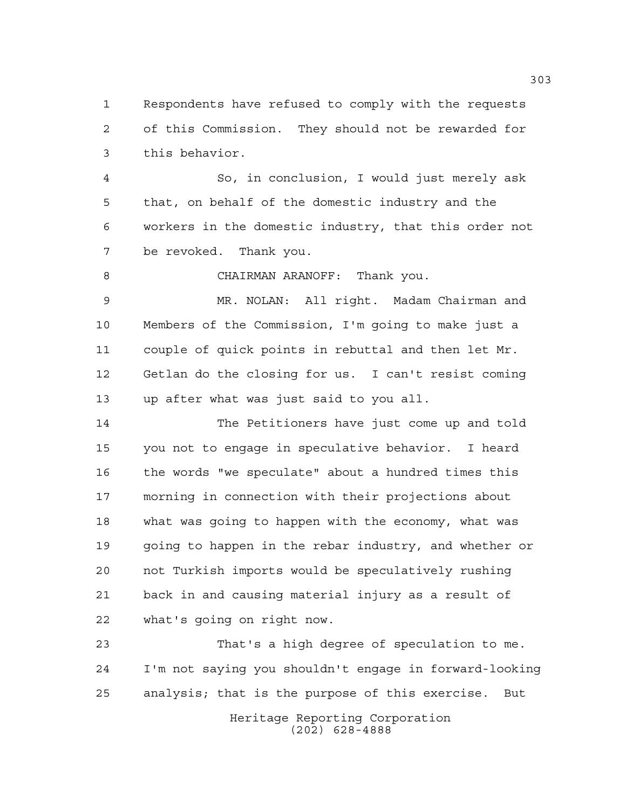Respondents have refused to comply with the requests of this Commission. They should not be rewarded for this behavior.

 So, in conclusion, I would just merely ask that, on behalf of the domestic industry and the workers in the domestic industry, that this order not be revoked. Thank you.

CHAIRMAN ARANOFF: Thank you.

 MR. NOLAN: All right. Madam Chairman and Members of the Commission, I'm going to make just a couple of quick points in rebuttal and then let Mr. Getlan do the closing for us. I can't resist coming up after what was just said to you all.

 The Petitioners have just come up and told you not to engage in speculative behavior. I heard the words "we speculate" about a hundred times this morning in connection with their projections about what was going to happen with the economy, what was going to happen in the rebar industry, and whether or not Turkish imports would be speculatively rushing back in and causing material injury as a result of what's going on right now.

 That's a high degree of speculation to me. I'm not saying you shouldn't engage in forward-looking analysis; that is the purpose of this exercise. But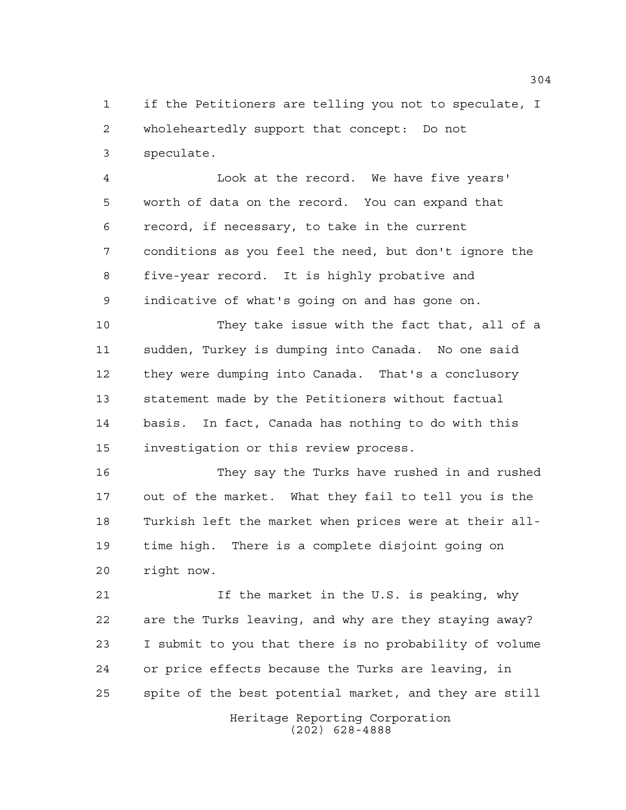if the Petitioners are telling you not to speculate, I wholeheartedly support that concept: Do not speculate.

 Look at the record. We have five years' worth of data on the record. You can expand that record, if necessary, to take in the current conditions as you feel the need, but don't ignore the five-year record. It is highly probative and indicative of what's going on and has gone on.

 They take issue with the fact that, all of a sudden, Turkey is dumping into Canada. No one said they were dumping into Canada. That's a conclusory statement made by the Petitioners without factual basis. In fact, Canada has nothing to do with this investigation or this review process.

 They say the Turks have rushed in and rushed out of the market. What they fail to tell you is the Turkish left the market when prices were at their all- time high. There is a complete disjoint going on right now.

 If the market in the U.S. is peaking, why are the Turks leaving, and why are they staying away? I submit to you that there is no probability of volume or price effects because the Turks are leaving, in spite of the best potential market, and they are still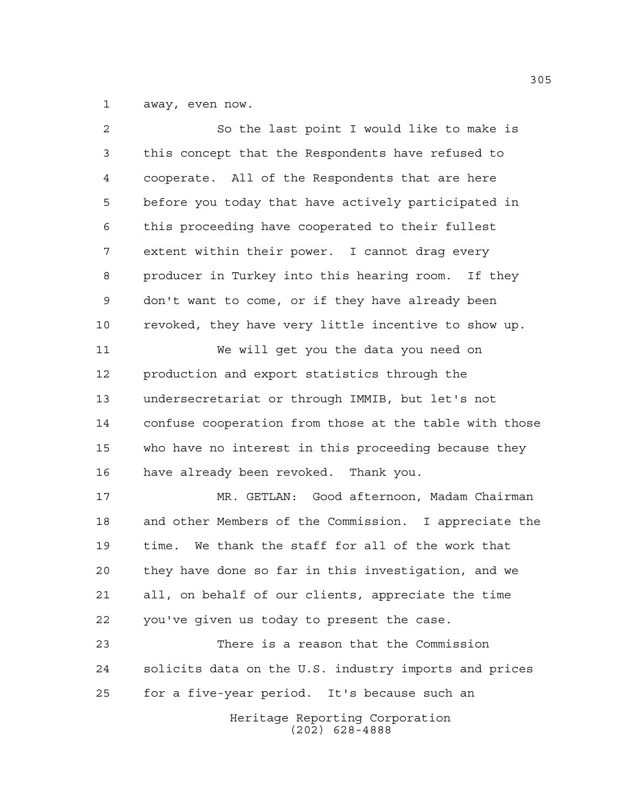away, even now.

| 2  | So the last point I would like to make is              |
|----|--------------------------------------------------------|
| 3  | this concept that the Respondents have refused to      |
| 4  | cooperate. All of the Respondents that are here        |
| 5  | before you today that have actively participated in    |
| 6  | this proceeding have cooperated to their fullest       |
| 7  | extent within their power. I cannot drag every         |
| 8  | producer in Turkey into this hearing room. If they     |
| 9  | don't want to come, or if they have already been       |
| 10 | revoked, they have very little incentive to show up.   |
| 11 | We will get you the data you need on                   |
| 12 | production and export statistics through the           |
| 13 | undersecretariat or through IMMIB, but let's not       |
| 14 | confuse cooperation from those at the table with those |
| 15 | who have no interest in this proceeding because they   |
| 16 | have already been revoked. Thank you.                  |
| 17 | MR. GETLAN: Good afternoon, Madam Chairman             |
| 18 | and other Members of the Commission. I appreciate the  |
| 19 | time. We thank the staff for all of the work that      |
| 20 | they have done so far in this investigation, and we    |
| 21 | all, on behalf of our clients, appreciate the time     |
| 22 | you've given us today to present the case.             |
| 23 | There is a reason that the Commission                  |
| 24 | solicits data on the U.S. industry imports and prices  |
| 25 | for a five-year period. It's because such an           |
|    | Heritage Reporting Corporation<br>$(202)$ 628-4888     |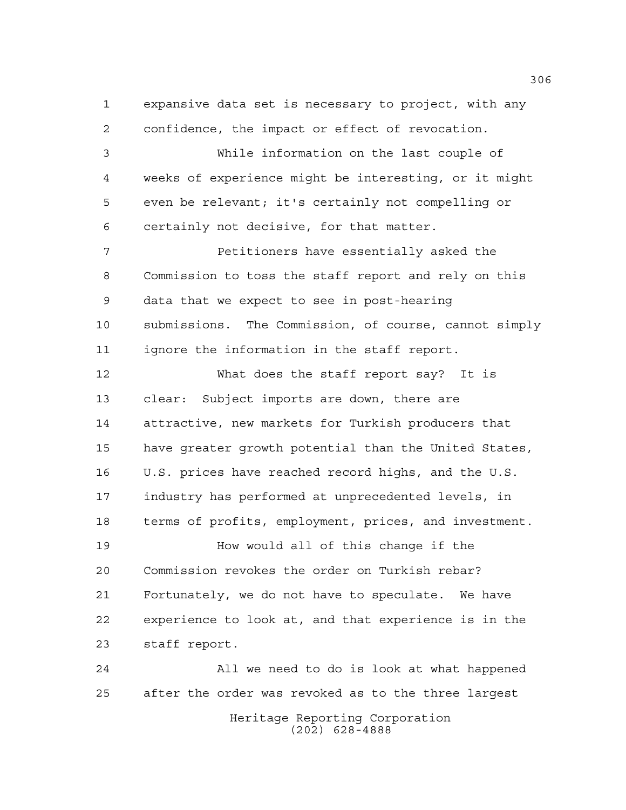expansive data set is necessary to project, with any confidence, the impact or effect of revocation. While information on the last couple of weeks of experience might be interesting, or it might even be relevant; it's certainly not compelling or certainly not decisive, for that matter. Petitioners have essentially asked the Commission to toss the staff report and rely on this data that we expect to see in post-hearing submissions. The Commission, of course, cannot simply ignore the information in the staff report. What does the staff report say? It is clear: Subject imports are down, there are attractive, new markets for Turkish producers that have greater growth potential than the United States, U.S. prices have reached record highs, and the U.S. industry has performed at unprecedented levels, in terms of profits, employment, prices, and investment. How would all of this change if the Commission revokes the order on Turkish rebar? Fortunately, we do not have to speculate. We have experience to look at, and that experience is in the staff report. All we need to do is look at what happened after the order was revoked as to the three largest

> Heritage Reporting Corporation (202) 628-4888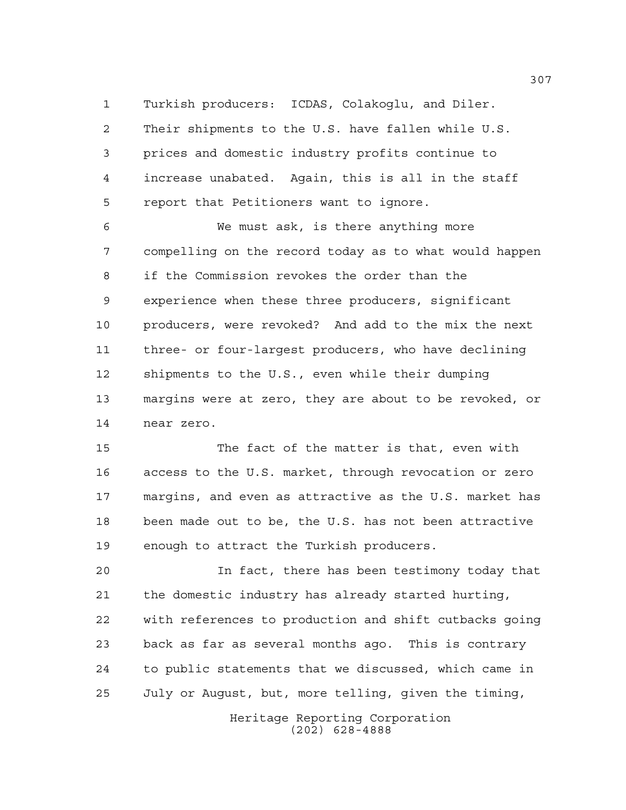Turkish producers: ICDAS, Colakoglu, and Diler. Their shipments to the U.S. have fallen while U.S. prices and domestic industry profits continue to increase unabated. Again, this is all in the staff report that Petitioners want to ignore.

 We must ask, is there anything more compelling on the record today as to what would happen if the Commission revokes the order than the experience when these three producers, significant producers, were revoked? And add to the mix the next three- or four-largest producers, who have declining shipments to the U.S., even while their dumping margins were at zero, they are about to be revoked, or near zero.

 The fact of the matter is that, even with access to the U.S. market, through revocation or zero margins, and even as attractive as the U.S. market has been made out to be, the U.S. has not been attractive enough to attract the Turkish producers.

 In fact, there has been testimony today that the domestic industry has already started hurting, with references to production and shift cutbacks going back as far as several months ago. This is contrary to public statements that we discussed, which came in July or August, but, more telling, given the timing,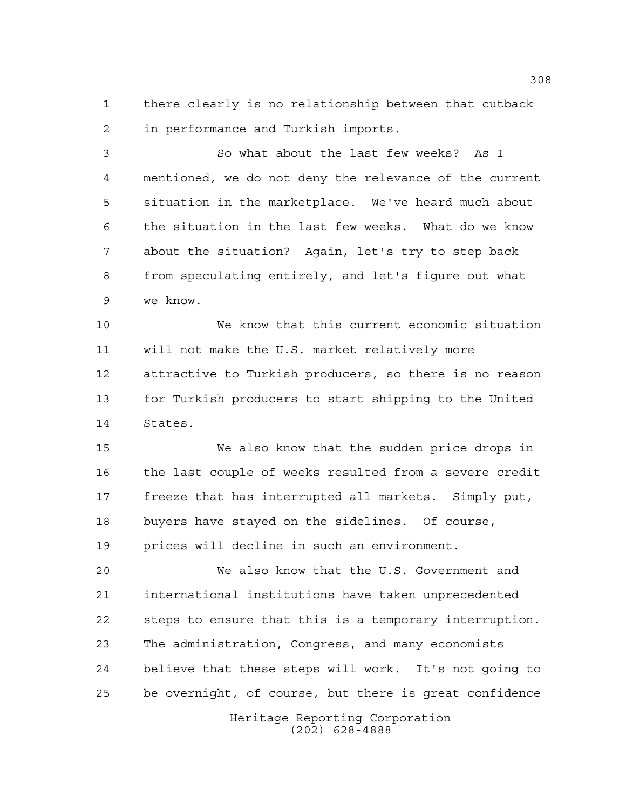there clearly is no relationship between that cutback in performance and Turkish imports.

 So what about the last few weeks? As I mentioned, we do not deny the relevance of the current situation in the marketplace. We've heard much about the situation in the last few weeks. What do we know about the situation? Again, let's try to step back from speculating entirely, and let's figure out what we know.

 We know that this current economic situation will not make the U.S. market relatively more attractive to Turkish producers, so there is no reason for Turkish producers to start shipping to the United States.

 We also know that the sudden price drops in the last couple of weeks resulted from a severe credit freeze that has interrupted all markets. Simply put, buyers have stayed on the sidelines. Of course, prices will decline in such an environment.

 We also know that the U.S. Government and international institutions have taken unprecedented steps to ensure that this is a temporary interruption. The administration, Congress, and many economists believe that these steps will work. It's not going to be overnight, of course, but there is great confidence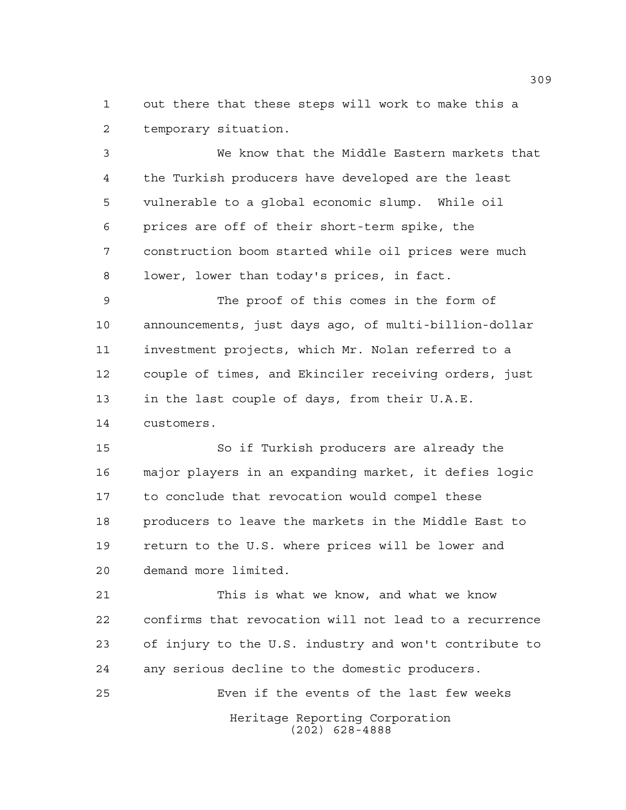out there that these steps will work to make this a temporary situation.

 We know that the Middle Eastern markets that the Turkish producers have developed are the least vulnerable to a global economic slump. While oil prices are off of their short-term spike, the construction boom started while oil prices were much lower, lower than today's prices, in fact.

 The proof of this comes in the form of announcements, just days ago, of multi-billion-dollar investment projects, which Mr. Nolan referred to a couple of times, and Ekinciler receiving orders, just in the last couple of days, from their U.A.E. customers.

 So if Turkish producers are already the major players in an expanding market, it defies logic to conclude that revocation would compel these producers to leave the markets in the Middle East to return to the U.S. where prices will be lower and demand more limited.

 This is what we know, and what we know confirms that revocation will not lead to a recurrence of injury to the U.S. industry and won't contribute to any serious decline to the domestic producers.

Heritage Reporting Corporation Even if the events of the last few weeks

(202) 628-4888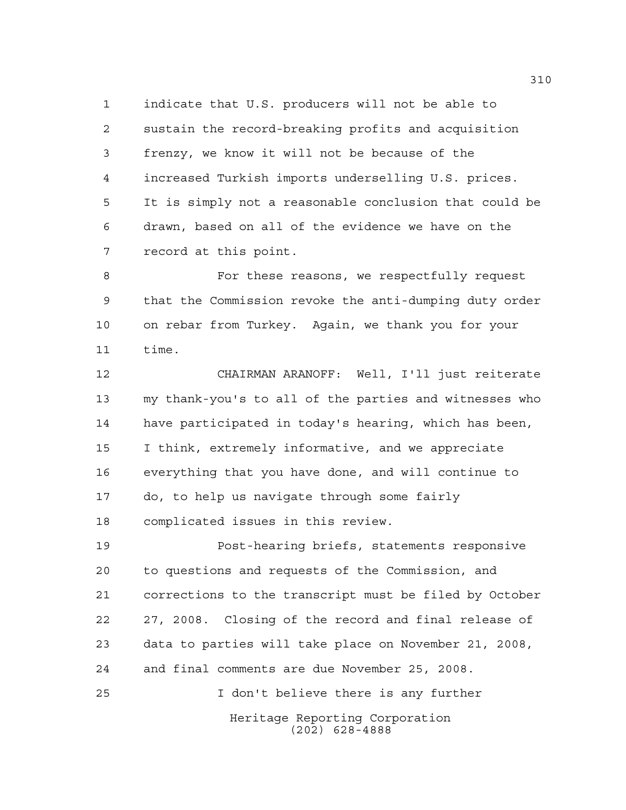indicate that U.S. producers will not be able to sustain the record-breaking profits and acquisition frenzy, we know it will not be because of the increased Turkish imports underselling U.S. prices. It is simply not a reasonable conclusion that could be drawn, based on all of the evidence we have on the record at this point.

 For these reasons, we respectfully request that the Commission revoke the anti-dumping duty order on rebar from Turkey. Again, we thank you for your time.

 CHAIRMAN ARANOFF: Well, I'll just reiterate my thank-you's to all of the parties and witnesses who have participated in today's hearing, which has been, I think, extremely informative, and we appreciate everything that you have done, and will continue to do, to help us navigate through some fairly complicated issues in this review.

 Post-hearing briefs, statements responsive to questions and requests of the Commission, and corrections to the transcript must be filed by October 27, 2008. Closing of the record and final release of data to parties will take place on November 21, 2008, and final comments are due November 25, 2008. I don't believe there is any further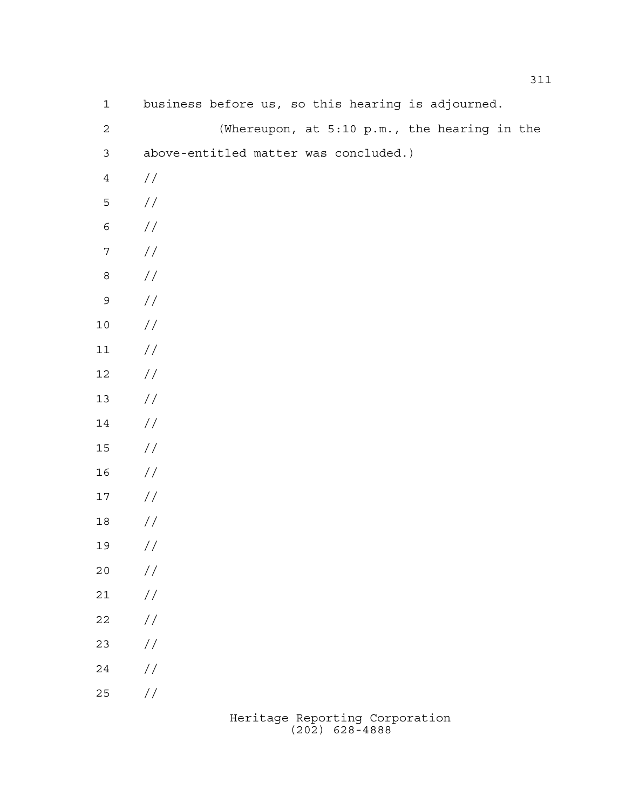| $\mathbf 1$      | business before us, so this hearing is adjourned. |
|------------------|---------------------------------------------------|
| $\sqrt{2}$       | (Whereupon, at 5:10 p.m., the hearing in the      |
| $\mathsf 3$      | above-entitled matter was concluded.)             |
| $\ensuremath{4}$ | //                                                |
| $\mathsf S$      | $\sqrt{}$                                         |
| $\epsilon$       | $\!/\!$                                           |
| $\boldsymbol{7}$ | $\!/\!$                                           |
| $\,8\,$          | $\!/\!$                                           |
| $\mathsf 9$      | $\!/\!$                                           |
| $10\,$           | $\!/\!$                                           |
| $11\,$           | $\sqrt{}$                                         |
| $12\,$           | $\sqrt{}$                                         |
| $13$             | $\!/\!$                                           |
| $14\,$           | $\!/\!$                                           |
| $15\,$           | $\!/\!$                                           |
| 16               | $\sqrt{}$                                         |
| $17\,$           | $\sqrt{}$                                         |
| $18\,$           | //                                                |
| 19               | $\sqrt{}$                                         |
| 20               | $\frac{1}{2}$                                     |
| $2\,1$           | $\!/\!$                                           |
| $2\sqrt{2}$      | $\!/\!$                                           |
| 23               | $\!/\!$                                           |
| 24               | $\!/\!$                                           |
| 25               | $\frac{1}{2}$                                     |
|                  |                                                   |